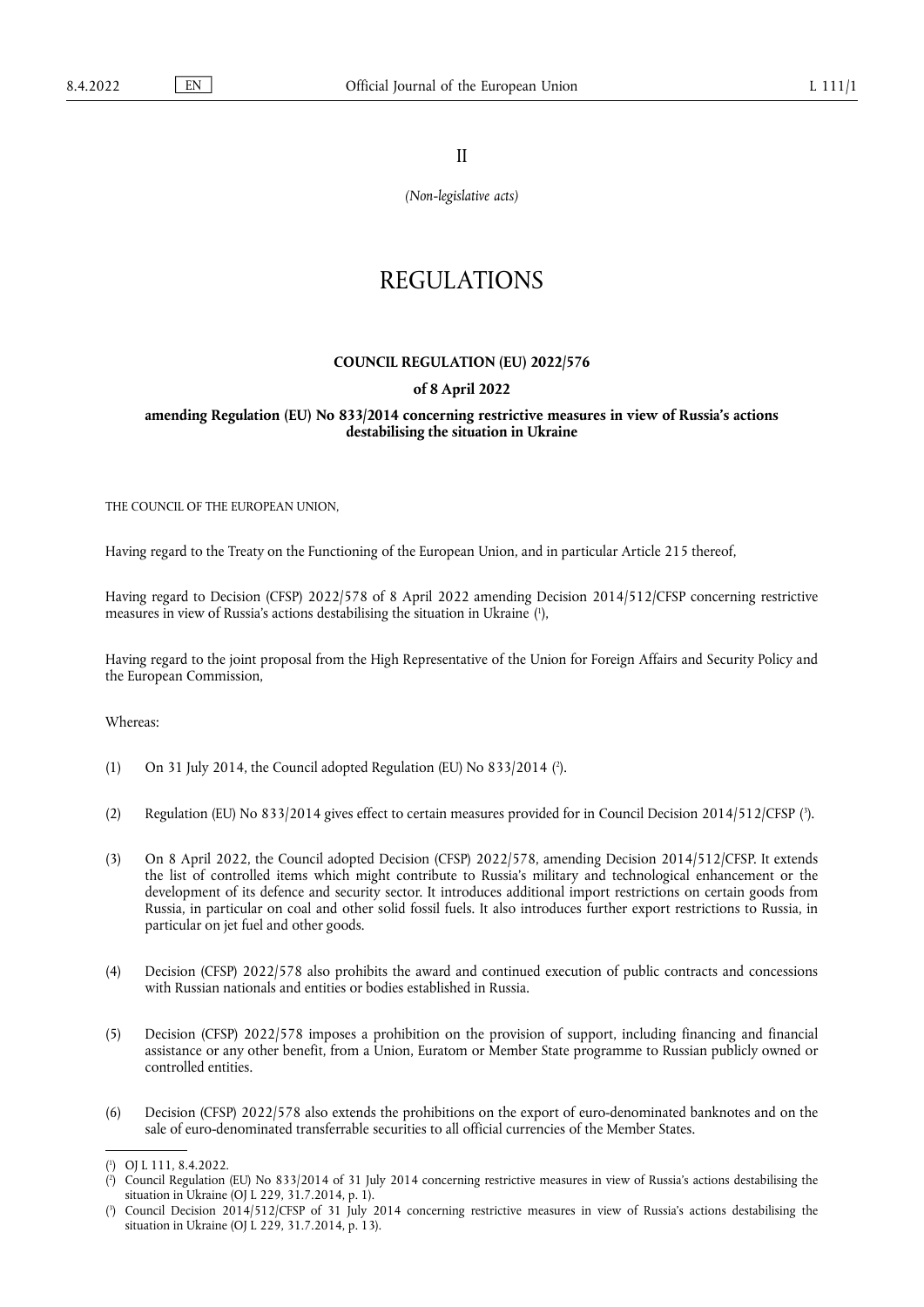II

*(Non-legislative acts)*

# REGULATIONS

### **COUNCIL REGULATION (EU) 2022/576**

#### **of 8 April 2022**

## **amending Regulation (EU) No 833/2014 concerning restrictive measures in view of Russia's actions destabilising the situation in Ukraine**

THE COUNCIL OF THE EUROPEAN UNION,

Having regard to the Treaty on the Functioning of the European Union, and in particular Article 215 thereof,

<span id="page-0-3"></span>Having regard to Decision (CFSP) 2022/578 of 8 April 2022 amending Decision 2014/512/CFSP concerning restrictive measures in view of Russia's actions destabilising the situation in Ukraine ( 1 [\),](#page-0-0)

Having regard to the joint proposal from the High Representative of the Union for Foreign Affairs and Security Policy and the European Commission,

Whereas:

- <span id="page-0-4"></span>[\(](#page-0-1)1) On 31 July 2014, the Council adopted Regulation (EU) No  $833/2014$  ( $^2$ ).
- <span id="page-0-5"></span>(2) Regulation (EU) No 833/2014 gives effect to certain measures provided for in Council Decision 2014/512/CFSP ( 3 [\).](#page-0-2)
- (3) On 8 April 2022, the Council adopted Decision (CFSP) 2022/578, amending Decision 2014/512/CFSP. It extends the list of controlled items which might contribute to Russia's military and technological enhancement or the development of its defence and security sector. It introduces additional import restrictions on certain goods from Russia, in particular on coal and other solid fossil fuels. It also introduces further export restrictions to Russia, in particular on jet fuel and other goods.
- (4) Decision (CFSP) 2022/578 also prohibits the award and continued execution of public contracts and concessions with Russian nationals and entities or bodies established in Russia.
- (5) Decision (CFSP) 2022/578 imposes a prohibition on the provision of support, including financing and financial assistance or any other benefit, from a Union, Euratom or Member State programme to Russian publicly owned or controlled entities.
- (6) Decision (CFSP) 2022/578 also extends the prohibitions on the export of euro-denominated banknotes and on the sale of euro-denominated transferrable securities to all official currencies of the Member States.

<span id="page-0-0"></span>[<sup>\(</sup>](#page-0-3) 1 ) OJ L 111, 8.4.2022.

<span id="page-0-1"></span>[<sup>\(</sup>](#page-0-4) 2 ) Council Regulation (EU) No 833/2014 of 31 July 2014 concerning restrictive measures in view of Russia's actions destabilising the situation in Ukraine (OJ L 229, 31.7.2014, p. 1).

<span id="page-0-2"></span>[<sup>\(</sup>](#page-0-5) 3 ) Council Decision 2014/512/CFSP of 31 July 2014 concerning restrictive measures in view of Russia's actions destabilising the situation in Ukraine (OJ L 229, 31.7.2014, p. 13).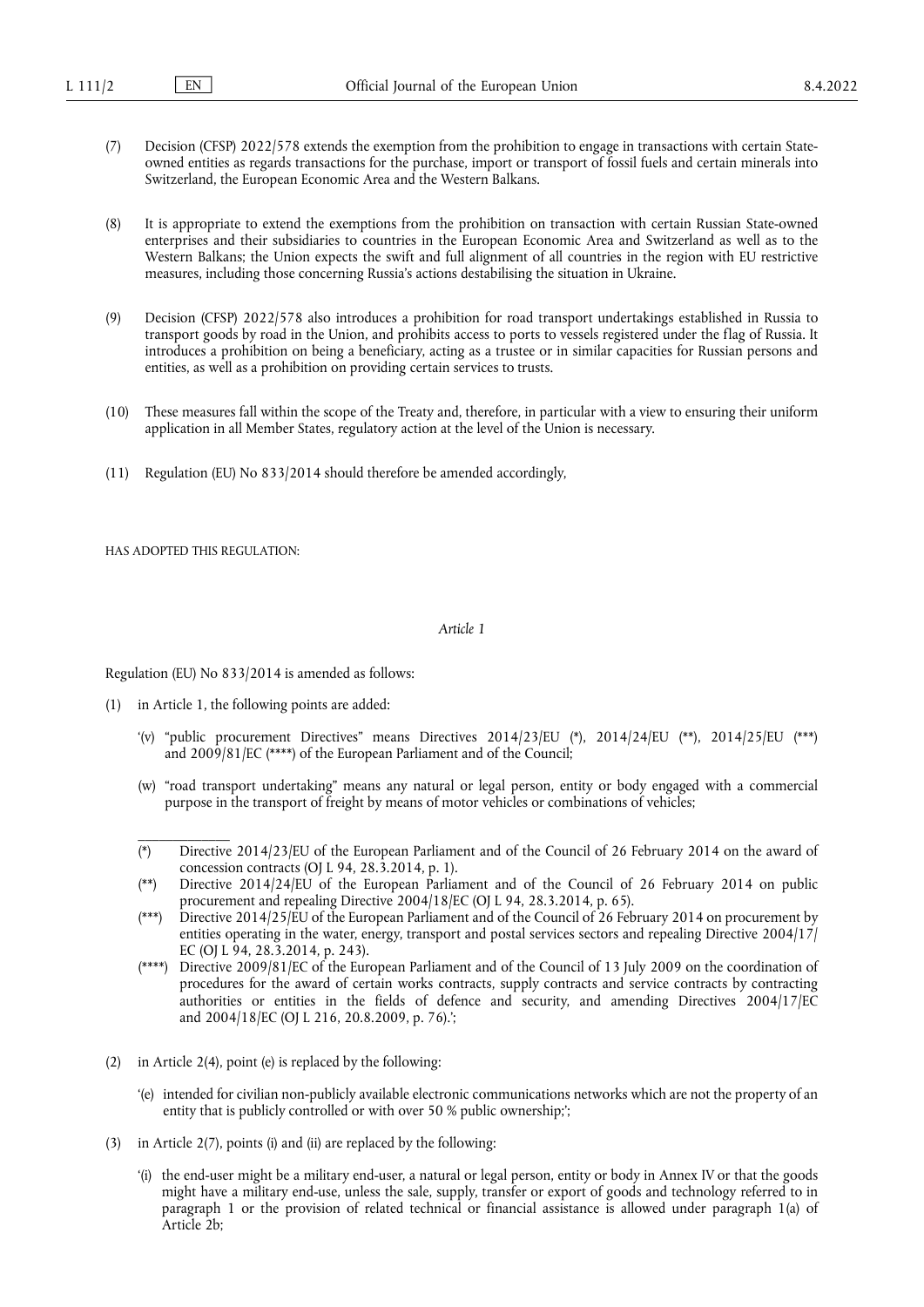- (7) Decision (CFSP) 2022/578 extends the exemption from the prohibition to engage in transactions with certain Stateowned entities as regards transactions for the purchase, import or transport of fossil fuels and certain minerals into Switzerland, the European Economic Area and the Western Balkans.
- (8) It is appropriate to extend the exemptions from the prohibition on transaction with certain Russian State-owned enterprises and their subsidiaries to countries in the European Economic Area and Switzerland as well as to the Western Balkans; the Union expects the swift and full alignment of all countries in the region with EU restrictive measures, including those concerning Russia's actions destabilising the situation in Ukraine.
- (9) Decision (CFSP) 2022/578 also introduces a prohibition for road transport undertakings established in Russia to transport goods by road in the Union, and prohibits access to ports to vessels registered under the flag of Russia. It introduces a prohibition on being a beneficiary, acting as a trustee or in similar capacities for Russian persons and entities, as well as a prohibition on providing certain services to trusts.
- (10) These measures fall within the scope of the Treaty and, therefore, in particular with a view to ensuring their uniform application in all Member States, regulatory action at the level of the Union is necessary.
- (11) Regulation (EU) No 833/2014 should therefore be amended accordingly,

HAS ADOPTED THIS REGULATION:

<span id="page-1-2"></span><span id="page-1-1"></span><span id="page-1-0"></span>\_\_\_\_\_\_\_\_\_\_\_\_\_

#### *Article 1*

Regulation (EU) No 833/2014 is amended as follows:

- (1) in Article 1, the following points are added:
	- '(v) "public procurement Directives" means Directives 2014/23/EU [\(\\*\),](#page-1-0) 2014/24/E[U \(\\*\\*\),](#page-1-1) 2014/25/E[U \(\\*\\*\\*\)](#page-1-2) and 2009/81/EC [\(\\*\\*\\*\\*\)](#page-1-3) of the European Parliament and of the Council;
	- (w) "road transport undertaking" means any natural or legal person, entity or body engaged with a commercial purpose in the transport of freight by means of motor vehicles or combinations of vehicles;
	- (\*) Directive 2014/23/EU of the European Parliament and of the Council of 26 February 2014 on the award of concession contracts (OJ L 94, 28.3.2014, p. 1).
	- (\*\*) Directive 2014/24/EU of the European Parliament and of the Council of 26 February 2014 on public procurement and repealing Directive 2004/18/EC (OJ L 94, 28.3.2014, p. 65).
	- (\*\*\*) Directive 2014/25/EU of the European Parliament and of the Council of 26 February 2014 on procurement by entities operating in the water, energy, transport and postal services sectors and repealing Directive 2004/17/ EC (OJ L 94, 28.3.2014, p. 243).
	- (\*\*\*\*) Directive 2009/81/EC of the European Parliament and of the Council of 13 July 2009 on the coordination of procedures for the award of certain works contracts, supply contracts and service contracts by contracting authorities or entities in the fields of defence and security, and amending Directives 2004/17/EC and 2004/18/EC (OJ L 216, 20.8.2009, p. 76).';
- <span id="page-1-3"></span>(2) in Article 2(4), point (e) is replaced by the following:
	- '(e) intended for civilian non-publicly available electronic communications networks which are not the property of an entity that is publicly controlled or with over 50 % public ownership;';
- (3) in Article 2(7), points (i) and (ii) are replaced by the following:
	- '(i) the end-user might be a military end-user, a natural or legal person, entity or body in Annex IV or that the goods might have a military end-use, unless the sale, supply, transfer or export of goods and technology referred to in paragraph 1 or the provision of related technical or financial assistance is allowed under paragraph 1(a) of Article 2b;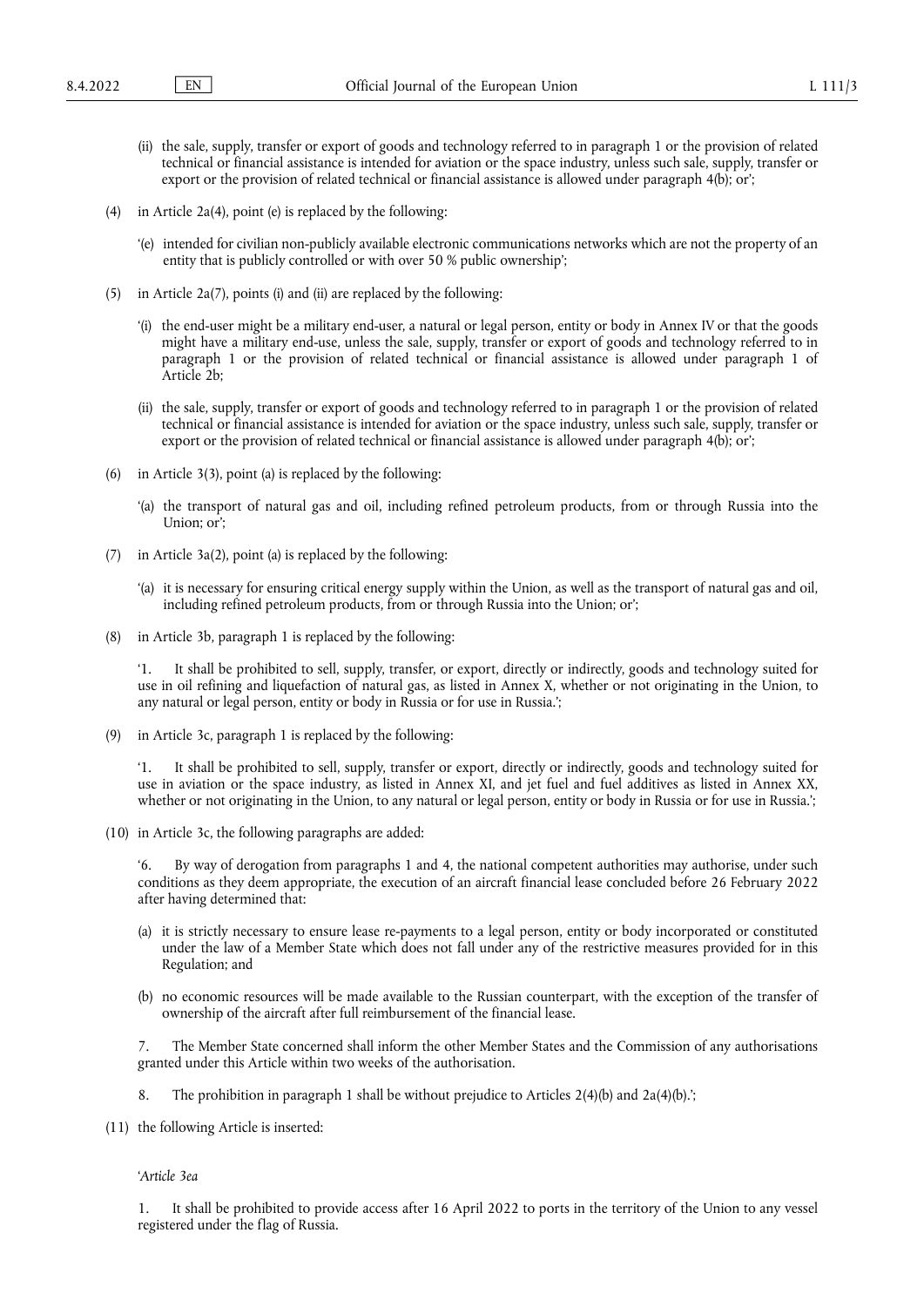- (ii) the sale, supply, transfer or export of goods and technology referred to in paragraph 1 or the provision of related technical or financial assistance is intended for aviation or the space industry, unless such sale, supply, transfer or export or the provision of related technical or financial assistance is allowed under paragraph 4(b); or';
- (4) in Article 2a(4), point (e) is replaced by the following:
	- '(e) intended for civilian non-publicly available electronic communications networks which are not the property of an entity that is publicly controlled or with over 50 % public ownership';
- (5) in Article 2a(7), points (i) and (ii) are replaced by the following:
	- '(i) the end-user might be a military end-user, a natural or legal person, entity or body in Annex IV or that the goods might have a military end-use, unless the sale, supply, transfer or export of goods and technology referred to in paragraph 1 or the provision of related technical or financial assistance is allowed under paragraph 1 of Article 2b;
	- (ii) the sale, supply, transfer or export of goods and technology referred to in paragraph 1 or the provision of related technical or financial assistance is intended for aviation or the space industry, unless such sale, supply, transfer or export or the provision of related technical or financial assistance is allowed under paragraph 4(b); or';
- (6) in Article 3(3), point (a) is replaced by the following:
	- '(a) the transport of natural gas and oil, including refined petroleum products, from or through Russia into the Union; or';
- (7) in Article 3a(2), point (a) is replaced by the following:
	- '(a) it is necessary for ensuring critical energy supply within the Union, as well as the transport of natural gas and oil, including refined petroleum products, from or through Russia into the Union; or';
- (8) in Article 3b, paragraph 1 is replaced by the following:

It shall be prohibited to sell, supply, transfer, or export, directly or indirectly, goods and technology suited for use in oil refining and liquefaction of natural gas, as listed in Annex X, whether or not originating in the Union, to any natural or legal person, entity or body in Russia or for use in Russia.';

(9) in Article 3c, paragraph 1 is replaced by the following:

'1. It shall be prohibited to sell, supply, transfer or export, directly or indirectly, goods and technology suited for use in aviation or the space industry, as listed in Annex XI, and jet fuel and fuel additives as listed in Annex XX, whether or not originating in the Union, to any natural or legal person, entity or body in Russia or for use in Russia.';

(10) in Article 3c, the following paragraphs are added:

By way of derogation from paragraphs 1 and 4, the national competent authorities may authorise, under such conditions as they deem appropriate, the execution of an aircraft financial lease concluded before 26 February 2022 after having determined that:

- (a) it is strictly necessary to ensure lease re-payments to a legal person, entity or body incorporated or constituted under the law of a Member State which does not fall under any of the restrictive measures provided for in this Regulation; and
- (b) no economic resources will be made available to the Russian counterpart, with the exception of the transfer of ownership of the aircraft after full reimbursement of the financial lease.

7. The Member State concerned shall inform the other Member States and the Commission of any authorisations granted under this Article within two weeks of the authorisation.

- 8. The prohibition in paragraph 1 shall be without prejudice to Articles 2(4)(b) and 2a(4)(b).';
- (11) the following Article is inserted:

'*Article 3ea*

1. It shall be prohibited to provide access after 16 April 2022 to ports in the territory of the Union to any vessel registered under the flag of Russia.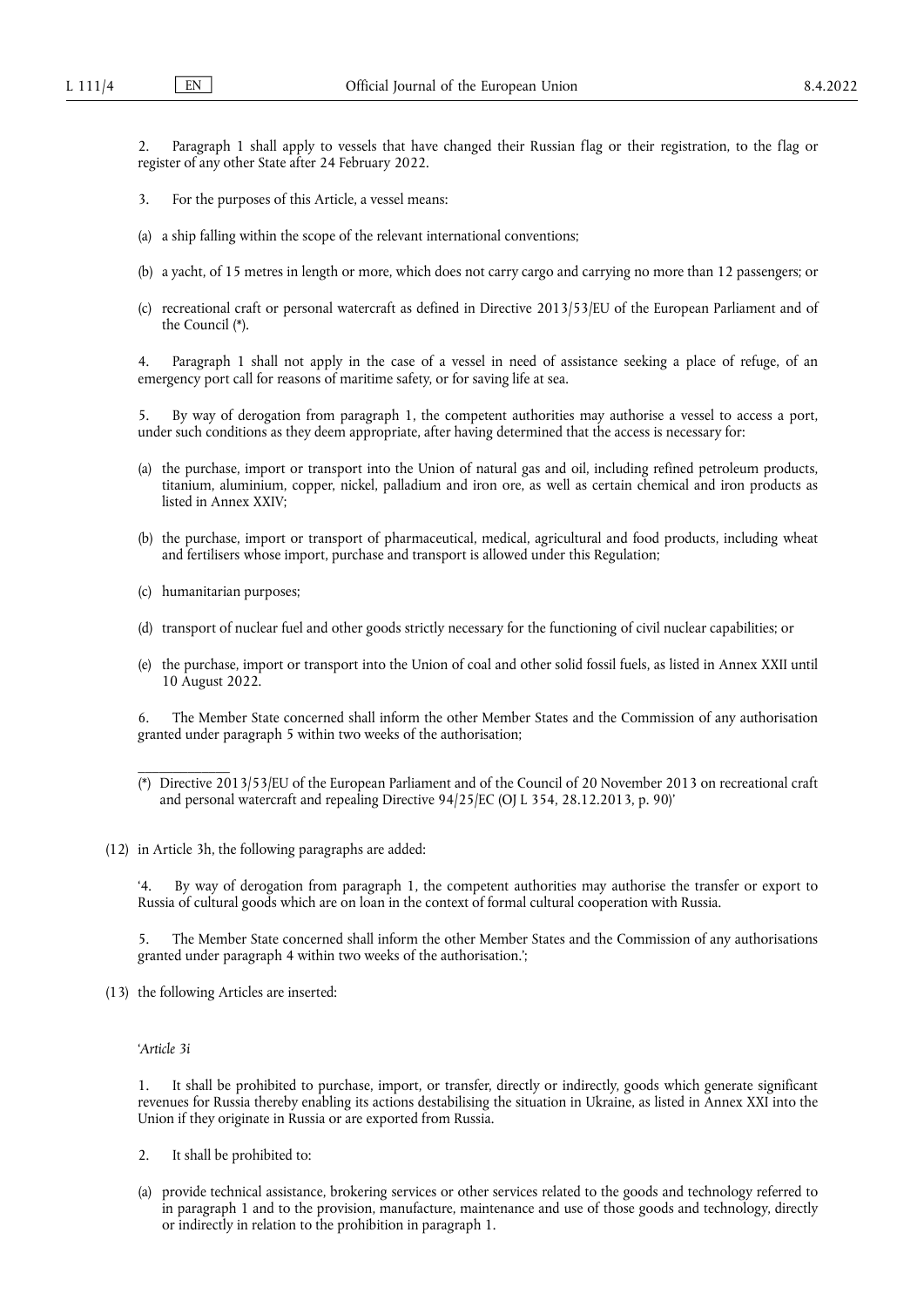2. Paragraph 1 shall apply to vessels that have changed their Russian flag or their registration, to the flag or register of any other State after 24 February 2022.

- 3. For the purposes of this Article, a vessel means:
- (a) a ship falling within the scope of the relevant international conventions;
- (b) a yacht, of 15 metres in length or more, which does not carry cargo and carrying no more than 12 passengers; or
- (c) recreational craft or personal watercraft as defined in Directive 2013/53/EU of the European Parliament and of the Council [\(\\*\).](#page-3-0)

4. Paragraph 1 shall not apply in the case of a vessel in need of assistance seeking a place of refuge, of an emergency port call for reasons of maritime safety, or for saving life at sea.

5. By way of derogation from paragraph 1, the competent authorities may authorise a vessel to access a port, under such conditions as they deem appropriate, after having determined that the access is necessary for:

- (a) the purchase, import or transport into the Union of natural gas and oil, including refined petroleum products, titanium, aluminium, copper, nickel, palladium and iron ore, as well as certain chemical and iron products as listed in Annex XXIV;
- (b) the purchase, import or transport of pharmaceutical, medical, agricultural and food products, including wheat and fertilisers whose import, purchase and transport is allowed under this Regulation;
- (c) humanitarian purposes;

\_\_\_\_\_\_\_\_\_\_\_\_\_

- (d) transport of nuclear fuel and other goods strictly necessary for the functioning of civil nuclear capabilities; or
- (e) the purchase, import or transport into the Union of coal and other solid fossil fuels, as listed in Annex XXII until 10 August 2022.

6. The Member State concerned shall inform the other Member States and the Commission of any authorisation granted under paragraph 5 within two weeks of the authorisation;

- <span id="page-3-0"></span>(\*) Directive 2013/53/EU of the European Parliament and of the Council of 20 November 2013 on recreational craft and personal watercraft and repealing Directive 94/25/EC (OJ L 354, 28.12.2013, p. 90)'
- (12) in Article 3h, the following paragraphs are added:

'4. By way of derogation from paragraph 1, the competent authorities may authorise the transfer or export to Russia of cultural goods which are on loan in the context of formal cultural cooperation with Russia.

5. The Member State concerned shall inform the other Member States and the Commission of any authorisations granted under paragraph 4 within two weeks of the authorisation.';

(13) the following Articles are inserted:

'*Article 3i*

1. It shall be prohibited to purchase, import, or transfer, directly or indirectly, goods which generate significant revenues for Russia thereby enabling its actions destabilising the situation in Ukraine, as listed in Annex XXI into the Union if they originate in Russia or are exported from Russia.

- 2. It shall be prohibited to:
- (a) provide technical assistance, brokering services or other services related to the goods and technology referred to in paragraph 1 and to the provision, manufacture, maintenance and use of those goods and technology, directly or indirectly in relation to the prohibition in paragraph 1.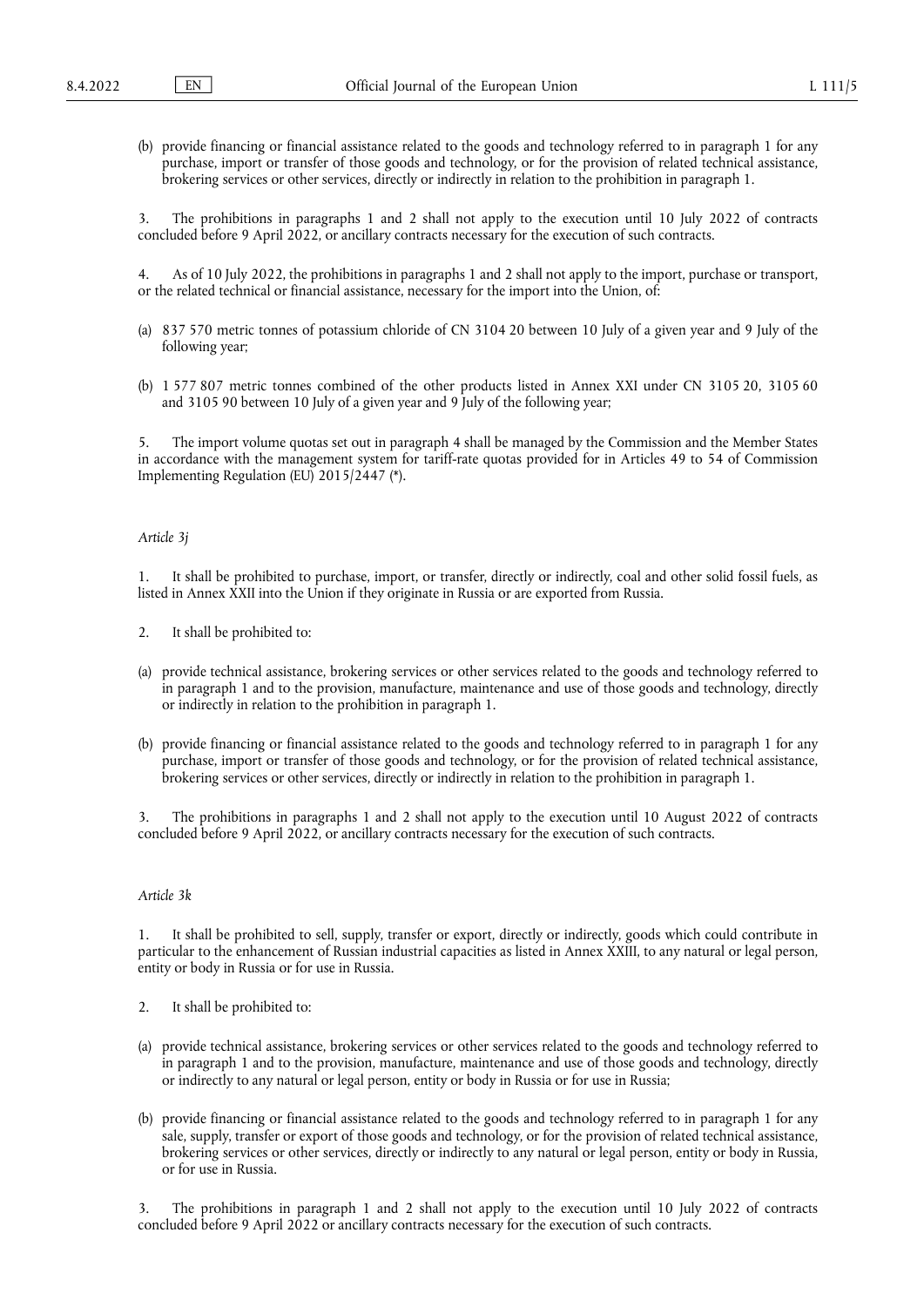(b) provide financing or financial assistance related to the goods and technology referred to in paragraph 1 for any purchase, import or transfer of those goods and technology, or for the provision of related technical assistance, brokering services or other services, directly or indirectly in relation to the prohibition in paragraph 1.

3. The prohibitions in paragraphs 1 and 2 shall not apply to the execution until 10 July 2022 of contracts concluded before 9 April 2022, or ancillary contracts necessary for the execution of such contracts.

4. As of 10 July 2022, the prohibitions in paragraphs 1 and 2 shall not apply to the import, purchase or transport, or the related technical or financial assistance, necessary for the import into the Union, of:

- (a) 837 570 metric tonnes of potassium chloride of CN 3104 20 between 10 July of a given year and 9 July of the following year;
- (b) 1 577 807 metric tonnes combined of the other products listed in Annex XXI under CN 3105 20, 3105 60 and 3105 90 between 10 July of a given year and 9 July of the following year;

5. The import volume quotas set out in paragraph 4 shall be managed by the Commission and the Member States in accordance with the management system for tariff-rate quotas provided for in Articles 49 to 54 of Commission Implementing Regulation (EU) 2015/2447 [\(\\*\).](#page-5-0)

#### *Article 3j*

1. It shall be prohibited to purchase, import, or transfer, directly or indirectly, coal and other solid fossil fuels, as listed in Annex XXII into the Union if they originate in Russia or are exported from Russia.

- 2. It shall be prohibited to:
- (a) provide technical assistance, brokering services or other services related to the goods and technology referred to in paragraph 1 and to the provision, manufacture, maintenance and use of those goods and technology, directly or indirectly in relation to the prohibition in paragraph 1.
- (b) provide financing or financial assistance related to the goods and technology referred to in paragraph 1 for any purchase, import or transfer of those goods and technology, or for the provision of related technical assistance, brokering services or other services, directly or indirectly in relation to the prohibition in paragraph 1.

3. The prohibitions in paragraphs 1 and 2 shall not apply to the execution until 10 August 2022 of contracts concluded before 9 April 2022, or ancillary contracts necessary for the execution of such contracts.

### *Article 3k*

1. It shall be prohibited to sell, supply, transfer or export, directly or indirectly, goods which could contribute in particular to the enhancement of Russian industrial capacities as listed in Annex XXIII, to any natural or legal person, entity or body in Russia or for use in Russia.

- 2. It shall be prohibited to:
- (a) provide technical assistance, brokering services or other services related to the goods and technology referred to in paragraph 1 and to the provision, manufacture, maintenance and use of those goods and technology, directly or indirectly to any natural or legal person, entity or body in Russia or for use in Russia;
- (b) provide financing or financial assistance related to the goods and technology referred to in paragraph 1 for any sale, supply, transfer or export of those goods and technology, or for the provision of related technical assistance, brokering services or other services, directly or indirectly to any natural or legal person, entity or body in Russia, or for use in Russia.

3. The prohibitions in paragraph 1 and 2 shall not apply to the execution until 10 July 2022 of contracts concluded before 9 April 2022 or ancillary contracts necessary for the execution of such contracts.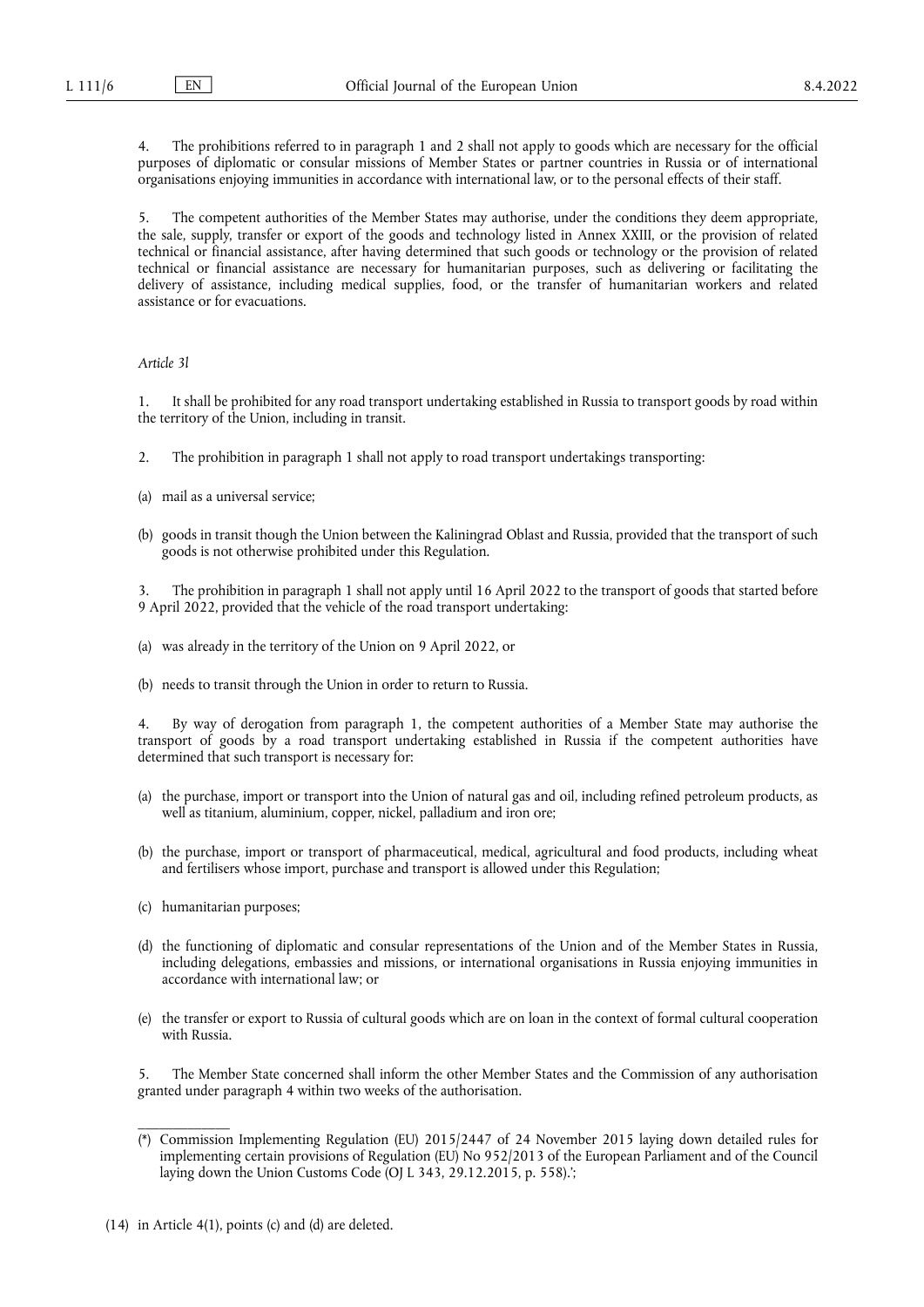4. The prohibitions referred to in paragraph 1 and 2 shall not apply to goods which are necessary for the official purposes of diplomatic or consular missions of Member States or partner countries in Russia or of international organisations enjoying immunities in accordance with international law, or to the personal effects of their staff.

5. The competent authorities of the Member States may authorise, under the conditions they deem appropriate, the sale, supply, transfer or export of the goods and technology listed in Annex XXIII, or the provision of related technical or financial assistance, after having determined that such goods or technology or the provision of related technical or financial assistance are necessary for humanitarian purposes, such as delivering or facilitating the delivery of assistance, including medical supplies, food, or the transfer of humanitarian workers and related assistance or for evacuations.

## *Article 3l*

1. It shall be prohibited for any road transport undertaking established in Russia to transport goods by road within the territory of the Union, including in transit.

- 2. The prohibition in paragraph 1 shall not apply to road transport undertakings transporting:
- (a) mail as a universal service;
- (b) goods in transit though the Union between the Kaliningrad Oblast and Russia, provided that the transport of such goods is not otherwise prohibited under this Regulation.

3. The prohibition in paragraph 1 shall not apply until 16 April 2022 to the transport of goods that started before 9 April 2022, provided that the vehicle of the road transport undertaking:

- (a) was already in the territory of the Union on 9 April 2022, or
- (b) needs to transit through the Union in order to return to Russia.

4. By way of derogation from paragraph 1, the competent authorities of a Member State may authorise the transport of goods by a road transport undertaking established in Russia if the competent authorities have determined that such transport is necessary for:

- (a) the purchase, import or transport into the Union of natural gas and oil, including refined petroleum products, as well as titanium, aluminium, copper, nickel, palladium and iron ore;
- (b) the purchase, import or transport of pharmaceutical, medical, agricultural and food products, including wheat and fertilisers whose import, purchase and transport is allowed under this Regulation;
- (c) humanitarian purposes;

\_\_\_\_\_\_\_\_\_\_\_\_\_

- (d) the functioning of diplomatic and consular representations of the Union and of the Member States in Russia, including delegations, embassies and missions, or international organisations in Russia enjoying immunities in accordance with international law; or
- (e) the transfer or export to Russia of cultural goods which are on loan in the context of formal cultural cooperation with Russia.

5. The Member State concerned shall inform the other Member States and the Commission of any authorisation granted under paragraph 4 within two weeks of the authorisation.

<span id="page-5-0"></span><sup>(\*)</sup> Commission Implementing Regulation (EU) 2015/2447 of 24 November 2015 laying down detailed rules for implementing certain provisions of Regulation (EU) No 952/2013 of the European Parliament and of the Council laying down the Union Customs Code (OJ L 343, 29.12.2015, p. 558).';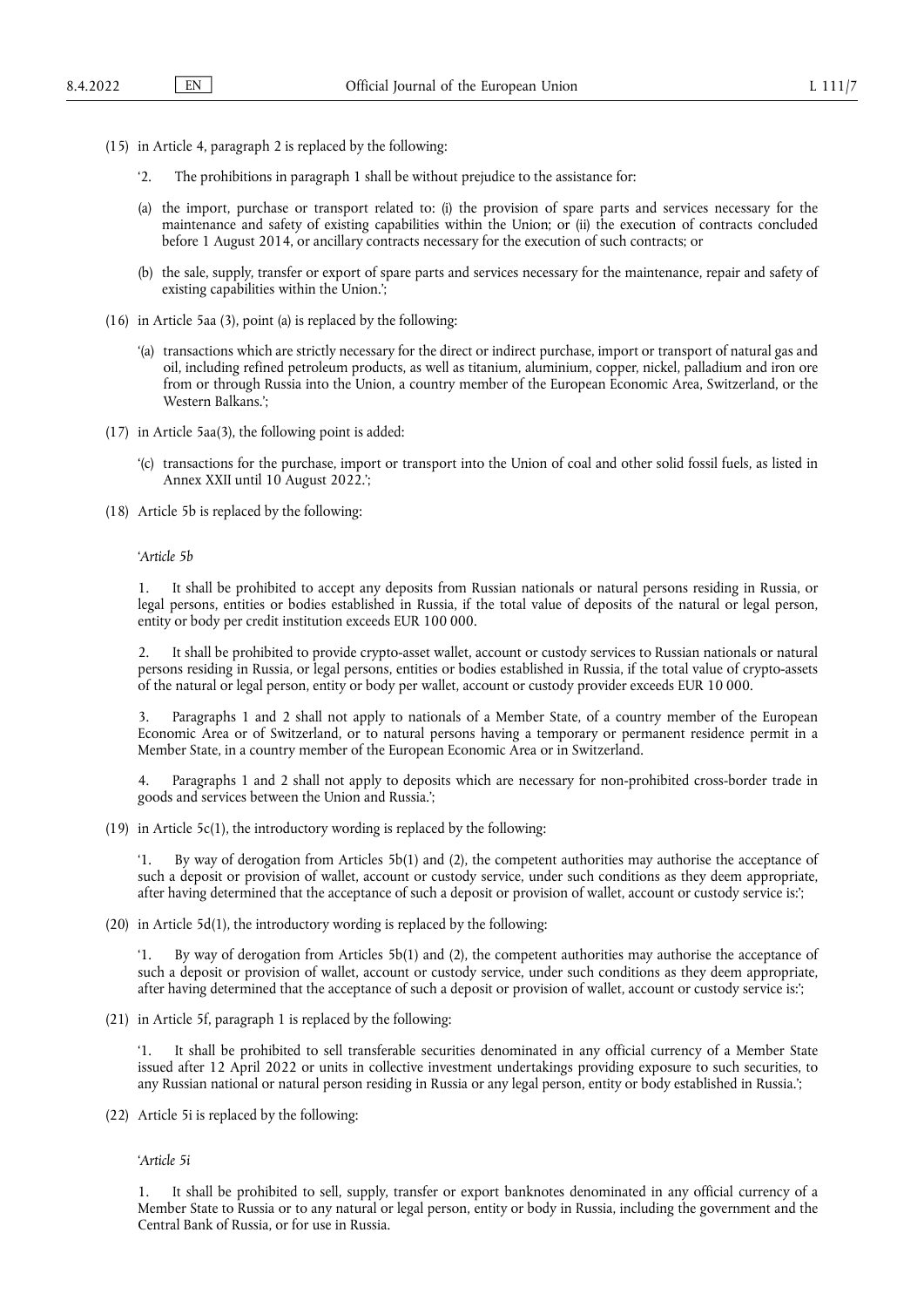- (15) in Article 4, paragraph 2 is replaced by the following:
	- '2. The prohibitions in paragraph 1 shall be without prejudice to the assistance for:
	- (a) the import, purchase or transport related to: (i) the provision of spare parts and services necessary for the maintenance and safety of existing capabilities within the Union; or (ii) the execution of contracts concluded before 1 August 2014, or ancillary contracts necessary for the execution of such contracts; or
	- (b) the sale, supply, transfer or export of spare parts and services necessary for the maintenance, repair and safety of existing capabilities within the Union.';
- (16) in Article 5aa (3), point (a) is replaced by the following:
	- '(a) transactions which are strictly necessary for the direct or indirect purchase, import or transport of natural gas and oil, including refined petroleum products, as well as titanium, aluminium, copper, nickel, palladium and iron ore from or through Russia into the Union, a country member of the European Economic Area, Switzerland, or the Western Balkans.';
- (17) in Article 5aa(3), the following point is added:
	- '(c) transactions for the purchase, import or transport into the Union of coal and other solid fossil fuels, as listed in Annex XXII until 10 August 2022.';
- (18) Article 5b is replaced by the following:

#### '*Article 5b*

1. It shall be prohibited to accept any deposits from Russian nationals or natural persons residing in Russia, or legal persons, entities or bodies established in Russia, if the total value of deposits of the natural or legal person, entity or body per credit institution exceeds EUR 100 000.

2. It shall be prohibited to provide crypto-asset wallet, account or custody services to Russian nationals or natural persons residing in Russia, or legal persons, entities or bodies established in Russia, if the total value of crypto-assets of the natural or legal person, entity or body per wallet, account or custody provider exceeds EUR 10 000.

3. Paragraphs 1 and 2 shall not apply to nationals of a Member State, of a country member of the European Economic Area or of Switzerland, or to natural persons having a temporary or permanent residence permit in a Member State, in a country member of the European Economic Area or in Switzerland.

4. Paragraphs 1 and 2 shall not apply to deposits which are necessary for non-prohibited cross-border trade in goods and services between the Union and Russia.';

(19) in Article 5c(1), the introductory wording is replaced by the following:

By way of derogation from Articles 5b(1) and (2), the competent authorities may authorise the acceptance of such a deposit or provision of wallet, account or custody service, under such conditions as they deem appropriate, after having determined that the acceptance of such a deposit or provision of wallet, account or custody service is:';

(20) in Article 5d(1), the introductory wording is replaced by the following:

'1. By way of derogation from Articles 5b(1) and (2), the competent authorities may authorise the acceptance of such a deposit or provision of wallet, account or custody service, under such conditions as they deem appropriate, after having determined that the acceptance of such a deposit or provision of wallet, account or custody service is:';

(21) in Article 5f, paragraph 1 is replaced by the following:

It shall be prohibited to sell transferable securities denominated in any official currency of a Member State issued after 12 April 2022 or units in collective investment undertakings providing exposure to such securities, to any Russian national or natural person residing in Russia or any legal person, entity or body established in Russia.';

(22) Article 5i is replaced by the following:

'*Article 5i*

1. It shall be prohibited to sell, supply, transfer or export banknotes denominated in any official currency of a Member State to Russia or to any natural or legal person, entity or body in Russia, including the government and the Central Bank of Russia, or for use in Russia.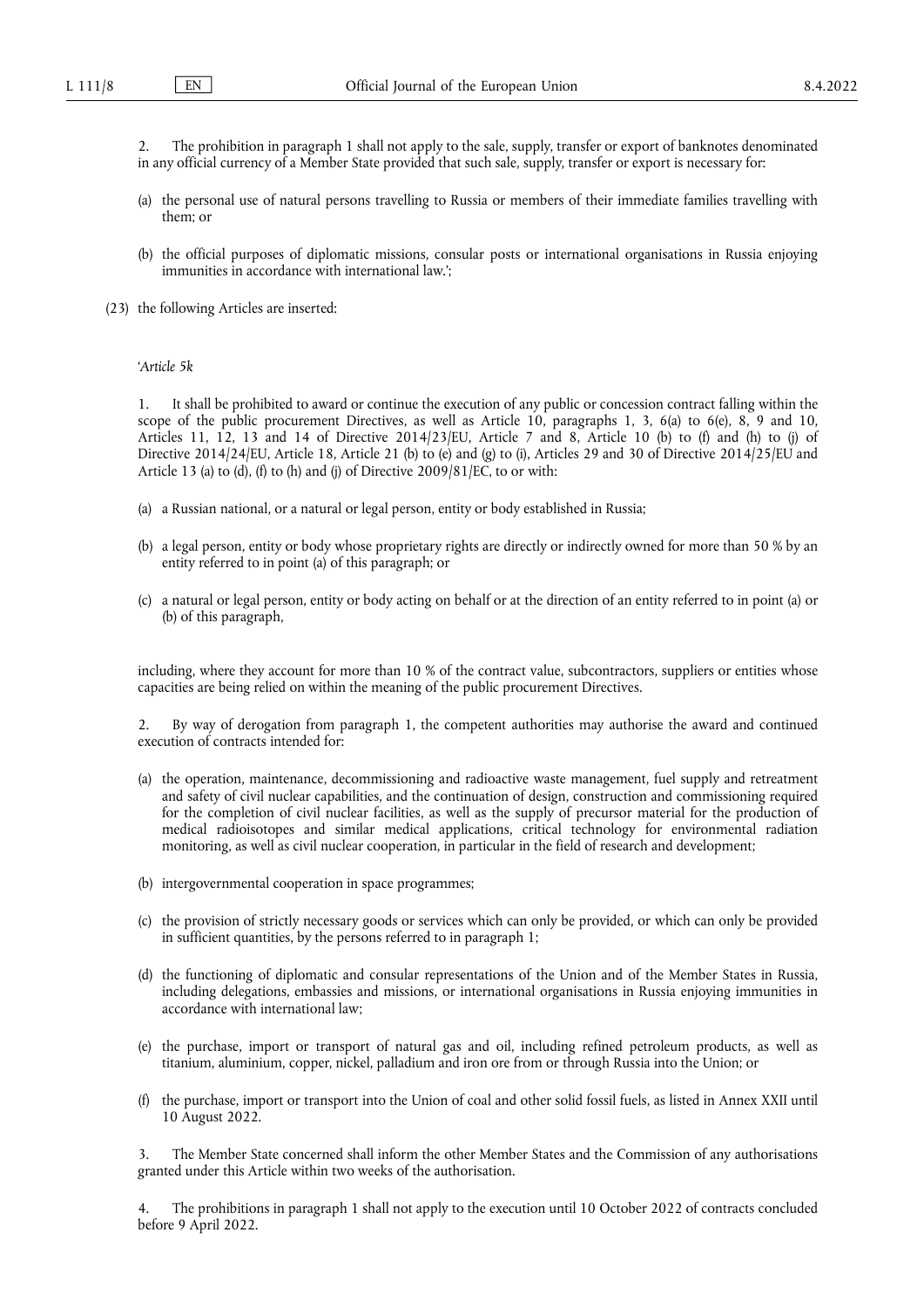2. The prohibition in paragraph 1 shall not apply to the sale, supply, transfer or export of banknotes denominated in any official currency of a Member State provided that such sale, supply, transfer or export is necessary for:

- (a) the personal use of natural persons travelling to Russia or members of their immediate families travelling with them; or
- (b) the official purposes of diplomatic missions, consular posts or international organisations in Russia enjoying immunities in accordance with international law.';
- (23) the following Articles are inserted:

## '*Article 5k*

1. It shall be prohibited to award or continue the execution of any public or concession contract falling within the scope of the public procurement Directives, as well as Article 10, paragraphs 1, 3,  $6(a)$  to  $6(e)$ , 8, 9 and 10, Articles 11, 12, 13 and 14 of Directive 2014/23/EU, Article 7 and 8, Article 10 (b) to (f) and (h) to (j) of Directive 2014/24/EU, Article 18, Article 21 (b) to (e) and (g) to (i), Articles 29 and 30 of Directive 2014/25/EU and Article 13 (a) to (d), (f) to (h) and (j) of Directive 2009/81/EC, to or with:

- (a) a Russian national, or a natural or legal person, entity or body established in Russia;
- (b) a legal person, entity or body whose proprietary rights are directly or indirectly owned for more than 50 % by an entity referred to in point (a) of this paragraph; or
- (c) a natural or legal person, entity or body acting on behalf or at the direction of an entity referred to in point (a) or (b) of this paragraph,

including, where they account for more than 10 % of the contract value, subcontractors, suppliers or entities whose capacities are being relied on within the meaning of the public procurement Directives.

2. By way of derogation from paragraph 1, the competent authorities may authorise the award and continued execution of contracts intended for:

- (a) the operation, maintenance, decommissioning and radioactive waste management, fuel supply and retreatment and safety of civil nuclear capabilities, and the continuation of design, construction and commissioning required for the completion of civil nuclear facilities, as well as the supply of precursor material for the production of medical radioisotopes and similar medical applications, critical technology for environmental radiation monitoring, as well as civil nuclear cooperation, in particular in the field of research and development;
- (b) intergovernmental cooperation in space programmes;
- (c) the provision of strictly necessary goods or services which can only be provided, or which can only be provided in sufficient quantities, by the persons referred to in paragraph 1;
- (d) the functioning of diplomatic and consular representations of the Union and of the Member States in Russia, including delegations, embassies and missions, or international organisations in Russia enjoying immunities in accordance with international law;
- (e) the purchase, import or transport of natural gas and oil, including refined petroleum products, as well as titanium, aluminium, copper, nickel, palladium and iron ore from or through Russia into the Union; or
- (f) the purchase, import or transport into the Union of coal and other solid fossil fuels, as listed in Annex XXII until 10 August 2022.

3. The Member State concerned shall inform the other Member States and the Commission of any authorisations granted under this Article within two weeks of the authorisation.

The prohibitions in paragraph 1 shall not apply to the execution until 10 October 2022 of contracts concluded before 9 April 2022.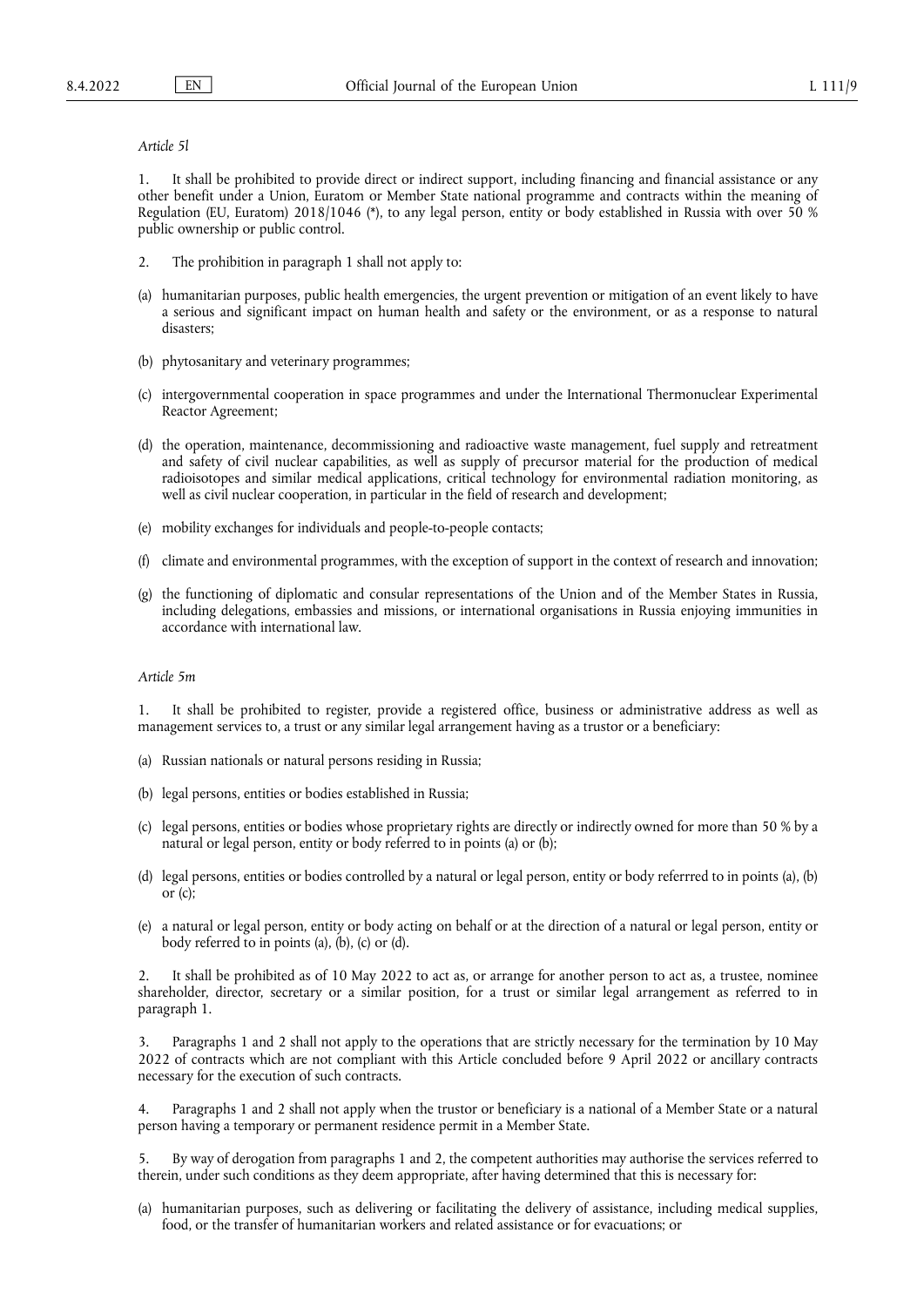### *Article 5l*

1. It shall be prohibited to provide direct or indirect support, including financing and financial assistance or any other benefit under a Union, Euratom or Member State national programme and contracts within the meaning of Regulation (EU, Euratom) 2018/1046 [\(\\*\),](#page-9-0) to any legal person, entity or body established in Russia with over 50 % public ownership or public control.

- 2. The prohibition in paragraph 1 shall not apply to:
- (a) humanitarian purposes, public health emergencies, the urgent prevention or mitigation of an event likely to have a serious and significant impact on human health and safety or the environment, or as a response to natural disasters;
- (b) phytosanitary and veterinary programmes;
- (c) intergovernmental cooperation in space programmes and under the International Thermonuclear Experimental Reactor Agreement;
- (d) the operation, maintenance, decommissioning and radioactive waste management, fuel supply and retreatment and safety of civil nuclear capabilities, as well as supply of precursor material for the production of medical radioisotopes and similar medical applications, critical technology for environmental radiation monitoring, as well as civil nuclear cooperation, in particular in the field of research and development;
- (e) mobility exchanges for individuals and people-to-people contacts;
- (f) climate and environmental programmes, with the exception of support in the context of research and innovation;
- (g) the functioning of diplomatic and consular representations of the Union and of the Member States in Russia, including delegations, embassies and missions, or international organisations in Russia enjoying immunities in accordance with international law.

## *Article 5m*

1. It shall be prohibited to register, provide a registered office, business or administrative address as well as management services to, a trust or any similar legal arrangement having as a trustor or a beneficiary:

- (a) Russian nationals or natural persons residing in Russia;
- (b) legal persons, entities or bodies established in Russia;
- (c) legal persons, entities or bodies whose proprietary rights are directly or indirectly owned for more than 50 % by a natural or legal person, entity or body referred to in points (a) or (b);
- (d) legal persons, entities or bodies controlled by a natural or legal person, entity or body referrred to in points (a), (b) or (c);
- (e) a natural or legal person, entity or body acting on behalf or at the direction of a natural or legal person, entity or body referred to in points (a), (b), (c) or (d).

2. It shall be prohibited as of 10 May 2022 to act as, or arrange for another person to act as, a trustee, nominee shareholder, director, secretary or a similar position, for a trust or similar legal arrangement as referred to in paragraph 1.

3. Paragraphs 1 and 2 shall not apply to the operations that are strictly necessary for the termination by 10 May 2022 of contracts which are not compliant with this Article concluded before 9 April 2022 or ancillary contracts necessary for the execution of such contracts.

4. Paragraphs 1 and 2 shall not apply when the trustor or beneficiary is a national of a Member State or a natural person having a temporary or permanent residence permit in a Member State.

5. By way of derogation from paragraphs 1 and 2, the competent authorities may authorise the services referred to therein, under such conditions as they deem appropriate, after having determined that this is necessary for:

(a) humanitarian purposes, such as delivering or facilitating the delivery of assistance, including medical supplies, food, or the transfer of humanitarian workers and related assistance or for evacuations; or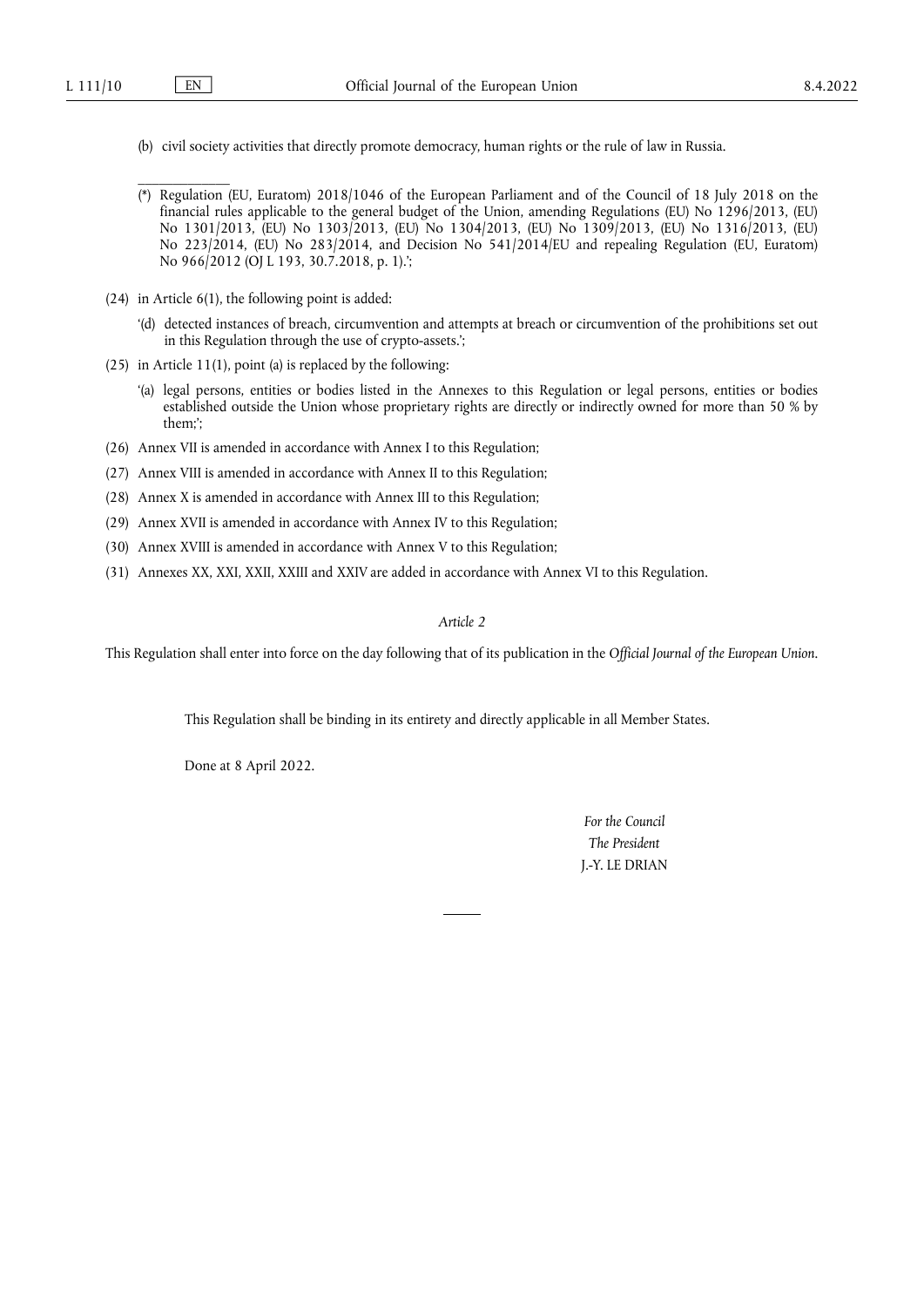\_\_\_\_\_\_\_\_\_\_\_\_\_

- (b) civil society activities that directly promote democracy, human rights or the rule of law in Russia.
- <span id="page-9-0"></span>(\*) Regulation (EU, Euratom) 2018/1046 of the European Parliament and of the Council of 18 July 2018 on the financial rules applicable to the general budget of the Union, amending Regulations (EU) No 1296/2013, (EU) No 1301/2013, (EU) No 1303/2013, (EU) No 1304/2013, (EU) No 1309/2013, (EU) No 1316/2013, (EU) No 223/2014, (EU) No 283/2014, and Decision No 541/2014/EU and repealing Regulation (EU, Euratom) No 966/2012 (OJ L 193, 30.7.2018, p. 1).';
- (24) in Article 6(1), the following point is added:
	- '(d) detected instances of breach, circumvention and attempts at breach or circumvention of the prohibitions set out in this Regulation through the use of crypto-assets.';
- (25) in Article 11(1), point (a) is replaced by the following:
	- '(a) legal persons, entities or bodies listed in the Annexes to this Regulation or legal persons, entities or bodies established outside the Union whose proprietary rights are directly or indirectly owned for more than 50 % by them;';
- (26) Annex VII is amended in accordance with Annex I to this Regulation;
- (27) Annex VIII is amended in accordance with Annex II to this Regulation;
- (28) Annex X is amended in accordance with Annex III to this Regulation;
- (29) Annex XVII is amended in accordance with Annex IV to this Regulation;
- (30) Annex XVIII is amended in accordance with Annex V to this Regulation;
- (31) Annexes XX, XXI, XXII, XXIII and XXIV are added in accordance with Annex VI to this Regulation.

*Article 2*

This Regulation shall enter into force on the day following that of its publication in the *Official Journal of the European Union*.

This Regulation shall be binding in its entirety and directly applicable in all Member States.

Done at 8 April 2022.

*For the Council The President* J.-Y. LE DRIAN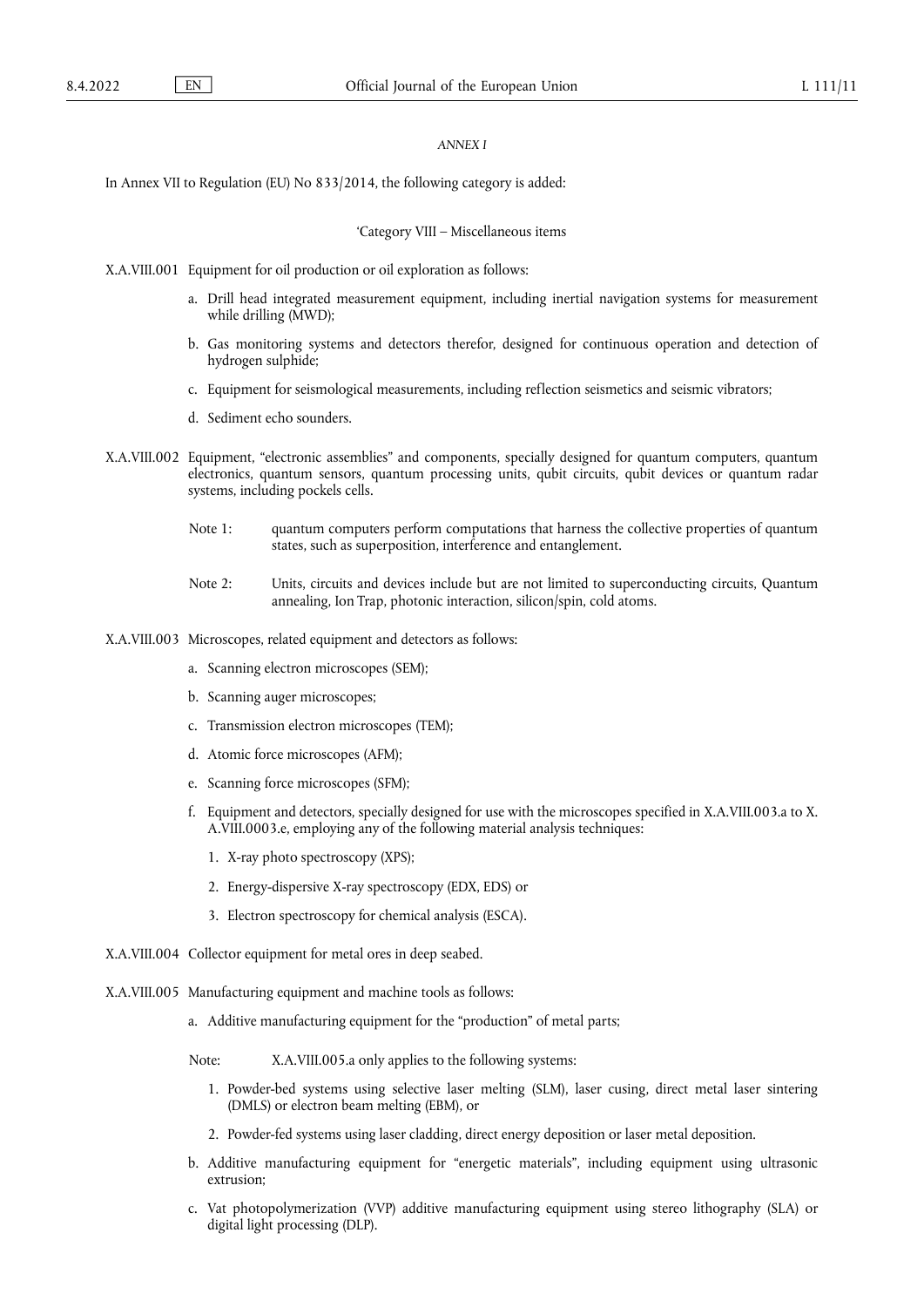## *ANNEX I*

In Annex VII to Regulation (EU) No 833/2014, the following category is added:

#### 'Category VIII – Miscellaneous items

- X.A.VIII.001 Equipment for oil production or oil exploration as follows:
	- a. Drill head integrated measurement equipment, including inertial navigation systems for measurement while drilling (MWD);
	- b. Gas monitoring systems and detectors therefor, designed for continuous operation and detection of hydrogen sulphide;
	- c. Equipment for seismological measurements, including reflection seismetics and seismic vibrators;
	- d. Sediment echo sounders.
- X.A.VIII.002 Equipment, "electronic assemblies" and components, specially designed for quantum computers, quantum electronics, quantum sensors, quantum processing units, qubit circuits, qubit devices or quantum radar systems, including pockels cells.
	- Note 1: quantum computers perform computations that harness the collective properties of quantum states, such as superposition, interference and entanglement.
	- Note 2: Units, circuits and devices include but are not limited to superconducting circuits, Quantum annealing, Ion Trap, photonic interaction, silicon/spin, cold atoms.
- X.A.VIII.003 Microscopes, related equipment and detectors as follows:
	- a. Scanning electron microscopes (SEM);
	- b. Scanning auger microscopes;
	- c. Transmission electron microscopes (TEM);
	- d. Atomic force microscopes (AFM);
	- e. Scanning force microscopes (SFM);
	- f. Equipment and detectors, specially designed for use with the microscopes specified in X.A.VIII.003.a to X. A.VIII.0003.e, employing any of the following material analysis techniques:
		- 1. X-ray photo spectroscopy (XPS);
		- 2. Energy-dispersive X-ray spectroscopy (EDX, EDS) or
		- 3. Electron spectroscopy for chemical analysis (ESCA).
- X.A.VIII.004 Collector equipment for metal ores in deep seabed.
- X.A.VIII.005 Manufacturing equipment and machine tools as follows:
	- a. Additive manufacturing equipment for the "production" of metal parts;
	- Note: X.A.VIII.005.a only applies to the following systems:
		- 1. Powder-bed systems using selective laser melting (SLM), laser cusing, direct metal laser sintering (DMLS) or electron beam melting (EBM), or
		- 2. Powder-fed systems using laser cladding, direct energy deposition or laser metal deposition.
	- b. Additive manufacturing equipment for "energetic materials", including equipment using ultrasonic extrusion;
	- c. Vat photopolymerization (VVP) additive manufacturing equipment using stereo lithography (SLA) or digital light processing (DLP).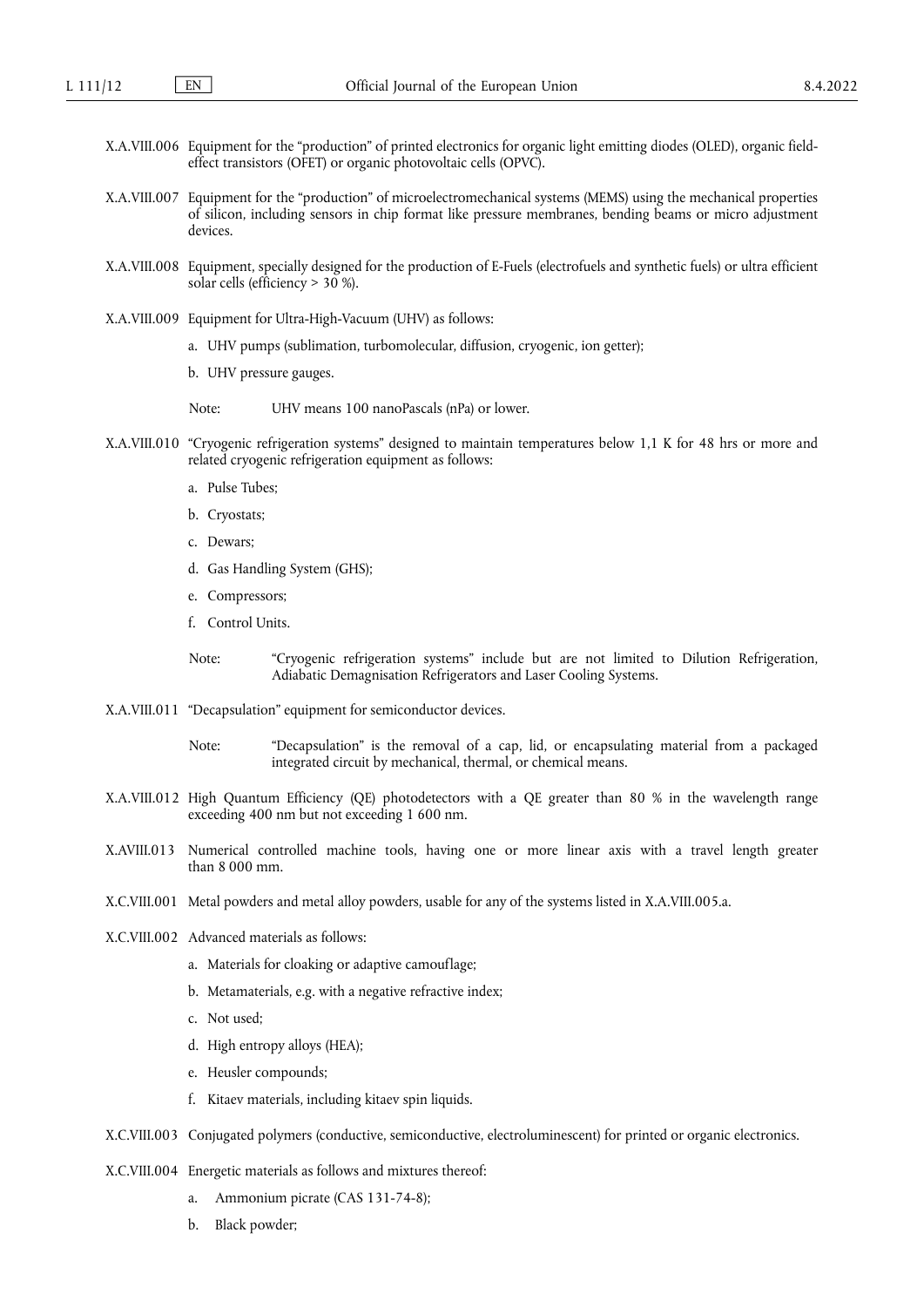- X.A.VIII.006 Equipment for the "production" of printed electronics for organic light emitting diodes (OLED), organic fieldeffect transistors (OFET) or organic photovoltaic cells (OPVC).
- X.A.VIII.007 Equipment for the "production" of microelectromechanical systems (MEMS) using the mechanical properties of silicon, including sensors in chip format like pressure membranes, bending beams or micro adjustment devices.
- X.A.VIII.008 Equipment, specially designed for the production of E-Fuels (electrofuels and synthetic fuels) or ultra efficient solar cells (efficiency  $> 30$  %).
- X.A.VIII.009 Equipment for Ultra-High-Vacuum (UHV) as follows:
	- a. UHV pumps (sublimation, turbomolecular, diffusion, cryogenic, ion getter);
	- b. UHV pressure gauges.
	- Note: UHV means 100 nanoPascals (nPa) or lower.
- X.A.VIII.010 "Cryogenic refrigeration systems" designed to maintain temperatures below 1,1 K for 48 hrs or more and related cryogenic refrigeration equipment as follows:
	- a. Pulse Tubes;
	- b. Cryostats;
	- c. Dewars;
	- d. Gas Handling System (GHS);
	- e. Compressors;
	- f. Control Units.

Note: "Cryogenic refrigeration systems" include but are not limited to Dilution Refrigeration, Adiabatic Demagnisation Refrigerators and Laser Cooling Systems.

- X.A.VIII.011 "Decapsulation" equipment for semiconductor devices.
	- Note: "Decapsulation" is the removal of a cap, lid, or encapsulating material from a packaged integrated circuit by mechanical, thermal, or chemical means.
- X.A.VIII.012 High Quantum Efficiency (QE) photodetectors with a QE greater than 80 % in the wavelength range exceeding 400 nm but not exceeding 1 600 nm.
- X.AVIII.013 Numerical controlled machine tools, having one or more linear axis with a travel length greater than 8 000 mm.
- X.C.VIII.001 Metal powders and metal alloy powders, usable for any of the systems listed in X.A.VIII.005.a.
- X.C.VIII.002 Advanced materials as follows:
	- a. Materials for cloaking or adaptive camouflage;
	- b. Metamaterials, e.g. with a negative refractive index;
	- c. Not used;
	- d. High entropy alloys (HEA);
	- e. Heusler compounds;
	- f. Kitaev materials, including kitaev spin liquids.
- X.C.VIII.003 Conjugated polymers (conductive, semiconductive, electroluminescent) for printed or organic electronics.
- X.C.VIII.004 Energetic materials as follows and mixtures thereof:
	- a. Ammonium picrate (CAS 131-74-8);
	- b. Black powder;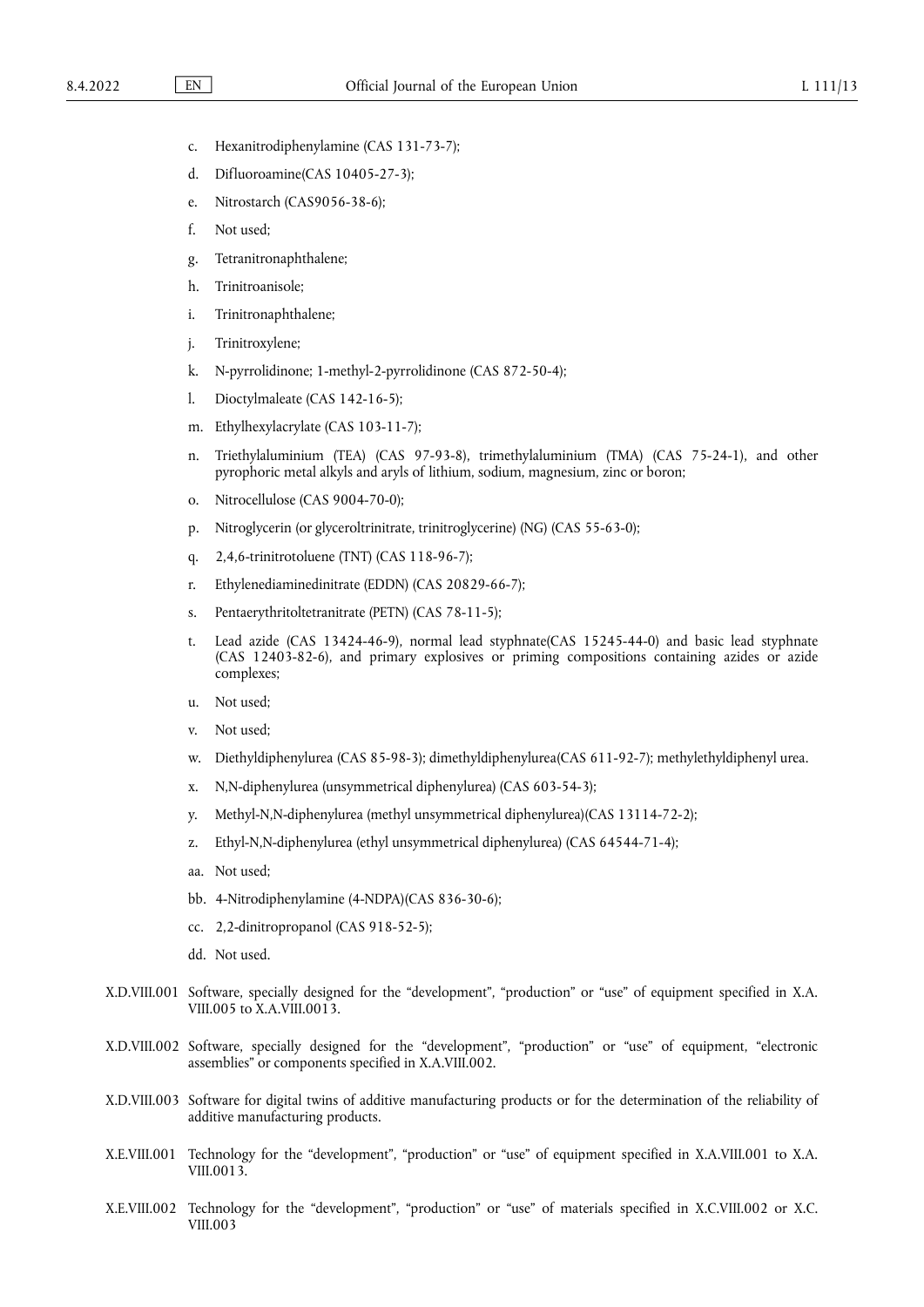- c. Hexanitrodiphenylamine (CAS 131-73-7);
- d. Difluoroamine(CAS 10405-27-3);
- e. Nitrostarch (CAS9056-38-6);
- f. Not used;
- g. Tetranitronaphthalene;
- h. Trinitroanisole;
- i. Trinitronaphthalene;
- j. Trinitroxylene;
- k. N-pyrrolidinone; 1-methyl-2-pyrrolidinone (CAS 872-50-4);
- l. Dioctylmaleate (CAS 142-16-5);
- m. Ethylhexylacrylate (CAS 103-11-7);
- n. Triethylaluminium (TEA) (CAS 97-93-8), trimethylaluminium (TMA) (CAS 75-24-1), and other pyrophoric metal alkyls and aryls of lithium, sodium, magnesium, zinc or boron;
- o. Nitrocellulose (CAS 9004-70-0);
- p. Nitroglycerin (or glyceroltrinitrate, trinitroglycerine) (NG) (CAS 55-63-0);
- q. 2,4,6-trinitrotoluene (TNT) (CAS 118-96-7);
- r. Ethylenediaminedinitrate (EDDN) (CAS 20829-66-7);
- s. Pentaerythritoltetranitrate (PETN) (CAS 78-11-5);
- t. Lead azide (CAS 13424-46-9), normal lead styphnate(CAS 15245-44-0) and basic lead styphnate (CAS 12403-82-6), and primary explosives or priming compositions containing azides or azide complexes;
- u. Not used;
- v. Not used;
- w. Diethyldiphenylurea (CAS 85-98-3); dimethyldiphenylurea(CAS 611-92-7); methylethyldiphenyl urea.
- x. N,N-diphenylurea (unsymmetrical diphenylurea) (CAS 603-54-3);
- y. Methyl-N,N-diphenylurea (methyl unsymmetrical diphenylurea)(CAS 13114-72-2);
- z. Ethyl-N,N-diphenylurea (ethyl unsymmetrical diphenylurea) (CAS 64544-71-4);
- aa. Not used;
- bb. 4-Nitrodiphenylamine (4-NDPA)(CAS 836-30-6);
- cc. 2,2-dinitropropanol (CAS 918-52-5);
- dd. Not used.
- X.D.VIII.001 Software, specially designed for the "development", "production" or "use" of equipment specified in X.A. VIII.005 to X.A.VIII.0013.
- X.D.VIII.002 Software, specially designed for the "development", "production" or "use" of equipment, "electronic assemblies" or components specified in X.A.VIII.002.
- X.D.VIII.003 Software for digital twins of additive manufacturing products or for the determination of the reliability of additive manufacturing products.
- X.E.VIII.001 Technology for the "development", "production" or "use" of equipment specified in X.A.VIII.001 to X.A. VIII.0013.
- X.E.VIII.002 Technology for the "development", "production" or "use" of materials specified in X.C.VIII.002 or X.C. VIII.003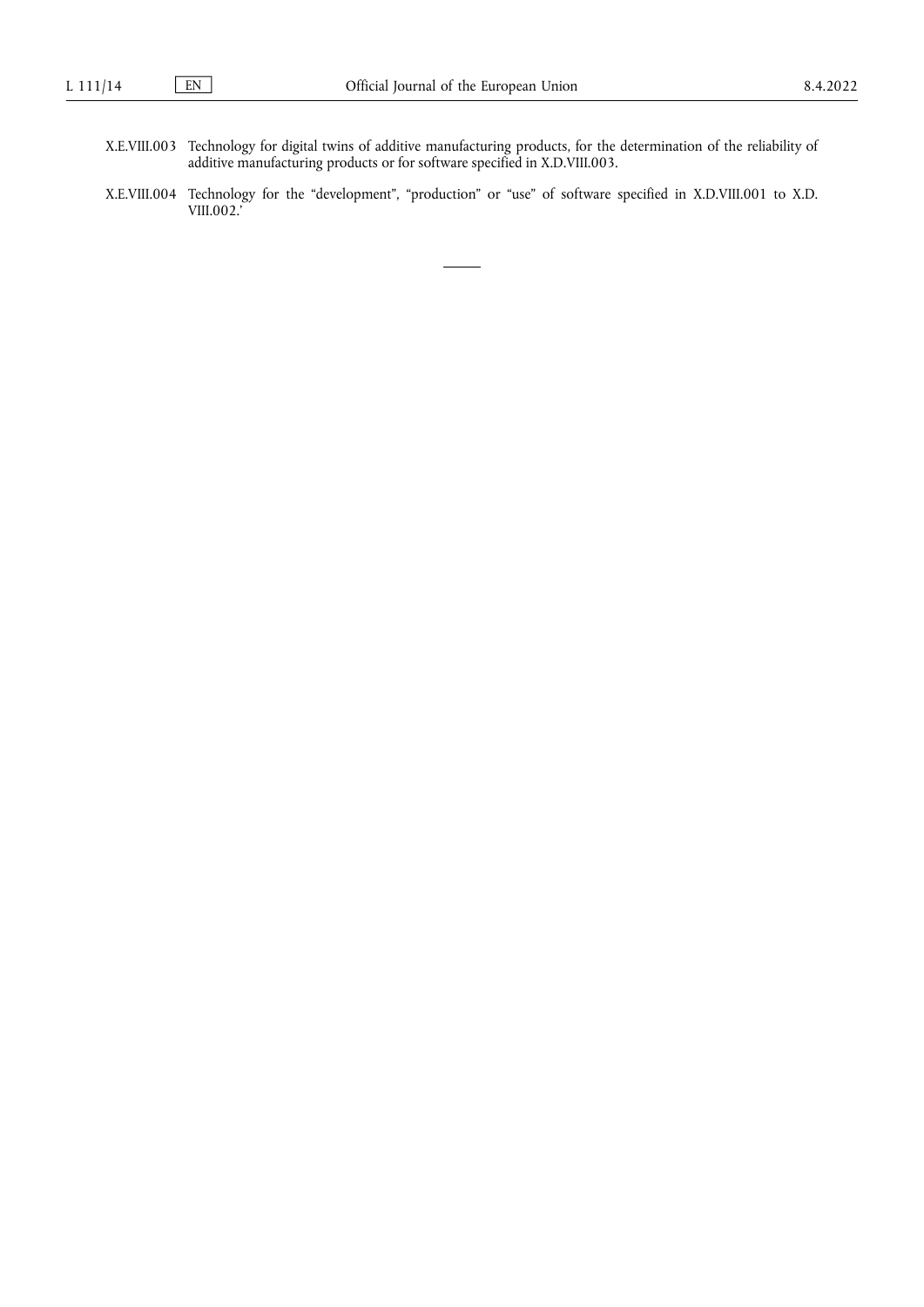- X.E.VIII.003 Technology for digital twins of additive manufacturing products, for the determination of the reliability of additive manufacturing products or for software specified in X.D.VIII.003.
- X.E.VIII.004 Technology for the "development", "production" or "use" of software specified in X.D.VIII.001 to X.D. VIII.002.'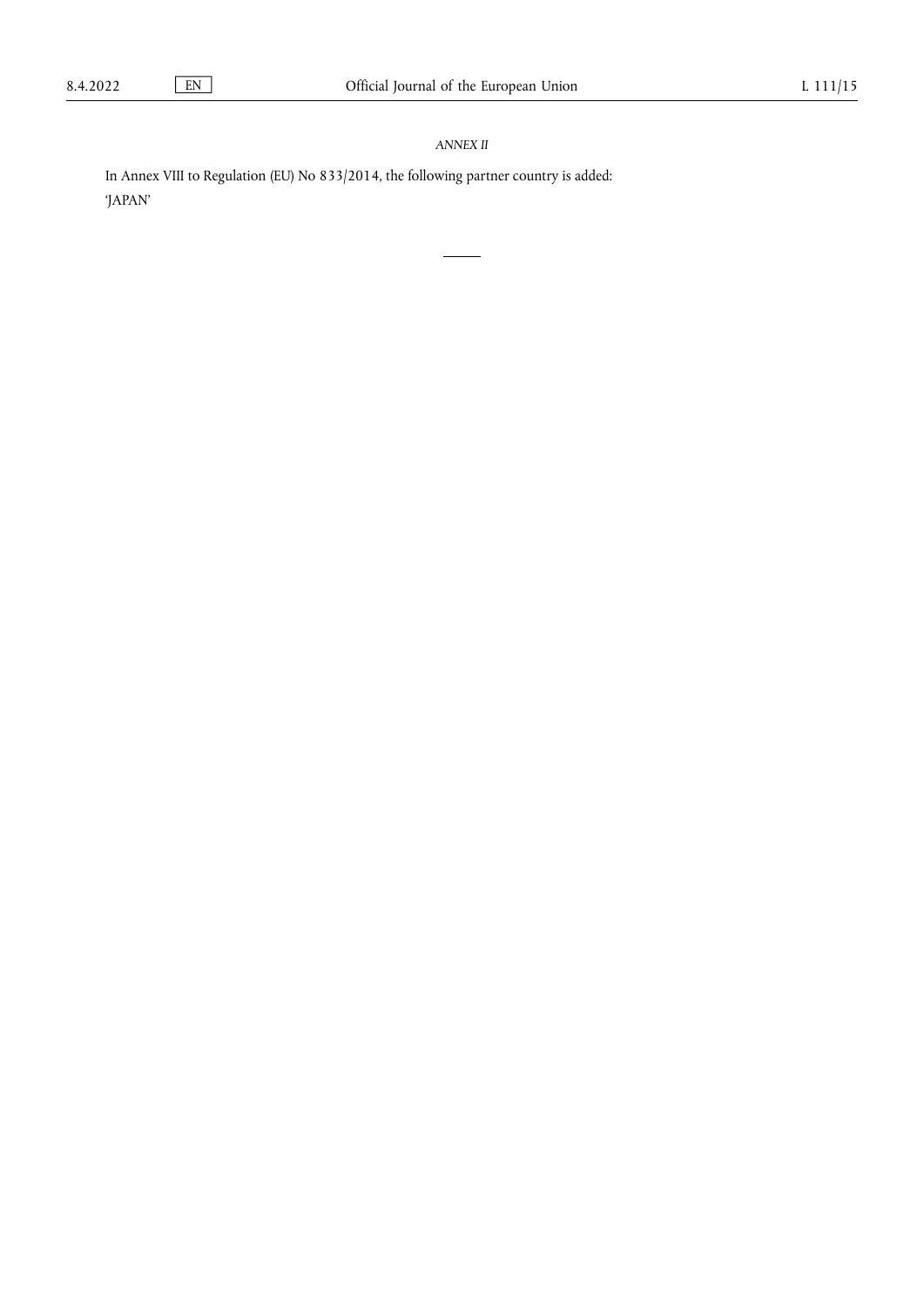## *ANNEX II*

In Annex VIII to Regulation (EU) No 833/2014, the following partner country is added: 'JAPAN'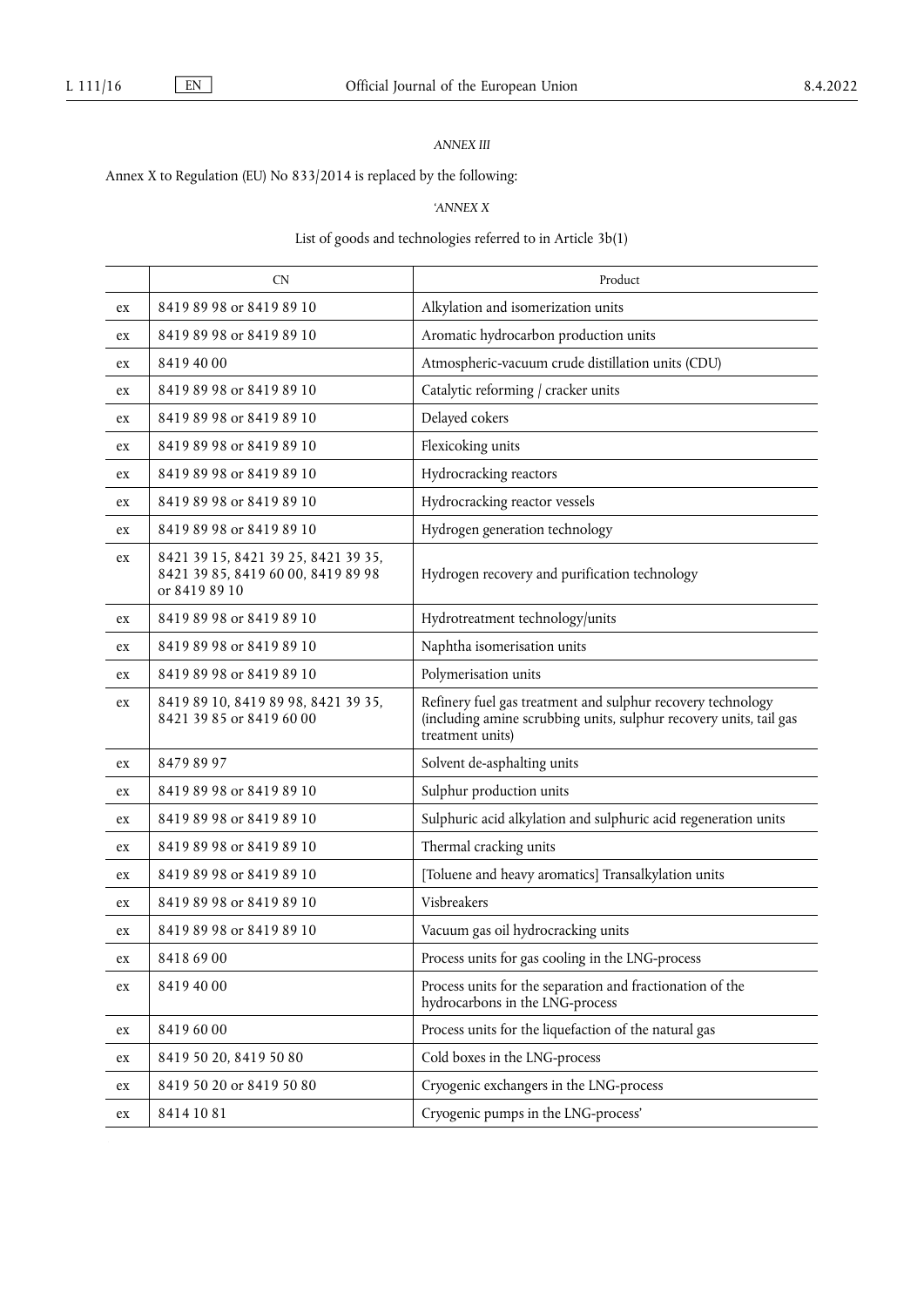## *ANNEX III*

# Annex X to Regulation (EU) No 833/2014 is replaced by the following:

'*ANNEX X*

# List of goods and technologies referred to in Article 3b(1)

|    | CN                                                                                         | Product                                                                                                                                               |
|----|--------------------------------------------------------------------------------------------|-------------------------------------------------------------------------------------------------------------------------------------------------------|
| ex | 8419 89 98 or 8419 89 10                                                                   | Alkylation and isomerization units                                                                                                                    |
| ex | 8419 89 98 or 8419 89 10                                                                   | Aromatic hydrocarbon production units                                                                                                                 |
| ex | 84194000                                                                                   | Atmospheric-vacuum crude distillation units (CDU)                                                                                                     |
| ex | 8419 89 98 or 8419 89 10                                                                   | Catalytic reforming / cracker units                                                                                                                   |
| ex | 8419 89 98 or 8419 89 10                                                                   | Delayed cokers                                                                                                                                        |
| ex | 8419 89 98 or 8419 89 10                                                                   | Flexicoking units                                                                                                                                     |
| ex | 8419 89 98 or 8419 89 10                                                                   | Hydrocracking reactors                                                                                                                                |
| ex | 8419 89 98 or 8419 89 10                                                                   | Hydrocracking reactor vessels                                                                                                                         |
| ex | 8419 89 98 or 8419 89 10                                                                   | Hydrogen generation technology                                                                                                                        |
| ex | 8421 39 15, 8421 39 25, 8421 39 35,<br>8421 39 85, 8419 60 00, 8419 89 98<br>or 8419 89 10 | Hydrogen recovery and purification technology                                                                                                         |
| ex | 8419 89 98 or 8419 89 10                                                                   | Hydrotreatment technology/units                                                                                                                       |
| ex | 8419 89 98 or 8419 89 10                                                                   | Naphtha isomerisation units                                                                                                                           |
| ex | 8419 89 98 or 8419 89 10                                                                   | Polymerisation units                                                                                                                                  |
| ex | 8419 89 10, 8419 89 98, 8421 39 35,<br>8421 39 85 or 8419 60 00                            | Refinery fuel gas treatment and sulphur recovery technology<br>(including amine scrubbing units, sulphur recovery units, tail gas<br>treatment units) |
| ex | 84798997                                                                                   | Solvent de-asphalting units                                                                                                                           |
| ex | 8419 89 98 or 8419 89 10                                                                   | Sulphur production units                                                                                                                              |
| ex | 8419 89 98 or 8419 89 10                                                                   | Sulphuric acid alkylation and sulphuric acid regeneration units                                                                                       |
| ex | 8419 89 98 or 8419 89 10                                                                   | Thermal cracking units                                                                                                                                |
| ex | 8419 89 98 or 8419 89 10                                                                   | [Toluene and heavy aromatics] Transalkylation units                                                                                                   |
| ex | 8419 89 98 or 8419 89 10                                                                   | Visbreakers                                                                                                                                           |
| ex | 8419 89 98 or 8419 89 10                                                                   | Vacuum gas oil hydrocracking units                                                                                                                    |
| ex | 84186900                                                                                   | Process units for gas cooling in the LNG-process                                                                                                      |
| ex | 8419 40 00                                                                                 | Process units for the separation and fractionation of the<br>hydrocarbons in the LNG-process                                                          |
| ex | 8419 60 00                                                                                 | Process units for the liquefaction of the natural gas                                                                                                 |
| ex | 8419 50 20, 8419 50 80                                                                     | Cold boxes in the LNG-process                                                                                                                         |
| ex | 8419 50 20 or 8419 50 80                                                                   | Cryogenic exchangers in the LNG-process                                                                                                               |
| ex | 84141081                                                                                   | Cryogenic pumps in the LNG-process'                                                                                                                   |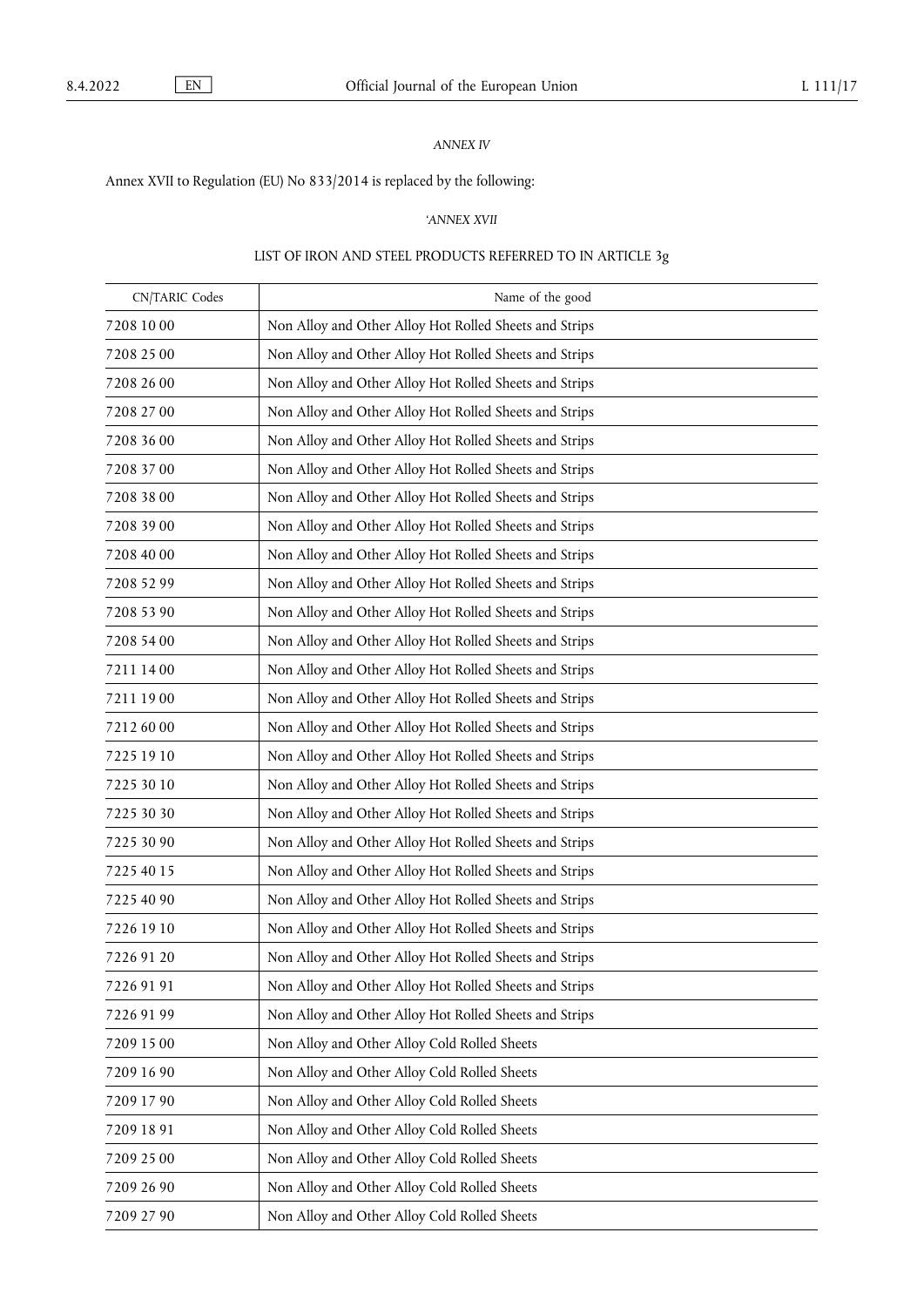## *ANNEX IV*

# Annex XVII to Regulation (EU) No 833/2014 is replaced by the following:

## '*ANNEX XVII*

# LIST OF IRON AND STEEL PRODUCTS REFERRED TO IN ARTICLE 3g

| CN/TARIC Codes | Name of the good                                       |
|----------------|--------------------------------------------------------|
| 7208 10 00     | Non Alloy and Other Alloy Hot Rolled Sheets and Strips |
| 7208 25 00     | Non Alloy and Other Alloy Hot Rolled Sheets and Strips |
| 7208 26 00     | Non Alloy and Other Alloy Hot Rolled Sheets and Strips |
| 7208 27 00     | Non Alloy and Other Alloy Hot Rolled Sheets and Strips |
| 7208 36 00     | Non Alloy and Other Alloy Hot Rolled Sheets and Strips |
| 7208 37 00     | Non Alloy and Other Alloy Hot Rolled Sheets and Strips |
| 7208 38 00     | Non Alloy and Other Alloy Hot Rolled Sheets and Strips |
| 7208 39 00     | Non Alloy and Other Alloy Hot Rolled Sheets and Strips |
| 7208 40 00     | Non Alloy and Other Alloy Hot Rolled Sheets and Strips |
| 7208 52 99     | Non Alloy and Other Alloy Hot Rolled Sheets and Strips |
| 7208 53 90     | Non Alloy and Other Alloy Hot Rolled Sheets and Strips |
| 7208 54 00     | Non Alloy and Other Alloy Hot Rolled Sheets and Strips |
| 72111400       | Non Alloy and Other Alloy Hot Rolled Sheets and Strips |
| 72111900       | Non Alloy and Other Alloy Hot Rolled Sheets and Strips |
| 7212 60 00     | Non Alloy and Other Alloy Hot Rolled Sheets and Strips |
| 72251910       | Non Alloy and Other Alloy Hot Rolled Sheets and Strips |
| 7225 30 10     | Non Alloy and Other Alloy Hot Rolled Sheets and Strips |
| 7225 30 30     | Non Alloy and Other Alloy Hot Rolled Sheets and Strips |
| 7225 30 90     | Non Alloy and Other Alloy Hot Rolled Sheets and Strips |
| 7225 40 15     | Non Alloy and Other Alloy Hot Rolled Sheets and Strips |
| 7225 40 90     | Non Alloy and Other Alloy Hot Rolled Sheets and Strips |
| 7226 19 10     | Non Alloy and Other Alloy Hot Rolled Sheets and Strips |
| 7226 91 20     | Non Alloy and Other Alloy Hot Rolled Sheets and Strips |
| 7226 91 91     | Non Alloy and Other Alloy Hot Rolled Sheets and Strips |
| 7226 91 99     | Non Alloy and Other Alloy Hot Rolled Sheets and Strips |
| 7209 15 00     | Non Alloy and Other Alloy Cold Rolled Sheets           |
| 7209 16 90     | Non Alloy and Other Alloy Cold Rolled Sheets           |
| 7209 17 90     | Non Alloy and Other Alloy Cold Rolled Sheets           |
| 7209 18 91     | Non Alloy and Other Alloy Cold Rolled Sheets           |
| 7209 25 00     | Non Alloy and Other Alloy Cold Rolled Sheets           |
| 7209 26 90     | Non Alloy and Other Alloy Cold Rolled Sheets           |
| 7209 27 90     | Non Alloy and Other Alloy Cold Rolled Sheets           |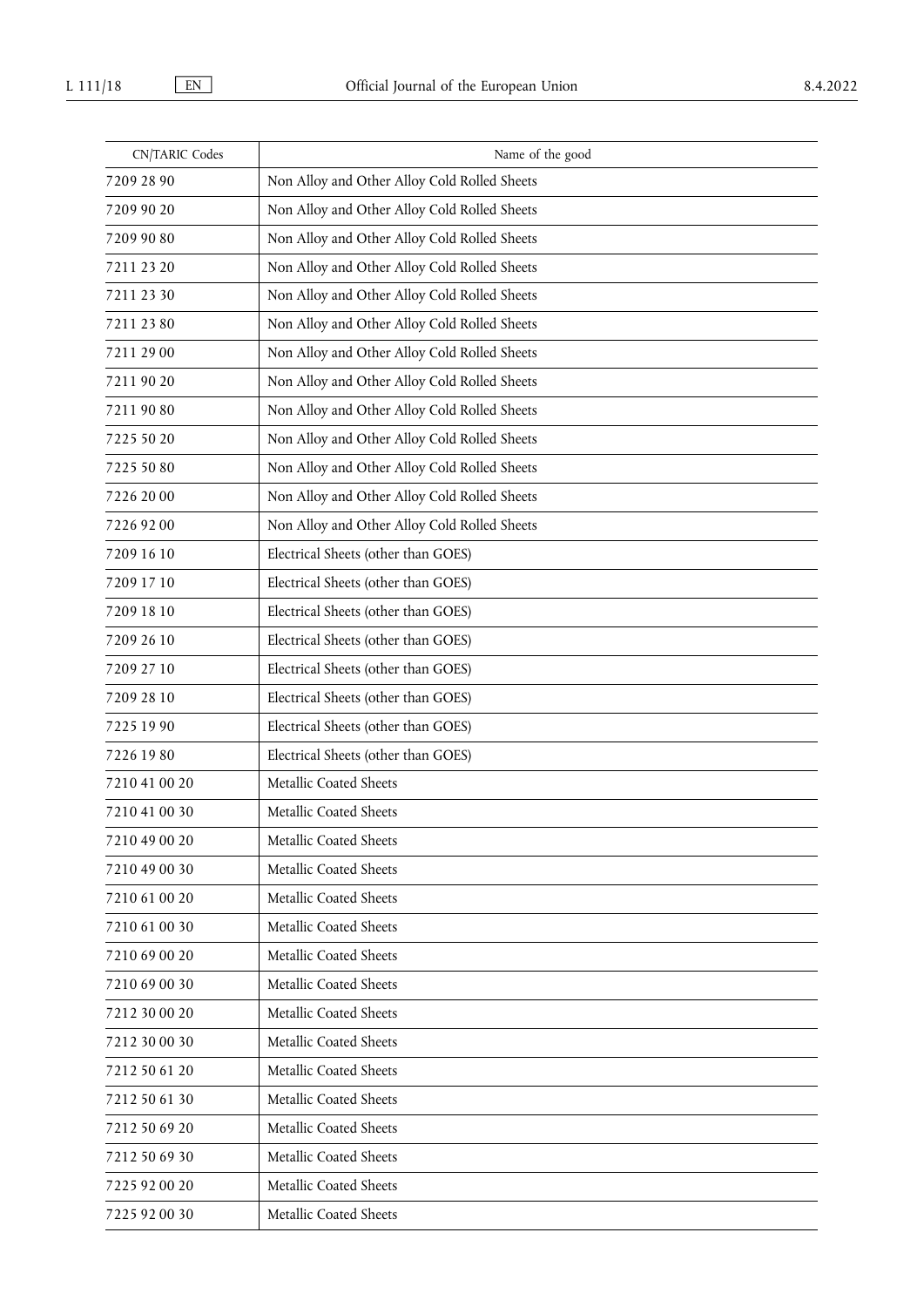| <b>CN/TARIC Codes</b> | Name of the good                             |  |
|-----------------------|----------------------------------------------|--|
| 7209 28 90            | Non Alloy and Other Alloy Cold Rolled Sheets |  |
| 7209 90 20            | Non Alloy and Other Alloy Cold Rolled Sheets |  |
| 7209 90 80            | Non Alloy and Other Alloy Cold Rolled Sheets |  |
| 7211 23 20            | Non Alloy and Other Alloy Cold Rolled Sheets |  |
| 7211 23 30            | Non Alloy and Other Alloy Cold Rolled Sheets |  |
| 7211 23 80            | Non Alloy and Other Alloy Cold Rolled Sheets |  |
| 7211 29 00            | Non Alloy and Other Alloy Cold Rolled Sheets |  |
| 72119020              | Non Alloy and Other Alloy Cold Rolled Sheets |  |
| 72119080              | Non Alloy and Other Alloy Cold Rolled Sheets |  |
| 7225 50 20            | Non Alloy and Other Alloy Cold Rolled Sheets |  |
| 7225 50 80            | Non Alloy and Other Alloy Cold Rolled Sheets |  |
| 7226 20 00            | Non Alloy and Other Alloy Cold Rolled Sheets |  |
| 72269200              | Non Alloy and Other Alloy Cold Rolled Sheets |  |
| 7209 16 10            | Electrical Sheets (other than GOES)          |  |
| 7209 17 10            | Electrical Sheets (other than GOES)          |  |
| 72091810              | Electrical Sheets (other than GOES)          |  |
| 7209 26 10            | Electrical Sheets (other than GOES)          |  |
| 7209 27 10            | Electrical Sheets (other than GOES)          |  |
| 7209 28 10            | Electrical Sheets (other than GOES)          |  |
| 72251990              | Electrical Sheets (other than GOES)          |  |
| 72261980              | Electrical Sheets (other than GOES)          |  |
| 7210 41 00 20         | Metallic Coated Sheets                       |  |
| 7210 41 00 30         | Metallic Coated Sheets                       |  |
| 7210 49 00 20         | Metallic Coated Sheets                       |  |
| 7210 49 00 30         | Metallic Coated Sheets                       |  |
| 7210 61 00 20         | Metallic Coated Sheets                       |  |
| 7210 61 00 30         | Metallic Coated Sheets                       |  |
| 7210 69 00 20         | Metallic Coated Sheets                       |  |
| 7210 69 00 30         | Metallic Coated Sheets                       |  |
| 7212 30 00 20         | Metallic Coated Sheets                       |  |
| 7212 30 00 30         | Metallic Coated Sheets                       |  |
| 7212 50 61 20         | Metallic Coated Sheets                       |  |
| 7212 50 61 30         | Metallic Coated Sheets                       |  |
| 7212 50 69 20         | Metallic Coated Sheets                       |  |
| 7212 50 69 30         | Metallic Coated Sheets                       |  |
| 7225 92 00 20         | Metallic Coated Sheets                       |  |
| 7225 92 00 30         | Metallic Coated Sheets                       |  |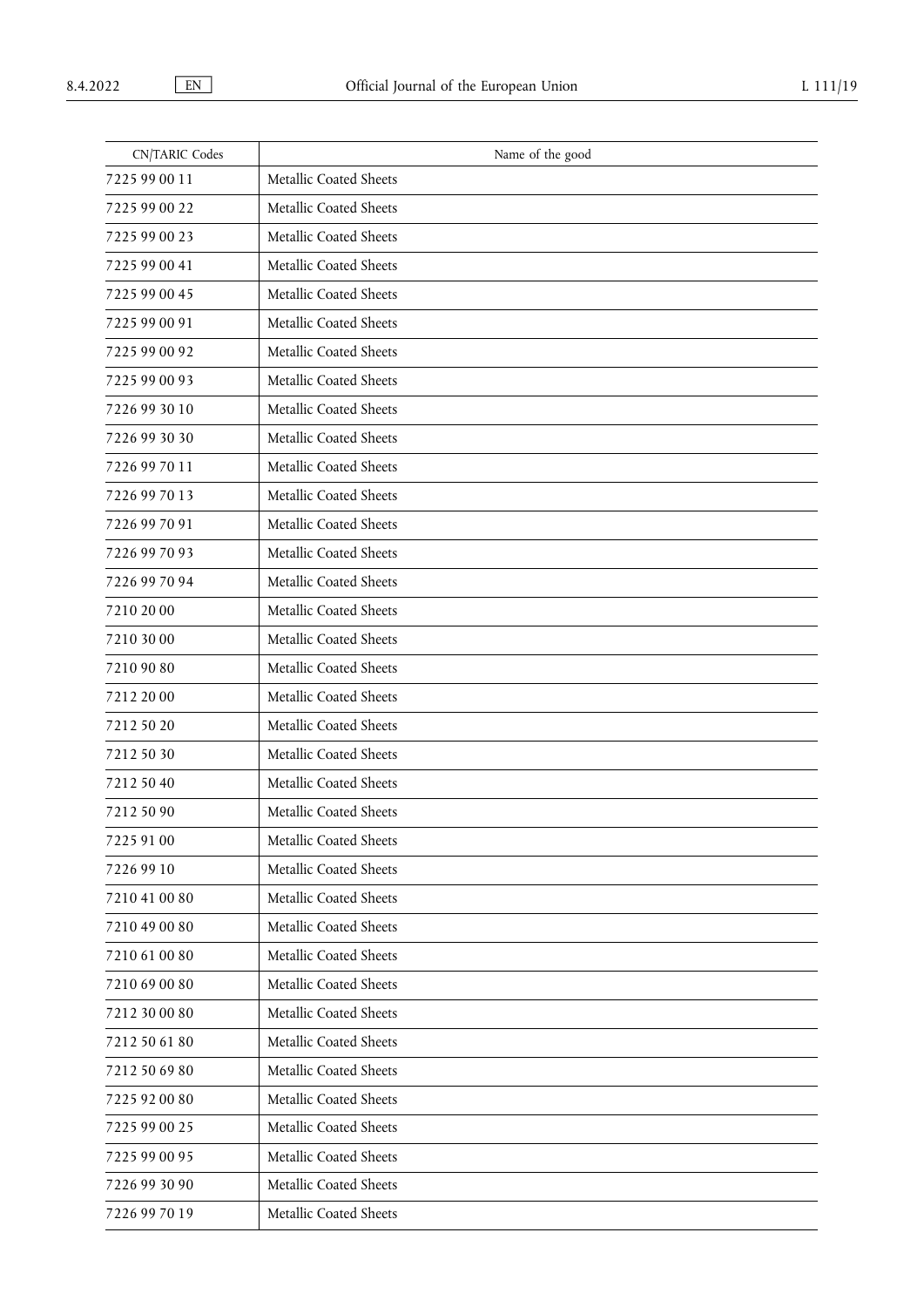| <b>CN/TARIC Codes</b> | Name of the good       |  |  |
|-----------------------|------------------------|--|--|
| 7225 99 00 11         | Metallic Coated Sheets |  |  |
| 7225 99 00 22         | Metallic Coated Sheets |  |  |
| 7225 99 00 23         | Metallic Coated Sheets |  |  |
| 7225 99 00 41         | Metallic Coated Sheets |  |  |
| 7225 99 00 45         | Metallic Coated Sheets |  |  |
| 7225 99 00 91         | Metallic Coated Sheets |  |  |
| 7225 99 00 92         | Metallic Coated Sheets |  |  |
| 7225 99 00 93         | Metallic Coated Sheets |  |  |
| 7226 99 30 10         | Metallic Coated Sheets |  |  |
| 7226993030            | Metallic Coated Sheets |  |  |
| 7226 99 70 11         | Metallic Coated Sheets |  |  |
| 7226 99 70 13         | Metallic Coated Sheets |  |  |
| 7226 99 70 91         | Metallic Coated Sheets |  |  |
| 7226 99 70 93         | Metallic Coated Sheets |  |  |
| 7226 99 70 94         | Metallic Coated Sheets |  |  |
| 7210 20 00            | Metallic Coated Sheets |  |  |
| 7210 30 00            | Metallic Coated Sheets |  |  |
| 7210 90 80            | Metallic Coated Sheets |  |  |
| 7212 20 00            | Metallic Coated Sheets |  |  |
| 7212 50 20            | Metallic Coated Sheets |  |  |
| 7212 50 30            | Metallic Coated Sheets |  |  |
| 7212 50 40            | Metallic Coated Sheets |  |  |
| 7212 50 90            | Metallic Coated Sheets |  |  |
| 7225 91 00            | Metallic Coated Sheets |  |  |
| 7226 99 10            | Metallic Coated Sheets |  |  |
| 7210 41 00 80         | Metallic Coated Sheets |  |  |
| 7210 49 00 80         | Metallic Coated Sheets |  |  |
| 7210 61 00 80         | Metallic Coated Sheets |  |  |
| 7210 69 00 80         | Metallic Coated Sheets |  |  |
| 7212 30 00 80         | Metallic Coated Sheets |  |  |
| 7212 50 61 80         | Metallic Coated Sheets |  |  |
| 7212 50 69 80         | Metallic Coated Sheets |  |  |
| 7225 92 00 80         | Metallic Coated Sheets |  |  |
| 7225 99 00 25         | Metallic Coated Sheets |  |  |
| 7225 99 00 95         | Metallic Coated Sheets |  |  |
| 7226 99 30 90         | Metallic Coated Sheets |  |  |
| 7226 99 70 19         | Metallic Coated Sheets |  |  |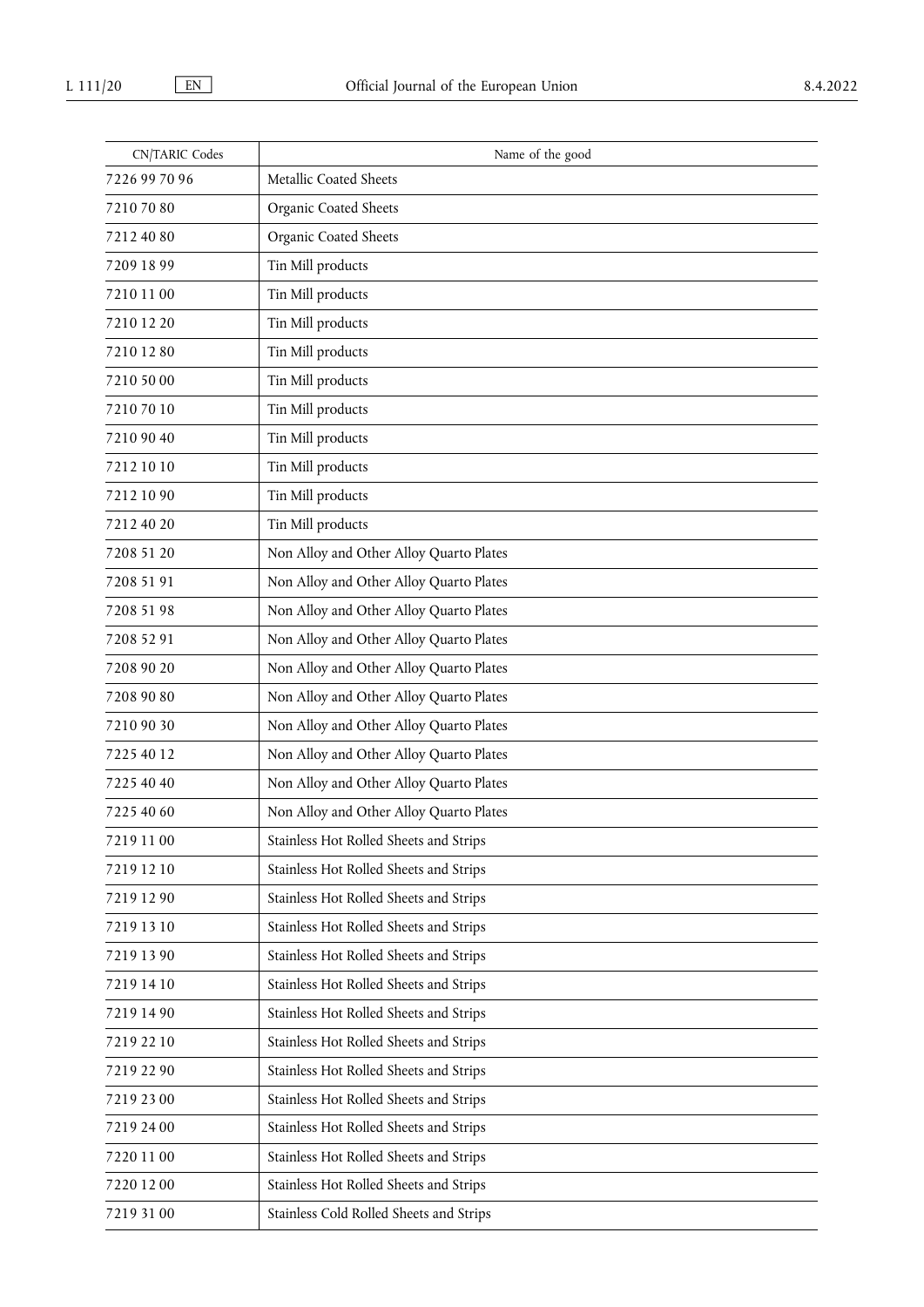| <b>CN/TARIC Codes</b> | Name of the good                        |  |
|-----------------------|-----------------------------------------|--|
| 7226 99 70 96         | Metallic Coated Sheets                  |  |
| 72107080              | Organic Coated Sheets                   |  |
| 7212 40 80            | Organic Coated Sheets                   |  |
| 7209 18 99            | Tin Mill products                       |  |
| 7210 11 00            | Tin Mill products                       |  |
| 7210 12 20            | Tin Mill products                       |  |
| 72101280              | Tin Mill products                       |  |
| 7210 50 00            | Tin Mill products                       |  |
| 72107010              | Tin Mill products                       |  |
| 7210 90 40            | Tin Mill products                       |  |
| 72121010              | Tin Mill products                       |  |
| 72121090              | Tin Mill products                       |  |
| 7212 40 20            | Tin Mill products                       |  |
| 7208 51 20            | Non Alloy and Other Alloy Quarto Plates |  |
| 7208 51 91            | Non Alloy and Other Alloy Quarto Plates |  |
| 7208 51 98            | Non Alloy and Other Alloy Quarto Plates |  |
| 7208 52 91            | Non Alloy and Other Alloy Quarto Plates |  |
| 7208 90 20            | Non Alloy and Other Alloy Quarto Plates |  |
| 7208 90 80            | Non Alloy and Other Alloy Quarto Plates |  |
| 7210 90 30            | Non Alloy and Other Alloy Quarto Plates |  |
| 7225 40 12            | Non Alloy and Other Alloy Quarto Plates |  |
| 7225 40 40            | Non Alloy and Other Alloy Quarto Plates |  |
| 7225 40 60            | Non Alloy and Other Alloy Quarto Plates |  |
| 72191100              | Stainless Hot Rolled Sheets and Strips  |  |
| 72191210              | Stainless Hot Rolled Sheets and Strips  |  |
| 72191290              | Stainless Hot Rolled Sheets and Strips  |  |
| 72191310              | Stainless Hot Rolled Sheets and Strips  |  |
| 72191390              | Stainless Hot Rolled Sheets and Strips  |  |
| 72191410              | Stainless Hot Rolled Sheets and Strips  |  |
| 72191490              | Stainless Hot Rolled Sheets and Strips  |  |
| 7219 22 10            | Stainless Hot Rolled Sheets and Strips  |  |
| 7219 22 90            | Stainless Hot Rolled Sheets and Strips  |  |
| 7219 23 00            | Stainless Hot Rolled Sheets and Strips  |  |
| 7219 24 00            | Stainless Hot Rolled Sheets and Strips  |  |
| 7220 11 00            | Stainless Hot Rolled Sheets and Strips  |  |
| 72201200              | Stainless Hot Rolled Sheets and Strips  |  |
| 7219 31 00            | Stainless Cold Rolled Sheets and Strips |  |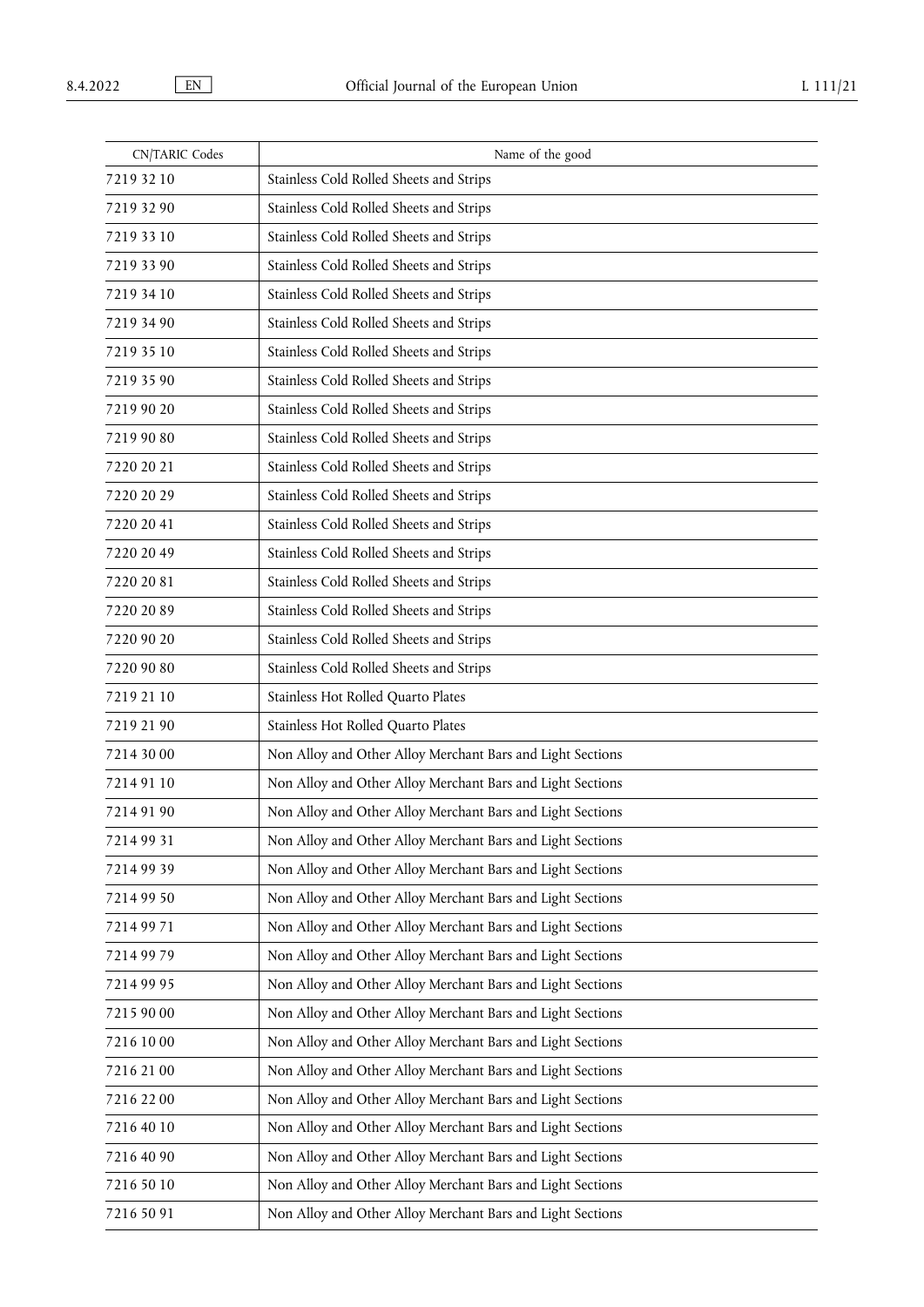| <b>CN/TARIC Codes</b> | Name of the good                                           |
|-----------------------|------------------------------------------------------------|
| 7219 32 10            | Stainless Cold Rolled Sheets and Strips                    |
| 7219 32 90            | Stainless Cold Rolled Sheets and Strips                    |
| 72193310              | Stainless Cold Rolled Sheets and Strips                    |
| 7219 33 90            | Stainless Cold Rolled Sheets and Strips                    |
| 72193410              | Stainless Cold Rolled Sheets and Strips                    |
| 7219 34 90            | Stainless Cold Rolled Sheets and Strips                    |
| 7219 35 10            | Stainless Cold Rolled Sheets and Strips                    |
| 7219 35 90            | Stainless Cold Rolled Sheets and Strips                    |
| 7219 90 20            | Stainless Cold Rolled Sheets and Strips                    |
| 7219 90 80            | Stainless Cold Rolled Sheets and Strips                    |
| 7220 20 21            | Stainless Cold Rolled Sheets and Strips                    |
| 7220 20 29            | Stainless Cold Rolled Sheets and Strips                    |
| 7220 20 41            | Stainless Cold Rolled Sheets and Strips                    |
| 7220 20 49            | Stainless Cold Rolled Sheets and Strips                    |
| 7220 20 81            | Stainless Cold Rolled Sheets and Strips                    |
| 7220 20 89            | Stainless Cold Rolled Sheets and Strips                    |
| 7220 90 20            | Stainless Cold Rolled Sheets and Strips                    |
| 7220 90 80            | Stainless Cold Rolled Sheets and Strips                    |
| 7219 21 10            | Stainless Hot Rolled Quarto Plates                         |
| 7219 21 90            | Stainless Hot Rolled Quarto Plates                         |
| 7214 30 00            | Non Alloy and Other Alloy Merchant Bars and Light Sections |
| 72149110              | Non Alloy and Other Alloy Merchant Bars and Light Sections |
| 72149190              | Non Alloy and Other Alloy Merchant Bars and Light Sections |
| 72149931              | Non Alloy and Other Alloy Merchant Bars and Light Sections |
| 72149939              | Non Alloy and Other Alloy Merchant Bars and Light Sections |
| 72149950              | Non Alloy and Other Alloy Merchant Bars and Light Sections |
| 72149971              | Non Alloy and Other Alloy Merchant Bars and Light Sections |
| 72149979              | Non Alloy and Other Alloy Merchant Bars and Light Sections |
| 72149995              | Non Alloy and Other Alloy Merchant Bars and Light Sections |
| 7215 90 00            | Non Alloy and Other Alloy Merchant Bars and Light Sections |
| 72161000              | Non Alloy and Other Alloy Merchant Bars and Light Sections |
| 7216 21 00            | Non Alloy and Other Alloy Merchant Bars and Light Sections |
| 7216 22 00            | Non Alloy and Other Alloy Merchant Bars and Light Sections |
| 7216 40 10            | Non Alloy and Other Alloy Merchant Bars and Light Sections |
| 7216 40 90            | Non Alloy and Other Alloy Merchant Bars and Light Sections |
| 7216 50 10            | Non Alloy and Other Alloy Merchant Bars and Light Sections |
| 7216 50 91            | Non Alloy and Other Alloy Merchant Bars and Light Sections |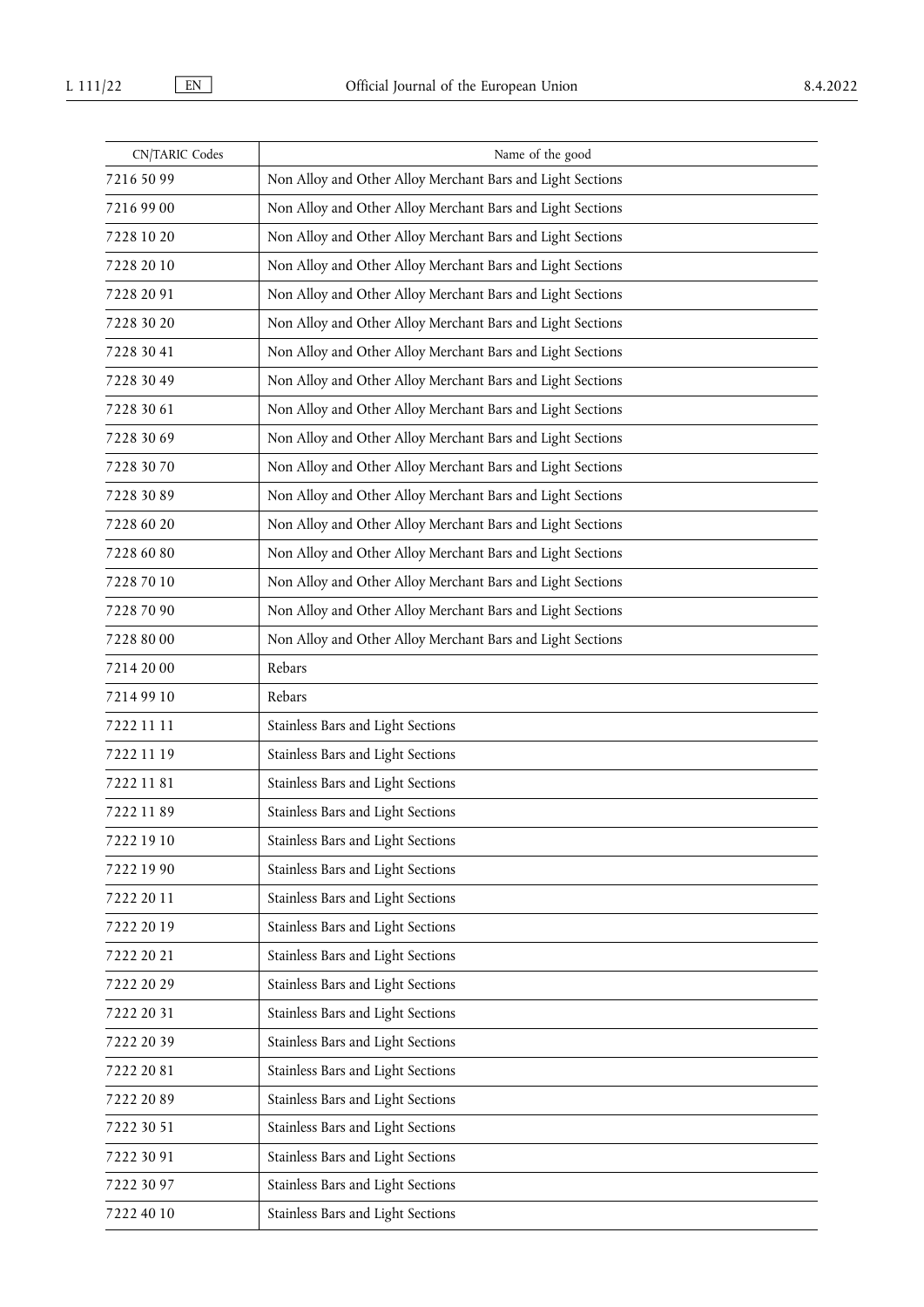| <b>CN/TARIC Codes</b> | Name of the good                                           |  |
|-----------------------|------------------------------------------------------------|--|
| 7216 50 99            | Non Alloy and Other Alloy Merchant Bars and Light Sections |  |
| 72169900              | Non Alloy and Other Alloy Merchant Bars and Light Sections |  |
| 7228 10 20            | Non Alloy and Other Alloy Merchant Bars and Light Sections |  |
| 7228 20 10            | Non Alloy and Other Alloy Merchant Bars and Light Sections |  |
| 7228 20 91            | Non Alloy and Other Alloy Merchant Bars and Light Sections |  |
| 7228 30 20            | Non Alloy and Other Alloy Merchant Bars and Light Sections |  |
| 7228 30 41            | Non Alloy and Other Alloy Merchant Bars and Light Sections |  |
| 7228 30 49            | Non Alloy and Other Alloy Merchant Bars and Light Sections |  |
| 7228 30 61            | Non Alloy and Other Alloy Merchant Bars and Light Sections |  |
| 7228 30 69            | Non Alloy and Other Alloy Merchant Bars and Light Sections |  |
| 7228 30 70            | Non Alloy and Other Alloy Merchant Bars and Light Sections |  |
| 7228 30 89            | Non Alloy and Other Alloy Merchant Bars and Light Sections |  |
| 7228 60 20            | Non Alloy and Other Alloy Merchant Bars and Light Sections |  |
| 7228 60 80            | Non Alloy and Other Alloy Merchant Bars and Light Sections |  |
| 7228 70 10            | Non Alloy and Other Alloy Merchant Bars and Light Sections |  |
| 7228 70 90            | Non Alloy and Other Alloy Merchant Bars and Light Sections |  |
| 7228 80 00            | Non Alloy and Other Alloy Merchant Bars and Light Sections |  |
| 7214 20 00            | Rebars                                                     |  |
| 72149910              | Rebars                                                     |  |
| 72221111              | Stainless Bars and Light Sections                          |  |
| 72221119              | Stainless Bars and Light Sections                          |  |
| 72221181              | Stainless Bars and Light Sections                          |  |
| 72221189              | Stainless Bars and Light Sections                          |  |
| 72221910              | Stainless Bars and Light Sections                          |  |
| 72221990              | Stainless Bars and Light Sections                          |  |
| 7222 20 11            | Stainless Bars and Light Sections                          |  |
| 7222 20 19            | Stainless Bars and Light Sections                          |  |
| 7222 20 21            | Stainless Bars and Light Sections                          |  |
| 7222 20 29            | Stainless Bars and Light Sections                          |  |
| 7222 20 31            | Stainless Bars and Light Sections                          |  |
| 7222 20 39            | Stainless Bars and Light Sections                          |  |
| 7222 20 81            | Stainless Bars and Light Sections                          |  |
| 7222 20 89            | Stainless Bars and Light Sections                          |  |
| 7222 30 51            | Stainless Bars and Light Sections                          |  |
| 7222 30 91            | Stainless Bars and Light Sections                          |  |
| 7222 30 97            | Stainless Bars and Light Sections                          |  |
| 7222 40 10            | Stainless Bars and Light Sections                          |  |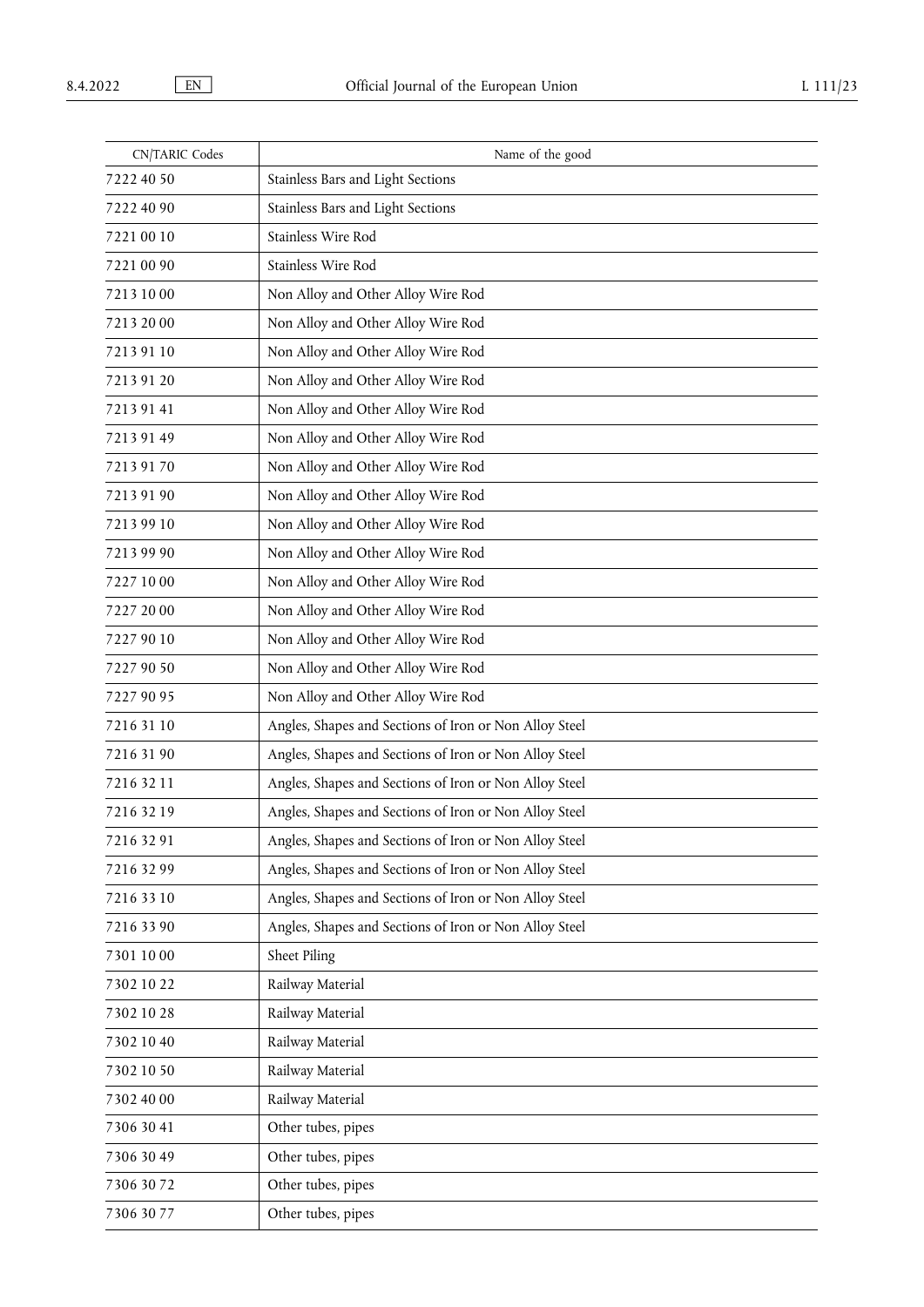| <b>CN/TARIC Codes</b> | Name of the good                                       |  |  |
|-----------------------|--------------------------------------------------------|--|--|
| 7222 40 50            | Stainless Bars and Light Sections                      |  |  |
| 7222 40 90            | Stainless Bars and Light Sections                      |  |  |
| 7221 00 10            | Stainless Wire Rod                                     |  |  |
| 7221 00 90            | Stainless Wire Rod                                     |  |  |
| 72131000              | Non Alloy and Other Alloy Wire Rod                     |  |  |
| 7213 20 00            | Non Alloy and Other Alloy Wire Rod                     |  |  |
| 72139110              | Non Alloy and Other Alloy Wire Rod                     |  |  |
| 72139120              | Non Alloy and Other Alloy Wire Rod                     |  |  |
| 72139141              | Non Alloy and Other Alloy Wire Rod                     |  |  |
| 72139149              | Non Alloy and Other Alloy Wire Rod                     |  |  |
| 7213 91 70            | Non Alloy and Other Alloy Wire Rod                     |  |  |
| 72139190              | Non Alloy and Other Alloy Wire Rod                     |  |  |
| 72139910              | Non Alloy and Other Alloy Wire Rod                     |  |  |
| 7213 99 90            | Non Alloy and Other Alloy Wire Rod                     |  |  |
| 72271000              | Non Alloy and Other Alloy Wire Rod                     |  |  |
| 7227 20 00            | Non Alloy and Other Alloy Wire Rod                     |  |  |
| 7227 90 10            | Non Alloy and Other Alloy Wire Rod                     |  |  |
| 7227 90 50            | Non Alloy and Other Alloy Wire Rod                     |  |  |
| 7227 90 95            | Non Alloy and Other Alloy Wire Rod                     |  |  |
| 7216 31 10            | Angles, Shapes and Sections of Iron or Non Alloy Steel |  |  |
| 7216 31 90            | Angles, Shapes and Sections of Iron or Non Alloy Steel |  |  |
| 72163211              | Angles, Shapes and Sections of Iron or Non Alloy Steel |  |  |
| 72163219              | Angles, Shapes and Sections of Iron or Non Alloy Steel |  |  |
| 72163291              | Angles, Shapes and Sections of Iron or Non Alloy Steel |  |  |
| 72163299              | Angles, Shapes and Sections of Iron or Non Alloy Steel |  |  |
| 72163310              | Angles, Shapes and Sections of Iron or Non Alloy Steel |  |  |
| 72163390              | Angles, Shapes and Sections of Iron or Non Alloy Steel |  |  |
| 73011000              | Sheet Piling                                           |  |  |
| 73021022              | Railway Material                                       |  |  |
| 73021028              | Railway Material                                       |  |  |
| 73021040              | Railway Material                                       |  |  |
| 7302 10 50            | Railway Material                                       |  |  |
| 7302 40 00            | Railway Material                                       |  |  |
| 7306 30 41            | Other tubes, pipes                                     |  |  |
| 7306 30 49            | Other tubes, pipes                                     |  |  |
| 7306 30 72            | Other tubes, pipes                                     |  |  |
| 7306 30 77            | Other tubes, pipes                                     |  |  |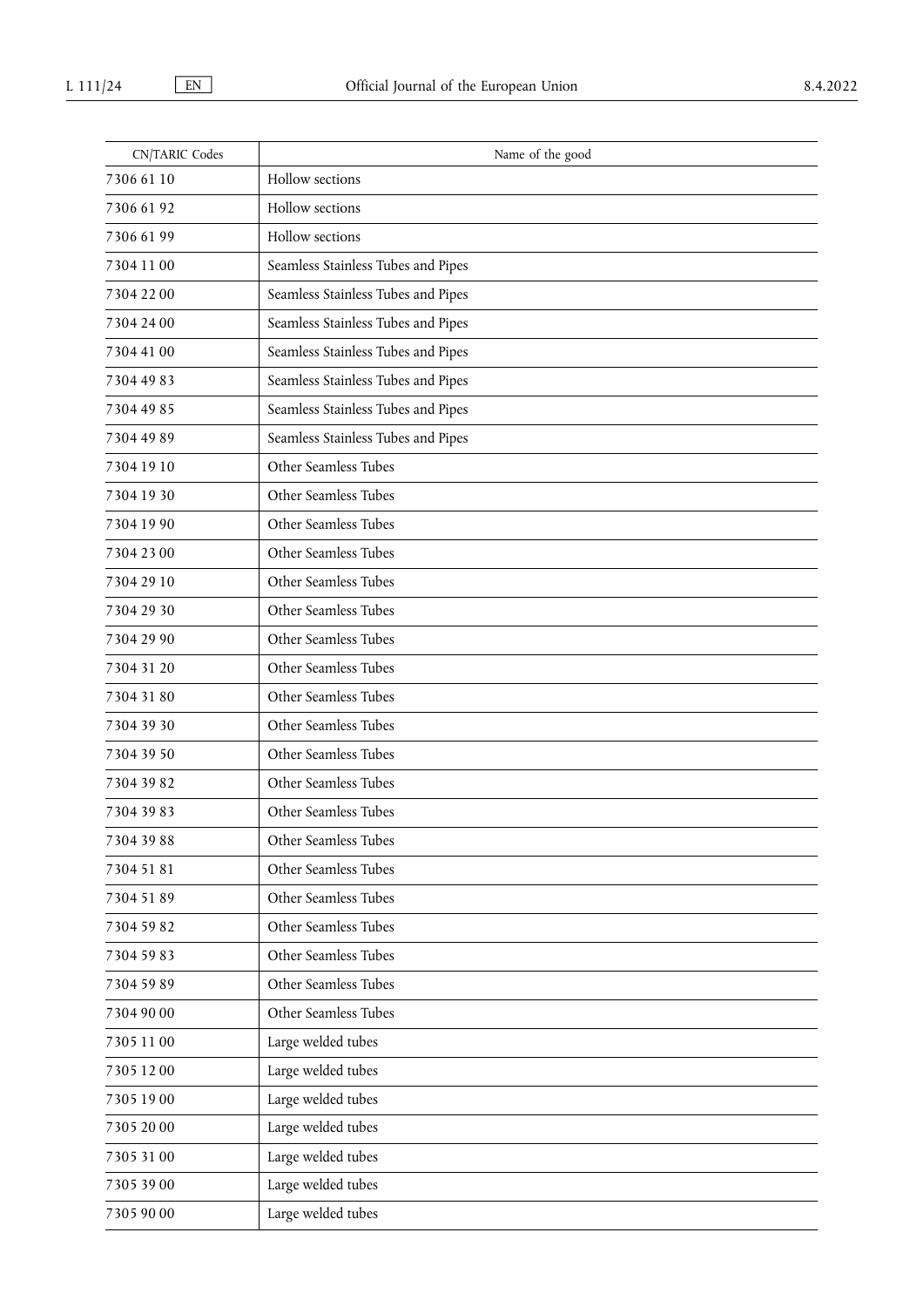| CN/TARIC Codes | Name of the good                   |  |  |
|----------------|------------------------------------|--|--|
| 7306 61 10     | Hollow sections                    |  |  |
| 7306 61 92     | Hollow sections                    |  |  |
| 7306 61 99     | Hollow sections                    |  |  |
| 73041100       | Seamless Stainless Tubes and Pipes |  |  |
| 7304 22 00     | Seamless Stainless Tubes and Pipes |  |  |
| 7304 24 00     | Seamless Stainless Tubes and Pipes |  |  |
| 7304 41 00     | Seamless Stainless Tubes and Pipes |  |  |
| 7304 49 83     | Seamless Stainless Tubes and Pipes |  |  |
| 7304 49 85     | Seamless Stainless Tubes and Pipes |  |  |
| 7304 49 89     | Seamless Stainless Tubes and Pipes |  |  |
| 73041910       | Other Seamless Tubes               |  |  |
| 7304 1930      | Other Seamless Tubes               |  |  |
| 7304 19 90     | Other Seamless Tubes               |  |  |
| 7304 23 00     | Other Seamless Tubes               |  |  |
| 7304 29 10     | Other Seamless Tubes               |  |  |
| 7304 29 30     | Other Seamless Tubes               |  |  |
| 7304 29 90     | Other Seamless Tubes               |  |  |
| 7304 31 20     | Other Seamless Tubes               |  |  |
| 7304 31 80     | Other Seamless Tubes               |  |  |
| 7304 39 30     | Other Seamless Tubes               |  |  |
| 7304 39 50     | Other Seamless Tubes               |  |  |
| 7304 39 82     | Other Seamless Tubes               |  |  |
| 7304 39 83     | Other Seamless Tubes               |  |  |
| 73043988       | Other Seamless Tubes               |  |  |
| 7304 51 81     | Other Seamless Tubes               |  |  |
| 7304 51 89     | Other Seamless Tubes               |  |  |
| 7304 59 82     | Other Seamless Tubes               |  |  |
| 7304 59 83     | Other Seamless Tubes               |  |  |
| 7304 59 89     | Other Seamless Tubes               |  |  |
| 7304 90 00     | Other Seamless Tubes               |  |  |
| 7305 1100      | Large welded tubes                 |  |  |
| 73051200       | Large welded tubes                 |  |  |
| 73051900       | Large welded tubes                 |  |  |
| 7305 2000      | Large welded tubes                 |  |  |
| 7305 31 00     | Large welded tubes                 |  |  |
| 7305 39 00     | Large welded tubes                 |  |  |
| 7305 90 00     | Large welded tubes                 |  |  |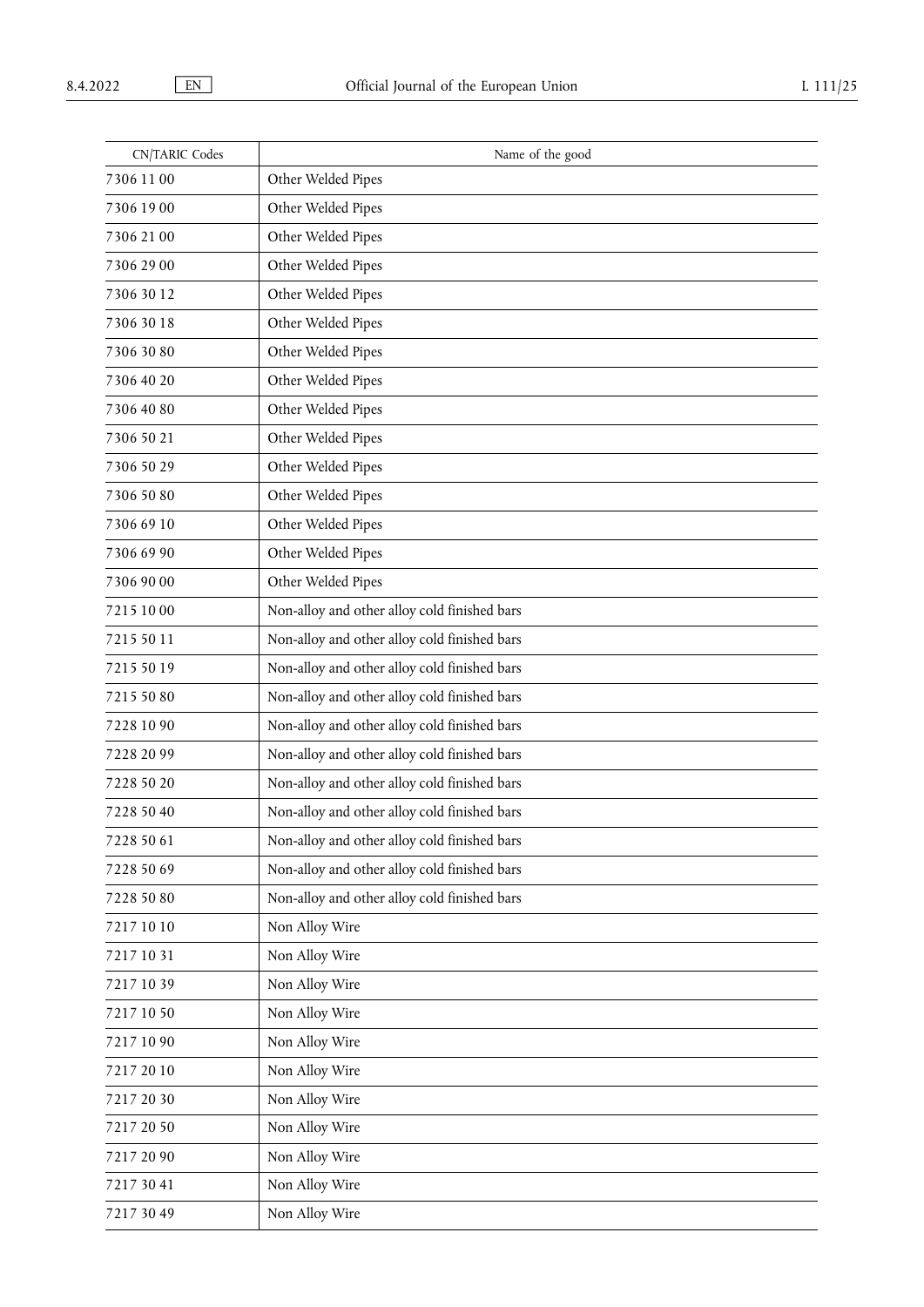| <b>CN/TARIC Codes</b> |                                              |  |
|-----------------------|----------------------------------------------|--|
| 73061100              | Name of the good<br>Other Welded Pipes       |  |
| 73061900              | Other Welded Pipes                           |  |
| 7306 21 00            | Other Welded Pipes                           |  |
| 7306 29 00            | Other Welded Pipes                           |  |
| 7306 30 12            | Other Welded Pipes                           |  |
| 7306 30 18            | Other Welded Pipes                           |  |
| 7306 30 80            | Other Welded Pipes                           |  |
| 7306 40 20            | Other Welded Pipes                           |  |
| 7306 40 80            | Other Welded Pipes                           |  |
| 7306 50 21            | Other Welded Pipes                           |  |
| 7306 50 29            | Other Welded Pipes                           |  |
| 7306 50 80            | Other Welded Pipes                           |  |
| 7306 69 10            | Other Welded Pipes                           |  |
| 7306 69 90            | Other Welded Pipes                           |  |
| 7306 90 00            | Other Welded Pipes                           |  |
| 7215 10 00            | Non-alloy and other alloy cold finished bars |  |
| 7215 50 11            | Non-alloy and other alloy cold finished bars |  |
| 7215 50 19            | Non-alloy and other alloy cold finished bars |  |
| 7215 50 80            | Non-alloy and other alloy cold finished bars |  |
| 7228 10 90            | Non-alloy and other alloy cold finished bars |  |
| 7228 20 99            | Non-alloy and other alloy cold finished bars |  |
| 7228 50 20            | Non-alloy and other alloy cold finished bars |  |
| 7228 50 40            | Non-alloy and other alloy cold finished bars |  |
| 7228 50 61            | Non-alloy and other alloy cold finished bars |  |
| 7228 50 69            | Non-alloy and other alloy cold finished bars |  |
| 7228 50 80            | Non-alloy and other alloy cold finished bars |  |
| 72171010              | Non Alloy Wire                               |  |
| 72171031              | Non Alloy Wire                               |  |
| 72171039              | Non Alloy Wire                               |  |
| 7217 10 50            | Non Alloy Wire                               |  |
| 72171090              | Non Alloy Wire                               |  |
| 7217 20 10            | Non Alloy Wire                               |  |
| 7217 20 30            | Non Alloy Wire                               |  |
| 7217 20 50            | Non Alloy Wire                               |  |
| 7217 20 90            | Non Alloy Wire                               |  |
| 7217 30 41            | Non Alloy Wire                               |  |
| 7217 30 49            | Non Alloy Wire                               |  |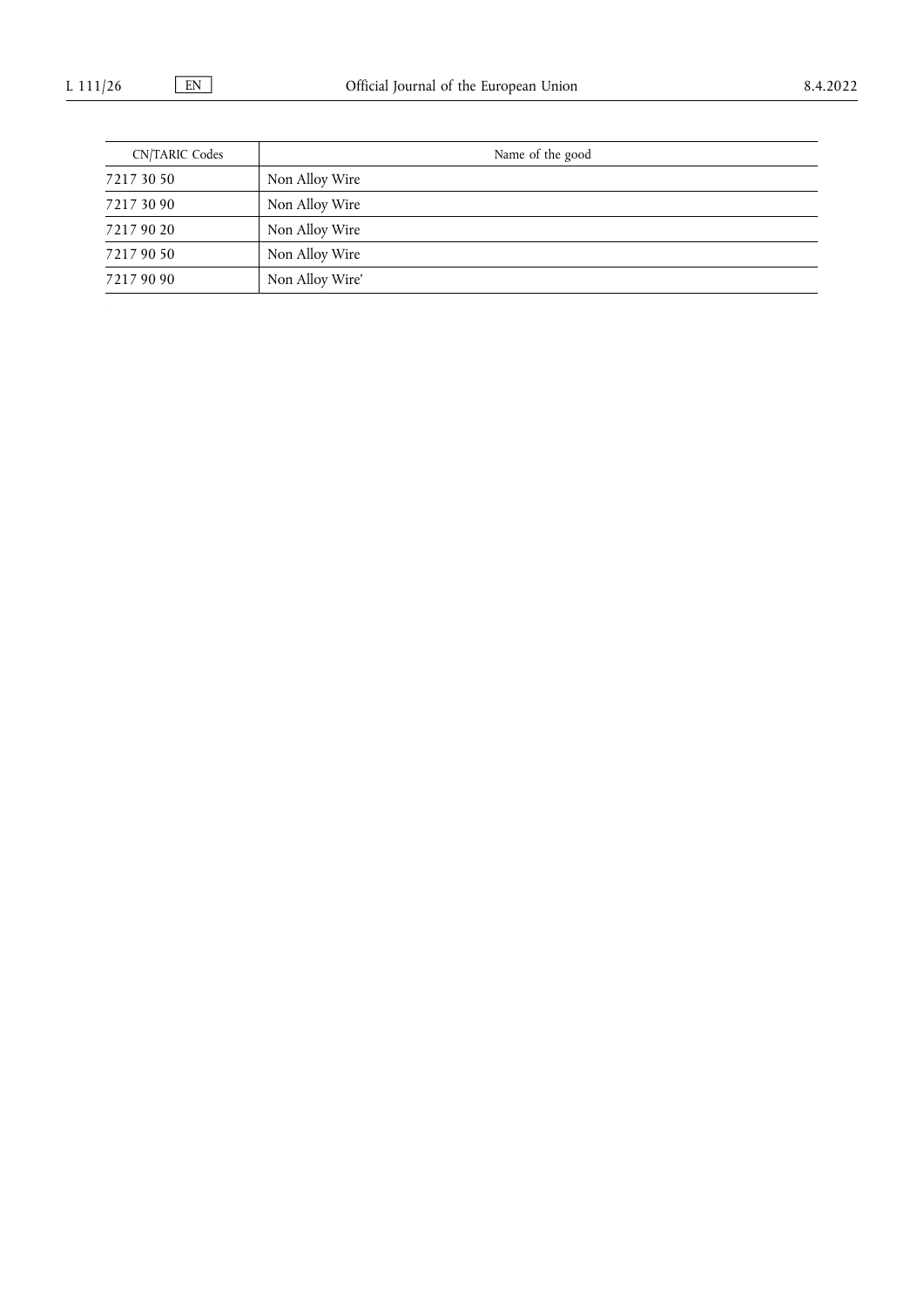| CN/TARIC Codes | Name of the good |  |
|----------------|------------------|--|
| 7217 30 50     | Non Alloy Wire   |  |
| 7217 30 90     | Non Alloy Wire   |  |
| 72179020       | Non Alloy Wire   |  |
| 72179050       | Non Alloy Wire   |  |
| 72179090       | Non Alloy Wire'  |  |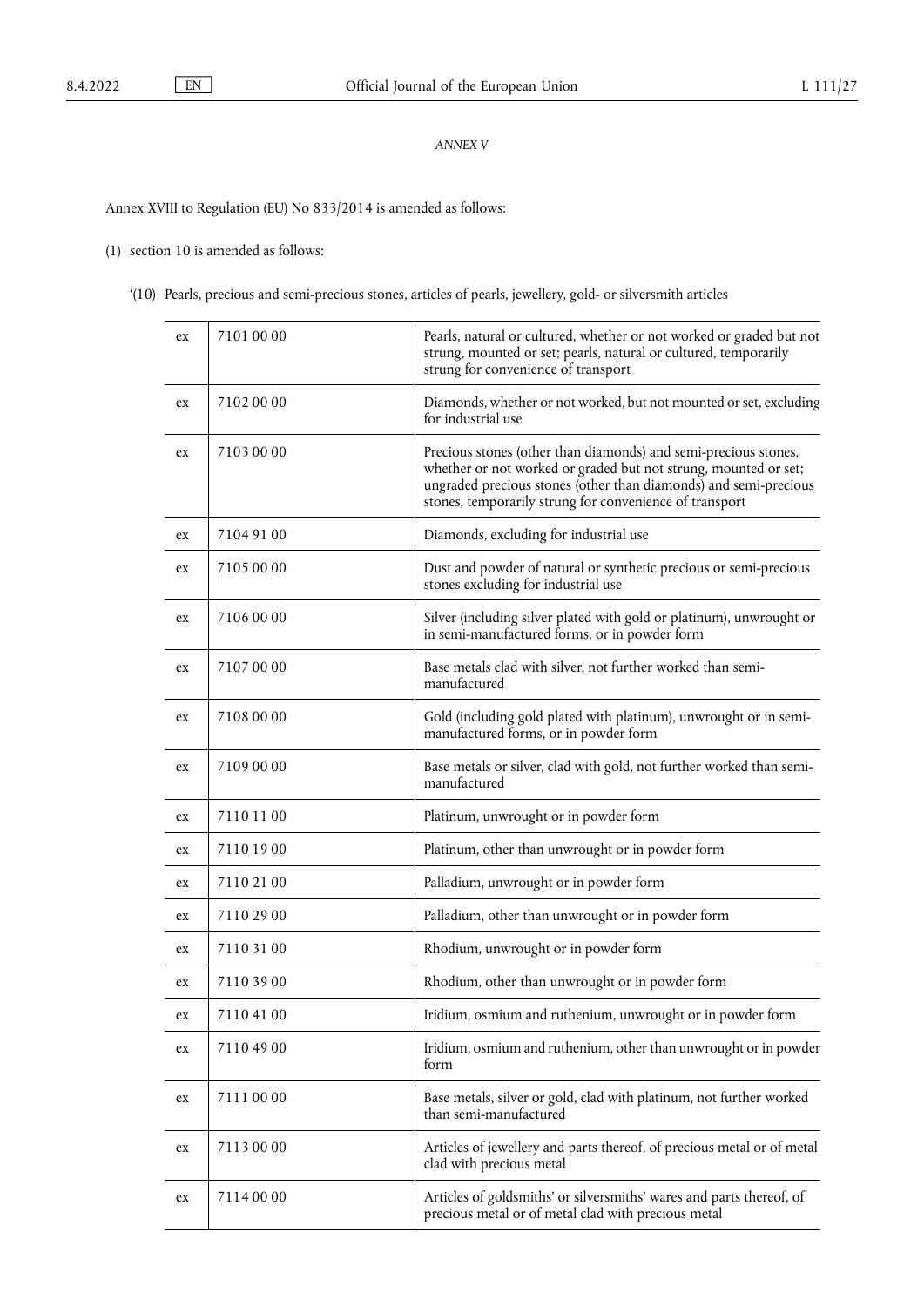## *ANNEX V*

Annex XVIII to Regulation (EU) No 833/2014 is amended as follows:

- (1) section 10 is amended as follows:
	- '(10) Pearls, precious and semi-precious stones, articles of pearls, jewellery, gold- or silversmith articles

| ex | 7101 00 00 | Pearls, natural or cultured, whether or not worked or graded but not<br>strung, mounted or set; pearls, natural or cultured, temporarily<br>strung for convenience of transport                                                                                   |
|----|------------|-------------------------------------------------------------------------------------------------------------------------------------------------------------------------------------------------------------------------------------------------------------------|
| ex | 71020000   | Diamonds, whether or not worked, but not mounted or set, excluding<br>for industrial use                                                                                                                                                                          |
| ex | 71030000   | Precious stones (other than diamonds) and semi-precious stones,<br>whether or not worked or graded but not strung, mounted or set;<br>ungraded precious stones (other than diamonds) and semi-precious<br>stones, temporarily strung for convenience of transport |
| ex | 7104 91 00 | Diamonds, excluding for industrial use                                                                                                                                                                                                                            |
| ex | 7105 00 00 | Dust and powder of natural or synthetic precious or semi-precious<br>stones excluding for industrial use                                                                                                                                                          |
| ex | 7106 00 00 | Silver (including silver plated with gold or platinum), unwrought or<br>in semi-manufactured forms, or in powder form                                                                                                                                             |
| ex | 71070000   | Base metals clad with silver, not further worked than semi-<br>manufactured                                                                                                                                                                                       |
| ex | 7108 00 00 | Gold (including gold plated with platinum), unwrought or in semi-<br>manufactured forms, or in powder form                                                                                                                                                        |
| ex | 7109 00 00 | Base metals or silver, clad with gold, not further worked than semi-<br>manufactured                                                                                                                                                                              |
| ex | 7110 11 00 | Platinum, unwrought or in powder form                                                                                                                                                                                                                             |
| ex | 71101900   | Platinum, other than unwrought or in powder form                                                                                                                                                                                                                  |
| ex | 7110 21 00 | Palladium, unwrought or in powder form                                                                                                                                                                                                                            |
| ex | 7110 29 00 | Palladium, other than unwrought or in powder form                                                                                                                                                                                                                 |
| ex | 7110 31 00 | Rhodium, unwrought or in powder form                                                                                                                                                                                                                              |
| ex | 7110 39 00 | Rhodium, other than unwrought or in powder form                                                                                                                                                                                                                   |
| ex | 71104100   | Iridium, osmium and ruthenium, unwrought or in powder form                                                                                                                                                                                                        |
| ex | 71104900   | Iridium, osmium and ruthenium, other than unwrought or in powder<br>form                                                                                                                                                                                          |
| ex | 71110000   | Base metals, silver or gold, clad with platinum, not further worked<br>than semi-manufactured                                                                                                                                                                     |
| ex | 71130000   | Articles of jewellery and parts thereof, of precious metal or of metal<br>clad with precious metal                                                                                                                                                                |
| ex | 71140000   | Articles of goldsmiths' or silversmiths' wares and parts thereof, of<br>precious metal or of metal clad with precious metal                                                                                                                                       |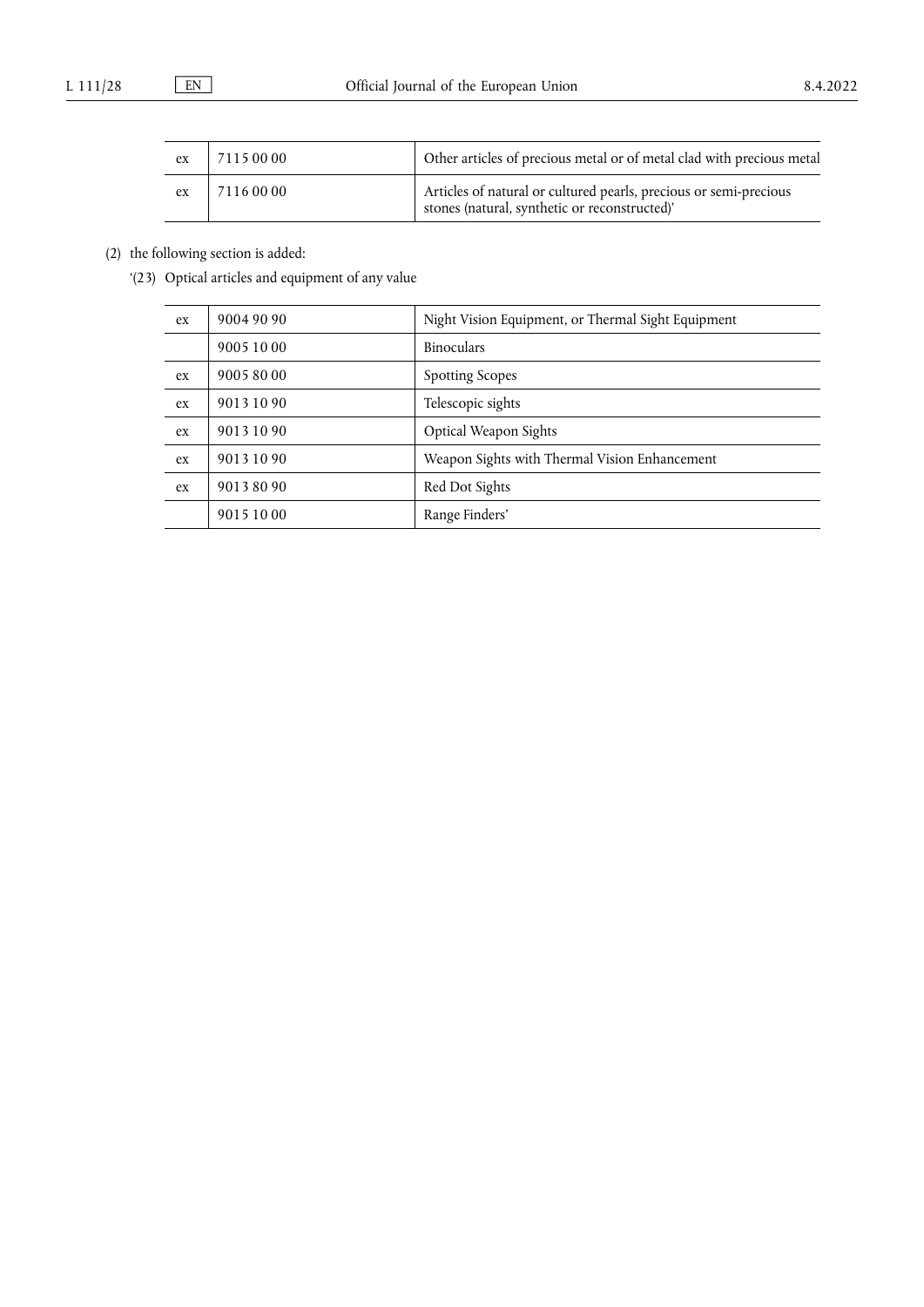| ex | 7115 00 00 | Other articles of precious metal or of metal clad with precious metal                                              |
|----|------------|--------------------------------------------------------------------------------------------------------------------|
| ex | 171160000  | Articles of natural or cultured pearls, precious or semi-precious<br>stones (natural, synthetic or reconstructed)' |

(2) the following section is added:

'(23) Optical articles and equipment of any value

| ex | 9004 90 90 | Night Vision Equipment, or Thermal Sight Equipment |
|----|------------|----------------------------------------------------|
|    | 9005 10 00 | <b>Binoculars</b>                                  |
| ex | 90058000   | <b>Spotting Scopes</b>                             |
| ex | 9013 10 90 | Telescopic sights                                  |
| ex | 9013 10 90 | Optical Weapon Sights                              |
| ex | 9013 10 90 | Weapon Sights with Thermal Vision Enhancement      |
| ex | 90138090   | Red Dot Sights                                     |
|    | 9015 10 00 | Range Finders'                                     |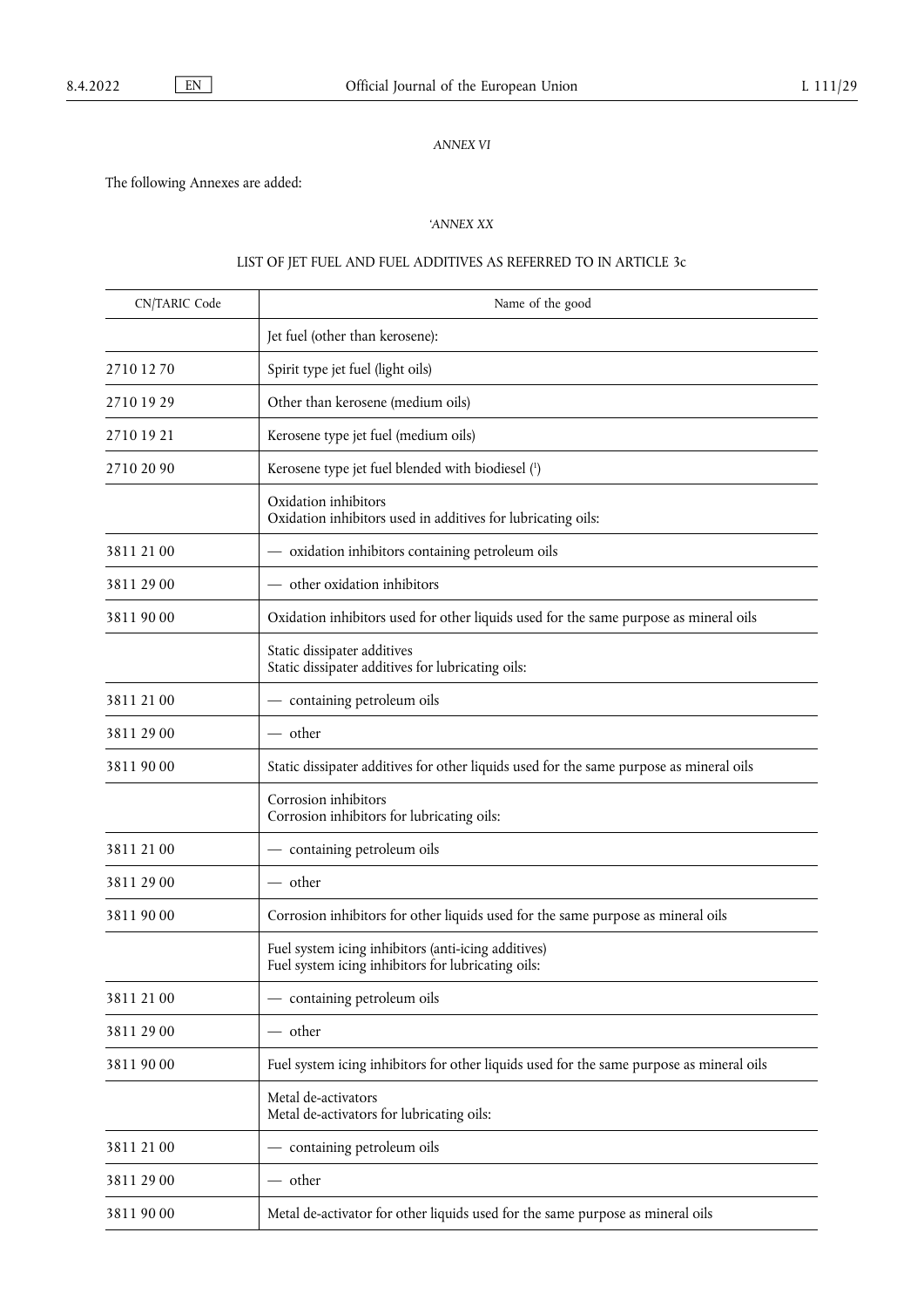## *ANNEX VI*

The following Annexes are added:

## '*ANNEX XX*

# <span id="page-28-0"></span>LIST OF JET FUEL AND FUEL ADDITIVES AS REFERRED TO IN ARTICLE 3c

| CN/TARIC Code | Name of the good                                                                                          |
|---------------|-----------------------------------------------------------------------------------------------------------|
|               | Jet fuel (other than kerosene):                                                                           |
| 2710 12 70    | Spirit type jet fuel (light oils)                                                                         |
| 27101929      | Other than kerosene (medium oils)                                                                         |
| 27101921      | Kerosene type jet fuel (medium oils)                                                                      |
| 2710 20 90    | Kerosene type jet fuel blended with biodiesel (1)                                                         |
|               | Oxidation inhibitors<br>Oxidation inhibitors used in additives for lubricating oils:                      |
| 3811 21 00    | - oxidation inhibitors containing petroleum oils                                                          |
| 38112900      | - other oxidation inhibitors                                                                              |
| 38119000      | Oxidation inhibitors used for other liquids used for the same purpose as mineral oils                     |
|               | Static dissipater additives<br>Static dissipater additives for lubricating oils:                          |
| 3811 21 00    | - containing petroleum oils                                                                               |
| 38112900      | - other                                                                                                   |
| 38119000      | Static dissipater additives for other liquids used for the same purpose as mineral oils                   |
|               | Corrosion inhibitors<br>Corrosion inhibitors for lubricating oils:                                        |
| 3811 21 00    | - containing petroleum oils                                                                               |
| 38112900      | - other                                                                                                   |
| 38119000      | Corrosion inhibitors for other liquids used for the same purpose as mineral oils                          |
|               | Fuel system icing inhibitors (anti-icing additives)<br>Fuel system icing inhibitors for lubricating oils: |
| 3811 21 00    | - containing petroleum oils                                                                               |
| 3811 29 00    | — other                                                                                                   |
| 38119000      | Fuel system icing inhibitors for other liquids used for the same purpose as mineral oils                  |
|               | Metal de-activators<br>Metal de-activators for lubricating oils:                                          |
| 3811 21 00    | - containing petroleum oils                                                                               |
| 3811 29 00    | — other                                                                                                   |
| 38119000      | Metal de-activator for other liquids used for the same purpose as mineral oils                            |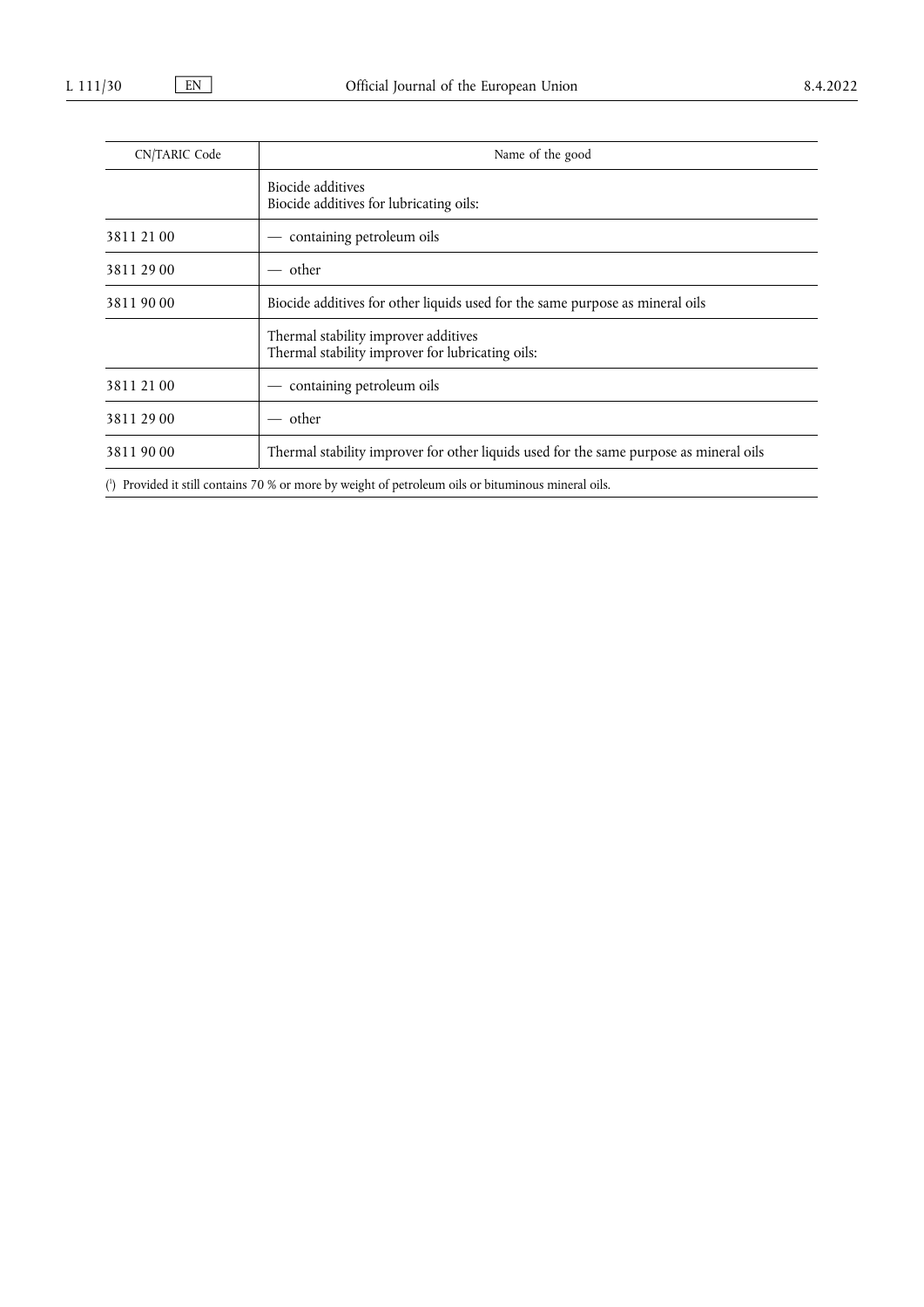<span id="page-29-0"></span>

| CN/TARIC Code | Name of the good                                                                                               |
|---------------|----------------------------------------------------------------------------------------------------------------|
|               | Biocide additives<br>Biocide additives for lubricating oils:                                                   |
| 3811 21 00    | containing petroleum oils                                                                                      |
| 3811 29 00    | — other                                                                                                        |
| 38119000      | Biocide additives for other liquids used for the same purpose as mineral oils                                  |
|               | Thermal stability improver additives<br>Thermal stability improver for lubricating oils:                       |
| 3811 21 00    | - containing petroleum oils                                                                                    |
| 38112900      | $-$ other                                                                                                      |
| 38119000      | Thermal stability improver for other liquids used for the same purpose as mineral oils                         |
|               | $\binom{1}{1}$ Provided it still contains 70 % or more by weight of petroleum oils or bituminous mineral oils. |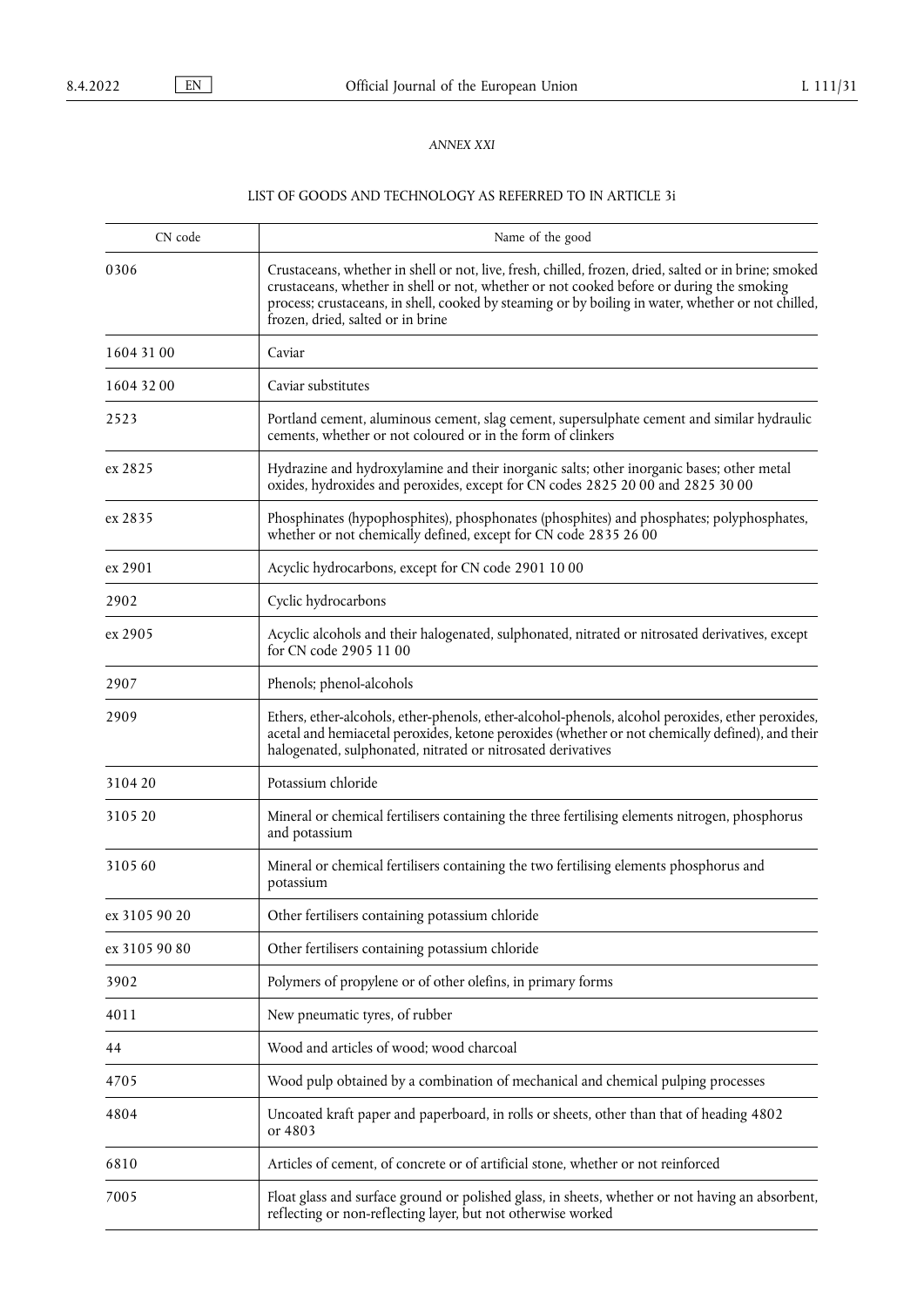## *ANNEX XXI*

# LIST OF GOODS AND TECHNOLOGY AS REFERRED TO IN ARTICLE 3i

| CN code       | Name of the good                                                                                                                                                                                                                                                                                                                             |
|---------------|----------------------------------------------------------------------------------------------------------------------------------------------------------------------------------------------------------------------------------------------------------------------------------------------------------------------------------------------|
| 0306          | Crustaceans, whether in shell or not, live, fresh, chilled, frozen, dried, salted or in brine; smoked<br>crustaceans, whether in shell or not, whether or not cooked before or during the smoking<br>process; crustaceans, in shell, cooked by steaming or by boiling in water, whether or not chilled,<br>frozen, dried, salted or in brine |
| 1604 31 00    | Caviar                                                                                                                                                                                                                                                                                                                                       |
| 1604 32 00    | Caviar substitutes                                                                                                                                                                                                                                                                                                                           |
| 2523          | Portland cement, aluminous cement, slag cement, supersulphate cement and similar hydraulic<br>cements, whether or not coloured or in the form of clinkers                                                                                                                                                                                    |
| ex 2825       | Hydrazine and hydroxylamine and their inorganic salts; other inorganic bases; other metal<br>oxides, hydroxides and peroxides, except for CN codes 2825 20 00 and 2825 30 00                                                                                                                                                                 |
| ex 2835       | Phosphinates (hypophosphites), phosphonates (phosphites) and phosphates; polyphosphates,<br>whether or not chemically defined, except for CN code 2835 26 00                                                                                                                                                                                 |
| ex 2901       | Acyclic hydrocarbons, except for CN code 2901 10 00                                                                                                                                                                                                                                                                                          |
| 2902          | Cyclic hydrocarbons                                                                                                                                                                                                                                                                                                                          |
| ex 2905       | Acyclic alcohols and their halogenated, sulphonated, nitrated or nitrosated derivatives, except<br>for CN code 2905 1100                                                                                                                                                                                                                     |
| 2907          | Phenols; phenol-alcohols                                                                                                                                                                                                                                                                                                                     |
| 2909          | Ethers, ether-alcohols, ether-phenols, ether-alcohol-phenols, alcohol peroxides, ether peroxides,<br>acetal and hemiacetal peroxides, ketone peroxides (whether or not chemically defined), and their<br>halogenated, sulphonated, nitrated or nitrosated derivatives                                                                        |
| 3104 20       | Potassium chloride                                                                                                                                                                                                                                                                                                                           |
| 3105 20       | Mineral or chemical fertilisers containing the three fertilising elements nitrogen, phosphorus<br>and potassium                                                                                                                                                                                                                              |
| 310560        | Mineral or chemical fertilisers containing the two fertilising elements phosphorus and<br>potassium                                                                                                                                                                                                                                          |
| ex 3105 90 20 | Other fertilisers containing potassium chloride                                                                                                                                                                                                                                                                                              |
| ex 3105 90 80 | Other fertilisers containing potassium chloride                                                                                                                                                                                                                                                                                              |
| 3902          | Polymers of propylene or of other olefins, in primary forms                                                                                                                                                                                                                                                                                  |
| 4011          | New pneumatic tyres, of rubber                                                                                                                                                                                                                                                                                                               |
| 44            | Wood and articles of wood; wood charcoal                                                                                                                                                                                                                                                                                                     |
| 4705          | Wood pulp obtained by a combination of mechanical and chemical pulping processes                                                                                                                                                                                                                                                             |
| 4804          | Uncoated kraft paper and paperboard, in rolls or sheets, other than that of heading 4802<br>or 4803                                                                                                                                                                                                                                          |
| 6810          | Articles of cement, of concrete or of artificial stone, whether or not reinforced                                                                                                                                                                                                                                                            |
| 7005          | Float glass and surface ground or polished glass, in sheets, whether or not having an absorbent,<br>reflecting or non-reflecting layer, but not otherwise worked                                                                                                                                                                             |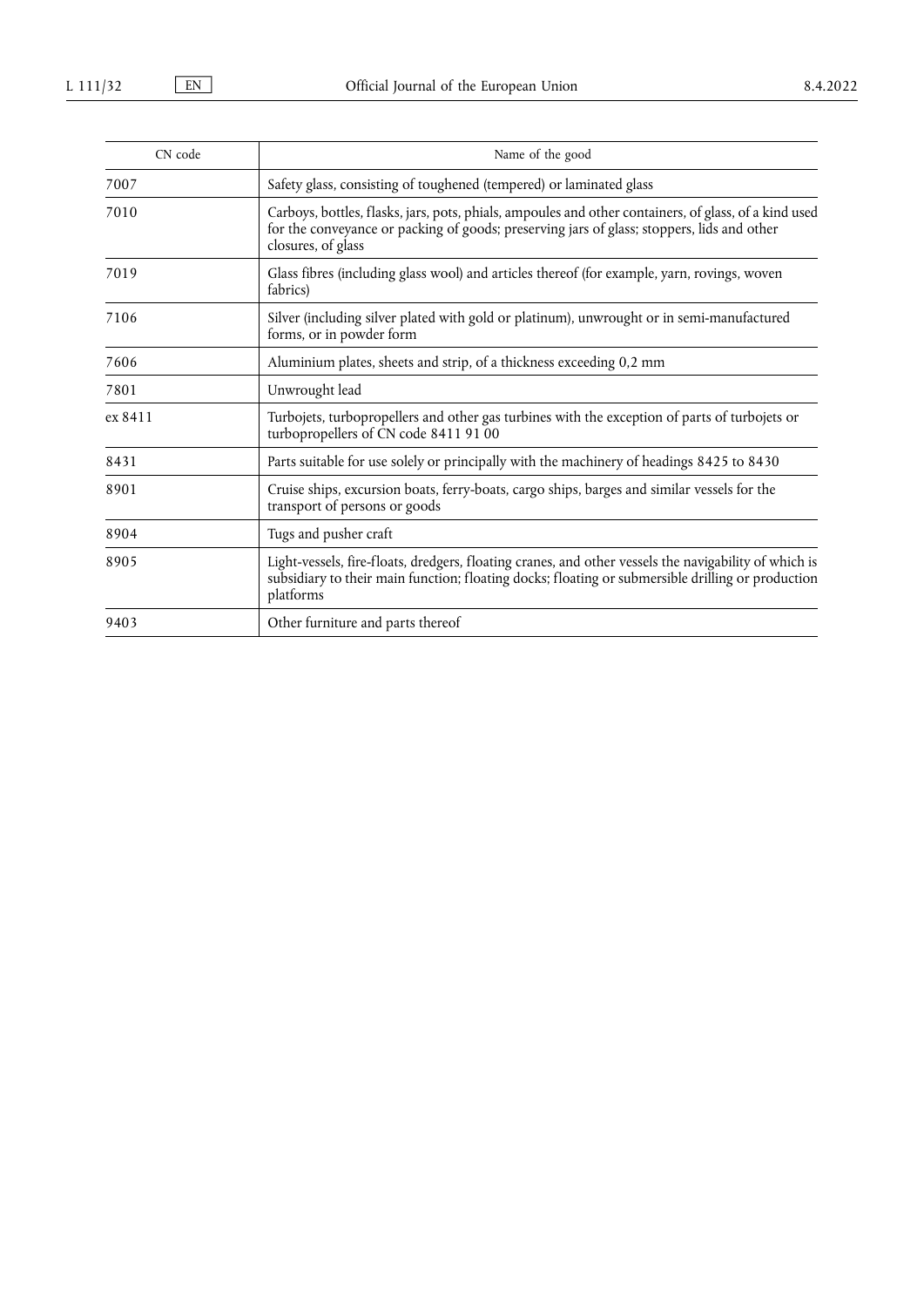| CN code | Name of the good                                                                                                                                                                                                          |
|---------|---------------------------------------------------------------------------------------------------------------------------------------------------------------------------------------------------------------------------|
| 7007    | Safety glass, consisting of toughened (tempered) or laminated glass                                                                                                                                                       |
| 7010    | Carboys, bottles, flasks, jars, pots, phials, ampoules and other containers, of glass, of a kind used<br>for the conveyance or packing of goods; preserving jars of glass; stoppers, lids and other<br>closures, of glass |
| 7019    | Glass fibres (including glass wool) and articles thereof (for example, yarn, rovings, woven<br>fabrics)                                                                                                                   |
| 7106    | Silver (including silver plated with gold or platinum), unwrought or in semi-manufactured<br>forms, or in powder form                                                                                                     |
| 7606    | Aluminium plates, sheets and strip, of a thickness exceeding 0,2 mm                                                                                                                                                       |
| 7801    | Unwrought lead                                                                                                                                                                                                            |
| ex 8411 | Turbojets, turbopropellers and other gas turbines with the exception of parts of turbojets or<br>turbopropellers of CN code 8411 91 00                                                                                    |
| 8431    | Parts suitable for use solely or principally with the machinery of headings 8425 to 8430                                                                                                                                  |
| 8901    | Cruise ships, excursion boats, ferry-boats, cargo ships, barges and similar vessels for the<br>transport of persons or goods                                                                                              |
| 8904    | Tugs and pusher craft                                                                                                                                                                                                     |
| 8905    | Light-vessels, fire-floats, dredgers, floating cranes, and other vessels the navigability of which is<br>subsidiary to their main function; floating docks; floating or submersible drilling or production<br>platforms   |
| 9403    | Other furniture and parts thereof                                                                                                                                                                                         |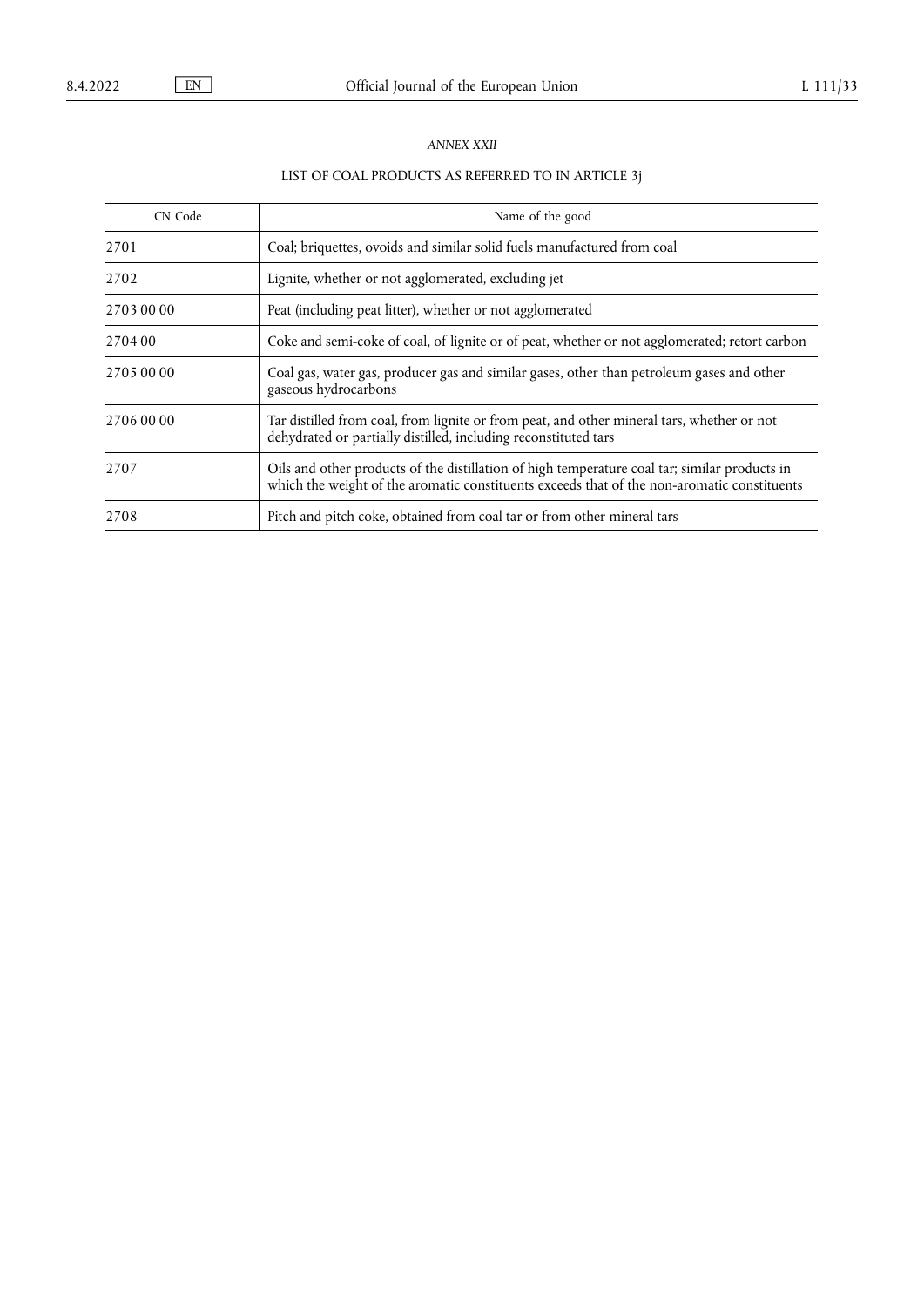# *ANNEX XXII*

# LIST OF COAL PRODUCTS AS REFERRED TO IN ARTICLE 3j

| CN Code    | Name of the good                                                                                                                                                                             |
|------------|----------------------------------------------------------------------------------------------------------------------------------------------------------------------------------------------|
| 2701       | Coal; briquettes, ovoids and similar solid fuels manufactured from coal                                                                                                                      |
| 2702       | Lignite, whether or not agglomerated, excluding jet                                                                                                                                          |
| 2703 00 00 | Peat (including peat litter), whether or not agglomerated                                                                                                                                    |
| 2704 00    | Coke and semi-coke of coal, of lignite or of peat, whether or not agglomerated; retort carbon                                                                                                |
| 2705 00 00 | Coal gas, water gas, producer gas and similar gases, other than petroleum gases and other<br>gaseous hydrocarbons                                                                            |
| 2706 00 00 | Tar distilled from coal, from lignite or from peat, and other mineral tars, whether or not<br>dehydrated or partially distilled, including reconstituted tars                                |
| 2707       | Oils and other products of the distillation of high temperature coal tar; similar products in<br>which the weight of the aromatic constituents exceeds that of the non-aromatic constituents |
| 2708       | Pitch and pitch coke, obtained from coal tar or from other mineral tars                                                                                                                      |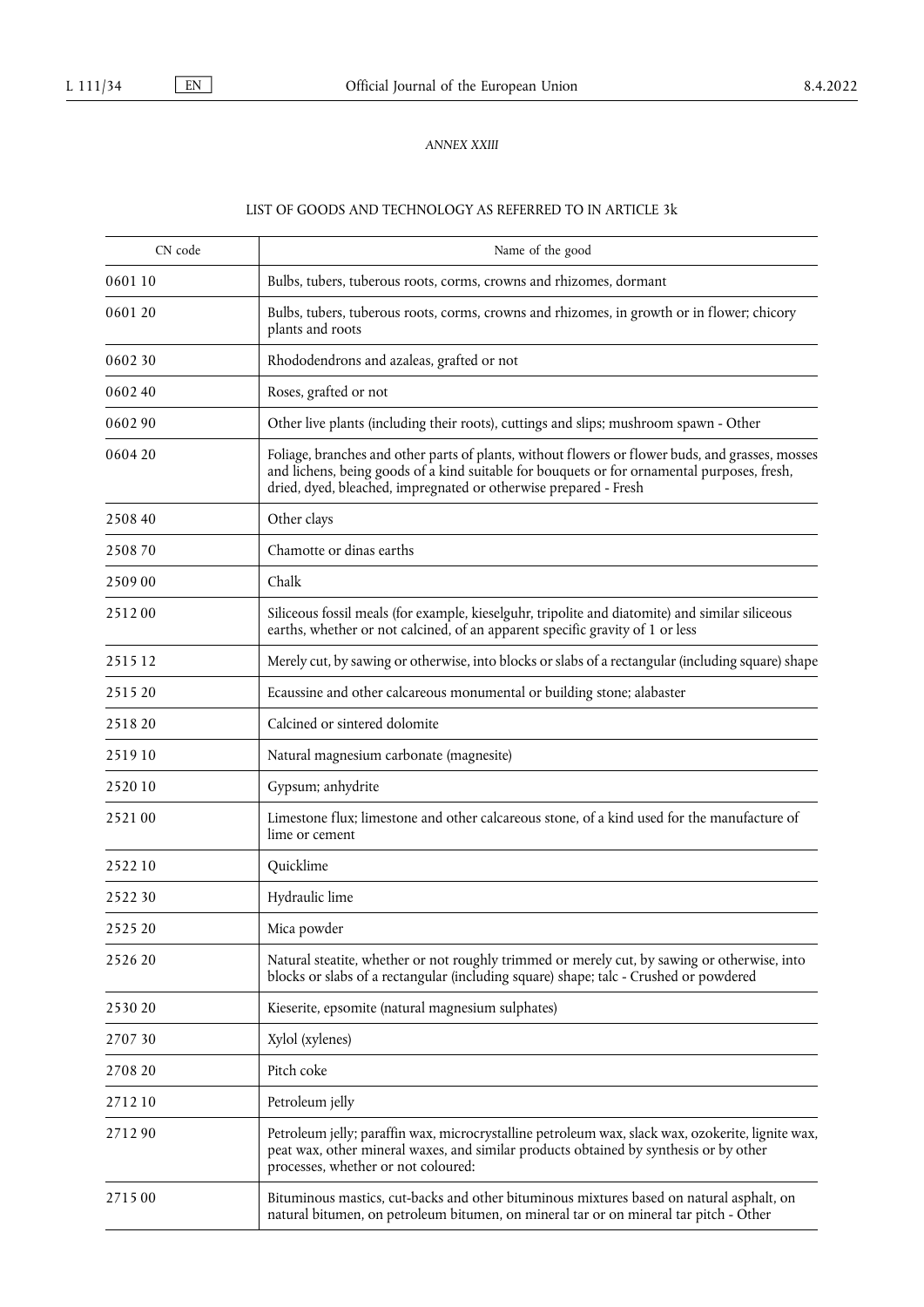## *ANNEX XXIII*

# LIST OF GOODS AND TECHNOLOGY AS REFERRED TO IN ARTICLE 3k

| CN code | Name of the good                                                                                                                                                                                                                                                    |
|---------|---------------------------------------------------------------------------------------------------------------------------------------------------------------------------------------------------------------------------------------------------------------------|
| 060110  | Bulbs, tubers, tuberous roots, corms, crowns and rhizomes, dormant                                                                                                                                                                                                  |
| 0601 20 | Bulbs, tubers, tuberous roots, corms, crowns and rhizomes, in growth or in flower; chicory<br>plants and roots                                                                                                                                                      |
| 060230  | Rhododendrons and azaleas, grafted or not                                                                                                                                                                                                                           |
| 060240  | Roses, grafted or not                                                                                                                                                                                                                                               |
| 060290  | Other live plants (including their roots), cuttings and slips; mushroom spawn - Other                                                                                                                                                                               |
| 0604 20 | Foliage, branches and other parts of plants, without flowers or flower buds, and grasses, mosses<br>and lichens, being goods of a kind suitable for bouquets or for ornamental purposes, fresh,<br>dried, dyed, bleached, impregnated or otherwise prepared - Fresh |
| 250840  | Other clays                                                                                                                                                                                                                                                         |
| 250870  | Chamotte or dinas earths                                                                                                                                                                                                                                            |
| 2509 00 | Chalk                                                                                                                                                                                                                                                               |
| 251200  | Siliceous fossil meals (for example, kieselguhr, tripolite and diatomite) and similar siliceous<br>earths, whether or not calcined, of an apparent specific gravity of 1 or less                                                                                    |
| 251512  | Merely cut, by sawing or otherwise, into blocks or slabs of a rectangular (including square) shape                                                                                                                                                                  |
| 2515 20 | Ecaussine and other calcareous monumental or building stone; alabaster                                                                                                                                                                                              |
| 251820  | Calcined or sintered dolomite                                                                                                                                                                                                                                       |
| 251910  | Natural magnesium carbonate (magnesite)                                                                                                                                                                                                                             |
| 252010  | Gypsum; anhydrite                                                                                                                                                                                                                                                   |
| 2521 00 | Limestone flux; limestone and other calcareous stone, of a kind used for the manufacture of<br>lime or cement                                                                                                                                                       |
| 252210  | Quicklime                                                                                                                                                                                                                                                           |
| 252230  | Hydraulic lime                                                                                                                                                                                                                                                      |
| 2525 20 | Mica powder                                                                                                                                                                                                                                                         |
| 2526 20 | Natural steatite, whether or not roughly trimmed or merely cut, by sawing or otherwise, into<br>blocks or slabs of a rectangular (including square) shape; talc - Crushed or powdered                                                                               |
| 253020  | Kieserite, epsomite (natural magnesium sulphates)                                                                                                                                                                                                                   |
| 270730  | Xylol (xylenes)                                                                                                                                                                                                                                                     |
| 2708 20 | Pitch coke                                                                                                                                                                                                                                                          |
| 271210  | Petroleum jelly                                                                                                                                                                                                                                                     |
| 271290  | Petroleum jelly; paraffin wax, microcrystalline petroleum wax, slack wax, ozokerite, lignite wax,<br>peat wax, other mineral waxes, and similar products obtained by synthesis or by other<br>processes, whether or not coloured:                                   |
| 271500  | Bituminous mastics, cut-backs and other bituminous mixtures based on natural asphalt, on<br>natural bitumen, on petroleum bitumen, on mineral tar or on mineral tar pitch - Other                                                                                   |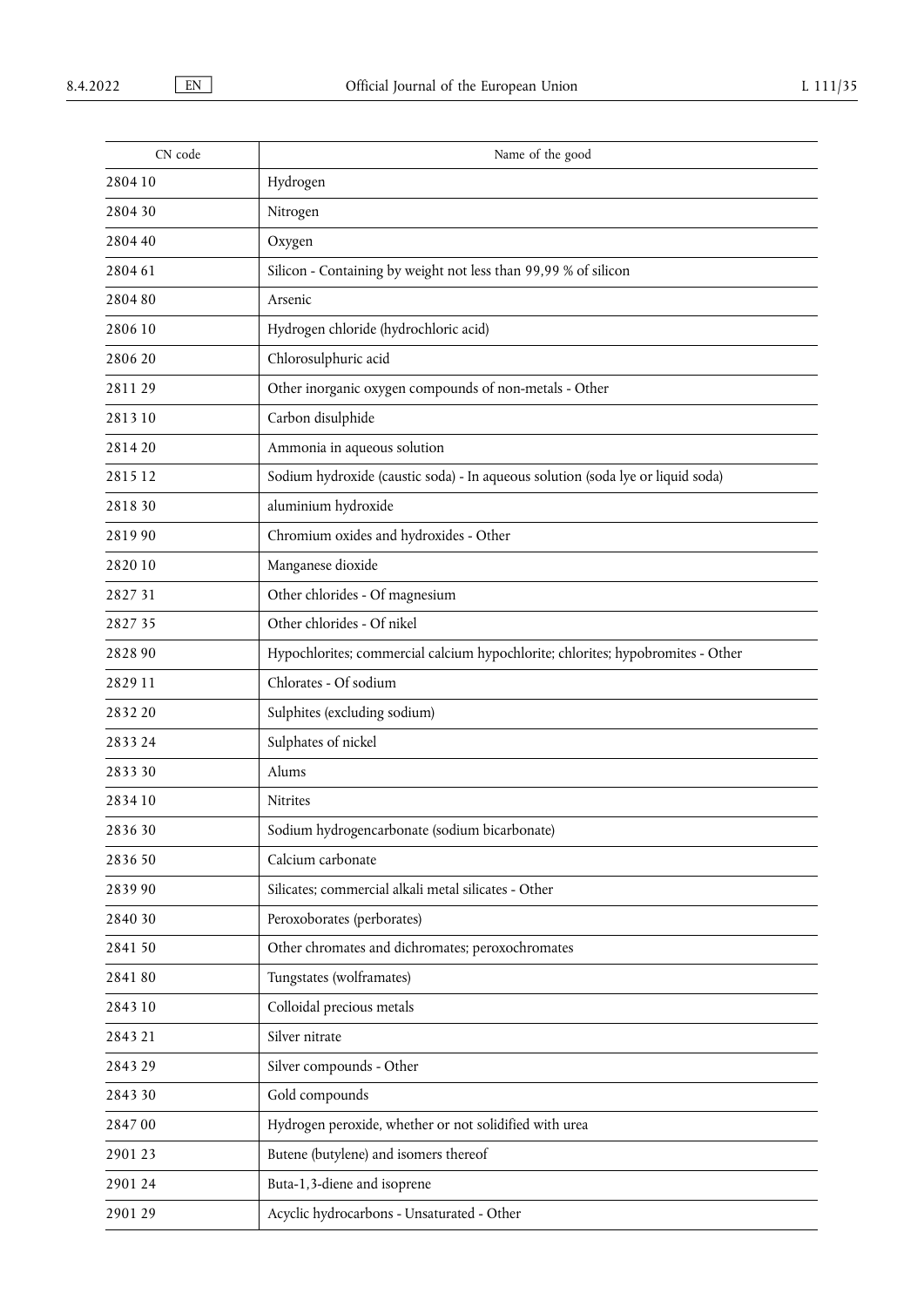| CN code | Name of the good                                                                |
|---------|---------------------------------------------------------------------------------|
| 280410  | Hydrogen                                                                        |
| 280430  | Nitrogen                                                                        |
| 280440  | Oxygen                                                                          |
| 280461  | Silicon - Containing by weight not less than 99,99 % of silicon                 |
| 280480  | Arsenic                                                                         |
| 280610  | Hydrogen chloride (hydrochloric acid)                                           |
| 2806 20 | Chlorosulphuric acid                                                            |
| 281129  | Other inorganic oxygen compounds of non-metals - Other                          |
| 281310  | Carbon disulphide                                                               |
| 281420  | Ammonia in aqueous solution                                                     |
| 281512  | Sodium hydroxide (caustic soda) - In aqueous solution (soda lye or liquid soda) |
| 281830  | aluminium hydroxide                                                             |
| 281990  | Chromium oxides and hydroxides - Other                                          |
| 282010  | Manganese dioxide                                                               |
| 282731  | Other chlorides - Of magnesium                                                  |
| 282735  | Other chlorides - Of nikel                                                      |
| 282890  | Hypochlorites; commercial calcium hypochlorite; chlorites; hypobromites - Other |
| 282911  | Chlorates - Of sodium                                                           |
| 283220  | Sulphites (excluding sodium)                                                    |
| 283324  | Sulphates of nickel                                                             |
| 283330  | Alums                                                                           |
| 283410  | Nitrites                                                                        |
| 283630  | Sodium hydrogencarbonate (sodium bicarbonate)                                   |
| 283650  | Calcium carbonate                                                               |
| 283990  | Silicates; commercial alkali metal silicates - Other                            |
| 2840 30 | Peroxoborates (perborates)                                                      |
| 284150  | Other chromates and dichromates; peroxochromates                                |
| 284180  | Tungstates (wolframates)                                                        |
| 284310  | Colloidal precious metals                                                       |
| 2843 21 | Silver nitrate                                                                  |
| 284329  | Silver compounds - Other                                                        |
| 284330  | Gold compounds                                                                  |
| 284700  | Hydrogen peroxide, whether or not solidified with urea                          |
| 2901 23 | Butene (butylene) and isomers thereof                                           |
| 2901 24 | Buta-1,3-diene and isoprene                                                     |
| 2901 29 | Acyclic hydrocarbons - Unsaturated - Other                                      |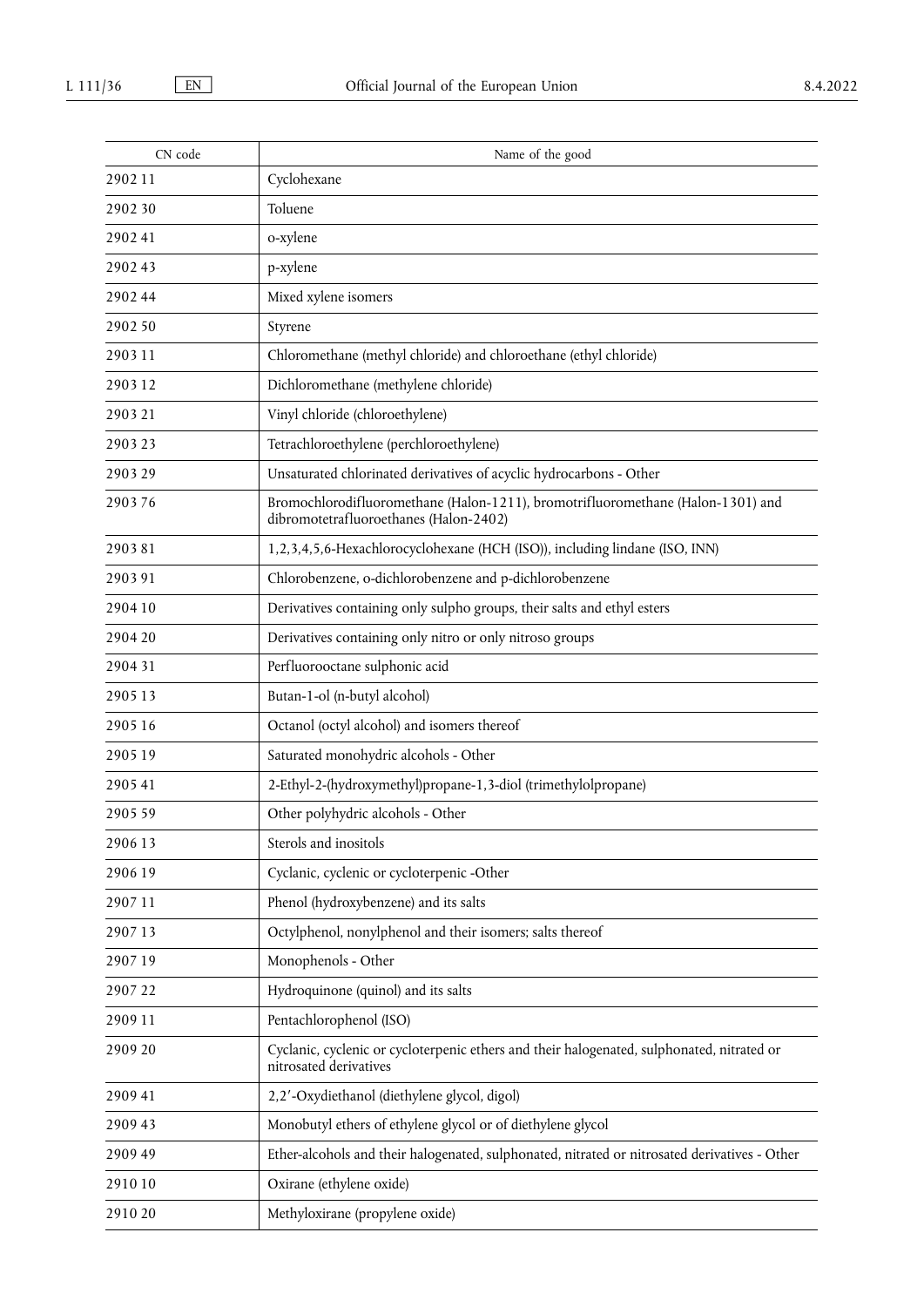| CN code | Name of the good                                                                                                          |
|---------|---------------------------------------------------------------------------------------------------------------------------|
| 290211  | Cyclohexane                                                                                                               |
| 2902 30 | Toluene                                                                                                                   |
| 290241  | o-xylene                                                                                                                  |
| 290243  | p-xylene                                                                                                                  |
| 290244  | Mixed xylene isomers                                                                                                      |
| 2902 50 | Styrene                                                                                                                   |
| 290311  | Chloromethane (methyl chloride) and chloroethane (ethyl chloride)                                                         |
| 290312  | Dichloromethane (methylene chloride)                                                                                      |
| 2903 21 | Vinyl chloride (chloroethylene)                                                                                           |
| 290323  | Tetrachloroethylene (perchloroethylene)                                                                                   |
| 290329  | Unsaturated chlorinated derivatives of acyclic hydrocarbons - Other                                                       |
| 290376  | Bromochlorodifluoromethane (Halon-1211), bromotrifluoromethane (Halon-1301) and<br>dibromotetrafluoroethanes (Halon-2402) |
| 290381  | 1,2,3,4,5,6-Hexachlorocyclohexane (HCH (ISO)), including lindane (ISO, INN)                                               |
| 290391  | Chlorobenzene, o-dichlorobenzene and p-dichlorobenzene                                                                    |
| 290410  | Derivatives containing only sulpho groups, their salts and ethyl esters                                                   |
| 2904 20 | Derivatives containing only nitro or only nitroso groups                                                                  |
| 290431  | Perfluorooctane sulphonic acid                                                                                            |
| 290513  | Butan-1-ol (n-butyl alcohol)                                                                                              |
| 290516  | Octanol (octyl alcohol) and isomers thereof                                                                               |
| 290519  | Saturated monohydric alcohols - Other                                                                                     |
| 290541  | 2-Ethyl-2-(hydroxymethyl)propane-1,3-diol (trimethylolpropane)                                                            |
| 2905 59 | Other polyhydric alcohols - Other                                                                                         |
| 290613  | Sterols and inositols                                                                                                     |
| 290619  | Cyclanic, cyclenic or cycloterpenic -Other                                                                                |
| 290711  | Phenol (hydroxybenzene) and its salts                                                                                     |
| 290713  | Octylphenol, nonylphenol and their isomers; salts thereof                                                                 |
| 290719  | Monophenols - Other                                                                                                       |
| 290722  | Hydroquinone (quinol) and its salts                                                                                       |
| 2909 11 | Pentachlorophenol (ISO)                                                                                                   |
| 2909 20 | Cyclanic, cyclenic or cycloterpenic ethers and their halogenated, sulphonated, nitrated or<br>nitrosated derivatives      |
| 2909 41 | 2,2'-Oxydiethanol (diethylene glycol, digol)                                                                              |
| 290943  | Monobutyl ethers of ethylene glycol or of diethylene glycol                                                               |
| 2909 49 | Ether-alcohols and their halogenated, sulphonated, nitrated or nitrosated derivatives - Other                             |
| 291010  | Oxirane (ethylene oxide)                                                                                                  |
| 2910 20 | Methyloxirane (propylene oxide)                                                                                           |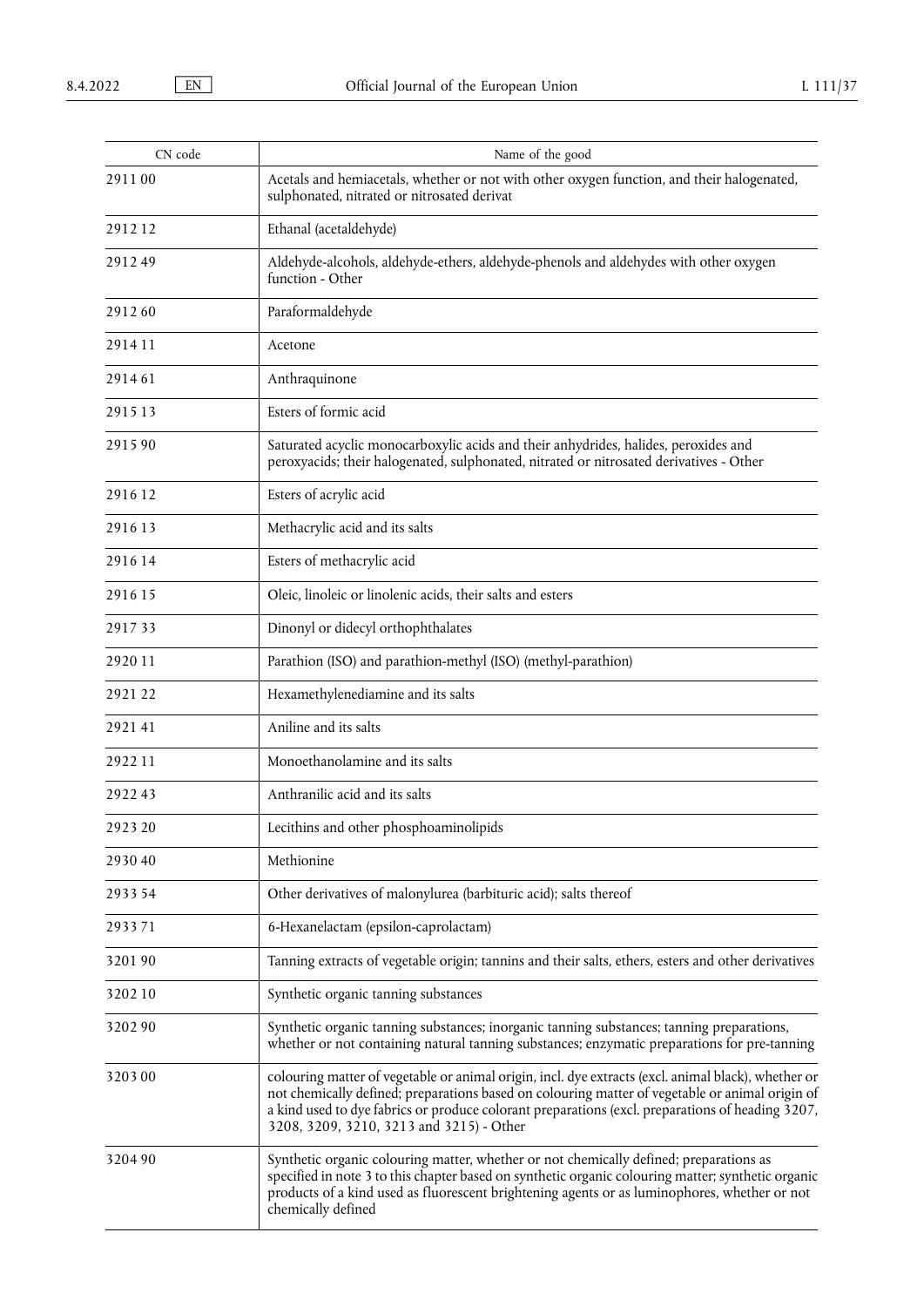| CN code | Name of the good                                                                                                                                                                                                                                                                                                                                       |
|---------|--------------------------------------------------------------------------------------------------------------------------------------------------------------------------------------------------------------------------------------------------------------------------------------------------------------------------------------------------------|
| 291100  | Acetals and hemiacetals, whether or not with other oxygen function, and their halogenated,<br>sulphonated, nitrated or nitrosated derivat                                                                                                                                                                                                              |
| 291212  | Ethanal (acetaldehyde)                                                                                                                                                                                                                                                                                                                                 |
| 291249  | Aldehyde-alcohols, aldehyde-ethers, aldehyde-phenols and aldehydes with other oxygen<br>function - Other                                                                                                                                                                                                                                               |
| 291260  | Paraformaldehyde                                                                                                                                                                                                                                                                                                                                       |
| 291411  | Acetone                                                                                                                                                                                                                                                                                                                                                |
| 291461  | Anthraquinone                                                                                                                                                                                                                                                                                                                                          |
| 291513  | Esters of formic acid                                                                                                                                                                                                                                                                                                                                  |
| 291590  | Saturated acyclic monocarboxylic acids and their anhydrides, halides, peroxides and<br>peroxyacids; their halogenated, sulphonated, nitrated or nitrosated derivatives - Other                                                                                                                                                                         |
| 291612  | Esters of acrylic acid                                                                                                                                                                                                                                                                                                                                 |
| 2916 13 | Methacrylic acid and its salts                                                                                                                                                                                                                                                                                                                         |
| 291614  | Esters of methacrylic acid                                                                                                                                                                                                                                                                                                                             |
| 2916 15 | Oleic, linoleic or linolenic acids, their salts and esters                                                                                                                                                                                                                                                                                             |
| 291733  | Dinonyl or didecyl orthophthalates                                                                                                                                                                                                                                                                                                                     |
| 292011  | Parathion (ISO) and parathion-methyl (ISO) (methyl-parathion)                                                                                                                                                                                                                                                                                          |
| 2921 22 | Hexamethylenediamine and its salts                                                                                                                                                                                                                                                                                                                     |
| 292141  | Aniline and its salts                                                                                                                                                                                                                                                                                                                                  |
| 292211  | Monoethanolamine and its salts                                                                                                                                                                                                                                                                                                                         |
| 292243  | Anthranilic acid and its salts                                                                                                                                                                                                                                                                                                                         |
| 2923 20 | Lecithins and other phosphoaminolipids                                                                                                                                                                                                                                                                                                                 |
| 293040  | Methionine                                                                                                                                                                                                                                                                                                                                             |
| 2933 54 | Other derivatives of malonylurea (barbituric acid); salts thereof                                                                                                                                                                                                                                                                                      |
| 293371  | 6-Hexanelactam (epsilon-caprolactam)                                                                                                                                                                                                                                                                                                                   |
| 320190  | Tanning extracts of vegetable origin; tannins and their salts, ethers, esters and other derivatives                                                                                                                                                                                                                                                    |
| 320210  | Synthetic organic tanning substances                                                                                                                                                                                                                                                                                                                   |
| 320290  | Synthetic organic tanning substances; inorganic tanning substances; tanning preparations,<br>whether or not containing natural tanning substances; enzymatic preparations for pre-tanning                                                                                                                                                              |
| 320300  | colouring matter of vegetable or animal origin, incl. dye extracts (excl. animal black), whether or<br>not chemically defined; preparations based on colouring matter of vegetable or animal origin of<br>a kind used to dye fabrics or produce colorant preparations (excl. preparations of heading 3207,<br>3208, 3209, 3210, 3213 and 3215) - Other |
| 3204 90 | Synthetic organic colouring matter, whether or not chemically defined; preparations as<br>specified in note 3 to this chapter based on synthetic organic colouring matter; synthetic organic<br>products of a kind used as fluorescent brightening agents or as luminophores, whether or not<br>chemically defined                                     |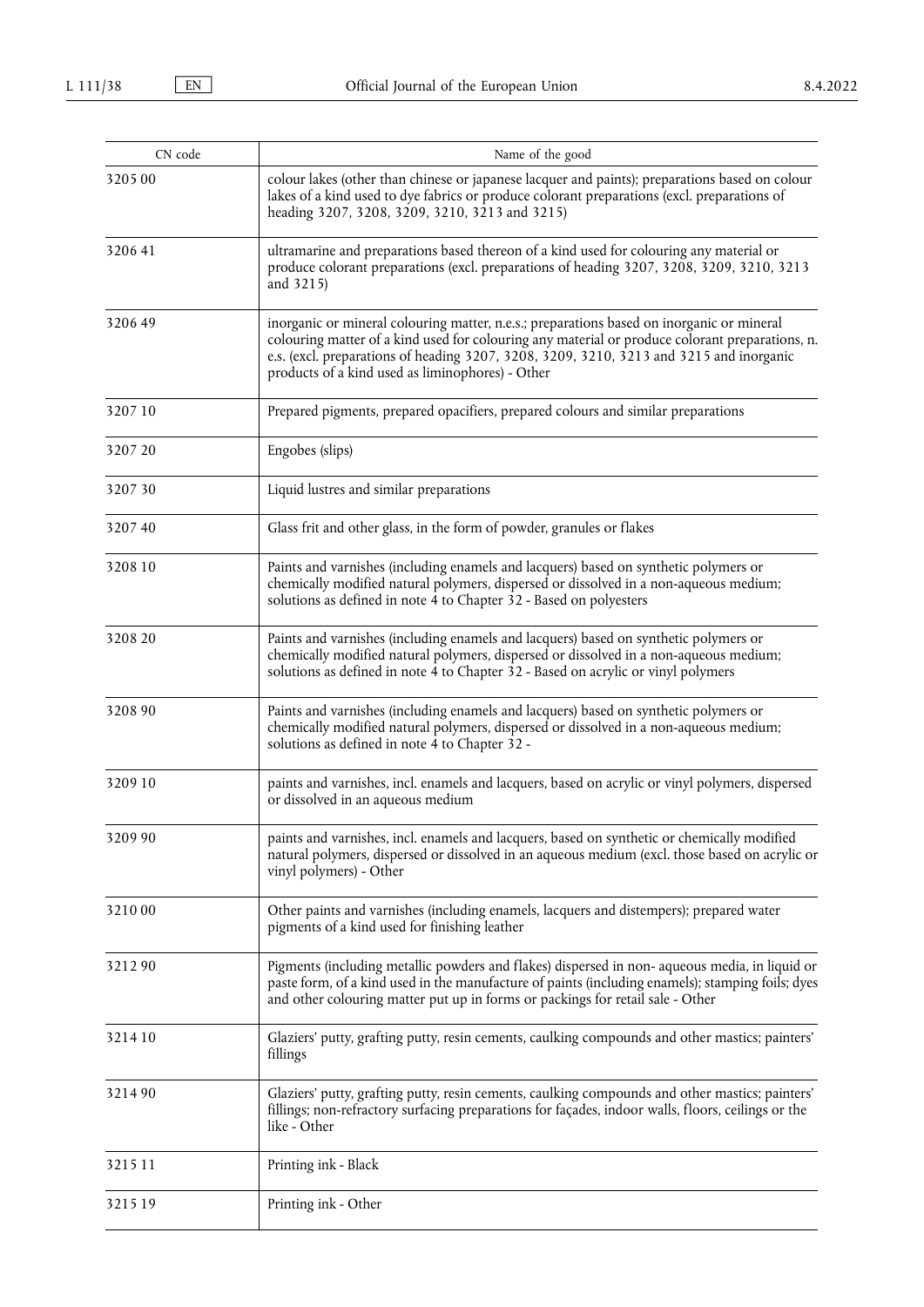| CN code | Name of the good                                                                                                                                                                                                                                                                                                                            |
|---------|---------------------------------------------------------------------------------------------------------------------------------------------------------------------------------------------------------------------------------------------------------------------------------------------------------------------------------------------|
| 320500  | colour lakes (other than chinese or japanese lacquer and paints); preparations based on colour<br>lakes of a kind used to dye fabrics or produce colorant preparations (excl. preparations of<br>heading 3207, 3208, 3209, 3210, 3213 and 3215)                                                                                             |
| 320641  | ultramarine and preparations based thereon of a kind used for colouring any material or<br>produce colorant preparations (excl. preparations of heading 3207, 3208, 3209, 3210, 3213<br>and 3215)                                                                                                                                           |
| 320649  | inorganic or mineral colouring matter, n.e.s.; preparations based on inorganic or mineral<br>colouring matter of a kind used for colouring any material or produce colorant preparations, n.<br>e.s. (excl. preparations of heading 3207, 3208, 3209, 3210, 3213 and 3215 and inorganic<br>products of a kind used as liminophores) - Other |
| 320710  | Prepared pigments, prepared opacifiers, prepared colours and similar preparations                                                                                                                                                                                                                                                           |
| 3207 20 | Engobes (slips)                                                                                                                                                                                                                                                                                                                             |
| 320730  | Liquid lustres and similar preparations                                                                                                                                                                                                                                                                                                     |
| 320740  | Glass frit and other glass, in the form of powder, granules or flakes                                                                                                                                                                                                                                                                       |
| 3208 10 | Paints and varnishes (including enamels and lacquers) based on synthetic polymers or<br>chemically modified natural polymers, dispersed or dissolved in a non-aqueous medium;<br>solutions as defined in note 4 to Chapter 32 - Based on polyesters                                                                                         |
| 3208 20 | Paints and varnishes (including enamels and lacquers) based on synthetic polymers or<br>chemically modified natural polymers, dispersed or dissolved in a non-aqueous medium;<br>solutions as defined in note 4 to Chapter 32 - Based on acrylic or vinyl polymers                                                                          |
| 3208 90 | Paints and varnishes (including enamels and lacquers) based on synthetic polymers or<br>chemically modified natural polymers, dispersed or dissolved in a non-aqueous medium;<br>solutions as defined in note 4 to Chapter 32 -                                                                                                             |
| 3209 10 | paints and varnishes, incl. enamels and lacquers, based on acrylic or vinyl polymers, dispersed<br>or dissolved in an aqueous medium                                                                                                                                                                                                        |
| 3209 90 | paints and varnishes, incl. enamels and lacquers, based on synthetic or chemically modified<br>natural polymers, dispersed or dissolved in an aqueous medium (excl. those based on acrylic or<br>vinyl polymers) - Other                                                                                                                    |
| 321000  | Other paints and varnishes (including enamels, lacquers and distempers); prepared water<br>pigments of a kind used for finishing leather                                                                                                                                                                                                    |
| 321290  | Pigments (including metallic powders and flakes) dispersed in non- aqueous media, in liquid or<br>paste form, of a kind used in the manufacture of paints (including enamels); stamping foils; dyes<br>and other colouring matter put up in forms or packings for retail sale - Other                                                       |
| 321410  | Glaziers' putty, grafting putty, resin cements, caulking compounds and other mastics; painters'<br>fillings                                                                                                                                                                                                                                 |
| 321490  | Glaziers' putty, grafting putty, resin cements, caulking compounds and other mastics; painters'<br>fillings; non-refractory surfacing preparations for façades, indoor walls, floors, ceilings or the<br>like - Other                                                                                                                       |
| 3215 11 | Printing ink - Black                                                                                                                                                                                                                                                                                                                        |
| 321519  | Printing ink - Other                                                                                                                                                                                                                                                                                                                        |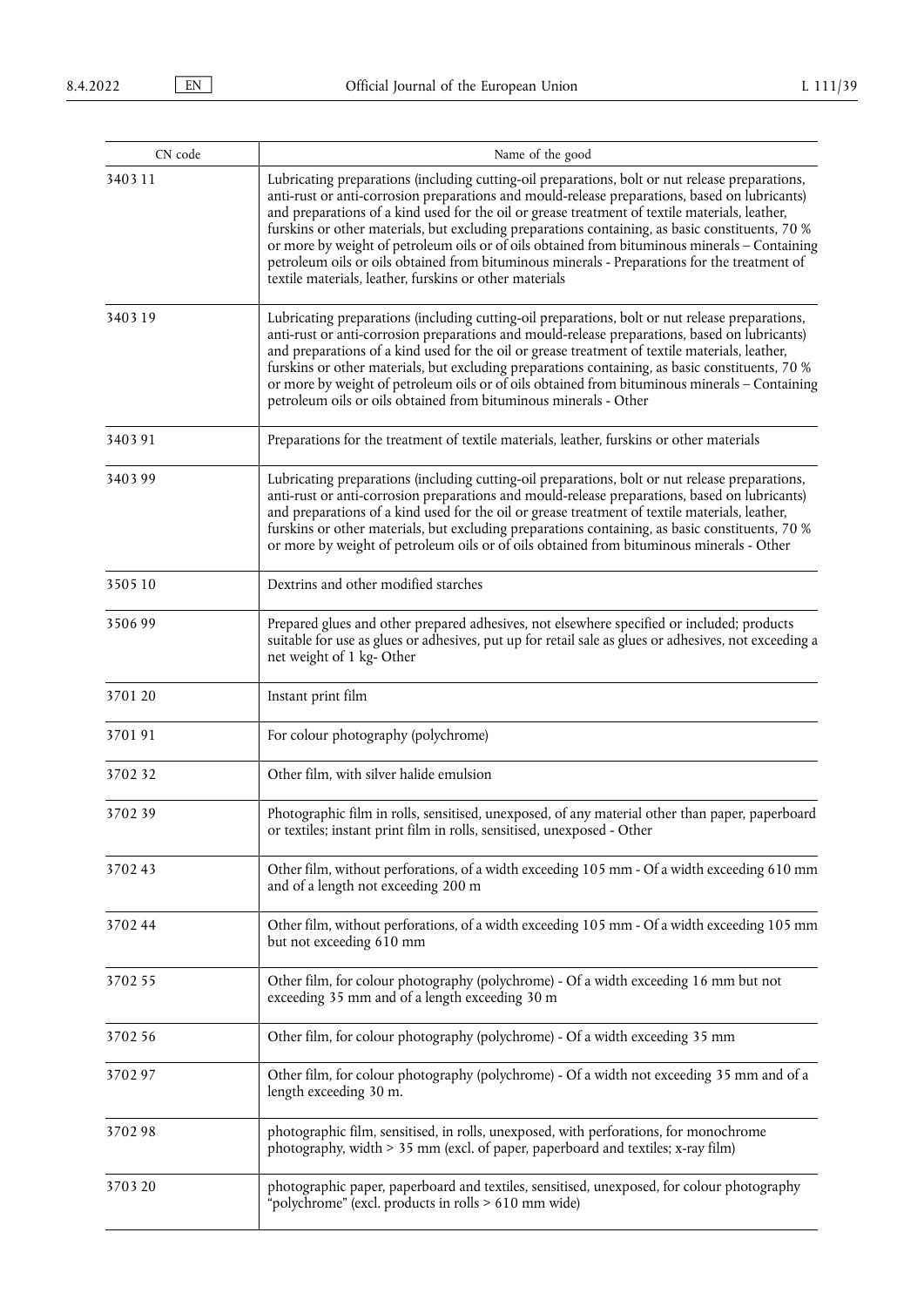| CN code | Name of the good                                                                                                                                                                                                                                                                                                                                                                                                                                                                                                                                                                                                                                                  |
|---------|-------------------------------------------------------------------------------------------------------------------------------------------------------------------------------------------------------------------------------------------------------------------------------------------------------------------------------------------------------------------------------------------------------------------------------------------------------------------------------------------------------------------------------------------------------------------------------------------------------------------------------------------------------------------|
| 340311  | Lubricating preparations (including cutting-oil preparations, bolt or nut release preparations,<br>anti-rust or anti-corrosion preparations and mould-release preparations, based on lubricants)<br>and preparations of a kind used for the oil or grease treatment of textile materials, leather,<br>furskins or other materials, but excluding preparations containing, as basic constituents, 70 %<br>or more by weight of petroleum oils or of oils obtained from bituminous minerals - Containing<br>petroleum oils or oils obtained from bituminous minerals - Preparations for the treatment of<br>textile materials, leather, furskins or other materials |
| 340319  | Lubricating preparations (including cutting-oil preparations, bolt or nut release preparations,<br>anti-rust or anti-corrosion preparations and mould-release preparations, based on lubricants)<br>and preparations of a kind used for the oil or grease treatment of textile materials, leather,<br>furskins or other materials, but excluding preparations containing, as basic constituents, 70 %<br>or more by weight of petroleum oils or of oils obtained from bituminous minerals - Containing<br>petroleum oils or oils obtained from bituminous minerals - Other                                                                                        |
| 340391  | Preparations for the treatment of textile materials, leather, furskins or other materials                                                                                                                                                                                                                                                                                                                                                                                                                                                                                                                                                                         |
| 340399  | Lubricating preparations (including cutting-oil preparations, bolt or nut release preparations,<br>anti-rust or anti-corrosion preparations and mould-release preparations, based on lubricants)<br>and preparations of a kind used for the oil or grease treatment of textile materials, leather,<br>furskins or other materials, but excluding preparations containing, as basic constituents, 70 %<br>or more by weight of petroleum oils or of oils obtained from bituminous minerals - Other                                                                                                                                                                 |
| 350510  | Dextrins and other modified starches                                                                                                                                                                                                                                                                                                                                                                                                                                                                                                                                                                                                                              |
| 350699  | Prepared glues and other prepared adhesives, not elsewhere specified or included; products<br>suitable for use as glues or adhesives, put up for retail sale as glues or adhesives, not exceeding a<br>net weight of 1 kg-Other                                                                                                                                                                                                                                                                                                                                                                                                                                   |
| 3701 20 | Instant print film                                                                                                                                                                                                                                                                                                                                                                                                                                                                                                                                                                                                                                                |
| 370191  | For colour photography (polychrome)                                                                                                                                                                                                                                                                                                                                                                                                                                                                                                                                                                                                                               |
| 370232  | Other film, with silver halide emulsion                                                                                                                                                                                                                                                                                                                                                                                                                                                                                                                                                                                                                           |
| 370239  | Photographic film in rolls, sensitised, unexposed, of any material other than paper, paperboard<br>or textiles; instant print film in rolls, sensitised, unexposed - Other                                                                                                                                                                                                                                                                                                                                                                                                                                                                                        |
| 370243  | Other film, without perforations, of a width exceeding 105 mm - Of a width exceeding 610 mm<br>and of a length not exceeding 200 m                                                                                                                                                                                                                                                                                                                                                                                                                                                                                                                                |
| 370244  | Other film, without perforations, of a width exceeding 105 mm - Of a width exceeding 105 mm<br>but not exceeding 610 mm                                                                                                                                                                                                                                                                                                                                                                                                                                                                                                                                           |
| 3702 55 | Other film, for colour photography (polychrome) - Of a width exceeding 16 mm but not<br>exceeding 35 mm and of a length exceeding 30 m                                                                                                                                                                                                                                                                                                                                                                                                                                                                                                                            |
| 3702 56 | Other film, for colour photography (polychrome) - Of a width exceeding 35 mm                                                                                                                                                                                                                                                                                                                                                                                                                                                                                                                                                                                      |
| 370297  | Other film, for colour photography (polychrome) - Of a width not exceeding 35 mm and of a<br>length exceeding 30 m.                                                                                                                                                                                                                                                                                                                                                                                                                                                                                                                                               |
| 370298  | photographic film, sensitised, in rolls, unexposed, with perforations, for monochrome<br>photography, width > 35 mm (excl. of paper, paperboard and textiles; x-ray film)                                                                                                                                                                                                                                                                                                                                                                                                                                                                                         |
| 3703 20 | photographic paper, paperboard and textiles, sensitised, unexposed, for colour photography<br>"polychrome" (excl. products in rolls > 610 mm wide)                                                                                                                                                                                                                                                                                                                                                                                                                                                                                                                |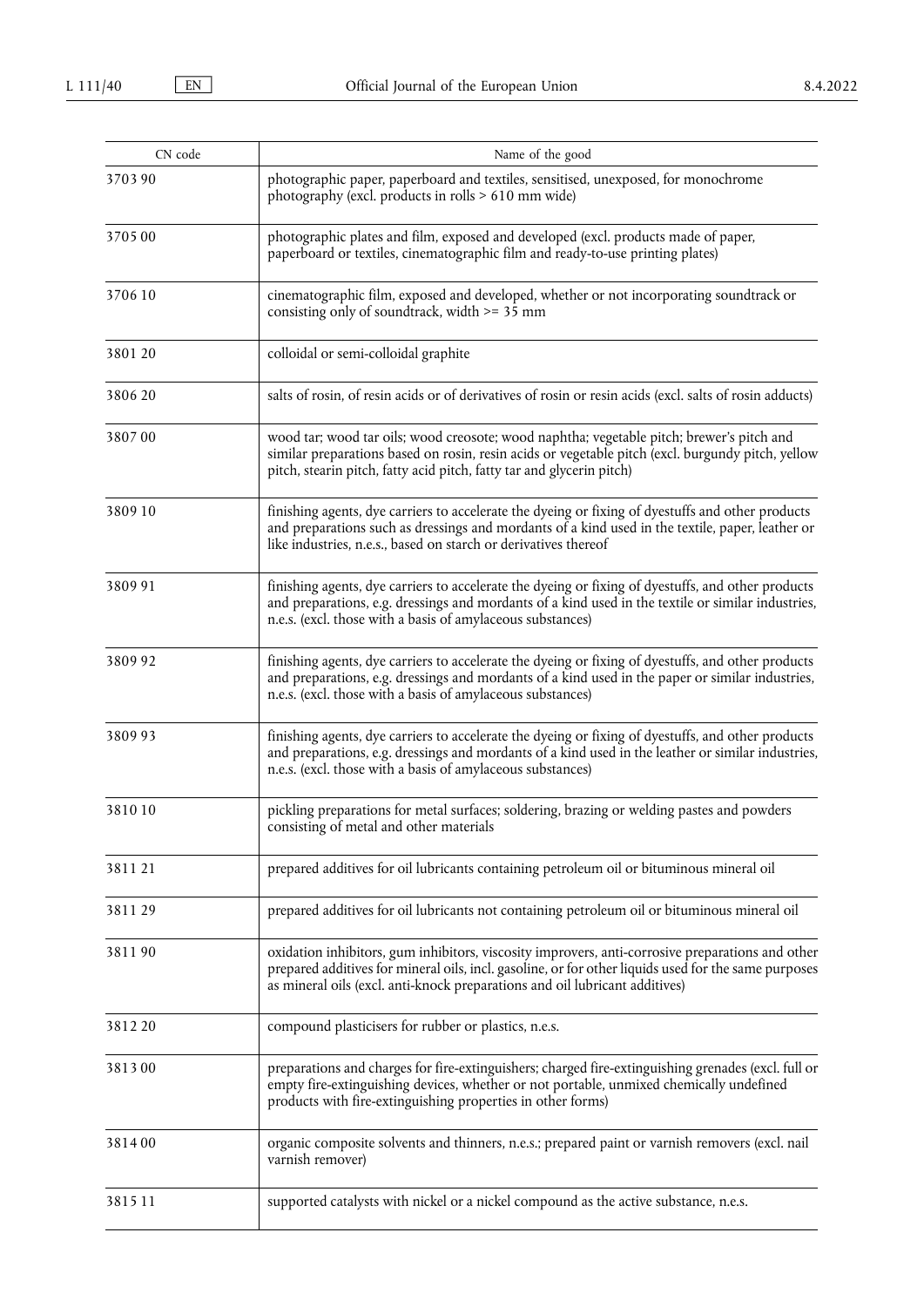| CN code | Name of the good                                                                                                                                                                                                                                                                        |
|---------|-----------------------------------------------------------------------------------------------------------------------------------------------------------------------------------------------------------------------------------------------------------------------------------------|
| 370390  | photographic paper, paperboard and textiles, sensitised, unexposed, for monochrome<br>photography (excl. products in rolls > 610 mm wide)                                                                                                                                               |
| 370500  | photographic plates and film, exposed and developed (excl. products made of paper,<br>paperboard or textiles, cinematographic film and ready-to-use printing plates)                                                                                                                    |
| 370610  | cinematographic film, exposed and developed, whether or not incorporating soundtrack or<br>consisting only of soundtrack, width >= 35 mm                                                                                                                                                |
| 3801 20 | colloidal or semi-colloidal graphite                                                                                                                                                                                                                                                    |
| 3806 20 | salts of rosin, of resin acids or of derivatives of rosin or resin acids (excl. salts of rosin adducts)                                                                                                                                                                                 |
| 380700  | wood tar; wood tar oils; wood creosote; wood naphtha; vegetable pitch; brewer's pitch and<br>similar preparations based on rosin, resin acids or vegetable pitch (excl. burgundy pitch, yellow<br>pitch, stearin pitch, fatty acid pitch, fatty tar and glycerin pitch)                 |
| 380910  | finishing agents, dye carriers to accelerate the dyeing or fixing of dyestuffs and other products<br>and preparations such as dressings and mordants of a kind used in the textile, paper, leather or<br>like industries, n.e.s., based on starch or derivatives thereof                |
| 380991  | finishing agents, dye carriers to accelerate the dyeing or fixing of dyestuffs, and other products<br>and preparations, e.g. dressings and mordants of a kind used in the textile or similar industries,<br>n.e.s. (excl. those with a basis of amylaceous substances)                  |
| 380992  | finishing agents, dye carriers to accelerate the dyeing or fixing of dyestuffs, and other products<br>and preparations, e.g. dressings and mordants of a kind used in the paper or similar industries,<br>n.e.s. (excl. those with a basis of amylaceous substances)                    |
| 380993  | finishing agents, dye carriers to accelerate the dyeing or fixing of dyestuffs, and other products<br>and preparations, e.g. dressings and mordants of a kind used in the leather or similar industries,<br>n.e.s. (excl. those with a basis of amylaceous substances)                  |
| 381010  | pickling preparations for metal surfaces; soldering, brazing or welding pastes and powders<br>consisting of metal and other materials                                                                                                                                                   |
| 3811 21 | prepared additives for oil lubricants containing petroleum oil or bituminous mineral oil                                                                                                                                                                                                |
| 381129  | prepared additives for oil lubricants not containing petroleum oil or bituminous mineral oil                                                                                                                                                                                            |
| 381190  | oxidation inhibitors, gum inhibitors, viscosity improvers, anti-corrosive preparations and other<br>prepared additives for mineral oils, incl. gasoline, or for other liquids used for the same purposes<br>as mineral oils (excl. anti-knock preparations and oil lubricant additives) |
| 381220  | compound plasticisers for rubber or plastics, n.e.s.                                                                                                                                                                                                                                    |
| 381300  | preparations and charges for fire-extinguishers; charged fire-extinguishing grenades (excl. full or<br>empty fire-extinguishing devices, whether or not portable, unmixed chemically undefined<br>products with fire-extinguishing properties in other forms)                           |
| 381400  | organic composite solvents and thinners, n.e.s.; prepared paint or varnish removers (excl. nail<br>varnish remover)                                                                                                                                                                     |
| 381511  | supported catalysts with nickel or a nickel compound as the active substance, n.e.s.                                                                                                                                                                                                    |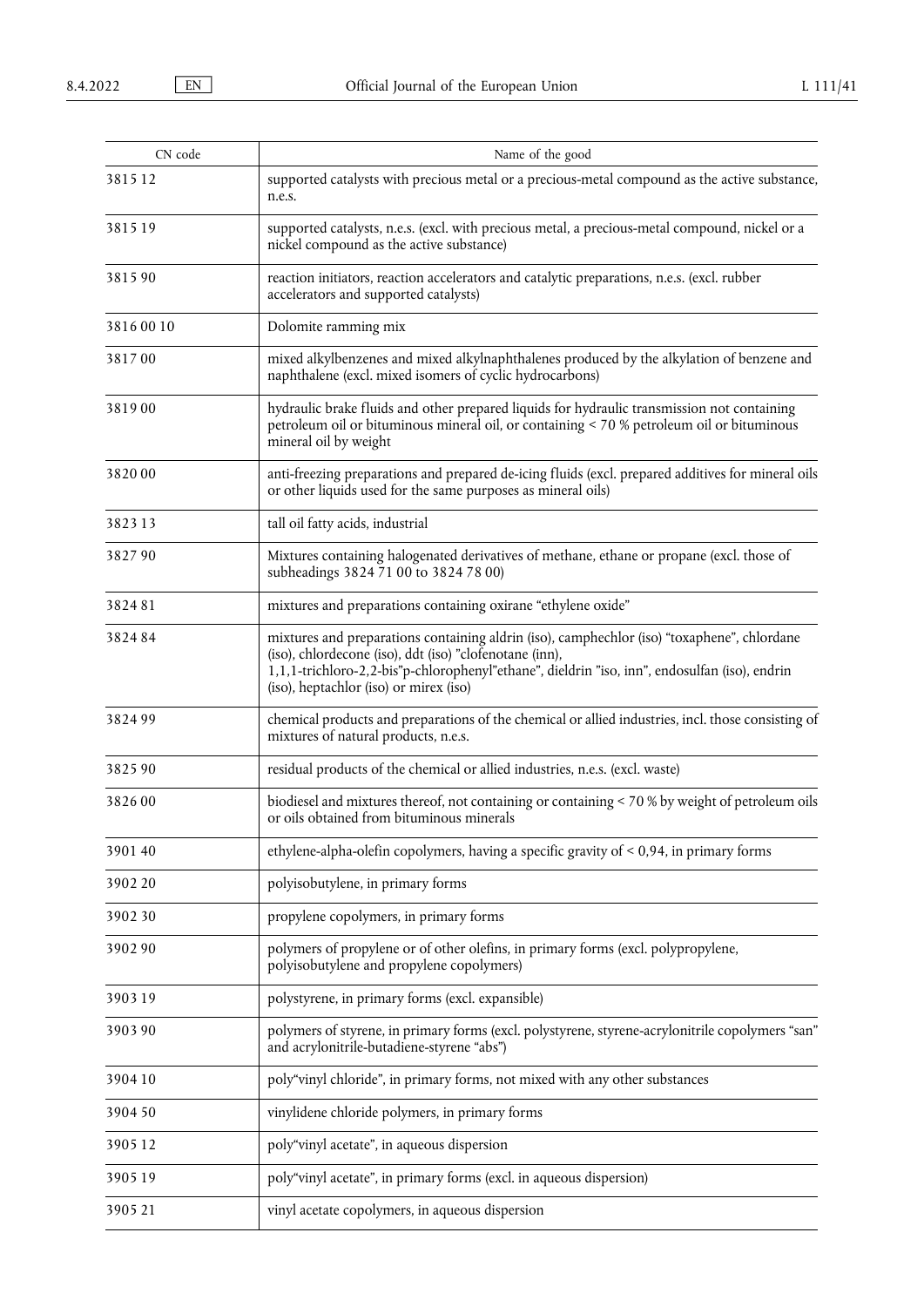| CN code  | Name of the good                                                                                                                                                                                                                                                                                  |
|----------|---------------------------------------------------------------------------------------------------------------------------------------------------------------------------------------------------------------------------------------------------------------------------------------------------|
| 381512   | supported catalysts with precious metal or a precious-metal compound as the active substance,<br>n.e.s.                                                                                                                                                                                           |
| 381519   | supported catalysts, n.e.s. (excl. with precious metal, a precious-metal compound, nickel or a<br>nickel compound as the active substance)                                                                                                                                                        |
| 381590   | reaction initiators, reaction accelerators and catalytic preparations, n.e.s. (excl. rubber<br>accelerators and supported catalysts)                                                                                                                                                              |
| 38160010 | Dolomite ramming mix                                                                                                                                                                                                                                                                              |
| 381700   | mixed alkylbenzenes and mixed alkylnaphthalenes produced by the alkylation of benzene and<br>naphthalene (excl. mixed isomers of cyclic hydrocarbons)                                                                                                                                             |
| 381900   | hydraulic brake fluids and other prepared liquids for hydraulic transmission not containing<br>petroleum oil or bituminous mineral oil, or containing < 70 % petroleum oil or bituminous<br>mineral oil by weight                                                                                 |
| 382000   | anti-freezing preparations and prepared de-icing fluids (excl. prepared additives for mineral oils<br>or other liquids used for the same purposes as mineral oils)                                                                                                                                |
| 382313   | tall oil fatty acids, industrial                                                                                                                                                                                                                                                                  |
| 382790   | Mixtures containing halogenated derivatives of methane, ethane or propane (excl. those of<br>subheadings 3824 71 00 to 3824 78 00)                                                                                                                                                                |
| 382481   | mixtures and preparations containing oxirane "ethylene oxide"                                                                                                                                                                                                                                     |
| 382484   | mixtures and preparations containing aldrin (iso), camphechlor (iso) "toxaphene", chlordane<br>(iso), chlordecone (iso), ddt (iso) "clofenotane (inn),<br>1,1,1-trichloro-2,2-bis"p-chlorophenyl"ethane", dieldrin "iso, inn", endosulfan (iso), endrin<br>(iso), heptachlor (iso) or mirex (iso) |
| 382499   | chemical products and preparations of the chemical or allied industries, incl. those consisting of<br>mixtures of natural products, n.e.s.                                                                                                                                                        |
| 382590   | residual products of the chemical or allied industries, n.e.s. (excl. waste)                                                                                                                                                                                                                      |
| 3826 00  | biodiesel and mixtures thereof, not containing or containing < 70 % by weight of petroleum oils<br>or oils obtained from bituminous minerals                                                                                                                                                      |
| 390140   | ethylene-alpha-olefin copolymers, having a specific gravity of $< 0.94$ , in primary forms                                                                                                                                                                                                        |
| 3902 20  | polyisobutylene, in primary forms                                                                                                                                                                                                                                                                 |
| 390230   | propylene copolymers, in primary forms                                                                                                                                                                                                                                                            |
| 390290   | polymers of propylene or of other olefins, in primary forms (excl. polypropylene,<br>polyisobutylene and propylene copolymers)                                                                                                                                                                    |
| 390319   | polystyrene, in primary forms (excl. expansible)                                                                                                                                                                                                                                                  |
| 390390   | polymers of styrene, in primary forms (excl. polystyrene, styrene-acrylonitrile copolymers "san"<br>and acrylonitrile-butadiene-styrene "abs")                                                                                                                                                    |
| 390410   | poly"vinyl chloride", in primary forms, not mixed with any other substances                                                                                                                                                                                                                       |
| 3904 50  | vinylidene chloride polymers, in primary forms                                                                                                                                                                                                                                                    |
| 390512   | poly"vinyl acetate", in aqueous dispersion                                                                                                                                                                                                                                                        |
| 390519   | poly"vinyl acetate", in primary forms (excl. in aqueous dispersion)                                                                                                                                                                                                                               |
| 3905 21  | vinyl acetate copolymers, in aqueous dispersion                                                                                                                                                                                                                                                   |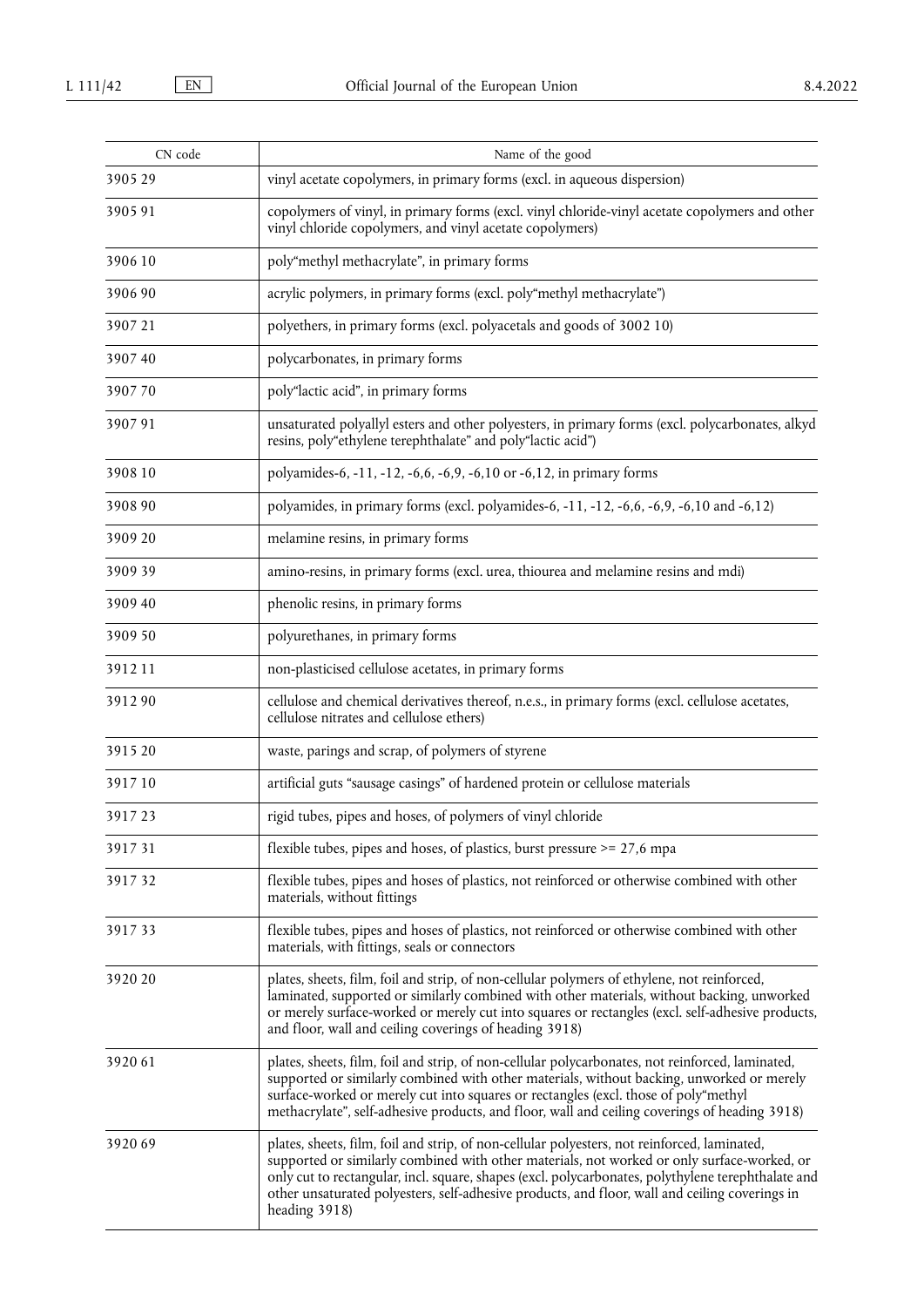| CN code | Name of the good                                                                                                                                                                                                                                                                                                                                                                                                     |
|---------|----------------------------------------------------------------------------------------------------------------------------------------------------------------------------------------------------------------------------------------------------------------------------------------------------------------------------------------------------------------------------------------------------------------------|
| 390529  | vinyl acetate copolymers, in primary forms (excl. in aqueous dispersion)                                                                                                                                                                                                                                                                                                                                             |
| 390591  | copolymers of vinyl, in primary forms (excl. vinyl chloride-vinyl acetate copolymers and other<br>vinyl chloride copolymers, and vinyl acetate copolymers)                                                                                                                                                                                                                                                           |
| 390610  | poly"methyl methacrylate", in primary forms                                                                                                                                                                                                                                                                                                                                                                          |
| 390690  | acrylic polymers, in primary forms (excl. poly"methyl methacrylate")                                                                                                                                                                                                                                                                                                                                                 |
| 390721  | polyethers, in primary forms (excl. polyacetals and goods of 3002 10)                                                                                                                                                                                                                                                                                                                                                |
| 390740  | polycarbonates, in primary forms                                                                                                                                                                                                                                                                                                                                                                                     |
| 390770  | poly"lactic acid", in primary forms                                                                                                                                                                                                                                                                                                                                                                                  |
| 390791  | unsaturated polyallyl esters and other polyesters, in primary forms (excl. polycarbonates, alkyd<br>resins, poly"ethylene terephthalate" and poly"lactic acid")                                                                                                                                                                                                                                                      |
| 390810  | polyamides-6, -11, -12, -6,6, -6,9, -6,10 or -6,12, in primary forms                                                                                                                                                                                                                                                                                                                                                 |
| 3908 90 | polyamides, in primary forms (excl. polyamides-6, -11, -12, -6,6, -6,9, -6,10 and -6,12)                                                                                                                                                                                                                                                                                                                             |
| 3909 20 | melamine resins, in primary forms                                                                                                                                                                                                                                                                                                                                                                                    |
| 390939  | amino-resins, in primary forms (excl. urea, thiourea and melamine resins and mdi)                                                                                                                                                                                                                                                                                                                                    |
| 3909 40 | phenolic resins, in primary forms                                                                                                                                                                                                                                                                                                                                                                                    |
| 3909 50 | polyurethanes, in primary forms                                                                                                                                                                                                                                                                                                                                                                                      |
| 391211  | non-plasticised cellulose acetates, in primary forms                                                                                                                                                                                                                                                                                                                                                                 |
| 391290  | cellulose and chemical derivatives thereof, n.e.s., in primary forms (excl. cellulose acetates,<br>cellulose nitrates and cellulose ethers)                                                                                                                                                                                                                                                                          |
| 391520  | waste, parings and scrap, of polymers of styrene                                                                                                                                                                                                                                                                                                                                                                     |
| 391710  | artificial guts "sausage casings" of hardened protein or cellulose materials                                                                                                                                                                                                                                                                                                                                         |
| 391723  | rigid tubes, pipes and hoses, of polymers of vinyl chloride                                                                                                                                                                                                                                                                                                                                                          |
| 391731  | flexible tubes, pipes and hoses, of plastics, burst pressure >= 27,6 mpa                                                                                                                                                                                                                                                                                                                                             |
| 391732  | flexible tubes, pipes and hoses of plastics, not reinforced or otherwise combined with other<br>materials, without fittings                                                                                                                                                                                                                                                                                          |
| 391733  | flexible tubes, pipes and hoses of plastics, not reinforced or otherwise combined with other<br>materials, with fittings, seals or connectors                                                                                                                                                                                                                                                                        |
| 392020  | plates, sheets, film, foil and strip, of non-cellular polymers of ethylene, not reinforced,<br>laminated, supported or similarly combined with other materials, without backing, unworked<br>or merely surface-worked or merely cut into squares or rectangles (excl. self-adhesive products,<br>and floor, wall and ceiling coverings of heading 3918)                                                              |
| 392061  | plates, sheets, film, foil and strip, of non-cellular polycarbonates, not reinforced, laminated,<br>supported or similarly combined with other materials, without backing, unworked or merely<br>surface-worked or merely cut into squares or rectangles (excl. those of poly"methyl<br>methacrylate", self-adhesive products, and floor, wall and ceiling coverings of heading 3918)                                |
| 392069  | plates, sheets, film, foil and strip, of non-cellular polyesters, not reinforced, laminated,<br>supported or similarly combined with other materials, not worked or only surface-worked, or<br>only cut to rectangular, incl. square, shapes (excl. polycarbonates, polythylene terephthalate and<br>other unsaturated polyesters, self-adhesive products, and floor, wall and ceiling coverings in<br>heading 3918) |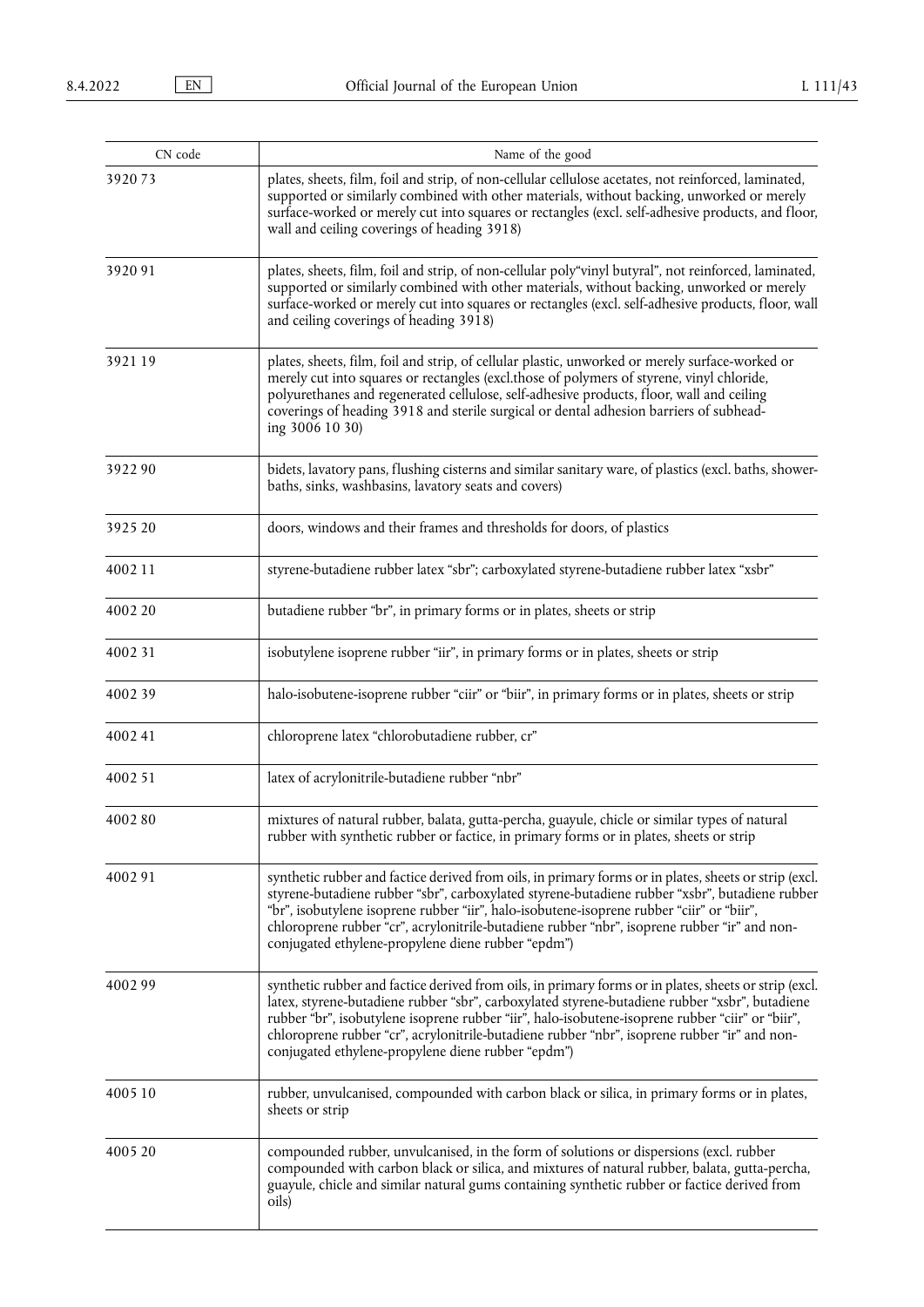| CN code | Name of the good                                                                                                                                                                                                                                                                                                                                                                                                                                                  |
|---------|-------------------------------------------------------------------------------------------------------------------------------------------------------------------------------------------------------------------------------------------------------------------------------------------------------------------------------------------------------------------------------------------------------------------------------------------------------------------|
| 392073  | plates, sheets, film, foil and strip, of non-cellular cellulose acetates, not reinforced, laminated,<br>supported or similarly combined with other materials, without backing, unworked or merely<br>surface-worked or merely cut into squares or rectangles (excl. self-adhesive products, and floor,<br>wall and ceiling coverings of heading 3918)                                                                                                             |
| 392091  | plates, sheets, film, foil and strip, of non-cellular poly"vinyl butyral", not reinforced, laminated,<br>supported or similarly combined with other materials, without backing, unworked or merely<br>surface-worked or merely cut into squares or rectangles (excl. self-adhesive products, floor, wall<br>and ceiling coverings of heading 3918)                                                                                                                |
| 392119  | plates, sheets, film, foil and strip, of cellular plastic, unworked or merely surface-worked or<br>merely cut into squares or rectangles (excl.those of polymers of styrene, vinyl chloride,<br>polyurethanes and regenerated cellulose, self-adhesive products, floor, wall and ceiling<br>coverings of heading 3918 and sterile surgical or dental adhesion barriers of subhead-<br>ing 3006 10 30)                                                             |
| 392290  | bidets, lavatory pans, flushing cisterns and similar sanitary ware, of plastics (excl. baths, shower-<br>baths, sinks, washbasins, lavatory seats and covers)                                                                                                                                                                                                                                                                                                     |
| 3925 20 | doors, windows and their frames and thresholds for doors, of plastics                                                                                                                                                                                                                                                                                                                                                                                             |
| 400211  | styrene-butadiene rubber latex "sbr"; carboxylated styrene-butadiene rubber latex "xsbr"                                                                                                                                                                                                                                                                                                                                                                          |
| 4002 20 | butadiene rubber "br", in primary forms or in plates, sheets or strip                                                                                                                                                                                                                                                                                                                                                                                             |
| 400231  | isobutylene isoprene rubber "iir", in primary forms or in plates, sheets or strip                                                                                                                                                                                                                                                                                                                                                                                 |
| 400239  | halo-isobutene-isoprene rubber "ciir" or "biir", in primary forms or in plates, sheets or strip                                                                                                                                                                                                                                                                                                                                                                   |
| 400241  | chloroprene latex "chlorobutadiene rubber, cr"                                                                                                                                                                                                                                                                                                                                                                                                                    |
| 4002 51 | latex of acrylonitrile-butadiene rubber "nbr"                                                                                                                                                                                                                                                                                                                                                                                                                     |
| 400280  | mixtures of natural rubber, balata, gutta-percha, guayule, chicle or similar types of natural<br>rubber with synthetic rubber or factice, in primary forms or in plates, sheets or strip                                                                                                                                                                                                                                                                          |
| 400291  | synthetic rubber and factice derived from oils, in primary forms or in plates, sheets or strip (excl.<br>styrene-butadiene rubber "sbr", carboxylated styrene-butadiene rubber "xsbr", butadiene rubber<br>"br", isobutylene isoprene rubber "iir", halo-isobutene-isoprene rubber "ciir" or "biir",<br>chloroprene rubber "cr", acrylonitrile-butadiene rubber "nbr", isoprene rubber "ir" and non-<br>conjugated ethylene-propylene diene rubber "epdm")        |
| 400299  | synthetic rubber and factice derived from oils, in primary forms or in plates, sheets or strip (excl.<br>latex, styrene-butadiene rubber "sbr", carboxylated styrene-butadiene rubber "xsbr", butadiene<br>rubber "br", isobutylene isoprene rubber "iir", halo-isobutene-isoprene rubber "ciir" or "biir",<br>chloroprene rubber "cr", acrylonitrile-butadiene rubber "nbr", isoprene rubber "ir" and non-<br>conjugated ethylene-propylene diene rubber "epdm") |
| 400510  | rubber, unvulcanised, compounded with carbon black or silica, in primary forms or in plates,<br>sheets or strip                                                                                                                                                                                                                                                                                                                                                   |
| 4005 20 | compounded rubber, unvulcanised, in the form of solutions or dispersions (excl. rubber<br>compounded with carbon black or silica, and mixtures of natural rubber, balata, gutta-percha,<br>guayule, chicle and similar natural gums containing synthetic rubber or factice derived from<br>oils)                                                                                                                                                                  |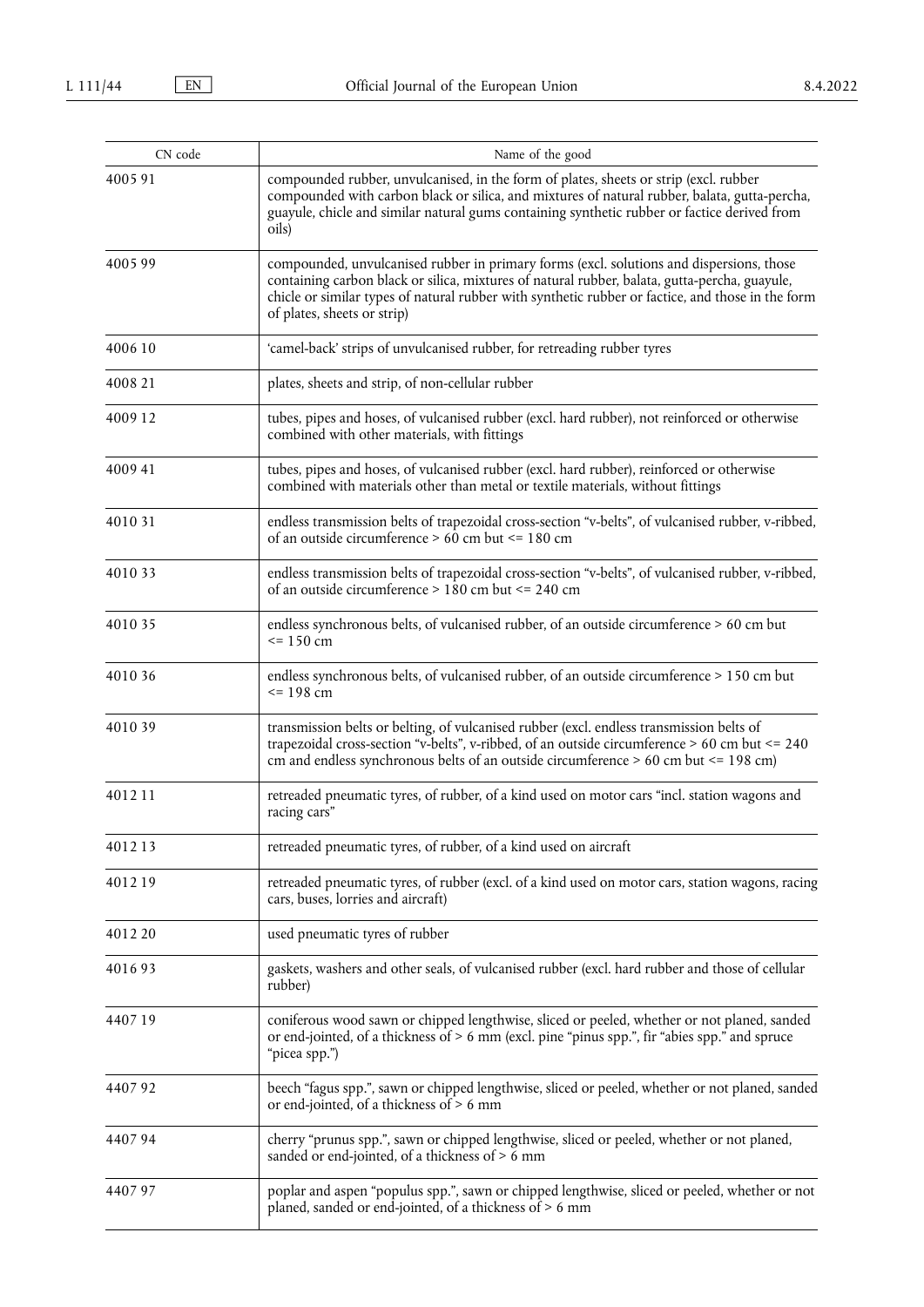| CN code | Name of the good                                                                                                                                                                                                                                                                                                              |
|---------|-------------------------------------------------------------------------------------------------------------------------------------------------------------------------------------------------------------------------------------------------------------------------------------------------------------------------------|
| 400591  | compounded rubber, unvulcanised, in the form of plates, sheets or strip (excl. rubber<br>compounded with carbon black or silica, and mixtures of natural rubber, balata, gutta-percha,<br>guayule, chicle and similar natural gums containing synthetic rubber or factice derived from<br>oils)                               |
| 400599  | compounded, unvulcanised rubber in primary forms (excl. solutions and dispersions, those<br>containing carbon black or silica, mixtures of natural rubber, balata, gutta-percha, guayule,<br>chicle or similar types of natural rubber with synthetic rubber or factice, and those in the form<br>of plates, sheets or strip) |
| 400610  | 'camel-back' strips of unvulcanised rubber, for retreading rubber tyres                                                                                                                                                                                                                                                       |
| 4008 21 | plates, sheets and strip, of non-cellular rubber                                                                                                                                                                                                                                                                              |
| 400912  | tubes, pipes and hoses, of vulcanised rubber (excl. hard rubber), not reinforced or otherwise<br>combined with other materials, with fittings                                                                                                                                                                                 |
| 400941  | tubes, pipes and hoses, of vulcanised rubber (excl. hard rubber), reinforced or otherwise<br>combined with materials other than metal or textile materials, without fittings                                                                                                                                                  |
| 401031  | endless transmission belts of trapezoidal cross-section "v-belts", of vulcanised rubber, v-ribbed,<br>of an outside circumference > 60 cm but <= 180 cm                                                                                                                                                                       |
| 401033  | endless transmission belts of trapezoidal cross-section "v-belts", of vulcanised rubber, v-ribbed,<br>of an outside circumference > 180 cm but <= 240 cm                                                                                                                                                                      |
| 401035  | endless synchronous belts, of vulcanised rubber, of an outside circumference > 60 cm but<br>$= 150$ cm                                                                                                                                                                                                                        |
| 401036  | endless synchronous belts, of vulcanised rubber, of an outside circumference > 150 cm but<br>$= 198$ cm                                                                                                                                                                                                                       |
| 401039  | transmission belts or belting, of vulcanised rubber (excl. endless transmission belts of<br>trapezoidal cross-section "v-belts", v-ribbed, of an outside circumference > 60 cm but <= 240<br>cm and endless synchronous belts of an outside circumference $> 60$ cm but $\le$ = 198 cm)                                       |
| 401211  | retreaded pneumatic tyres, of rubber, of a kind used on motor cars "incl. station wagons and<br>racing cars"                                                                                                                                                                                                                  |
| 401213  | retreaded pneumatic tyres, of rubber, of a kind used on aircraft                                                                                                                                                                                                                                                              |
| 401219  | retreaded pneumatic tyres, of rubber (excl. of a kind used on motor cars, station wagons, racing<br>cars, buses, lorries and aircraft)                                                                                                                                                                                        |
| 401220  | used pneumatic tyres of rubber                                                                                                                                                                                                                                                                                                |
| 401693  | gaskets, washers and other seals, of vulcanised rubber (excl. hard rubber and those of cellular<br>rubber)                                                                                                                                                                                                                    |
| 440719  | coniferous wood sawn or chipped lengthwise, sliced or peeled, whether or not planed, sanded<br>or end-jointed, of a thickness of > 6 mm (excl. pine "pinus spp.", fir "abies spp." and spruce<br>"picea spp.")                                                                                                                |
| 440792  | beech "fagus spp.", sawn or chipped lengthwise, sliced or peeled, whether or not planed, sanded<br>or end-jointed, of a thickness of > 6 mm                                                                                                                                                                                   |
| 440794  | cherry "prunus spp.", sawn or chipped lengthwise, sliced or peeled, whether or not planed,<br>sanded or end-jointed, of a thickness of > 6 mm                                                                                                                                                                                 |
| 440797  | poplar and aspen "populus spp.", sawn or chipped lengthwise, sliced or peeled, whether or not<br>planed, sanded or end-jointed, of a thickness of > 6 mm                                                                                                                                                                      |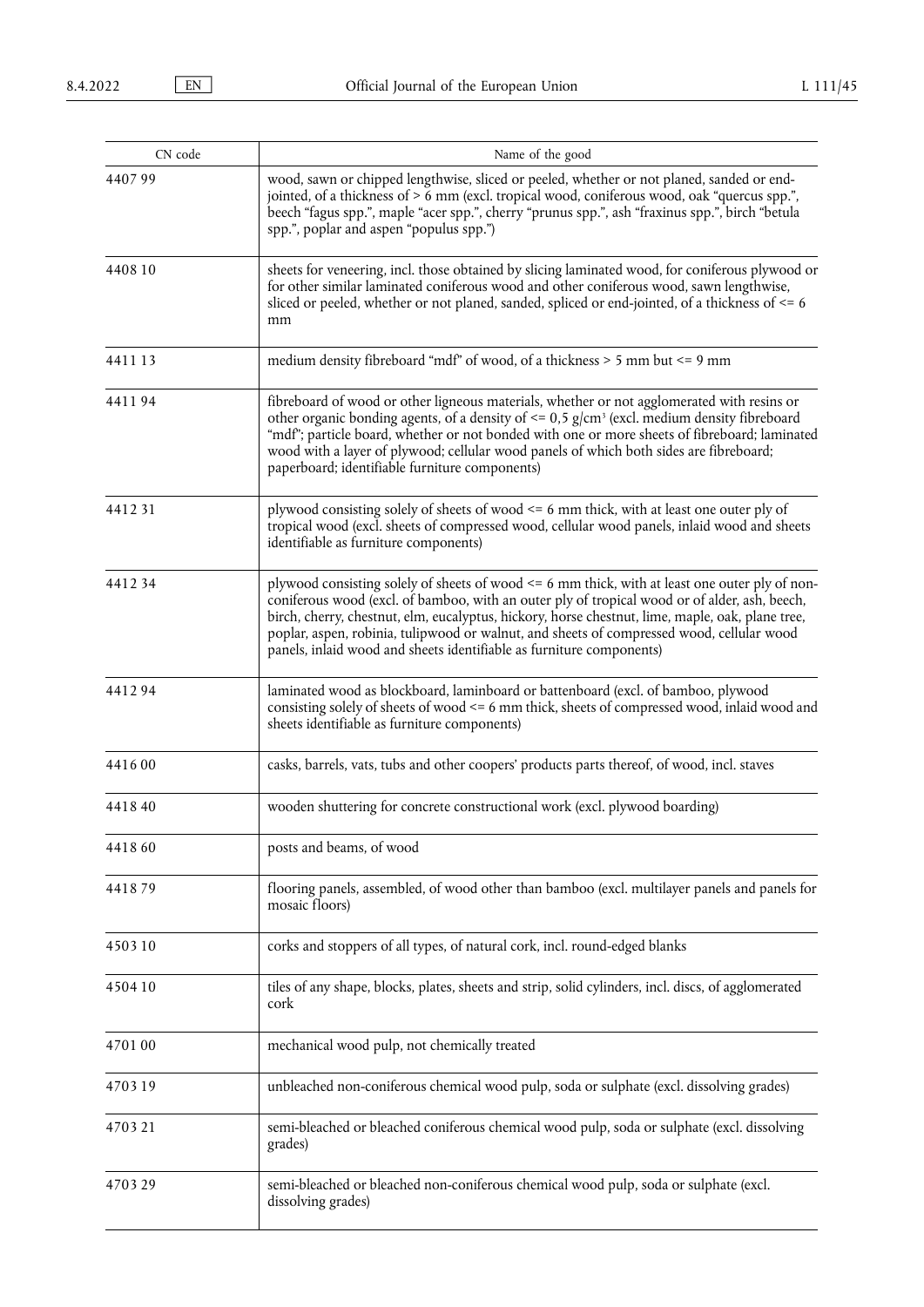| CN code | Name of the good                                                                                                                                                                                                                                                                                                                                                                                                                                                         |
|---------|--------------------------------------------------------------------------------------------------------------------------------------------------------------------------------------------------------------------------------------------------------------------------------------------------------------------------------------------------------------------------------------------------------------------------------------------------------------------------|
| 440799  | wood, sawn or chipped lengthwise, sliced or peeled, whether or not planed, sanded or end-<br>jointed, of a thickness of > 6 mm (excl. tropical wood, coniferous wood, oak "quercus spp.",<br>beech "fagus spp.", maple "acer spp.", cherry "prunus spp.", ash "fraxinus spp.", birch "betula<br>spp.", poplar and aspen "populus spp.")                                                                                                                                  |
| 440810  | sheets for veneering, incl. those obtained by slicing laminated wood, for coniferous plywood or<br>for other similar laminated coniferous wood and other coniferous wood, sawn lengthwise,<br>sliced or peeled, whether or not planed, sanded, spliced or end-jointed, of a thickness of <= 6<br>mm                                                                                                                                                                      |
| 441113  | medium density fibreboard "mdf" of wood, of a thickness > 5 mm but <= 9 mm                                                                                                                                                                                                                                                                                                                                                                                               |
| 441194  | fibreboard of wood or other ligneous materials, whether or not agglomerated with resins or<br>other organic bonding agents, of a density of $\leq$ 0,5 g/cm <sup>3</sup> (excl. medium density fibreboard<br>"mdf"; particle board, whether or not bonded with one or more sheets of fibreboard; laminated<br>wood with a layer of plywood; cellular wood panels of which both sides are fibreboard;<br>paperboard; identifiable furniture components)                   |
| 441231  | plywood consisting solely of sheets of wood <= 6 mm thick, with at least one outer ply of<br>tropical wood (excl. sheets of compressed wood, cellular wood panels, inlaid wood and sheets<br>identifiable as furniture components)                                                                                                                                                                                                                                       |
| 441234  | plywood consisting solely of sheets of wood <= 6 mm thick, with at least one outer ply of non-<br>coniferous wood (excl. of bamboo, with an outer ply of tropical wood or of alder, ash, beech,<br>birch, cherry, chestnut, elm, eucalyptus, hickory, horse chestnut, lime, maple, oak, plane tree,<br>poplar, aspen, robinia, tulipwood or walnut, and sheets of compressed wood, cellular wood<br>panels, inlaid wood and sheets identifiable as furniture components) |
| 441294  | laminated wood as blockboard, laminboard or battenboard (excl. of bamboo, plywood<br>consisting solely of sheets of wood <= 6 mm thick, sheets of compressed wood, inlaid wood and<br>sheets identifiable as furniture components)                                                                                                                                                                                                                                       |
| 4416 00 | casks, barrels, vats, tubs and other coopers' products parts thereof, of wood, incl. staves                                                                                                                                                                                                                                                                                                                                                                              |
| 441840  | wooden shuttering for concrete constructional work (excl. plywood boarding)                                                                                                                                                                                                                                                                                                                                                                                              |
| 441860  | posts and beams, of wood                                                                                                                                                                                                                                                                                                                                                                                                                                                 |
| 441879  | flooring panels, assembled, of wood other than bamboo (excl. multilayer panels and panels for<br>mosaic floors)                                                                                                                                                                                                                                                                                                                                                          |
| 450310  | corks and stoppers of all types, of natural cork, incl. round-edged blanks                                                                                                                                                                                                                                                                                                                                                                                               |
| 450410  | tiles of any shape, blocks, plates, sheets and strip, solid cylinders, incl. discs, of agglomerated<br>cork                                                                                                                                                                                                                                                                                                                                                              |
| 470100  | mechanical wood pulp, not chemically treated                                                                                                                                                                                                                                                                                                                                                                                                                             |
| 470319  | unbleached non-coniferous chemical wood pulp, soda or sulphate (excl. dissolving grades)                                                                                                                                                                                                                                                                                                                                                                                 |
| 470321  | semi-bleached or bleached coniferous chemical wood pulp, soda or sulphate (excl. dissolving<br>grades)                                                                                                                                                                                                                                                                                                                                                                   |
| 470329  | semi-bleached or bleached non-coniferous chemical wood pulp, soda or sulphate (excl.<br>dissolving grades)                                                                                                                                                                                                                                                                                                                                                               |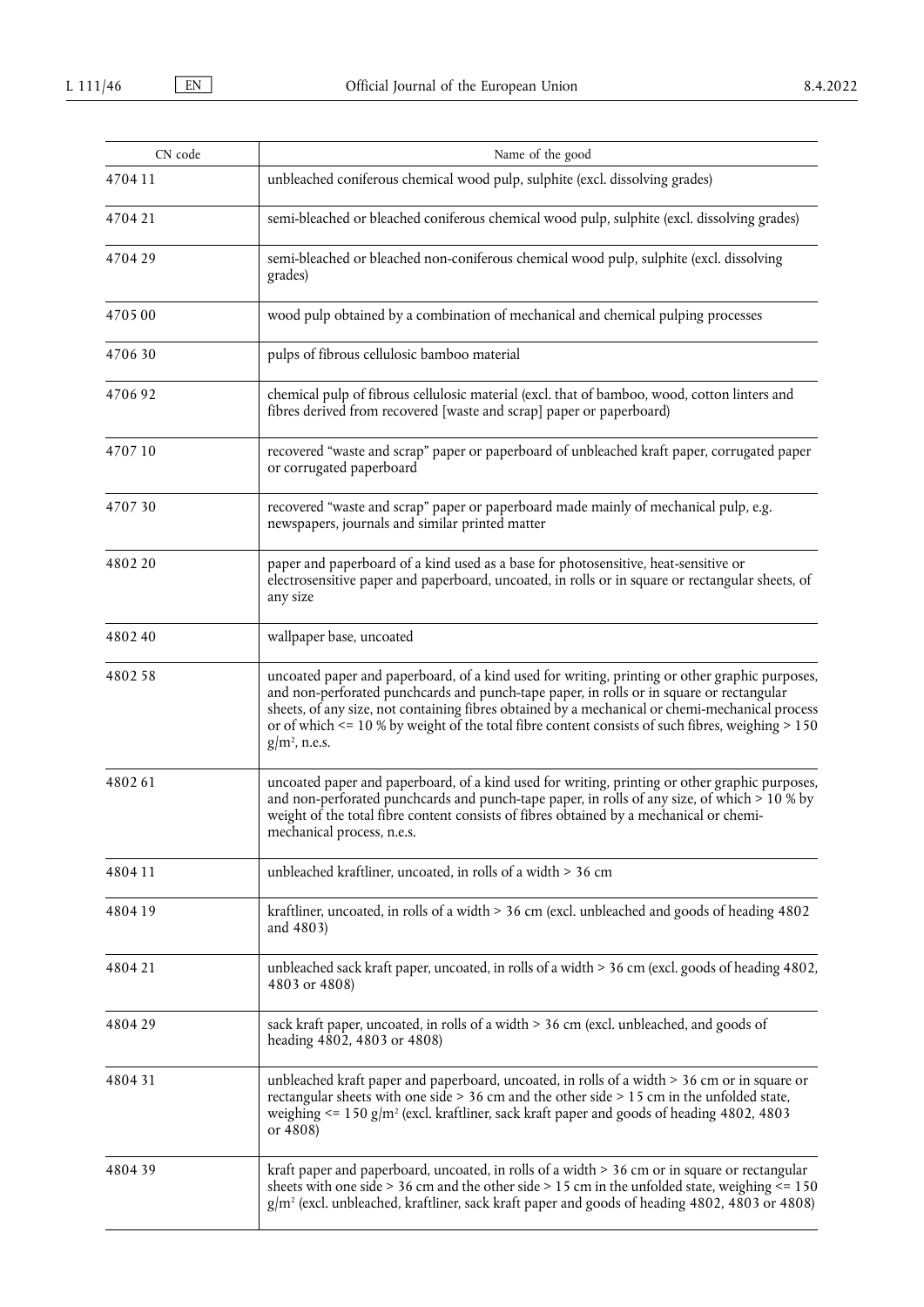| CN code | Name of the good                                                                                                                                                                                                                                                                                                                                                                                                      |
|---------|-----------------------------------------------------------------------------------------------------------------------------------------------------------------------------------------------------------------------------------------------------------------------------------------------------------------------------------------------------------------------------------------------------------------------|
| 470411  | unbleached coniferous chemical wood pulp, sulphite (excl. dissolving grades)                                                                                                                                                                                                                                                                                                                                          |
| 470421  | semi-bleached or bleached coniferous chemical wood pulp, sulphite (excl. dissolving grades)                                                                                                                                                                                                                                                                                                                           |
| 470429  | semi-bleached or bleached non-coniferous chemical wood pulp, sulphite (excl. dissolving<br>grades)                                                                                                                                                                                                                                                                                                                    |
| 470500  | wood pulp obtained by a combination of mechanical and chemical pulping processes                                                                                                                                                                                                                                                                                                                                      |
| 470630  | pulps of fibrous cellulosic bamboo material                                                                                                                                                                                                                                                                                                                                                                           |
| 470692  | chemical pulp of fibrous cellulosic material (excl. that of bamboo, wood, cotton linters and<br>fibres derived from recovered [waste and scrap] paper or paperboard)                                                                                                                                                                                                                                                  |
| 470710  | recovered "waste and scrap" paper or paperboard of unbleached kraft paper, corrugated paper<br>or corrugated paperboard                                                                                                                                                                                                                                                                                               |
| 470730  | recovered "waste and scrap" paper or paperboard made mainly of mechanical pulp, e.g.<br>newspapers, journals and similar printed matter                                                                                                                                                                                                                                                                               |
| 4802 20 | paper and paperboard of a kind used as a base for photosensitive, heat-sensitive or<br>electrosensitive paper and paperboard, uncoated, in rolls or in square or rectangular sheets, of<br>any size                                                                                                                                                                                                                   |
| 480240  | wallpaper base, uncoated                                                                                                                                                                                                                                                                                                                                                                                              |
| 480258  | uncoated paper and paperboard, of a kind used for writing, printing or other graphic purposes,<br>and non-perforated punchcards and punch-tape paper, in rolls or in square or rectangular<br>sheets, of any size, not containing fibres obtained by a mechanical or chemi-mechanical process<br>or of which <= 10 % by weight of the total fibre content consists of such fibres, weighing > 150<br>$g/m^2$ , n.e.s. |
| 480261  | uncoated paper and paperboard, of a kind used for writing, printing or other graphic purposes,<br>and non-perforated punchcards and punch-tape paper, in rolls of any size, of which > 10 % by<br>weight of the total fibre content consists of fibres obtained by a mechanical or chemi-<br>mechanical process, n.e.s.                                                                                               |
| 480411  | unbleached kraftliner, uncoated, in rolls of a width $> 36$ cm                                                                                                                                                                                                                                                                                                                                                        |
| 480419  | kraftliner, uncoated, in rolls of a width > 36 cm (excl. unbleached and goods of heading 4802<br>and 4803)                                                                                                                                                                                                                                                                                                            |
| 480421  | unbleached sack kraft paper, uncoated, in rolls of a width > 36 cm (excl. goods of heading 4802,<br>4803 or 4808)                                                                                                                                                                                                                                                                                                     |
| 480429  | sack kraft paper, uncoated, in rolls of a width > 36 cm (excl. unbleached, and goods of<br>heading 4802, 4803 or 4808)                                                                                                                                                                                                                                                                                                |
| 480431  | unbleached kraft paper and paperboard, uncoated, in rolls of a width > 36 cm or in square or<br>rectangular sheets with one side > 36 cm and the other side > 15 cm in the unfolded state,<br>weighing $\leq$ 150 g/m <sup>2</sup> (excl. kraftliner, sack kraft paper and goods of heading 4802, 4803<br>or $4808$ )                                                                                                 |
| 480439  | kraft paper and paperboard, uncoated, in rolls of a width > 36 cm or in square or rectangular<br>sheets with one side $> 36$ cm and the other side $> 15$ cm in the unfolded state, weighing $\leq 150$<br>$g/m2$ (excl. unbleached, kraftliner, sack kraft paper and goods of heading 4802, 4803 or 4808)                                                                                                            |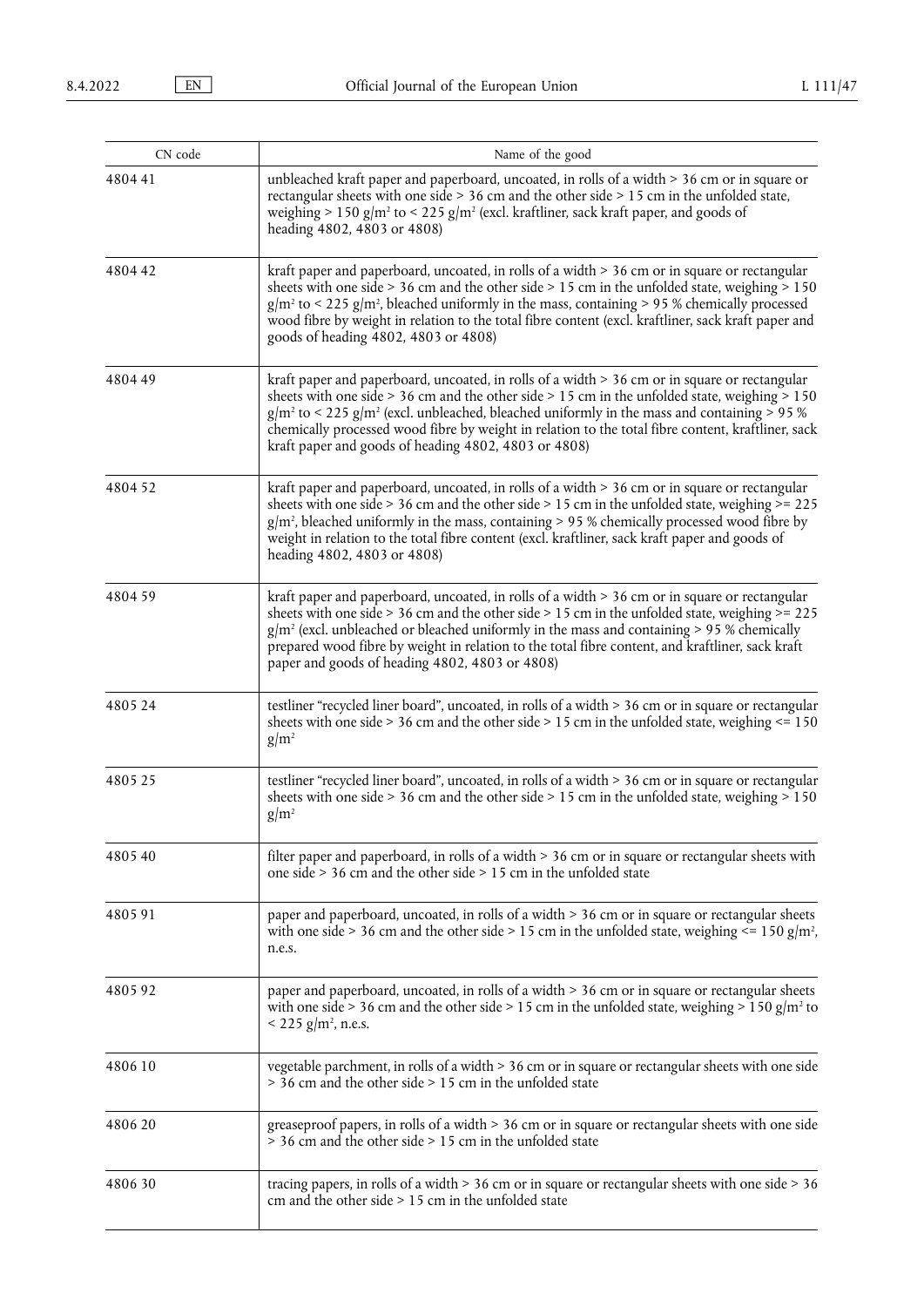| CN code | Name of the good                                                                                                                                                                                                                                                                                                                                                                                                                                                                |
|---------|---------------------------------------------------------------------------------------------------------------------------------------------------------------------------------------------------------------------------------------------------------------------------------------------------------------------------------------------------------------------------------------------------------------------------------------------------------------------------------|
| 4804 41 | unbleached kraft paper and paperboard, uncoated, in rolls of a width > 36 cm or in square or<br>rectangular sheets with one side > 36 cm and the other side > 15 cm in the unfolded state,<br>weighing > 150 g/m <sup>2</sup> to < 225 g/m <sup>2</sup> (excl. kraftliner, sack kraft paper, and goods of<br>heading 4802, 4803 or 4808)                                                                                                                                        |
| 480442  | kraft paper and paperboard, uncoated, in rolls of a width > 36 cm or in square or rectangular<br>sheets with one side $> 36$ cm and the other side $> 15$ cm in the unfolded state, weighing $> 150$<br>$g/m^2$ to < 225 g/m <sup>2</sup> , bleached uniformly in the mass, containing > 95 % chemically processed<br>wood fibre by weight in relation to the total fibre content (excl. kraftliner, sack kraft paper and<br>goods of heading 4802, 4803 or 4808)               |
| 480449  | kraft paper and paperboard, uncoated, in rolls of a width > 36 cm or in square or rectangular<br>sheets with one side $> 36$ cm and the other side $> 15$ cm in the unfolded state, weighing $> 150$<br>$g/m^2$ to < 225 g/m <sup>2</sup> (excl. unbleached, bleached uniformly in the mass and containing > 95 %<br>chemically processed wood fibre by weight in relation to the total fibre content, kraftliner, sack<br>kraft paper and goods of heading 4802, 4803 or 4808) |
| 480452  | kraft paper and paperboard, uncoated, in rolls of a width > 36 cm or in square or rectangular<br>sheets with one side $> 36$ cm and the other side $> 15$ cm in the unfolded state, weighing $>= 225$<br>$g/m^2$ , bleached uniformly in the mass, containing > 95 % chemically processed wood fibre by<br>weight in relation to the total fibre content (excl. kraftliner, sack kraft paper and goods of<br>heading 4802, 4803 or 4808)                                        |
| 4804 59 | kraft paper and paperboard, uncoated, in rolls of a width > 36 cm or in square or rectangular<br>sheets with one side $> 36$ cm and the other side $> 15$ cm in the unfolded state, weighing $>= 225$<br>$g/m^2$ (excl. unbleached or bleached uniformly in the mass and containing > 95 % chemically<br>prepared wood fibre by weight in relation to the total fibre content, and kraftliner, sack kraft<br>paper and goods of heading 4802, 4803 or 4808)                     |
| 480524  | testliner "recycled liner board", uncoated, in rolls of a width > 36 cm or in square or rectangular<br>sheets with one side > 36 cm and the other side > 15 cm in the unfolded state, weighing <= $150$<br>$g/m^2$                                                                                                                                                                                                                                                              |
| 480525  | testliner "recycled liner board", uncoated, in rolls of a width > 36 cm or in square or rectangular<br>sheets with one side $> 36$ cm and the other side $> 15$ cm in the unfolded state, weighing $> 150$<br>$g/m^2$                                                                                                                                                                                                                                                           |
| 4805 40 | filter paper and paperboard, in rolls of a width > 36 cm or in square or rectangular sheets with<br>one side > 36 cm and the other side > 15 cm in the unfolded state                                                                                                                                                                                                                                                                                                           |
| 480591  | paper and paperboard, uncoated, in rolls of a width > 36 cm or in square or rectangular sheets<br>with one side > 36 cm and the other side > 15 cm in the unfolded state, weighing $\le$ 150 g/m <sup>2</sup> ,<br>n.e.s.                                                                                                                                                                                                                                                       |
| 480592  | paper and paperboard, uncoated, in rolls of a width > 36 cm or in square or rectangular sheets<br>with one side > 36 cm and the other side > 15 cm in the unfolded state, weighing > 150 g/m <sup>2</sup> to<br>$<$ 225 g/m <sup>2</sup> , n.e.s.                                                                                                                                                                                                                               |
| 480610  | vegetable parchment, in rolls of a width > 36 cm or in square or rectangular sheets with one side<br>> 36 cm and the other side > 15 cm in the unfolded state                                                                                                                                                                                                                                                                                                                   |
| 480620  | greaseproof papers, in rolls of a width > 36 cm or in square or rectangular sheets with one side<br>> 36 cm and the other side > 15 cm in the unfolded state                                                                                                                                                                                                                                                                                                                    |
| 480630  | tracing papers, in rolls of a width > 36 cm or in square or rectangular sheets with one side > 36<br>cm and the other side > 15 cm in the unfolded state                                                                                                                                                                                                                                                                                                                        |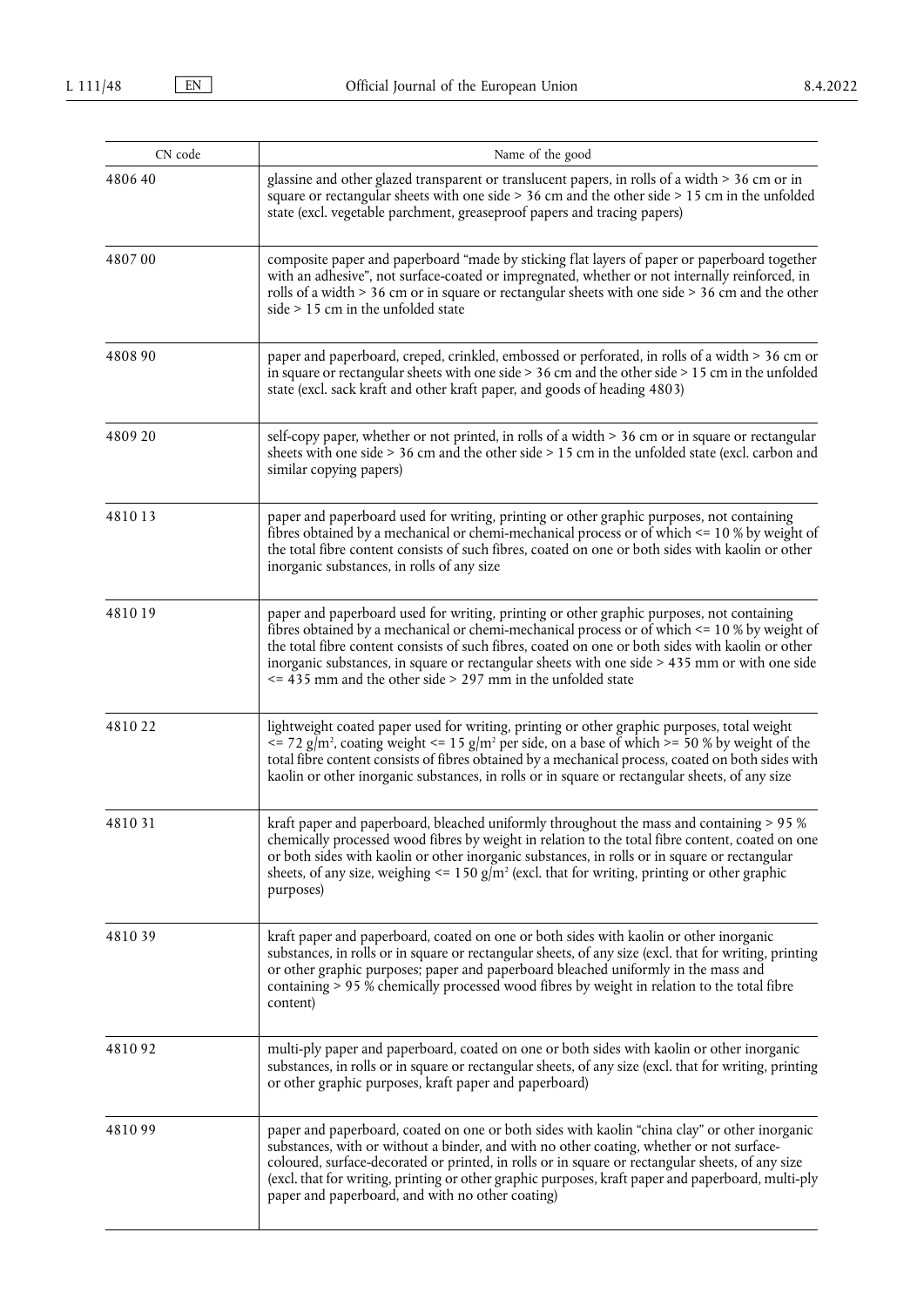| CN code | Name of the good                                                                                                                                                                                                                                                                                                                                                                                                                                                             |
|---------|------------------------------------------------------------------------------------------------------------------------------------------------------------------------------------------------------------------------------------------------------------------------------------------------------------------------------------------------------------------------------------------------------------------------------------------------------------------------------|
| 480640  | glassine and other glazed transparent or translucent papers, in rolls of a width > 36 cm or in<br>square or rectangular sheets with one side $> 36$ cm and the other side $> 15$ cm in the unfolded<br>state (excl. vegetable parchment, greaseproof papers and tracing papers)                                                                                                                                                                                              |
| 480700  | composite paper and paperboard "made by sticking flat layers of paper or paperboard together<br>with an adhesive", not surface-coated or impregnated, whether or not internally reinforced, in<br>rolls of a width > 36 cm or in square or rectangular sheets with one side > 36 cm and the other<br>side > 15 cm in the unfolded state                                                                                                                                      |
| 480890  | paper and paperboard, creped, crinkled, embossed or perforated, in rolls of a width > 36 cm or<br>in square or rectangular sheets with one side $> 36$ cm and the other side $> 15$ cm in the unfolded<br>state (excl. sack kraft and other kraft paper, and goods of heading 4803)                                                                                                                                                                                          |
| 4809 20 | self-copy paper, whether or not printed, in rolls of a width > 36 cm or in square or rectangular<br>sheets with one side > 36 cm and the other side > 15 cm in the unfolded state (excl. carbon and<br>similar copying papers)                                                                                                                                                                                                                                               |
| 481013  | paper and paperboard used for writing, printing or other graphic purposes, not containing<br>fibres obtained by a mechanical or chemi-mechanical process or of which <= 10 % by weight of<br>the total fibre content consists of such fibres, coated on one or both sides with kaolin or other<br>inorganic substances, in rolls of any size                                                                                                                                 |
| 481019  | paper and paperboard used for writing, printing or other graphic purposes, not containing<br>fibres obtained by a mechanical or chemi-mechanical process or of which $\leq 10\%$ by weight of<br>the total fibre content consists of such fibres, coated on one or both sides with kaolin or other<br>inorganic substances, in square or rectangular sheets with one side > 435 mm or with one side<br>$\epsilon$ = 435 mm and the other side > 297 mm in the unfolded state |
| 481022  | lightweight coated paper used for writing, printing or other graphic purposes, total weight<br>$\epsilon$ = 72 g/m <sup>2</sup> , coating weight $\epsilon$ = 15 g/m <sup>2</sup> per side, on a base of which > = 50 % by weight of the<br>total fibre content consists of fibres obtained by a mechanical process, coated on both sides with<br>kaolin or other inorganic substances, in rolls or in square or rectangular sheets, of any size                             |
| 481031  | kraft paper and paperboard, bleached uniformly throughout the mass and containing > 95 %<br>chemically processed wood fibres by weight in relation to the total fibre content, coated on one<br>or both sides with kaolin or other inorganic substances, in rolls or in square or rectangular<br>sheets, of any size, weighing $\leq$ 150 g/m <sup>2</sup> (excl. that for writing, printing or other graphic<br>purposes)                                                   |
| 481039  | kraft paper and paperboard, coated on one or both sides with kaolin or other inorganic<br>substances, in rolls or in square or rectangular sheets, of any size (excl. that for writing, printing<br>or other graphic purposes; paper and paperboard bleached uniformly in the mass and<br>containing > 95 % chemically processed wood fibres by weight in relation to the total fibre<br>content)                                                                            |
| 481092  | multi-ply paper and paperboard, coated on one or both sides with kaolin or other inorganic<br>substances, in rolls or in square or rectangular sheets, of any size (excl. that for writing, printing<br>or other graphic purposes, kraft paper and paperboard)                                                                                                                                                                                                               |
| 481099  | paper and paperboard, coated on one or both sides with kaolin "china clay" or other inorganic<br>substances, with or without a binder, and with no other coating, whether or not surface-<br>coloured, surface-decorated or printed, in rolls or in square or rectangular sheets, of any size<br>(excl. that for writing, printing or other graphic purposes, kraft paper and paperboard, multi-ply<br>paper and paperboard, and with no other coating)                      |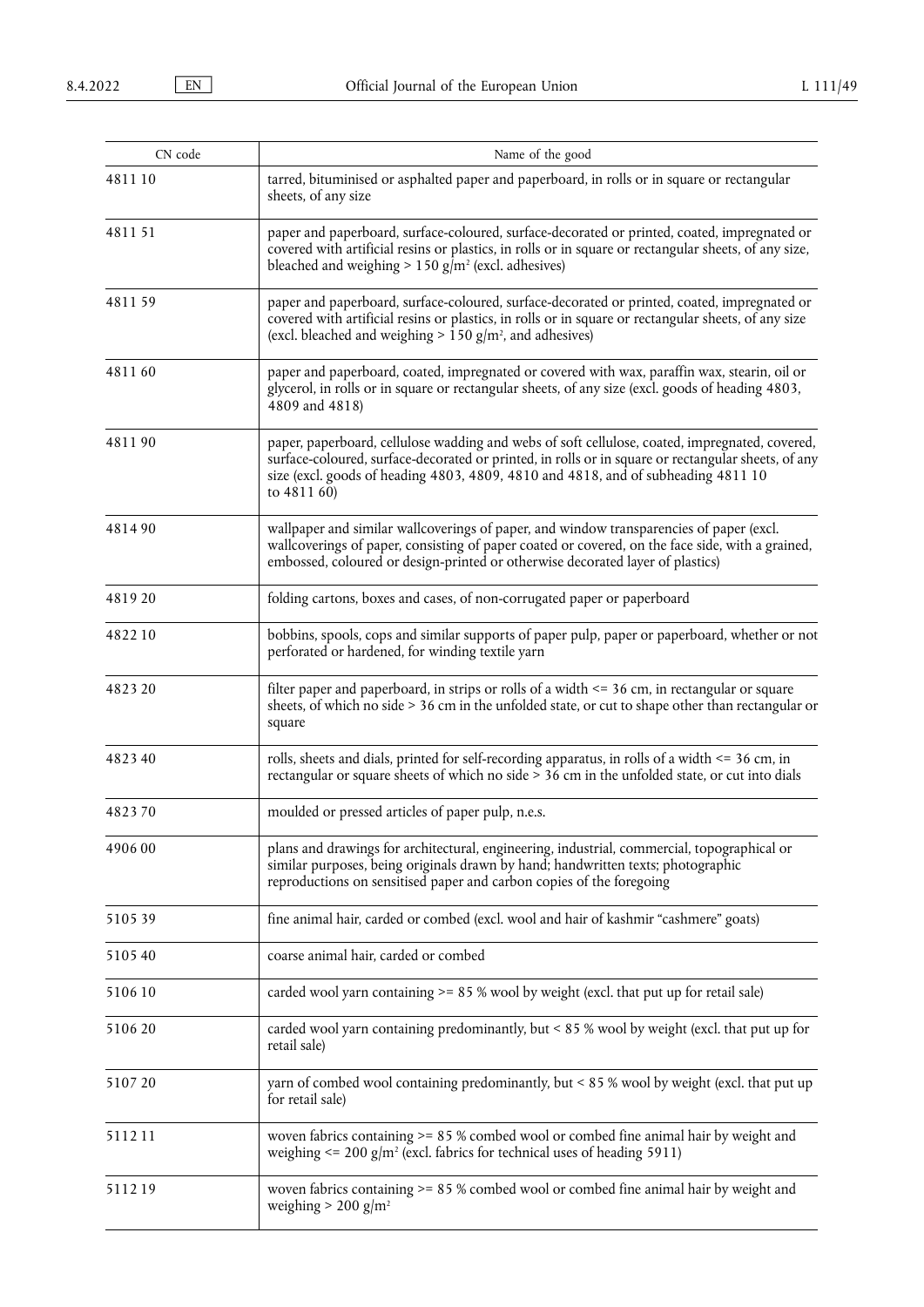| CN code | Name of the good                                                                                                                                                                                                                                                                                          |
|---------|-----------------------------------------------------------------------------------------------------------------------------------------------------------------------------------------------------------------------------------------------------------------------------------------------------------|
| 481110  | tarred, bituminised or asphalted paper and paperboard, in rolls or in square or rectangular<br>sheets, of any size                                                                                                                                                                                        |
| 481151  | paper and paperboard, surface-coloured, surface-decorated or printed, coated, impregnated or<br>covered with artificial resins or plastics, in rolls or in square or rectangular sheets, of any size,<br>bleached and weighing > 150 g/m <sup>2</sup> (excl. adhesives)                                   |
| 481159  | paper and paperboard, surface-coloured, surface-decorated or printed, coated, impregnated or<br>covered with artificial resins or plastics, in rolls or in square or rectangular sheets, of any size<br>(excl. bleached and weighing $> 150$ g/m <sup>2</sup> , and adhesives)                            |
| 481160  | paper and paperboard, coated, impregnated or covered with wax, paraffin wax, stearin, oil or<br>glycerol, in rolls or in square or rectangular sheets, of any size (excl. goods of heading 4803,<br>4809 and 4818)                                                                                        |
| 481190  | paper, paperboard, cellulose wadding and webs of soft cellulose, coated, impregnated, covered,<br>surface-coloured, surface-decorated or printed, in rolls or in square or rectangular sheets, of any<br>size (excl. goods of heading 4803, 4809, 4810 and 4818, and of subheading 4811 10<br>to 4811 60) |
| 481490  | wallpaper and similar wallcoverings of paper, and window transparencies of paper (excl.<br>wallcoverings of paper, consisting of paper coated or covered, on the face side, with a grained,<br>embossed, coloured or design-printed or otherwise decorated layer of plastics)                             |
| 481920  | folding cartons, boxes and cases, of non-corrugated paper or paperboard                                                                                                                                                                                                                                   |
| 482210  | bobbins, spools, cops and similar supports of paper pulp, paper or paperboard, whether or not<br>perforated or hardened, for winding textile yarn                                                                                                                                                         |
| 482320  | filter paper and paperboard, in strips or rolls of a width $\leq$ 36 cm, in rectangular or square<br>sheets, of which no side > 36 cm in the unfolded state, or cut to shape other than rectangular or<br>square                                                                                          |
| 482340  | rolls, sheets and dials, printed for self-recording apparatus, in rolls of a width $\leq$ 36 cm, in<br>rectangular or square sheets of which no side > 36 cm in the unfolded state, or cut into dials                                                                                                     |
| 482370  | moulded or pressed articles of paper pulp, n.e.s.                                                                                                                                                                                                                                                         |
| 4906 00 | plans and drawings for architectural, engineering, industrial, commercial, topographical or<br>similar purposes, being originals drawn by hand; handwritten texts; photographic<br>reproductions on sensitised paper and carbon copies of the foregoing                                                   |
| 510539  | fine animal hair, carded or combed (excl. wool and hair of kashmir "cashmere" goats)                                                                                                                                                                                                                      |
| 5105 40 | coarse animal hair, carded or combed                                                                                                                                                                                                                                                                      |
| 5106 10 | carded wool yarn containing $> = 85$ % wool by weight (excl. that put up for retail sale)                                                                                                                                                                                                                 |
| 510620  | carded wool yarn containing predominantly, but < 85 % wool by weight (excl. that put up for<br>retail sale)                                                                                                                                                                                               |
| 510720  | yarn of combed wool containing predominantly, but < 85 % wool by weight (excl. that put up<br>for retail sale)                                                                                                                                                                                            |
| 511211  | woven fabrics containing >= 85 % combed wool or combed fine animal hair by weight and<br>weighing $\leq$ 200 g/m <sup>2</sup> (excl. fabrics for technical uses of heading 5911)                                                                                                                          |
| 511219  | woven fabrics containing >= 85 % combed wool or combed fine animal hair by weight and<br>weighing > 200 g/m <sup>2</sup>                                                                                                                                                                                  |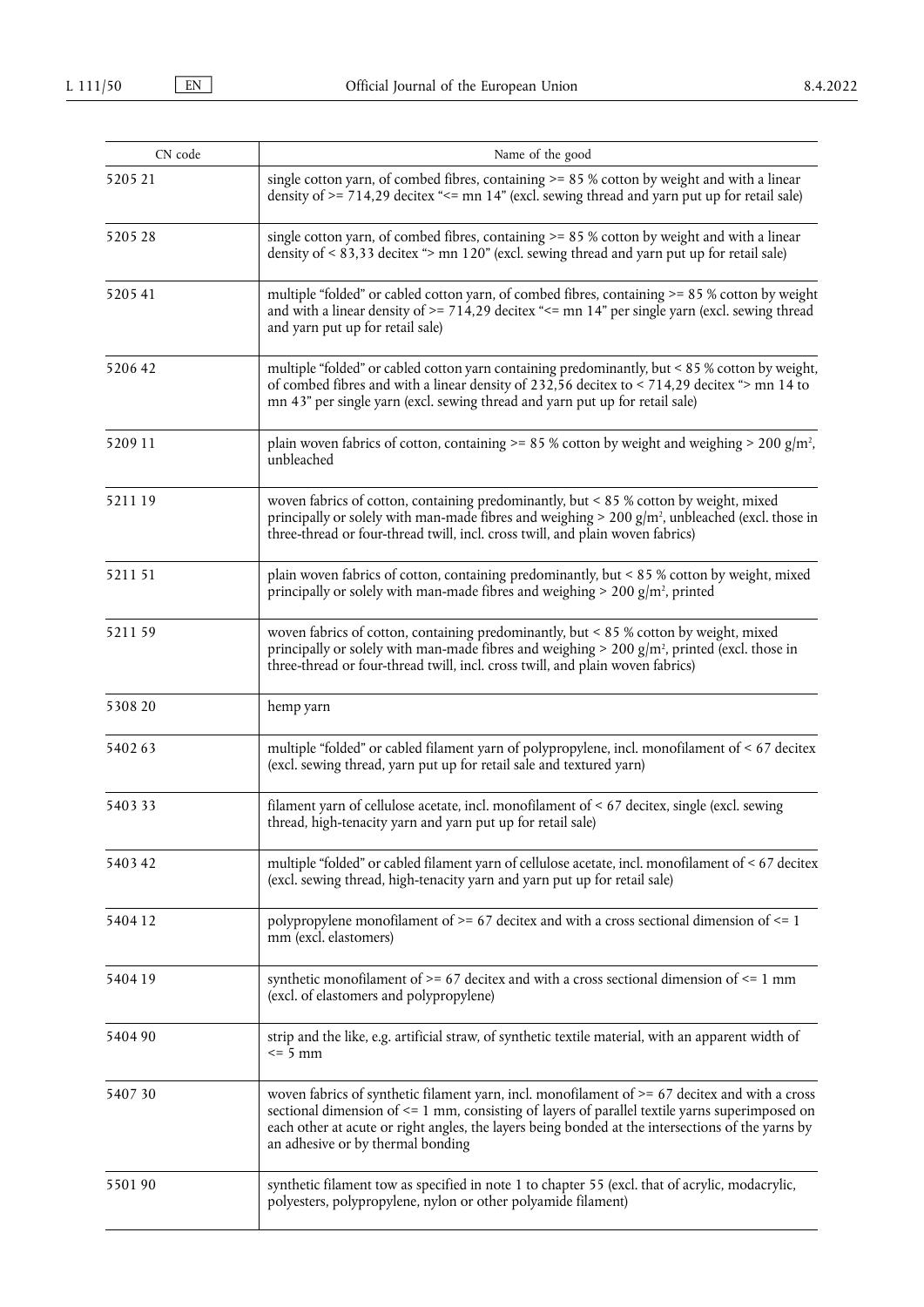| CN code | Name of the good                                                                                                                                                                                                                                                                                                                                  |
|---------|---------------------------------------------------------------------------------------------------------------------------------------------------------------------------------------------------------------------------------------------------------------------------------------------------------------------------------------------------|
| 520521  | single cotton yarn, of combed fibres, containing >= 85 % cotton by weight and with a linear<br>density of >= 714,29 decitex "<= mn 14" (excl. sewing thread and yarn put up for retail sale)                                                                                                                                                      |
| 520528  | single cotton yarn, of combed fibres, containing >= 85 % cotton by weight and with a linear<br>density of $< 83,33$ decitex "> mn 120" (excl. sewing thread and yarn put up for retail sale)                                                                                                                                                      |
| 520541  | multiple "folded" or cabled cotton yarn, of combed fibres, containing >= 85 % cotton by weight<br>and with a linear density of $\ge$ = 714,29 decitex " $\le$ mn 14" per single yarn (excl. sewing thread<br>and yarn put up for retail sale)                                                                                                     |
| 520642  | multiple "folded" or cabled cotton yarn containing predominantly, but < 85 % cotton by weight,<br>of combed fibres and with a linear density of 232,56 decitex to < 714,29 decitex "> mn 14 to<br>mn 43" per single yarn (excl. sewing thread and yarn put up for retail sale)                                                                    |
| 520911  | plain woven fabrics of cotton, containing >= 85 % cotton by weight and weighing > 200 g/m <sup>2</sup> ,<br>unbleached                                                                                                                                                                                                                            |
| 521119  | woven fabrics of cotton, containing predominantly, but < 85 % cotton by weight, mixed<br>principally or solely with man-made fibres and weighing $> 200$ g/m <sup>2</sup> , unbleached (excl. those in<br>three-thread or four-thread twill, incl. cross twill, and plain woven fabrics)                                                          |
| 521151  | plain woven fabrics of cotton, containing predominantly, but < 85 % cotton by weight, mixed<br>principally or solely with man-made fibres and weighing $> 200$ g/m <sup>2</sup> , printed                                                                                                                                                         |
| 521159  | woven fabrics of cotton, containing predominantly, but < 85 % cotton by weight, mixed<br>principally or solely with man-made fibres and weighing > 200 g/m <sup>2</sup> , printed (excl. those in<br>three-thread or four-thread twill, incl. cross twill, and plain woven fabrics)                                                               |
| 5308 20 | hemp yarn                                                                                                                                                                                                                                                                                                                                         |
| 540263  | multiple "folded" or cabled filament yarn of polypropylene, incl. monofilament of < 67 decitex<br>(excl. sewing thread, yarn put up for retail sale and textured yarn)                                                                                                                                                                            |
| 540333  | filament yarn of cellulose acetate, incl. monofilament of $\leq 67$ decitex, single (excl. sewing<br>thread, high-tenacity yarn and yarn put up for retail sale)                                                                                                                                                                                  |
| 540342  | multiple "folded" or cabled filament yarn of cellulose acetate, incl. monofilament of < 67 decitex<br>(excl. sewing thread, high-tenacity yarn and yarn put up for retail sale)                                                                                                                                                                   |
| 540412  | polypropylene monofilament of $>= 67$ decitex and with a cross sectional dimension of $<= 1$<br>mm (excl. elastomers)                                                                                                                                                                                                                             |
| 540419  | synthetic monofilament of $>= 67$ decitex and with a cross sectional dimension of $<= 1$ mm<br>(excl. of elastomers and polypropylene)                                                                                                                                                                                                            |
| 5404 90 | strip and the like, e.g. artificial straw, of synthetic textile material, with an apparent width of<br>$\epsilon$ = 5 mm                                                                                                                                                                                                                          |
| 540730  | woven fabrics of synthetic filament yarn, incl. monofilament of $> = 67$ decitex and with a cross<br>sectional dimension of $\leq$ 1 mm, consisting of layers of parallel textile yarns superimposed on<br>each other at acute or right angles, the layers being bonded at the intersections of the yarns by<br>an adhesive or by thermal bonding |
| 550190  | synthetic filament tow as specified in note 1 to chapter 55 (excl. that of acrylic, modacrylic,<br>polyesters, polypropylene, nylon or other polyamide filament)                                                                                                                                                                                  |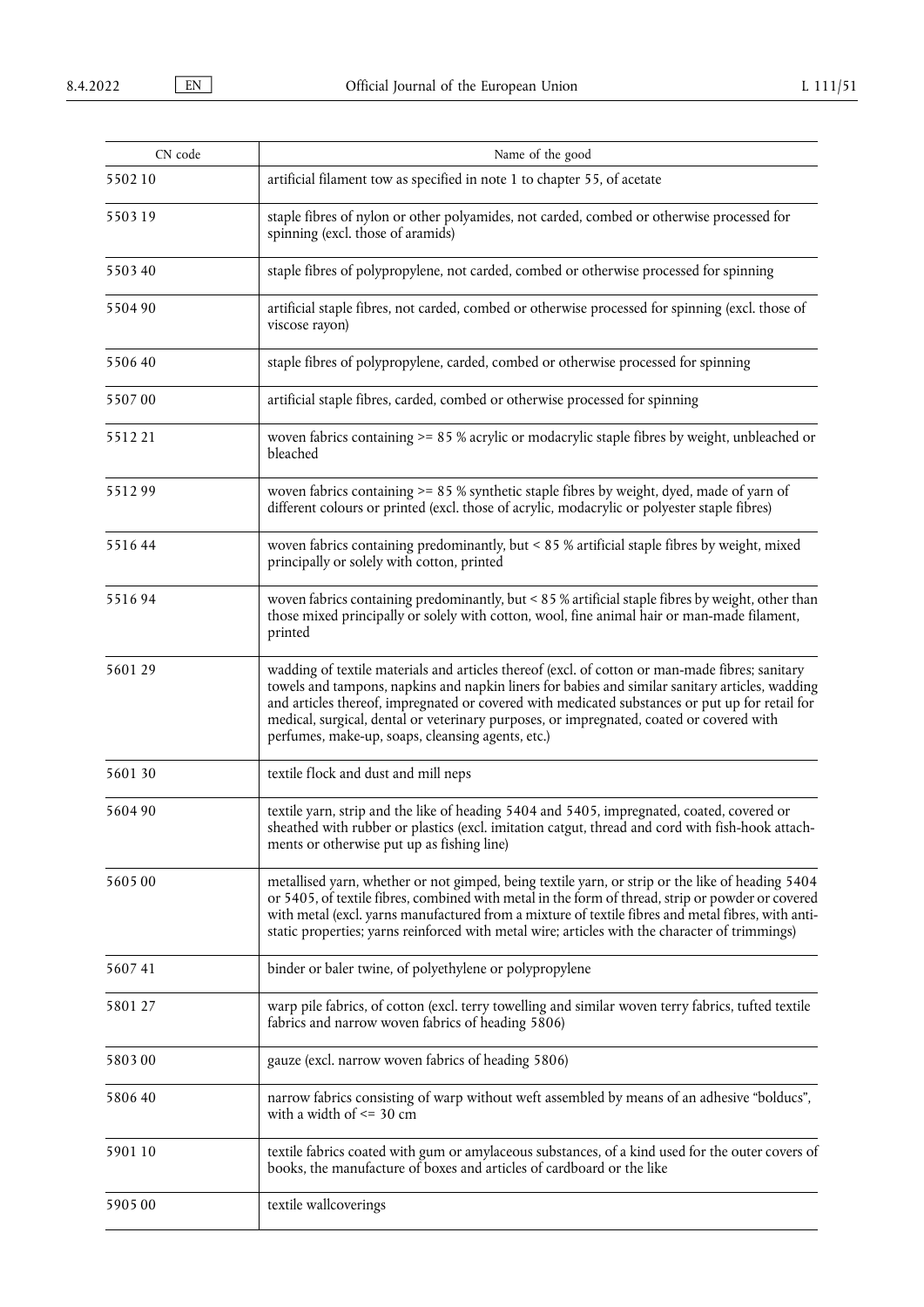| CN code | Name of the good                                                                                                                                                                                                                                                                                                                                                                                                                                       |
|---------|--------------------------------------------------------------------------------------------------------------------------------------------------------------------------------------------------------------------------------------------------------------------------------------------------------------------------------------------------------------------------------------------------------------------------------------------------------|
| 550210  | artificial filament tow as specified in note 1 to chapter 55, of acetate                                                                                                                                                                                                                                                                                                                                                                               |
| 550319  | staple fibres of nylon or other polyamides, not carded, combed or otherwise processed for<br>spinning (excl. those of aramids)                                                                                                                                                                                                                                                                                                                         |
| 550340  | staple fibres of polypropylene, not carded, combed or otherwise processed for spinning                                                                                                                                                                                                                                                                                                                                                                 |
| 550490  | artificial staple fibres, not carded, combed or otherwise processed for spinning (excl. those of<br>viscose rayon)                                                                                                                                                                                                                                                                                                                                     |
| 550640  | staple fibres of polypropylene, carded, combed or otherwise processed for spinning                                                                                                                                                                                                                                                                                                                                                                     |
| 550700  | artificial staple fibres, carded, combed or otherwise processed for spinning                                                                                                                                                                                                                                                                                                                                                                           |
| 551221  | woven fabrics containing >= 85 % acrylic or modacrylic staple fibres by weight, unbleached or<br>bleached                                                                                                                                                                                                                                                                                                                                              |
| 551299  | woven fabrics containing >= 85 % synthetic staple fibres by weight, dyed, made of yarn of<br>different colours or printed (excl. those of acrylic, modacrylic or polyester staple fibres)                                                                                                                                                                                                                                                              |
| 551644  | woven fabrics containing predominantly, but < 85 % artificial staple fibres by weight, mixed<br>principally or solely with cotton, printed                                                                                                                                                                                                                                                                                                             |
| 551694  | woven fabrics containing predominantly, but < 85 % artificial staple fibres by weight, other than<br>those mixed principally or solely with cotton, wool, fine animal hair or man-made filament,<br>printed                                                                                                                                                                                                                                            |
| 560129  | wadding of textile materials and articles thereof (excl. of cotton or man-made fibres; sanitary<br>towels and tampons, napkins and napkin liners for babies and similar sanitary articles, wadding<br>and articles thereof, impregnated or covered with medicated substances or put up for retail for<br>medical, surgical, dental or veterinary purposes, or impregnated, coated or covered with<br>perfumes, make-up, soaps, cleansing agents, etc.) |
| 560130  | textile flock and dust and mill neps                                                                                                                                                                                                                                                                                                                                                                                                                   |
| 560490  | textile yarn, strip and the like of heading 5404 and 5405, impregnated, coated, covered or<br>sheathed with rubber or plastics (excl. imitation catgut, thread and cord with fish-hook attach-<br>ments or otherwise put up as fishing line)                                                                                                                                                                                                           |
| 560500  | metallised yarn, whether or not gimped, being textile yarn, or strip or the like of heading 5404<br>or 5405, of textile fibres, combined with metal in the form of thread, strip or powder or covered<br>with metal (excl. yarns manufactured from a mixture of textile fibres and metal fibres, with anti-<br>static properties; yarns reinforced with metal wire; articles with the character of trimmings)                                          |
| 560741  | binder or baler twine, of polyethylene or polypropylene                                                                                                                                                                                                                                                                                                                                                                                                |
| 5801 27 | warp pile fabrics, of cotton (excl. terry towelling and similar woven terry fabrics, tufted textile<br>fabrics and narrow woven fabrics of heading 5806)                                                                                                                                                                                                                                                                                               |
| 580300  | gauze (excl. narrow woven fabrics of heading 5806)                                                                                                                                                                                                                                                                                                                                                                                                     |
| 580640  | narrow fabrics consisting of warp without weft assembled by means of an adhesive "bolducs",<br>with a width of $\leq$ 30 cm                                                                                                                                                                                                                                                                                                                            |
| 590110  | textile fabrics coated with gum or amylaceous substances, of a kind used for the outer covers of<br>books, the manufacture of boxes and articles of cardboard or the like                                                                                                                                                                                                                                                                              |
| 590500  | textile wallcoverings                                                                                                                                                                                                                                                                                                                                                                                                                                  |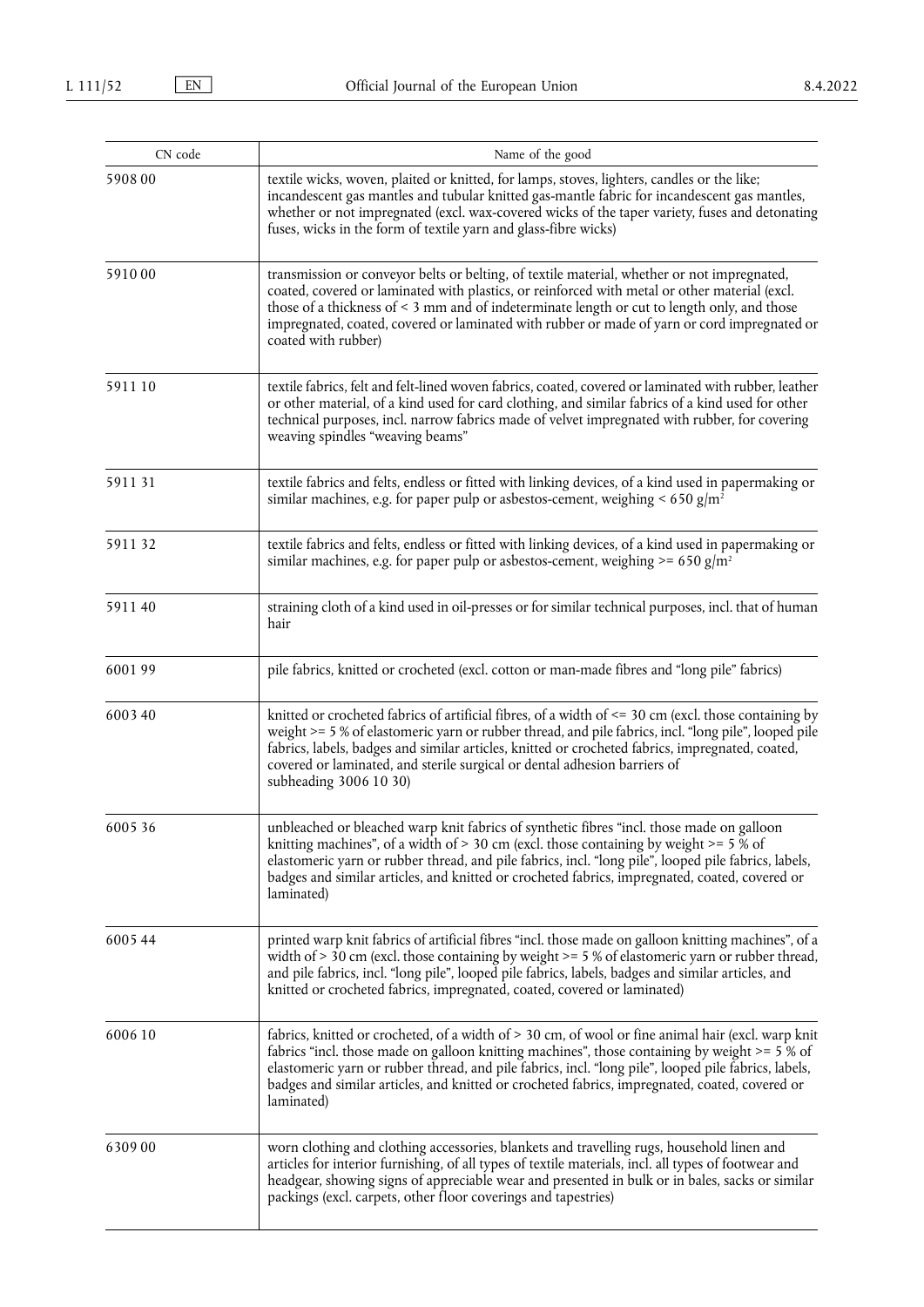| CN code | Name of the good                                                                                                                                                                                                                                                                                                                                                                                                              |
|---------|-------------------------------------------------------------------------------------------------------------------------------------------------------------------------------------------------------------------------------------------------------------------------------------------------------------------------------------------------------------------------------------------------------------------------------|
| 590800  | textile wicks, woven, plaited or knitted, for lamps, stoves, lighters, candles or the like;<br>incandescent gas mantles and tubular knitted gas-mantle fabric for incandescent gas mantles,<br>whether or not impregnated (excl. wax-covered wicks of the taper variety, fuses and detonating<br>fuses, wicks in the form of textile yarn and glass-fibre wicks)                                                              |
| 591000  | transmission or conveyor belts or belting, of textile material, whether or not impregnated,<br>coated, covered or laminated with plastics, or reinforced with metal or other material (excl.<br>those of a thickness of $\leq$ 3 mm and of indeterminate length or cut to length only, and those<br>impregnated, coated, covered or laminated with rubber or made of yarn or cord impregnated or<br>coated with rubber)       |
| 591110  | textile fabrics, felt and felt-lined woven fabrics, coated, covered or laminated with rubber, leather<br>or other material, of a kind used for card clothing, and similar fabrics of a kind used for other<br>technical purposes, incl. narrow fabrics made of velvet impregnated with rubber, for covering<br>weaving spindles "weaving beams"                                                                               |
| 591131  | textile fabrics and felts, endless or fitted with linking devices, of a kind used in papermaking or<br>similar machines, e.g. for paper pulp or asbestos-cement, weighing < $650$ g/m <sup>2</sup>                                                                                                                                                                                                                            |
| 591132  | textile fabrics and felts, endless or fitted with linking devices, of a kind used in papermaking or<br>similar machines, e.g. for paper pulp or asbestos-cement, weighing $>= 650$ g/m <sup>2</sup>                                                                                                                                                                                                                           |
| 591140  | straining cloth of a kind used in oil-presses or for similar technical purposes, incl. that of human<br>hair                                                                                                                                                                                                                                                                                                                  |
| 600199  | pile fabrics, knitted or crocheted (excl. cotton or man-made fibres and "long pile" fabrics)                                                                                                                                                                                                                                                                                                                                  |
| 600340  | knitted or crocheted fabrics of artificial fibres, of a width of $\leq$ 30 cm (excl. those containing by<br>weight >= 5 % of elastomeric yarn or rubber thread, and pile fabrics, incl. "long pile", looped pile<br>fabrics, labels, badges and similar articles, knitted or crocheted fabrics, impregnated, coated,<br>covered or laminated, and sterile surgical or dental adhesion barriers of<br>subheading 3006 10 30)   |
| 600536  | unbleached or bleached warp knit fabrics of synthetic fibres "incl. those made on galloon<br>knitting machines", of a width of $> 30$ cm (excl. those containing by weight $>= 5 % of$<br>elastomeric yarn or rubber thread, and pile fabrics, incl. "long pile", looped pile fabrics, labels,<br>badges and similar articles, and knitted or crocheted fabrics, impregnated, coated, covered or<br>laminated)                |
| 600544  | printed warp knit fabrics of artificial fibres "incl. those made on galloon knitting machines", of a<br>width of $>$ 30 cm (excl. those containing by weight $>=$ 5 % of elastomeric yarn or rubber thread,<br>and pile fabrics, incl. "long pile", looped pile fabrics, labels, badges and similar articles, and<br>knitted or crocheted fabrics, impregnated, coated, covered or laminated)                                 |
| 600610  | fabrics, knitted or crocheted, of a width of > 30 cm, of wool or fine animal hair (excl. warp knit<br>fabrics "incl. those made on galloon knitting machines", those containing by weight $>= 5\%$ of<br>elastomeric yarn or rubber thread, and pile fabrics, incl. "long pile", looped pile fabrics, labels,<br>badges and similar articles, and knitted or crocheted fabrics, impregnated, coated, covered or<br>laminated) |
| 630900  | worn clothing and clothing accessories, blankets and travelling rugs, household linen and<br>articles for interior furnishing, of all types of textile materials, incl. all types of footwear and<br>headgear, showing signs of appreciable wear and presented in bulk or in bales, sacks or similar<br>packings (excl. carpets, other floor coverings and tapestries)                                                        |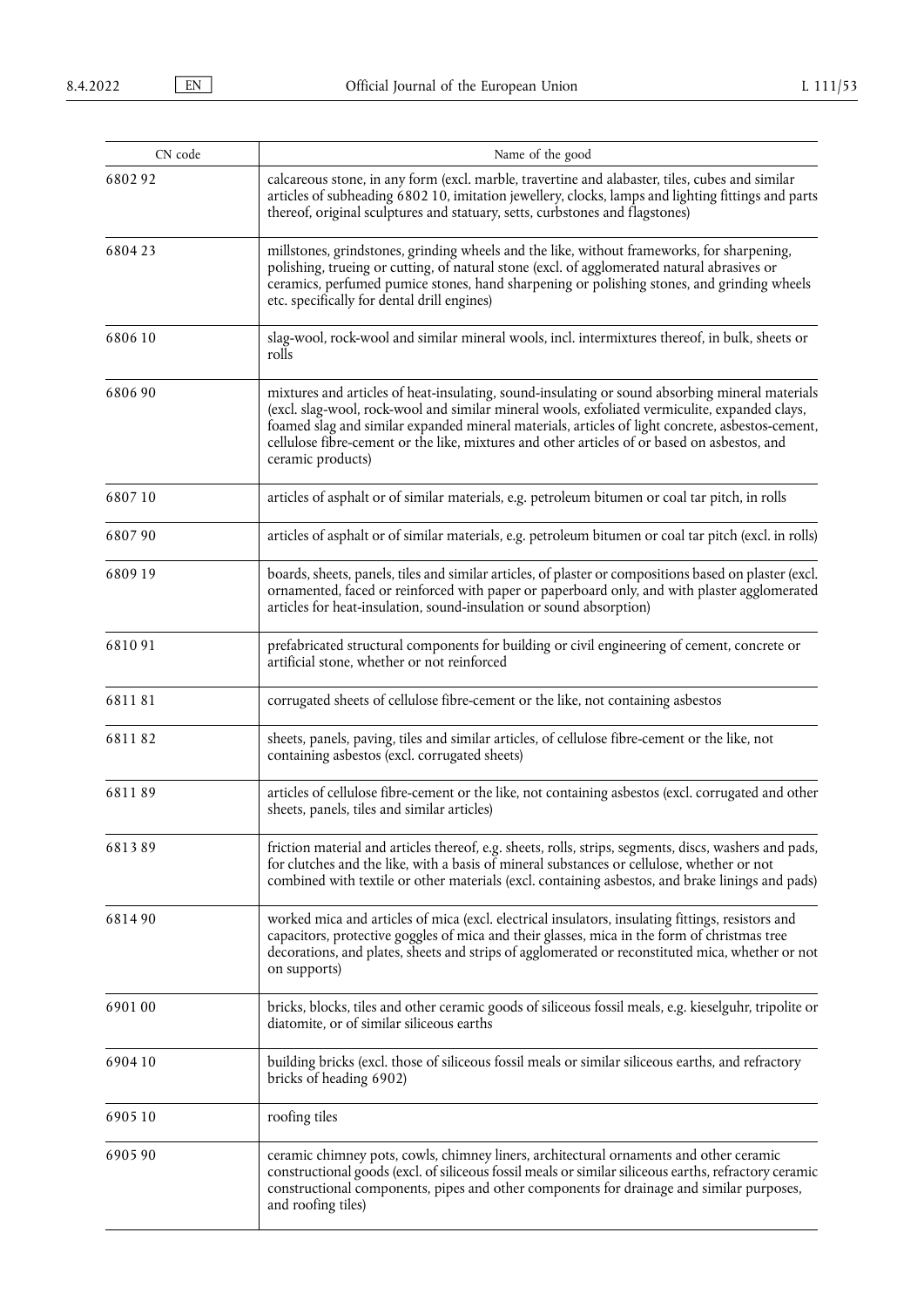| CN code | Name of the good                                                                                                                                                                                                                                                                                                                                                                                                           |
|---------|----------------------------------------------------------------------------------------------------------------------------------------------------------------------------------------------------------------------------------------------------------------------------------------------------------------------------------------------------------------------------------------------------------------------------|
| 680292  | calcareous stone, in any form (excl. marble, travertine and alabaster, tiles, cubes and similar<br>articles of subheading 6802 10, imitation jewellery, clocks, lamps and lighting fittings and parts<br>thereof, original sculptures and statuary, setts, curbstones and flagstones)                                                                                                                                      |
| 680423  | millstones, grindstones, grinding wheels and the like, without frameworks, for sharpening,<br>polishing, trueing or cutting, of natural stone (excl. of agglomerated natural abrasives or<br>ceramics, perfumed pumice stones, hand sharpening or polishing stones, and grinding wheels<br>etc. specifically for dental drill engines)                                                                                     |
| 680610  | slag-wool, rock-wool and similar mineral wools, incl. intermixtures thereof, in bulk, sheets or<br>rolls                                                                                                                                                                                                                                                                                                                   |
| 680690  | mixtures and articles of heat-insulating, sound-insulating or sound absorbing mineral materials<br>(excl. slag-wool, rock-wool and similar mineral wools, exfoliated vermiculite, expanded clays,<br>foamed slag and similar expanded mineral materials, articles of light concrete, asbestos-cement,<br>cellulose fibre-cement or the like, mixtures and other articles of or based on asbestos, and<br>ceramic products) |
| 680710  | articles of asphalt or of similar materials, e.g. petroleum bitumen or coal tar pitch, in rolls                                                                                                                                                                                                                                                                                                                            |
| 680790  | articles of asphalt or of similar materials, e.g. petroleum bitumen or coal tar pitch (excl. in rolls)                                                                                                                                                                                                                                                                                                                     |
| 680919  | boards, sheets, panels, tiles and similar articles, of plaster or compositions based on plaster (excl.<br>ornamented, faced or reinforced with paper or paperboard only, and with plaster agglomerated<br>articles for heat-insulation, sound-insulation or sound absorption)                                                                                                                                              |
| 681091  | prefabricated structural components for building or civil engineering of cement, concrete or<br>artificial stone, whether or not reinforced                                                                                                                                                                                                                                                                                |
| 681181  | corrugated sheets of cellulose fibre-cement or the like, not containing asbestos                                                                                                                                                                                                                                                                                                                                           |
| 681182  | sheets, panels, paving, tiles and similar articles, of cellulose fibre-cement or the like, not<br>containing asbestos (excl. corrugated sheets)                                                                                                                                                                                                                                                                            |
| 681189  | articles of cellulose fibre-cement or the like, not containing asbestos (excl. corrugated and other<br>sheets, panels, tiles and similar articles)                                                                                                                                                                                                                                                                         |
| 681389  | friction material and articles thereof, e.g. sheets, rolls, strips, segments, discs, washers and pads,<br>for clutches and the like, with a basis of mineral substances or cellulose, whether or not<br>combined with textile or other materials (excl. containing asbestos, and brake linings and pads)                                                                                                                   |
| 681490  | worked mica and articles of mica (excl. electrical insulators, insulating fittings, resistors and<br>capacitors, protective goggles of mica and their glasses, mica in the form of christmas tree<br>decorations, and plates, sheets and strips of agglomerated or reconstituted mica, whether or not<br>on supports)                                                                                                      |
| 690100  | bricks, blocks, tiles and other ceramic goods of siliceous fossil meals, e.g. kieselguhr, tripolite or<br>diatomite, or of similar siliceous earths                                                                                                                                                                                                                                                                        |
| 690410  | building bricks (excl. those of siliceous fossil meals or similar siliceous earths, and refractory<br>bricks of heading 6902)                                                                                                                                                                                                                                                                                              |
| 690510  | roofing tiles                                                                                                                                                                                                                                                                                                                                                                                                              |
| 690590  | ceramic chimney pots, cowls, chimney liners, architectural ornaments and other ceramic<br>constructional goods (excl. of siliceous fossil meals or similar siliceous earths, refractory ceramic<br>constructional components, pipes and other components for drainage and similar purposes,<br>and roofing tiles)                                                                                                          |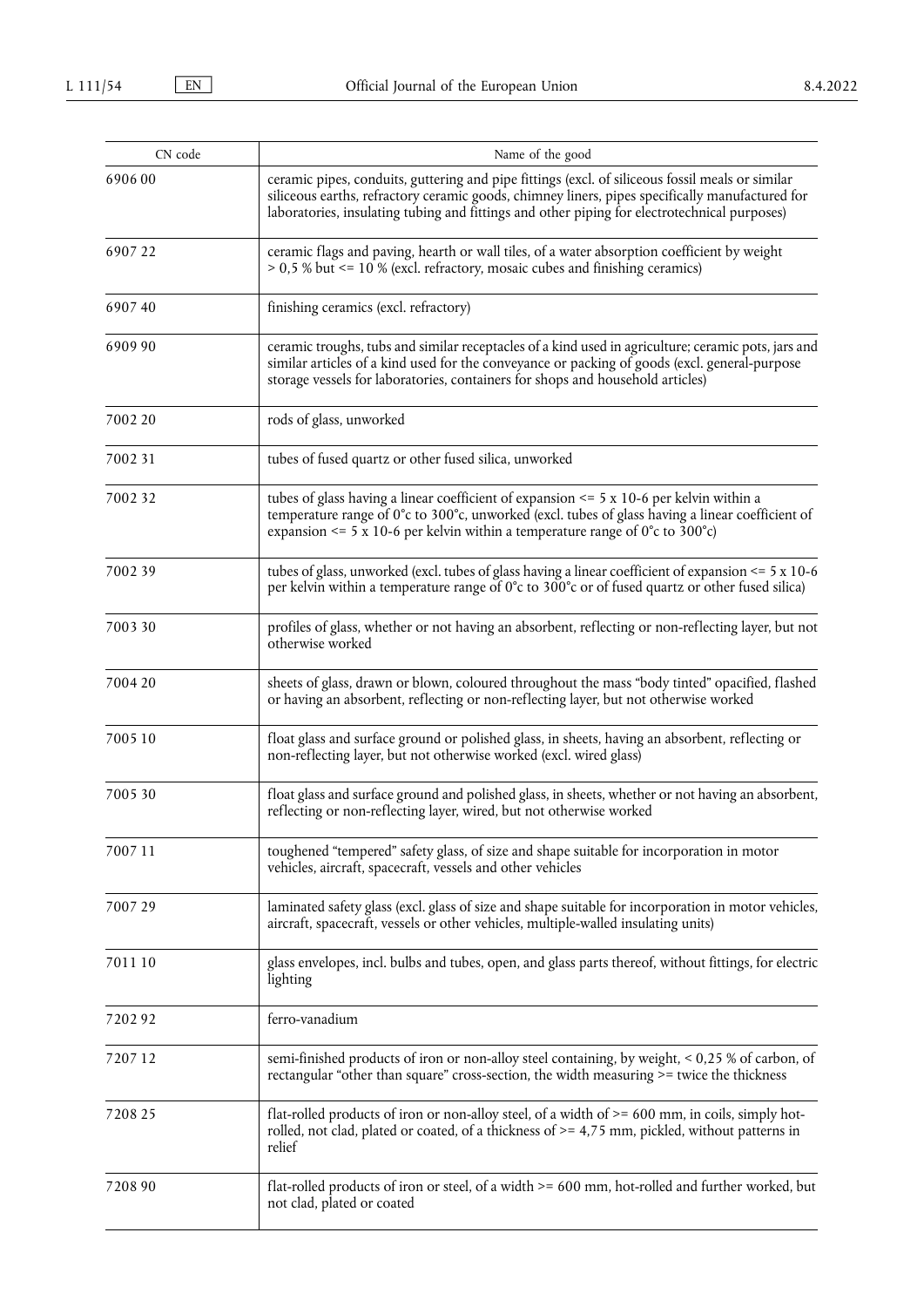| CN code | Name of the good                                                                                                                                                                                                                                                                                     |
|---------|------------------------------------------------------------------------------------------------------------------------------------------------------------------------------------------------------------------------------------------------------------------------------------------------------|
| 690600  | ceramic pipes, conduits, guttering and pipe fittings (excl. of siliceous fossil meals or similar<br>siliceous earths, refractory ceramic goods, chimney liners, pipes specifically manufactured for<br>laboratories, insulating tubing and fittings and other piping for electrotechnical purposes)  |
| 690722  | ceramic flags and paving, hearth or wall tiles, of a water absorption coefficient by weight<br>$> 0.5$ % but <= 10 % (excl. refractory, mosaic cubes and finishing ceramics)                                                                                                                         |
| 690740  | finishing ceramics (excl. refractory)                                                                                                                                                                                                                                                                |
| 6909 90 | ceramic troughs, tubs and similar receptacles of a kind used in agriculture; ceramic pots, jars and<br>similar articles of a kind used for the conveyance or packing of goods (excl. general-purpose<br>storage vessels for laboratories, containers for shops and household articles)               |
| 7002 20 | rods of glass, unworked                                                                                                                                                                                                                                                                              |
| 700231  | tubes of fused quartz or other fused silica, unworked                                                                                                                                                                                                                                                |
| 700232  | tubes of glass having a linear coefficient of expansion $\leq$ 5 x 10-6 per kelvin within a<br>temperature range of 0°c to 300°c, unworked (excl. tubes of glass having a linear coefficient of<br>expansion <= 5 x 10-6 per kelvin within a temperature range of $0^{\circ}$ c to 300 $^{\circ}$ c) |
| 700239  | tubes of glass, unworked (excl. tubes of glass having a linear coefficient of expansion $\leq 5 \times 10^{-6}$<br>per kelvin within a temperature range of 0°c to 300°c or of fused quartz or other fused silica)                                                                                   |
| 700330  | profiles of glass, whether or not having an absorbent, reflecting or non-reflecting layer, but not<br>otherwise worked                                                                                                                                                                               |
| 7004 20 | sheets of glass, drawn or blown, coloured throughout the mass "body tinted" opacified, flashed<br>or having an absorbent, reflecting or non-reflecting layer, but not otherwise worked                                                                                                               |
| 7005 10 | float glass and surface ground or polished glass, in sheets, having an absorbent, reflecting or<br>non-reflecting layer, but not otherwise worked (excl. wired glass)                                                                                                                                |
| 700530  | float glass and surface ground and polished glass, in sheets, whether or not having an absorbent,<br>reflecting or non-reflecting layer, wired, but not otherwise worked                                                                                                                             |
| 7007 11 | toughened "tempered" safety glass, of size and shape suitable for incorporation in motor<br>vehicles, aircraft, spacecraft, vessels and other vehicles                                                                                                                                               |
| 700729  | laminated safety glass (excl. glass of size and shape suitable for incorporation in motor vehicles,<br>aircraft, spacecraft, vessels or other vehicles, multiple-walled insulating units)                                                                                                            |
| 701110  | glass envelopes, incl. bulbs and tubes, open, and glass parts thereof, without fittings, for electric<br>lighting                                                                                                                                                                                    |
| 720292  | ferro-vanadium                                                                                                                                                                                                                                                                                       |
| 720712  | semi-finished products of iron or non-alloy steel containing, by weight, < 0,25 % of carbon, of<br>rectangular "other than square" cross-section, the width measuring >= twice the thickness                                                                                                         |
| 7208 25 | flat-rolled products of iron or non-alloy steel, of a width of >= 600 mm, in coils, simply hot-<br>rolled, not clad, plated or coated, of a thickness of $\ge$ = 4,75 mm, pickled, without patterns in<br>relief                                                                                     |
| 720890  | flat-rolled products of iron or steel, of a width >= 600 mm, hot-rolled and further worked, but<br>not clad, plated or coated                                                                                                                                                                        |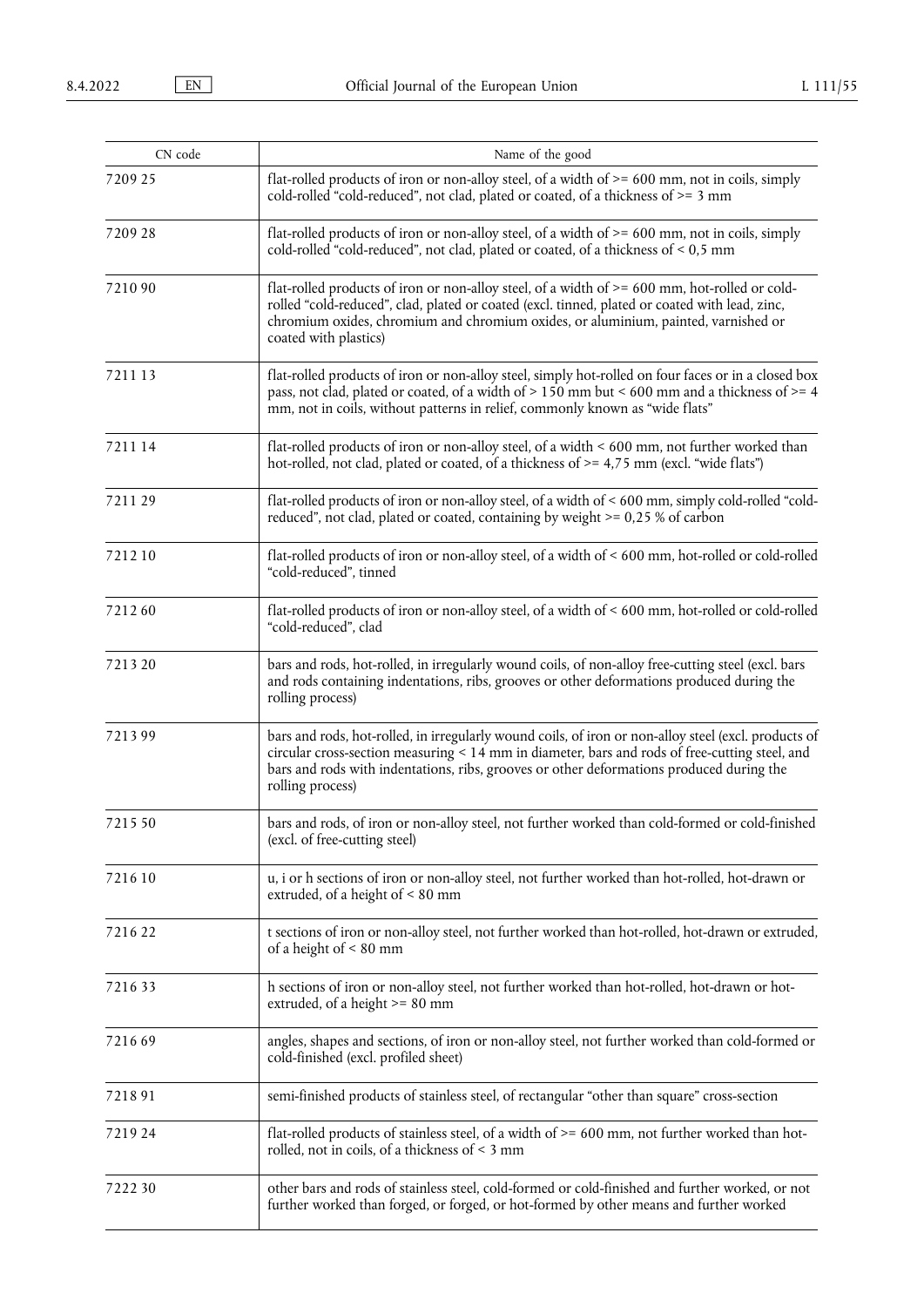| CN code | Name of the good                                                                                                                                                                                                                                                                                                       |
|---------|------------------------------------------------------------------------------------------------------------------------------------------------------------------------------------------------------------------------------------------------------------------------------------------------------------------------|
| 7209 25 | flat-rolled products of iron or non-alloy steel, of a width of $\geq$ 600 mm, not in coils, simply<br>cold-rolled "cold-reduced", not clad, plated or coated, of a thickness of $>=$ 3 mm                                                                                                                              |
| 720928  | flat-rolled products of iron or non-alloy steel, of a width of $\geq$ 600 mm, not in coils, simply<br>cold-rolled "cold-reduced", not clad, plated or coated, of a thickness of < 0,5 mm                                                                                                                               |
| 721090  | flat-rolled products of iron or non-alloy steel, of a width of >= 600 mm, hot-rolled or cold-<br>rolled "cold-reduced", clad, plated or coated (excl. tinned, plated or coated with lead, zinc,<br>chromium oxides, chromium and chromium oxides, or aluminium, painted, varnished or<br>coated with plastics)         |
| 721113  | flat-rolled products of iron or non-alloy steel, simply hot-rolled on four faces or in a closed box<br>pass, not clad, plated or coated, of a width of > 150 mm but < 600 mm and a thickness of >= 4<br>mm, not in coils, without patterns in relief, commonly known as "wide flats"                                   |
| 721114  | flat-rolled products of iron or non-alloy steel, of a width < 600 mm, not further worked than<br>hot-rolled, not clad, plated or coated, of a thickness of > = 4,75 mm (excl. "wide flats")                                                                                                                            |
| 721129  | flat-rolled products of iron or non-alloy steel, of a width of < 600 mm, simply cold-rolled "cold-<br>reduced", not clad, plated or coated, containing by weight $> = 0.25$ % of carbon                                                                                                                                |
| 721210  | flat-rolled products of iron or non-alloy steel, of a width of < 600 mm, hot-rolled or cold-rolled<br>"cold-reduced", tinned                                                                                                                                                                                           |
| 721260  | flat-rolled products of iron or non-alloy steel, of a width of < 600 mm, hot-rolled or cold-rolled<br>"cold-reduced", clad                                                                                                                                                                                             |
| 721320  | bars and rods, hot-rolled, in irregularly wound coils, of non-alloy free-cutting steel (excl. bars<br>and rods containing indentations, ribs, grooves or other deformations produced during the<br>rolling process)                                                                                                    |
| 721399  | bars and rods, hot-rolled, in irregularly wound coils, of iron or non-alloy steel (excl. products of<br>circular cross-section measuring < 14 mm in diameter, bars and rods of free-cutting steel, and<br>bars and rods with indentations, ribs, grooves or other deformations produced during the<br>rolling process) |
| 721550  | bars and rods, of iron or non-alloy steel, not further worked than cold-formed or cold-finished<br>(excl. of free-cutting steel)                                                                                                                                                                                       |
| 721610  | u, i or h sections of iron or non-alloy steel, not further worked than hot-rolled, hot-drawn or<br>extruded, of a height of < 80 mm                                                                                                                                                                                    |
| 721622  | t sections of iron or non-alloy steel, not further worked than hot-rolled, hot-drawn or extruded,<br>of a height of $\leq 80$ mm                                                                                                                                                                                       |
| 721633  | h sections of iron or non-alloy steel, not further worked than hot-rolled, hot-drawn or hot-<br>extruded, of a height >= 80 mm                                                                                                                                                                                         |
| 721669  | angles, shapes and sections, of iron or non-alloy steel, not further worked than cold-formed or<br>cold-finished (excl. profiled sheet)                                                                                                                                                                                |
| 721891  | semi-finished products of stainless steel, of rectangular "other than square" cross-section                                                                                                                                                                                                                            |
| 721924  | flat-rolled products of stainless steel, of a width of > = 600 mm, not further worked than hot-<br>rolled, not in coils, of a thickness of < 3 mm                                                                                                                                                                      |
| 722230  | other bars and rods of stainless steel, cold-formed or cold-finished and further worked, or not<br>further worked than forged, or forged, or hot-formed by other means and further worked                                                                                                                              |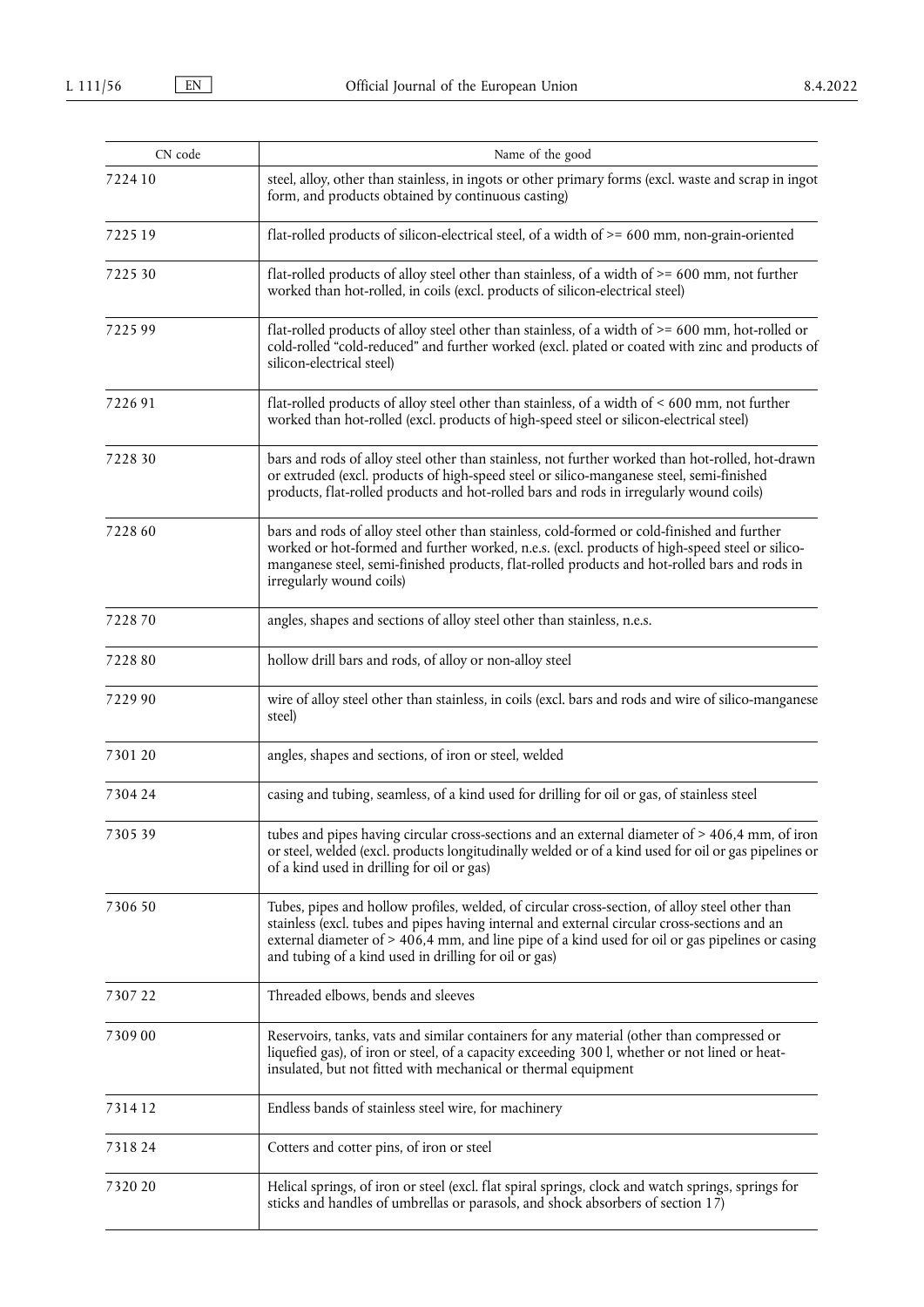| CN code | Name of the good                                                                                                                                                                                                                                                                                                                                              |
|---------|---------------------------------------------------------------------------------------------------------------------------------------------------------------------------------------------------------------------------------------------------------------------------------------------------------------------------------------------------------------|
| 7224 10 | steel, alloy, other than stainless, in ingots or other primary forms (excl. waste and scrap in ingot<br>form, and products obtained by continuous casting)                                                                                                                                                                                                    |
| 722519  | flat-rolled products of silicon-electrical steel, of a width of > = 600 mm, non-grain-oriented                                                                                                                                                                                                                                                                |
| 722530  | flat-rolled products of alloy steel other than stainless, of a width of $\geq$ = 600 mm, not further<br>worked than hot-rolled, in coils (excl. products of silicon-electrical steel)                                                                                                                                                                         |
| 722599  | flat-rolled products of alloy steel other than stainless, of a width of $\geq 600$ mm, hot-rolled or<br>cold-rolled "cold-reduced" and further worked (excl. plated or coated with zinc and products of<br>silicon-electrical steel)                                                                                                                          |
| 722691  | flat-rolled products of alloy steel other than stainless, of a width of < 600 mm, not further<br>worked than hot-rolled (excl. products of high-speed steel or silicon-electrical steel)                                                                                                                                                                      |
| 722830  | bars and rods of alloy steel other than stainless, not further worked than hot-rolled, hot-drawn<br>or extruded (excl. products of high-speed steel or silico-manganese steel, semi-finished<br>products, flat-rolled products and hot-rolled bars and rods in irregularly wound coils)                                                                       |
| 722860  | bars and rods of alloy steel other than stainless, cold-formed or cold-finished and further<br>worked or hot-formed and further worked, n.e.s. (excl. products of high-speed steel or silico-<br>manganese steel, semi-finished products, flat-rolled products and hot-rolled bars and rods in<br>irregularly wound coils)                                    |
| 722870  | angles, shapes and sections of alloy steel other than stainless, n.e.s.                                                                                                                                                                                                                                                                                       |
| 722880  | hollow drill bars and rods, of alloy or non-alloy steel                                                                                                                                                                                                                                                                                                       |
| 7229 90 | wire of alloy steel other than stainless, in coils (excl. bars and rods and wire of silico-manganese<br>steel)                                                                                                                                                                                                                                                |
| 730120  | angles, shapes and sections, of iron or steel, welded                                                                                                                                                                                                                                                                                                         |
| 730424  | casing and tubing, seamless, of a kind used for drilling for oil or gas, of stainless steel                                                                                                                                                                                                                                                                   |
| 730539  | tubes and pipes having circular cross-sections and an external diameter of > 406,4 mm, of iron<br>or steel, welded (excl. products longitudinally welded or of a kind used for oil or gas pipelines or<br>of a kind used in drilling for oil or gas)                                                                                                          |
| 7306 50 | Tubes, pipes and hollow profiles, welded, of circular cross-section, of alloy steel other than<br>stainless (excl. tubes and pipes having internal and external circular cross-sections and an<br>external diameter of $> 406.4$ mm, and line pipe of a kind used for oil or gas pipelines or casing<br>and tubing of a kind used in drilling for oil or gas) |
| 730722  | Threaded elbows, bends and sleeves                                                                                                                                                                                                                                                                                                                            |
| 730900  | Reservoirs, tanks, vats and similar containers for any material (other than compressed or<br>liquefied gas), of iron or steel, of a capacity exceeding 300 l, whether or not lined or heat-<br>insulated, but not fitted with mechanical or thermal equipment                                                                                                 |
| 731412  | Endless bands of stainless steel wire, for machinery                                                                                                                                                                                                                                                                                                          |
| 731824  | Cotters and cotter pins, of iron or steel                                                                                                                                                                                                                                                                                                                     |
| 7320 20 | Helical springs, of iron or steel (excl. flat spiral springs, clock and watch springs, springs for<br>sticks and handles of umbrellas or parasols, and shock absorbers of section 17)                                                                                                                                                                         |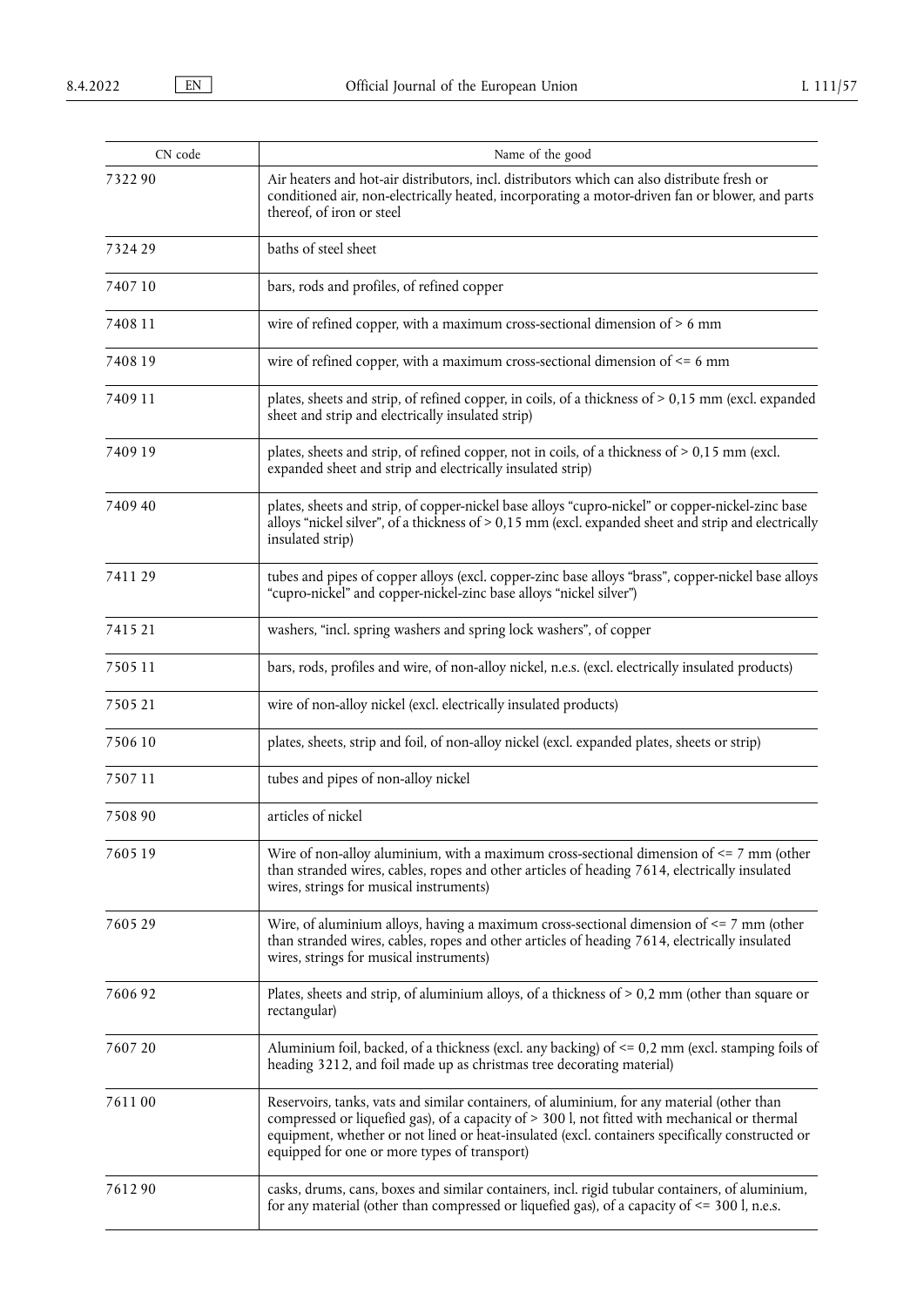| CN code | Name of the good                                                                                                                                                                                                                                                                                                                                 |
|---------|--------------------------------------------------------------------------------------------------------------------------------------------------------------------------------------------------------------------------------------------------------------------------------------------------------------------------------------------------|
| 732290  | Air heaters and hot-air distributors, incl. distributors which can also distribute fresh or<br>conditioned air, non-electrically heated, incorporating a motor-driven fan or blower, and parts<br>thereof, of iron or steel                                                                                                                      |
| 732429  | baths of steel sheet                                                                                                                                                                                                                                                                                                                             |
| 740710  | bars, rods and profiles, of refined copper                                                                                                                                                                                                                                                                                                       |
| 7408 11 | wire of refined copper, with a maximum cross-sectional dimension of $> 6$ mm                                                                                                                                                                                                                                                                     |
| 740819  | wire of refined copper, with a maximum cross-sectional dimension of $\leq 6$ mm                                                                                                                                                                                                                                                                  |
| 7409 11 | plates, sheets and strip, of refined copper, in coils, of a thickness of > 0,15 mm (excl. expanded<br>sheet and strip and electrically insulated strip)                                                                                                                                                                                          |
| 740919  | plates, sheets and strip, of refined copper, not in coils, of a thickness of > 0,15 mm (excl.<br>expanded sheet and strip and electrically insulated strip)                                                                                                                                                                                      |
| 740940  | plates, sheets and strip, of copper-nickel base alloys "cupro-nickel" or copper-nickel-zinc base<br>alloys "nickel silver", of a thickness of $> 0.15$ mm (excl. expanded sheet and strip and electrically<br>insulated strip)                                                                                                                   |
| 741129  | tubes and pipes of copper alloys (excl. copper-zinc base alloys "brass", copper-nickel base alloys<br>"cupro-nickel" and copper-nickel-zinc base alloys "nickel silver")                                                                                                                                                                         |
| 741521  | washers, "incl. spring washers and spring lock washers", of copper                                                                                                                                                                                                                                                                               |
| 750511  | bars, rods, profiles and wire, of non-alloy nickel, n.e.s. (excl. electrically insulated products)                                                                                                                                                                                                                                               |
| 750521  | wire of non-alloy nickel (excl. electrically insulated products)                                                                                                                                                                                                                                                                                 |
| 750610  | plates, sheets, strip and foil, of non-alloy nickel (excl. expanded plates, sheets or strip)                                                                                                                                                                                                                                                     |
| 750711  | tubes and pipes of non-alloy nickel                                                                                                                                                                                                                                                                                                              |
| 750890  | articles of nickel                                                                                                                                                                                                                                                                                                                               |
| 760519  | Wire of non-alloy aluminium, with a maximum cross-sectional dimension of $\leq$ 7 mm (other<br>than stranded wires, cables, ropes and other articles of heading 7614, electrically insulated<br>wires, strings for musical instruments)                                                                                                          |
| 760529  | Wire, of aluminium alloys, having a maximum cross-sectional dimension of $\leq$ 7 mm (other<br>than stranded wires, cables, ropes and other articles of heading 7614, electrically insulated<br>wires, strings for musical instruments)                                                                                                          |
| 760692  | Plates, sheets and strip, of aluminium alloys, of a thickness of $> 0.2$ mm (other than square or<br>rectangular)                                                                                                                                                                                                                                |
| 760720  | Aluminium foil, backed, of a thickness (excl. any backing) of $\leq$ 0.2 mm (excl. stamping foils of<br>heading 3212, and foil made up as christmas tree decorating material)                                                                                                                                                                    |
| 7611 00 | Reservoirs, tanks, vats and similar containers, of aluminium, for any material (other than<br>compressed or liquefied gas), of a capacity of $> 300$ l, not fitted with mechanical or thermal<br>equipment, whether or not lined or heat-insulated (excl. containers specifically constructed or<br>equipped for one or more types of transport) |
| 761290  | casks, drums, cans, boxes and similar containers, incl. rigid tubular containers, of aluminium,<br>for any material (other than compressed or liquefied gas), of a capacity of $\leq$ 300 l, n.e.s.                                                                                                                                              |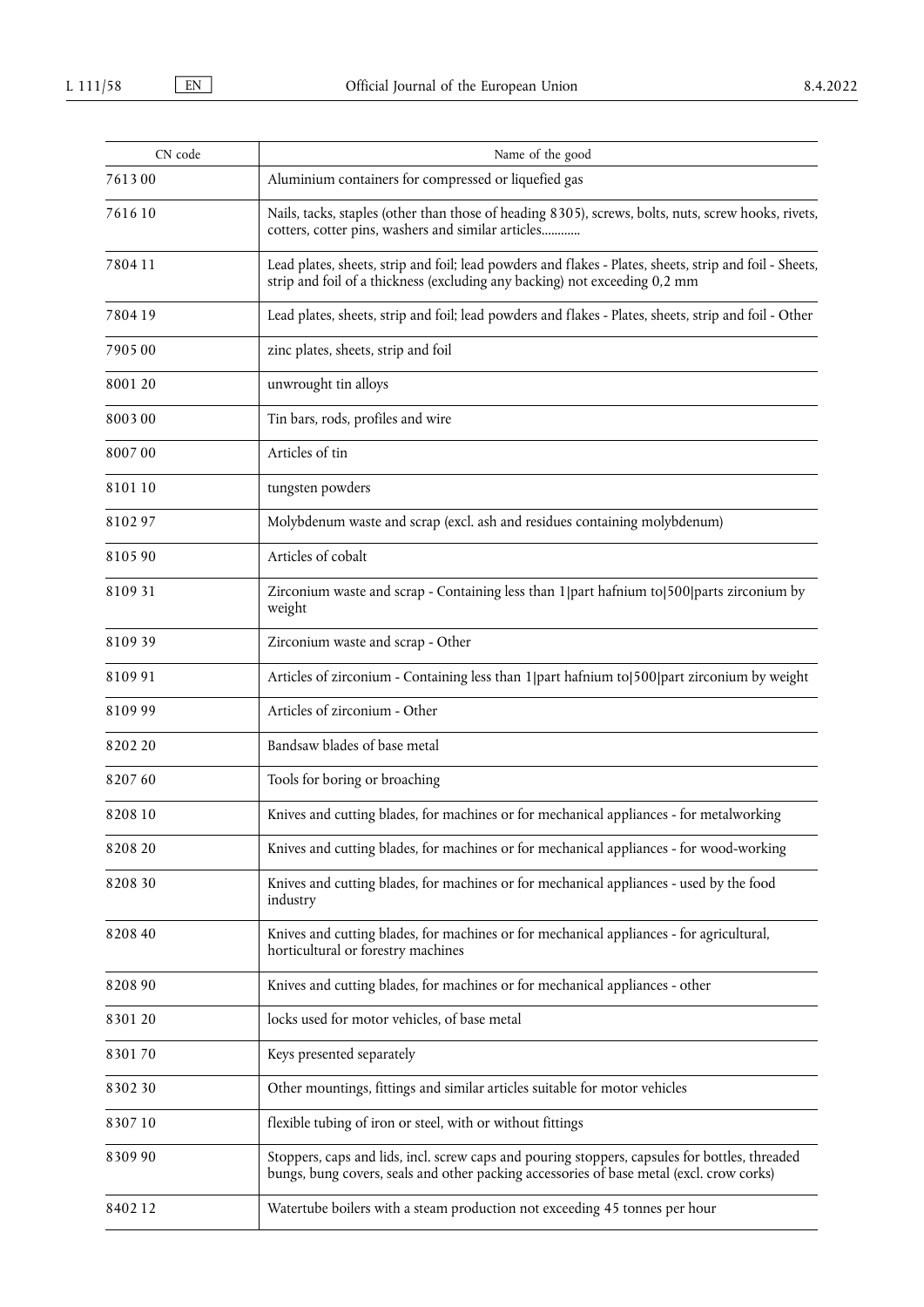| CN code | Name of the good                                                                                                                                                                           |
|---------|--------------------------------------------------------------------------------------------------------------------------------------------------------------------------------------------|
| 761300  | Aluminium containers for compressed or liquefied gas                                                                                                                                       |
| 761610  | Nails, tacks, staples (other than those of heading 8305), screws, bolts, nuts, screw hooks, rivets,<br>cotters, cotter pins, washers and similar articles                                  |
| 780411  | Lead plates, sheets, strip and foil; lead powders and flakes - Plates, sheets, strip and foil - Sheets,<br>strip and foil of a thickness (excluding any backing) not exceeding 0,2 mm      |
| 780419  | Lead plates, sheets, strip and foil; lead powders and flakes - Plates, sheets, strip and foil - Other                                                                                      |
| 790500  | zinc plates, sheets, strip and foil                                                                                                                                                        |
| 8001 20 | unwrought tin alloys                                                                                                                                                                       |
| 800300  | Tin bars, rods, profiles and wire                                                                                                                                                          |
| 800700  | Articles of tin                                                                                                                                                                            |
| 810110  | tungsten powders                                                                                                                                                                           |
| 810297  | Molybdenum waste and scrap (excl. ash and residues containing molybdenum)                                                                                                                  |
| 810590  | Articles of cobalt                                                                                                                                                                         |
| 810931  | Zirconium waste and scrap - Containing less than 1 part hafnium to 500 parts zirconium by<br>weight                                                                                        |
| 810939  | Zirconium waste and scrap - Other                                                                                                                                                          |
| 810991  | Articles of zirconium - Containing less than 1   part hafnium to   500   part zirconium by weight                                                                                          |
| 810999  | Articles of zirconium - Other                                                                                                                                                              |
| 8202 20 | Bandsaw blades of base metal                                                                                                                                                               |
| 820760  | Tools for boring or broaching                                                                                                                                                              |
| 820810  | Knives and cutting blades, for machines or for mechanical appliances - for metalworking                                                                                                    |
| 8208 20 | Knives and cutting blades, for machines or for mechanical appliances - for wood-working                                                                                                    |
| 820830  | Knives and cutting blades, for machines or for mechanical appliances - used by the food<br>industry                                                                                        |
| 8208 40 | Knives and cutting blades, for machines or for mechanical appliances - for agricultural,<br>horticultural or forestry machines                                                             |
| 820890  | Knives and cutting blades, for machines or for mechanical appliances - other                                                                                                               |
| 8301 20 | locks used for motor vehicles, of base metal                                                                                                                                               |
| 830170  | Keys presented separately                                                                                                                                                                  |
| 830230  | Other mountings, fittings and similar articles suitable for motor vehicles                                                                                                                 |
| 830710  | flexible tubing of iron or steel, with or without fittings                                                                                                                                 |
| 830990  | Stoppers, caps and lids, incl. screw caps and pouring stoppers, capsules for bottles, threaded<br>bungs, bung covers, seals and other packing accessories of base metal (excl. crow corks) |
| 840212  | Watertube boilers with a steam production not exceeding 45 tonnes per hour                                                                                                                 |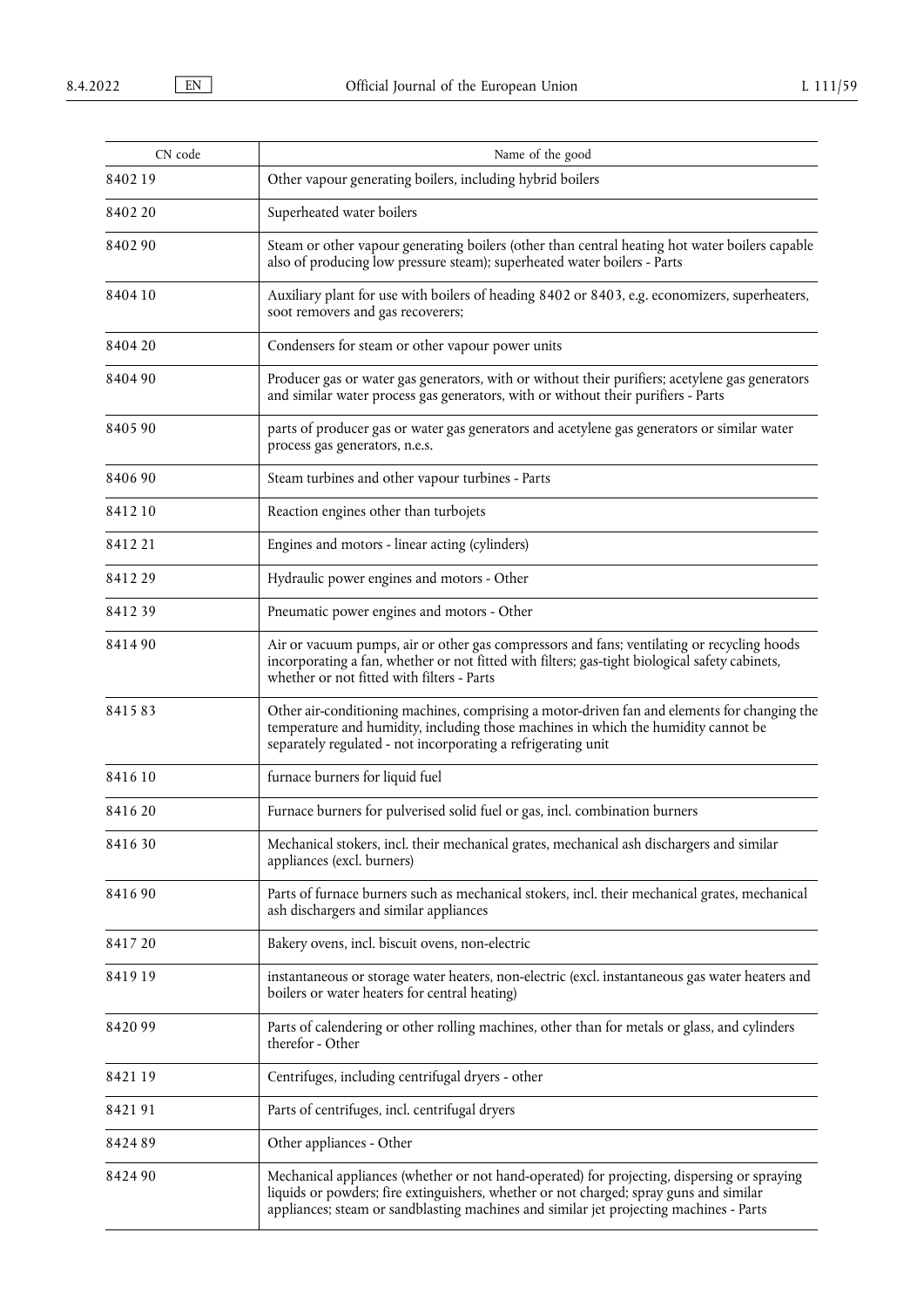| CN code | Name of the good                                                                                                                                                                                                                                                                |
|---------|---------------------------------------------------------------------------------------------------------------------------------------------------------------------------------------------------------------------------------------------------------------------------------|
| 840219  | Other vapour generating boilers, including hybrid boilers                                                                                                                                                                                                                       |
| 8402 20 | Superheated water boilers                                                                                                                                                                                                                                                       |
| 840290  | Steam or other vapour generating boilers (other than central heating hot water boilers capable<br>also of producing low pressure steam); superheated water boilers - Parts                                                                                                      |
| 840410  | Auxiliary plant for use with boilers of heading 8402 or 8403, e.g. economizers, superheaters,<br>soot removers and gas recoverers;                                                                                                                                              |
| 8404 20 | Condensers for steam or other vapour power units                                                                                                                                                                                                                                |
| 8404 90 | Producer gas or water gas generators, with or without their purifiers; acetylene gas generators<br>and similar water process gas generators, with or without their purifiers - Parts                                                                                            |
| 840590  | parts of producer gas or water gas generators and acetylene gas generators or similar water<br>process gas generators, n.e.s.                                                                                                                                                   |
| 840690  | Steam turbines and other vapour turbines - Parts                                                                                                                                                                                                                                |
| 841210  | Reaction engines other than turbojets                                                                                                                                                                                                                                           |
| 841221  | Engines and motors - linear acting (cylinders)                                                                                                                                                                                                                                  |
| 841229  | Hydraulic power engines and motors - Other                                                                                                                                                                                                                                      |
| 841239  | Pneumatic power engines and motors - Other                                                                                                                                                                                                                                      |
| 841490  | Air or vacuum pumps, air or other gas compressors and fans; ventilating or recycling hoods<br>incorporating a fan, whether or not fitted with filters; gas-tight biological safety cabinets,<br>whether or not fitted with filters - Parts                                      |
| 841583  | Other air-conditioning machines, comprising a motor-driven fan and elements for changing the<br>temperature and humidity, including those machines in which the humidity cannot be<br>separately regulated - not incorporating a refrigerating unit                             |
| 841610  | furnace burners for liquid fuel                                                                                                                                                                                                                                                 |
| 841620  | Furnace burners for pulverised solid fuel or gas, incl. combination burners                                                                                                                                                                                                     |
| 841630  | Mechanical stokers, incl. their mechanical grates, mechanical ash dischargers and similar<br>appliances (excl. burners)                                                                                                                                                         |
| 841690  | Parts of furnace burners such as mechanical stokers, incl. their mechanical grates, mechanical<br>ash dischargers and similar appliances                                                                                                                                        |
| 841720  | Bakery ovens, incl. biscuit ovens, non-electric                                                                                                                                                                                                                                 |
| 841919  | instantaneous or storage water heaters, non-electric (excl. instantaneous gas water heaters and<br>boilers or water heaters for central heating)                                                                                                                                |
| 842099  | Parts of calendering or other rolling machines, other than for metals or glass, and cylinders<br>therefor - Other                                                                                                                                                               |
| 842119  | Centrifuges, including centrifugal dryers - other                                                                                                                                                                                                                               |
| 842191  | Parts of centrifuges, incl. centrifugal dryers                                                                                                                                                                                                                                  |
| 842489  | Other appliances - Other                                                                                                                                                                                                                                                        |
| 8424 90 | Mechanical appliances (whether or not hand-operated) for projecting, dispersing or spraying<br>liquids or powders; fire extinguishers, whether or not charged; spray guns and similar<br>appliances; steam or sandblasting machines and similar jet projecting machines - Parts |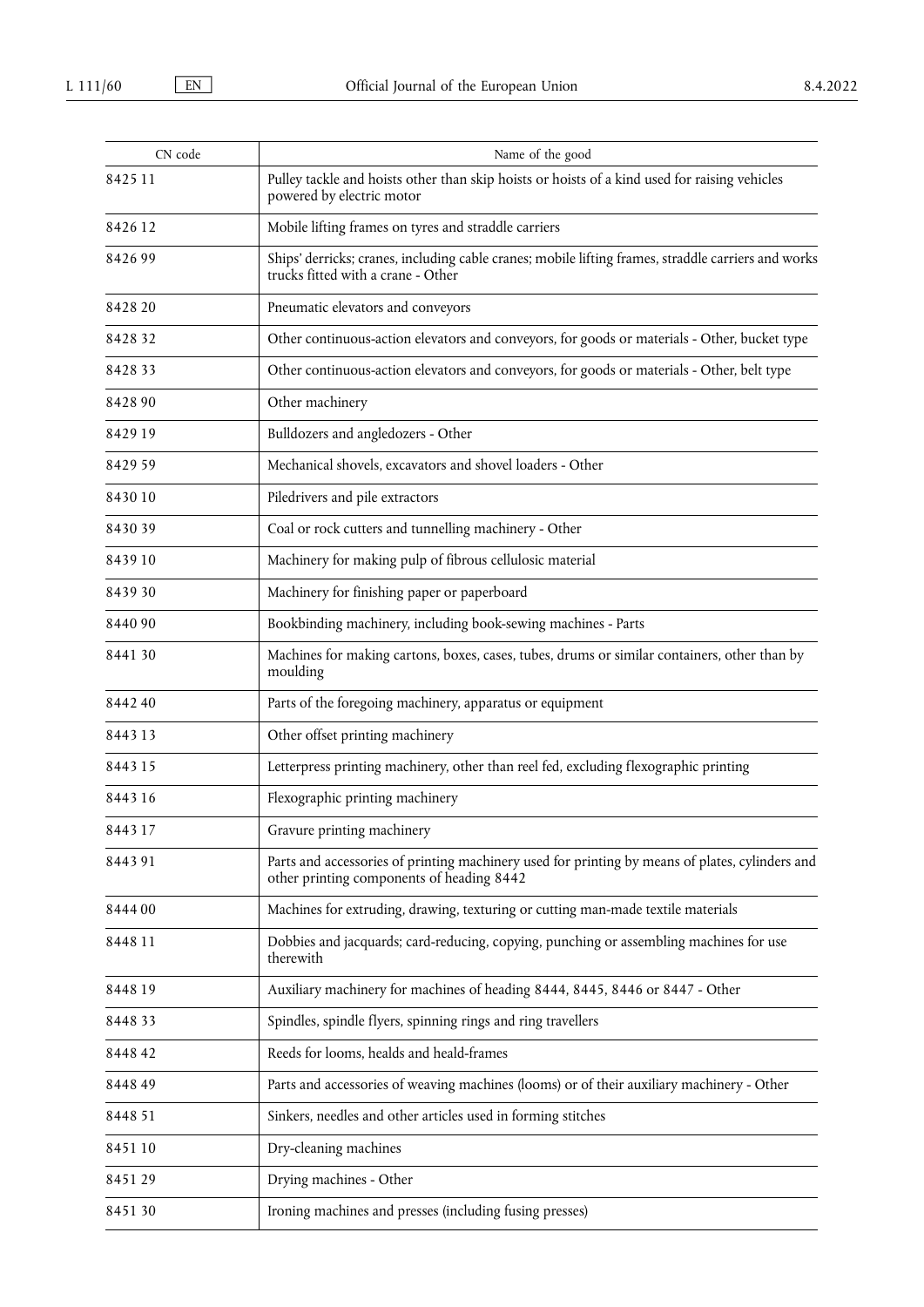| CN code | Name of the good                                                                                                                             |
|---------|----------------------------------------------------------------------------------------------------------------------------------------------|
| 842511  | Pulley tackle and hoists other than skip hoists or hoists of a kind used for raising vehicles<br>powered by electric motor                   |
| 842612  | Mobile lifting frames on tyres and straddle carriers                                                                                         |
| 842699  | Ships' derricks; cranes, including cable cranes; mobile lifting frames, straddle carriers and works<br>trucks fitted with a crane - Other    |
| 842820  | Pneumatic elevators and conveyors                                                                                                            |
| 842832  | Other continuous-action elevators and conveyors, for goods or materials - Other, bucket type                                                 |
| 842833  | Other continuous-action elevators and conveyors, for goods or materials - Other, belt type                                                   |
| 842890  | Other machinery                                                                                                                              |
| 842919  | Bulldozers and angledozers - Other                                                                                                           |
| 842959  | Mechanical shovels, excavators and shovel loaders - Other                                                                                    |
| 843010  | Piledrivers and pile extractors                                                                                                              |
| 843039  | Coal or rock cutters and tunnelling machinery - Other                                                                                        |
| 843910  | Machinery for making pulp of fibrous cellulosic material                                                                                     |
| 843930  | Machinery for finishing paper or paperboard                                                                                                  |
| 8440 90 | Bookbinding machinery, including book-sewing machines - Parts                                                                                |
| 844130  | Machines for making cartons, boxes, cases, tubes, drums or similar containers, other than by<br>moulding                                     |
| 844240  | Parts of the foregoing machinery, apparatus or equipment                                                                                     |
| 844313  | Other offset printing machinery                                                                                                              |
| 844315  | Letterpress printing machinery, other than reel fed, excluding flexographic printing                                                         |
| 844316  | Flexographic printing machinery                                                                                                              |
| 844317  | Gravure printing machinery                                                                                                                   |
| 844391  | Parts and accessories of printing machinery used for printing by means of plates, cylinders and<br>other printing components of heading 8442 |
| 844400  | Machines for extruding, drawing, texturing or cutting man-made textile materials                                                             |
| 844811  | Dobbies and jacquards; card-reducing, copying, punching or assembling machines for use<br>therewith                                          |
| 844819  | Auxiliary machinery for machines of heading 8444, 8445, 8446 or 8447 - Other                                                                 |
| 844833  | Spindles, spindle flyers, spinning rings and ring travellers                                                                                 |
| 844842  | Reeds for looms, healds and heald-frames                                                                                                     |
| 844849  | Parts and accessories of weaving machines (looms) or of their auxiliary machinery - Other                                                    |
| 8448 51 | Sinkers, needles and other articles used in forming stitches                                                                                 |
| 845110  | Dry-cleaning machines                                                                                                                        |
| 845129  | Drying machines - Other                                                                                                                      |
| 845130  | Ironing machines and presses (including fusing presses)                                                                                      |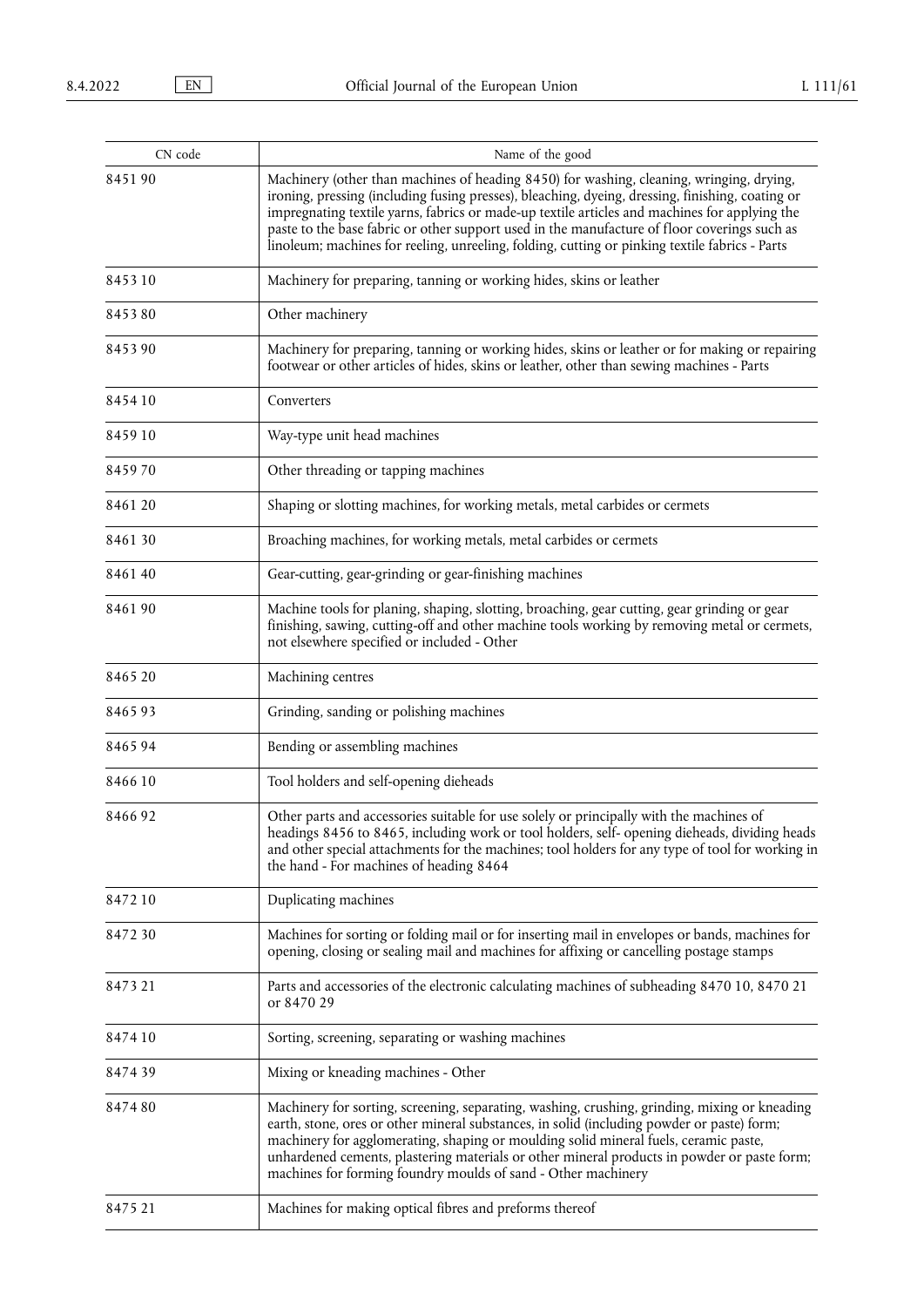| CN code | Name of the good                                                                                                                                                                                                                                                                                                                                                                                                                                                                                |
|---------|-------------------------------------------------------------------------------------------------------------------------------------------------------------------------------------------------------------------------------------------------------------------------------------------------------------------------------------------------------------------------------------------------------------------------------------------------------------------------------------------------|
| 845190  | Machinery (other than machines of heading 8450) for washing, cleaning, wringing, drying,<br>ironing, pressing (including fusing presses), bleaching, dyeing, dressing, finishing, coating or<br>impregnating textile yarns, fabrics or made-up textile articles and machines for applying the<br>paste to the base fabric or other support used in the manufacture of floor coverings such as<br>linoleum; machines for reeling, unreeling, folding, cutting or pinking textile fabrics - Parts |
| 845310  | Machinery for preparing, tanning or working hides, skins or leather                                                                                                                                                                                                                                                                                                                                                                                                                             |
| 845380  | Other machinery                                                                                                                                                                                                                                                                                                                                                                                                                                                                                 |
| 845390  | Machinery for preparing, tanning or working hides, skins or leather or for making or repairing<br>footwear or other articles of hides, skins or leather, other than sewing machines - Parts                                                                                                                                                                                                                                                                                                     |
| 845410  | Converters                                                                                                                                                                                                                                                                                                                                                                                                                                                                                      |
| 845910  | Way-type unit head machines                                                                                                                                                                                                                                                                                                                                                                                                                                                                     |
| 845970  | Other threading or tapping machines                                                                                                                                                                                                                                                                                                                                                                                                                                                             |
| 846120  | Shaping or slotting machines, for working metals, metal carbides or cermets                                                                                                                                                                                                                                                                                                                                                                                                                     |
| 846130  | Broaching machines, for working metals, metal carbides or cermets                                                                                                                                                                                                                                                                                                                                                                                                                               |
| 846140  | Gear-cutting, gear-grinding or gear-finishing machines                                                                                                                                                                                                                                                                                                                                                                                                                                          |
| 846190  | Machine tools for planing, shaping, slotting, broaching, gear cutting, gear grinding or gear<br>finishing, sawing, cutting-off and other machine tools working by removing metal or cermets,<br>not elsewhere specified or included - Other                                                                                                                                                                                                                                                     |
| 846520  | Machining centres                                                                                                                                                                                                                                                                                                                                                                                                                                                                               |
| 846593  | Grinding, sanding or polishing machines                                                                                                                                                                                                                                                                                                                                                                                                                                                         |
| 846594  | Bending or assembling machines                                                                                                                                                                                                                                                                                                                                                                                                                                                                  |
| 846610  | Tool holders and self-opening dieheads                                                                                                                                                                                                                                                                                                                                                                                                                                                          |
| 846692  | Other parts and accessories suitable for use solely or principally with the machines of<br>headings 8456 to 8465, including work or tool holders, self-opening dieheads, dividing heads<br>and other special attachments for the machines; tool holders for any type of tool for working in<br>the hand - For machines of heading 8464                                                                                                                                                          |
| 847210  | Duplicating machines                                                                                                                                                                                                                                                                                                                                                                                                                                                                            |
| 847230  | Machines for sorting or folding mail or for inserting mail in envelopes or bands, machines for<br>opening, closing or sealing mail and machines for affixing or cancelling postage stamps                                                                                                                                                                                                                                                                                                       |
| 847321  | Parts and accessories of the electronic calculating machines of subheading 8470 10, 8470 21<br>or 8470 29                                                                                                                                                                                                                                                                                                                                                                                       |
| 8474 10 | Sorting, screening, separating or washing machines                                                                                                                                                                                                                                                                                                                                                                                                                                              |
| 847439  | Mixing or kneading machines - Other                                                                                                                                                                                                                                                                                                                                                                                                                                                             |
| 847480  | Machinery for sorting, screening, separating, washing, crushing, grinding, mixing or kneading<br>earth, stone, ores or other mineral substances, in solid (including powder or paste) form;<br>machinery for agglomerating, shaping or moulding solid mineral fuels, ceramic paste,<br>unhardened cements, plastering materials or other mineral products in powder or paste form;<br>machines for forming foundry moulds of sand - Other machinery                                             |
| 847521  | Machines for making optical fibres and preforms thereof                                                                                                                                                                                                                                                                                                                                                                                                                                         |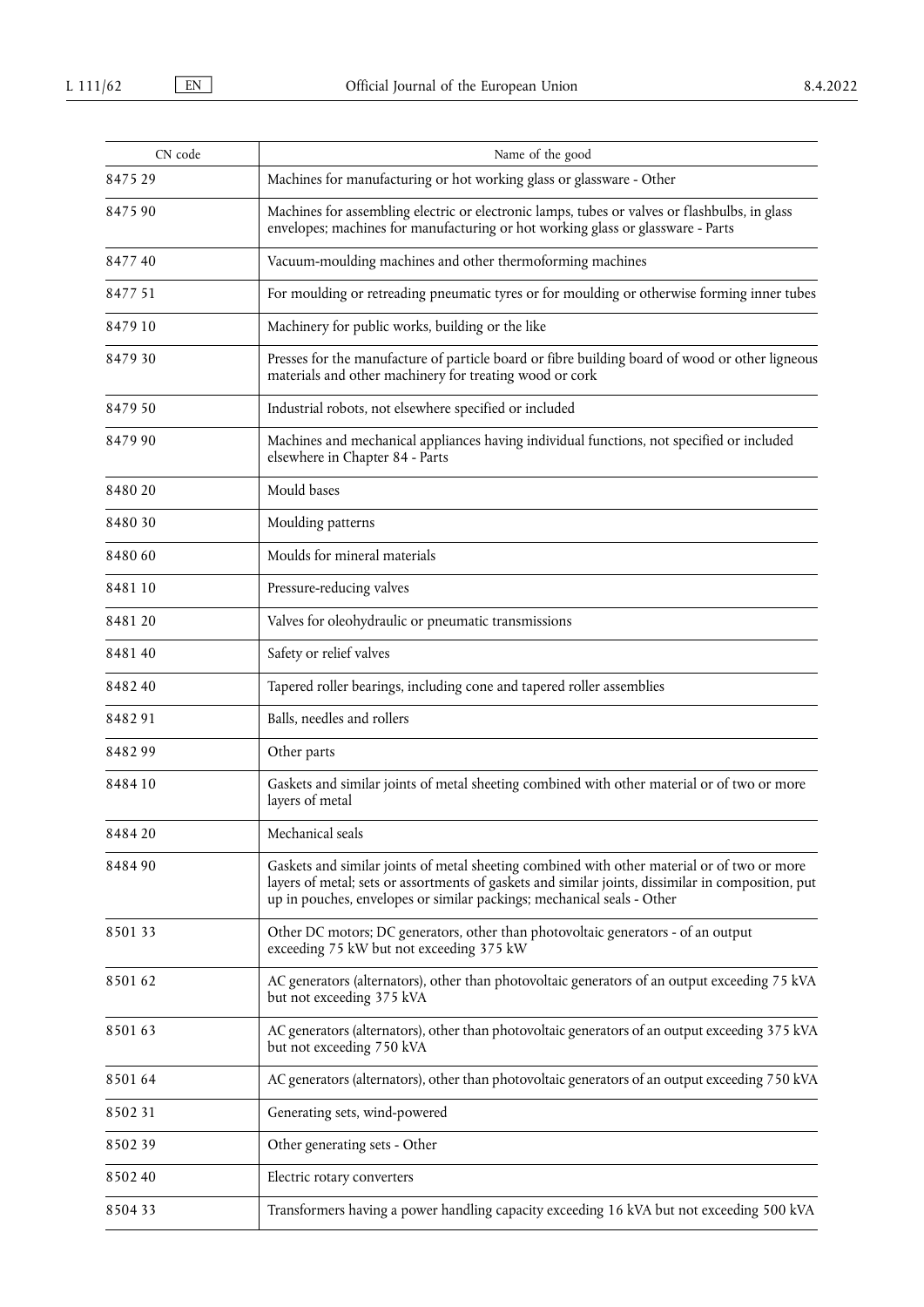| CN code | Name of the good                                                                                                                                                                                                                                                            |
|---------|-----------------------------------------------------------------------------------------------------------------------------------------------------------------------------------------------------------------------------------------------------------------------------|
| 847529  | Machines for manufacturing or hot working glass or glassware - Other                                                                                                                                                                                                        |
| 847590  | Machines for assembling electric or electronic lamps, tubes or valves or flashbulbs, in glass<br>envelopes; machines for manufacturing or hot working glass or glassware - Parts                                                                                            |
| 847740  | Vacuum-moulding machines and other thermoforming machines                                                                                                                                                                                                                   |
| 847751  | For moulding or retreading pneumatic tyres or for moulding or otherwise forming inner tubes                                                                                                                                                                                 |
| 847910  | Machinery for public works, building or the like                                                                                                                                                                                                                            |
| 847930  | Presses for the manufacture of particle board or fibre building board of wood or other ligneous<br>materials and other machinery for treating wood or cork                                                                                                                  |
| 847950  | Industrial robots, not elsewhere specified or included                                                                                                                                                                                                                      |
| 847990  | Machines and mechanical appliances having individual functions, not specified or included<br>elsewhere in Chapter 84 - Parts                                                                                                                                                |
| 848020  | Mould bases                                                                                                                                                                                                                                                                 |
| 848030  | Moulding patterns                                                                                                                                                                                                                                                           |
| 848060  | Moulds for mineral materials                                                                                                                                                                                                                                                |
| 848110  | Pressure-reducing valves                                                                                                                                                                                                                                                    |
| 848120  | Valves for oleohydraulic or pneumatic transmissions                                                                                                                                                                                                                         |
| 848140  | Safety or relief valves                                                                                                                                                                                                                                                     |
| 848240  | Tapered roller bearings, including cone and tapered roller assemblies                                                                                                                                                                                                       |
| 848291  | Balls, needles and rollers                                                                                                                                                                                                                                                  |
| 848299  | Other parts                                                                                                                                                                                                                                                                 |
| 848410  | Gaskets and similar joints of metal sheeting combined with other material or of two or more<br>layers of metal                                                                                                                                                              |
| 848420  | Mechanical seals                                                                                                                                                                                                                                                            |
| 848490  | Gaskets and similar joints of metal sheeting combined with other material or of two or more<br>layers of metal; sets or assortments of gaskets and similar joints, dissimilar in composition, put<br>up in pouches, envelopes or similar packings; mechanical seals - Other |
| 850133  | Other DC motors; DC generators, other than photovoltaic generators - of an output<br>exceeding 75 kW but not exceeding 375 kW                                                                                                                                               |
| 850162  | AC generators (alternators), other than photovoltaic generators of an output exceeding 75 kVA<br>but not exceeding 375 kVA                                                                                                                                                  |
| 850163  | AC generators (alternators), other than photovoltaic generators of an output exceeding 375 kVA<br>but not exceeding 750 kVA                                                                                                                                                 |
| 850164  | AC generators (alternators), other than photovoltaic generators of an output exceeding 750 kVA                                                                                                                                                                              |
| 850231  | Generating sets, wind-powered                                                                                                                                                                                                                                               |
| 850239  | Other generating sets - Other                                                                                                                                                                                                                                               |
| 850240  | Electric rotary converters                                                                                                                                                                                                                                                  |
| 850433  | Transformers having a power handling capacity exceeding 16 kVA but not exceeding 500 kVA                                                                                                                                                                                    |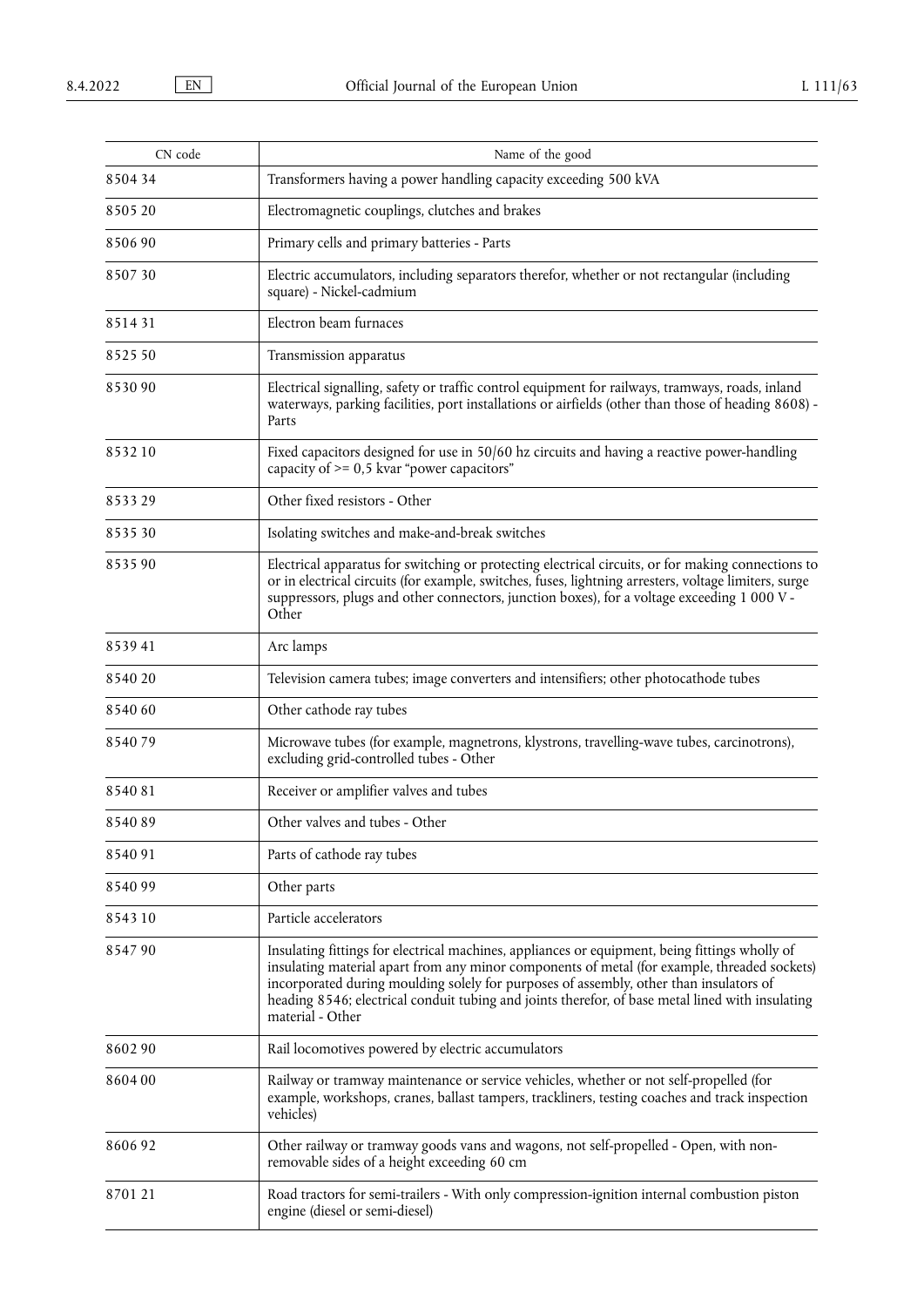| CN code | Name of the good                                                                                                                                                                                                                                                                                                                                                                                                 |
|---------|------------------------------------------------------------------------------------------------------------------------------------------------------------------------------------------------------------------------------------------------------------------------------------------------------------------------------------------------------------------------------------------------------------------|
| 850434  | Transformers having a power handling capacity exceeding 500 kVA                                                                                                                                                                                                                                                                                                                                                  |
| 850520  | Electromagnetic couplings, clutches and brakes                                                                                                                                                                                                                                                                                                                                                                   |
| 850690  | Primary cells and primary batteries - Parts                                                                                                                                                                                                                                                                                                                                                                      |
| 850730  | Electric accumulators, including separators therefor, whether or not rectangular (including<br>square) - Nickel-cadmium                                                                                                                                                                                                                                                                                          |
| 851431  | Electron beam furnaces                                                                                                                                                                                                                                                                                                                                                                                           |
| 852550  | Transmission apparatus                                                                                                                                                                                                                                                                                                                                                                                           |
| 853090  | Electrical signalling, safety or traffic control equipment for railways, tramways, roads, inland<br>waterways, parking facilities, port installations or airfields (other than those of heading 8608) -<br>Parts                                                                                                                                                                                                 |
| 853210  | Fixed capacitors designed for use in $50/60$ hz circuits and having a reactive power-handling<br>capacity of $> = 0.5$ kvar "power capacitors"                                                                                                                                                                                                                                                                   |
| 853329  | Other fixed resistors - Other                                                                                                                                                                                                                                                                                                                                                                                    |
| 853530  | Isolating switches and make-and-break switches                                                                                                                                                                                                                                                                                                                                                                   |
| 853590  | Electrical apparatus for switching or protecting electrical circuits, or for making connections to<br>or in electrical circuits (for example, switches, fuses, lightning arresters, voltage limiters, surge<br>suppressors, plugs and other connectors, junction boxes), for a voltage exceeding 1 000 V -<br>Other                                                                                              |
| 853941  | Arc lamps                                                                                                                                                                                                                                                                                                                                                                                                        |
| 854020  | Television camera tubes; image converters and intensifiers; other photocathode tubes                                                                                                                                                                                                                                                                                                                             |
| 854060  | Other cathode ray tubes                                                                                                                                                                                                                                                                                                                                                                                          |
| 854079  | Microwave tubes (for example, magnetrons, klystrons, travelling-wave tubes, carcinotrons),<br>excluding grid-controlled tubes - Other                                                                                                                                                                                                                                                                            |
| 854081  | Receiver or amplifier valves and tubes                                                                                                                                                                                                                                                                                                                                                                           |
| 854089  | Other valves and tubes - Other                                                                                                                                                                                                                                                                                                                                                                                   |
| 854091  | Parts of cathode ray tubes                                                                                                                                                                                                                                                                                                                                                                                       |
| 854099  | Other parts                                                                                                                                                                                                                                                                                                                                                                                                      |
| 854310  | Particle accelerators                                                                                                                                                                                                                                                                                                                                                                                            |
| 854790  | Insulating fittings for electrical machines, appliances or equipment, being fittings wholly of<br>insulating material apart from any minor components of metal (for example, threaded sockets)<br>incorporated during moulding solely for purposes of assembly, other than insulators of<br>heading 8546; electrical conduit tubing and joints therefor, of base metal lined with insulating<br>material - Other |
| 860290  | Rail locomotives powered by electric accumulators                                                                                                                                                                                                                                                                                                                                                                |
| 860400  | Railway or tramway maintenance or service vehicles, whether or not self-propelled (for<br>example, workshops, cranes, ballast tampers, trackliners, testing coaches and track inspection<br>vehicles)                                                                                                                                                                                                            |
| 860692  | Other railway or tramway goods vans and wagons, not self-propelled - Open, with non-<br>removable sides of a height exceeding 60 cm                                                                                                                                                                                                                                                                              |
| 870121  | Road tractors for semi-trailers - With only compression-ignition internal combustion piston<br>engine (diesel or semi-diesel)                                                                                                                                                                                                                                                                                    |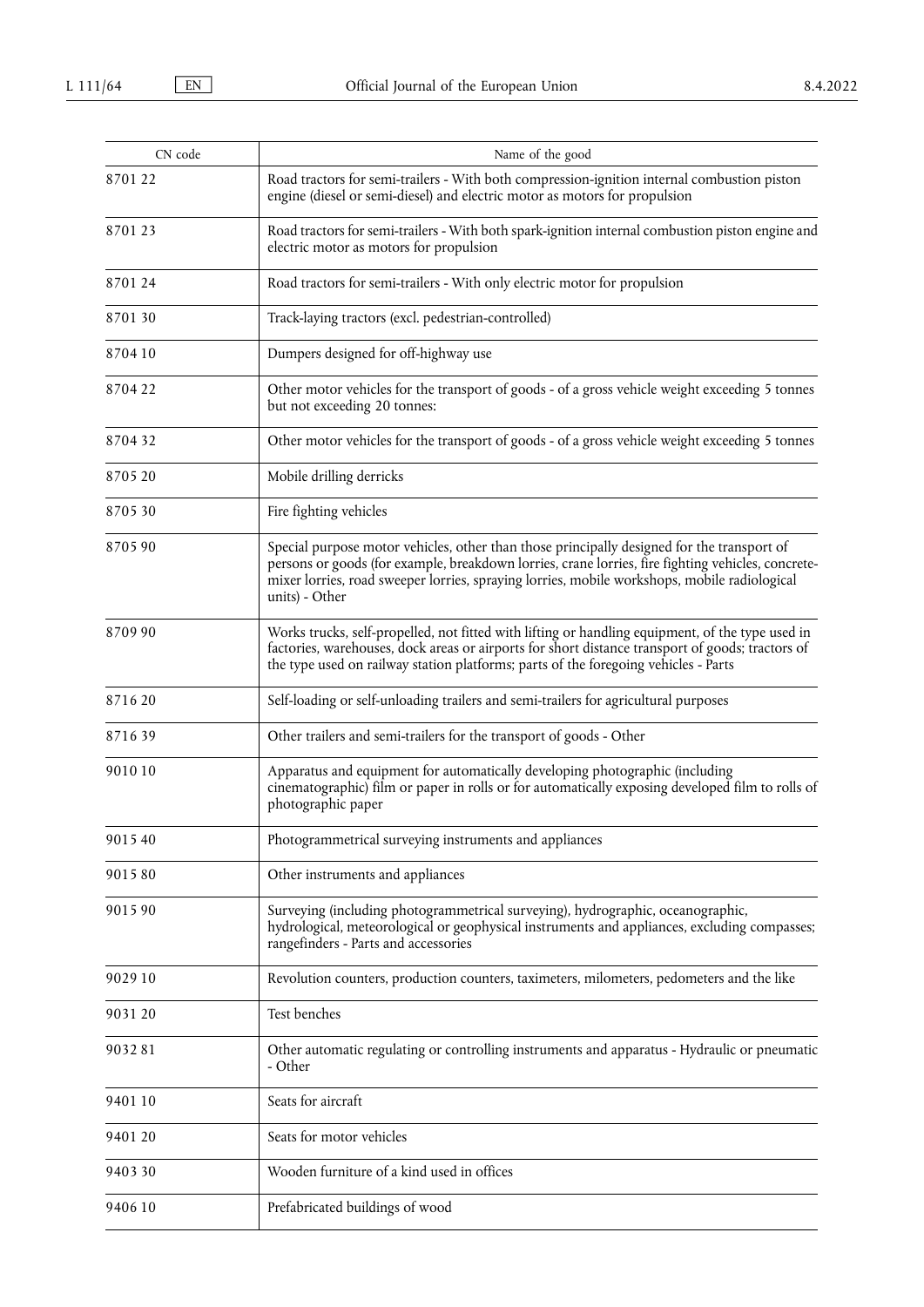| CN code | Name of the good                                                                                                                                                                                                                                                                                                   |
|---------|--------------------------------------------------------------------------------------------------------------------------------------------------------------------------------------------------------------------------------------------------------------------------------------------------------------------|
|         |                                                                                                                                                                                                                                                                                                                    |
| 870122  | Road tractors for semi-trailers - With both compression-ignition internal combustion piston<br>engine (diesel or semi-diesel) and electric motor as motors for propulsion                                                                                                                                          |
| 870123  | Road tractors for semi-trailers - With both spark-ignition internal combustion piston engine and<br>electric motor as motors for propulsion                                                                                                                                                                        |
| 870124  | Road tractors for semi-trailers - With only electric motor for propulsion                                                                                                                                                                                                                                          |
| 870130  | Track-laying tractors (excl. pedestrian-controlled)                                                                                                                                                                                                                                                                |
| 870410  | Dumpers designed for off-highway use                                                                                                                                                                                                                                                                               |
| 870422  | Other motor vehicles for the transport of goods - of a gross vehicle weight exceeding 5 tonnes<br>but not exceeding 20 tonnes:                                                                                                                                                                                     |
| 870432  | Other motor vehicles for the transport of goods - of a gross vehicle weight exceeding 5 tonnes                                                                                                                                                                                                                     |
| 870520  | Mobile drilling derricks                                                                                                                                                                                                                                                                                           |
| 870530  | Fire fighting vehicles                                                                                                                                                                                                                                                                                             |
| 870590  | Special purpose motor vehicles, other than those principally designed for the transport of<br>persons or goods (for example, breakdown lorries, crane lorries, fire fighting vehicles, concrete-<br>mixer lorries, road sweeper lorries, spraying lorries, mobile workshops, mobile radiological<br>units) - Other |
| 870990  | Works trucks, self-propelled, not fitted with lifting or handling equipment, of the type used in<br>factories, warehouses, dock areas or airports for short distance transport of goods; tractors of<br>the type used on railway station platforms; parts of the foregoing vehicles - Parts                        |
| 871620  | Self-loading or self-unloading trailers and semi-trailers for agricultural purposes                                                                                                                                                                                                                                |
| 871639  | Other trailers and semi-trailers for the transport of goods - Other                                                                                                                                                                                                                                                |
| 9010 10 | Apparatus and equipment for automatically developing photographic (including<br>cinematographic) film or paper in rolls or for automatically exposing developed film to rolls of<br>photographic paper                                                                                                             |
| 901540  | Photogrammetrical surveying instruments and appliances                                                                                                                                                                                                                                                             |
| 901580  | Other instruments and appliances                                                                                                                                                                                                                                                                                   |
| 901590  | Surveying (including photogrammetrical surveying), hydrographic, oceanographic,<br>hydrological, meteorological or geophysical instruments and appliances, excluding compasses;<br>rangefinders - Parts and accessories                                                                                            |
| 902910  | Revolution counters, production counters, taximeters, milometers, pedometers and the like                                                                                                                                                                                                                          |
| 9031 20 | Test benches                                                                                                                                                                                                                                                                                                       |
| 903281  | Other automatic regulating or controlling instruments and apparatus - Hydraulic or pneumatic<br>- Other                                                                                                                                                                                                            |
| 940110  | Seats for aircraft                                                                                                                                                                                                                                                                                                 |
| 9401 20 | Seats for motor vehicles                                                                                                                                                                                                                                                                                           |
| 940330  | Wooden furniture of a kind used in offices                                                                                                                                                                                                                                                                         |
| 940610  | Prefabricated buildings of wood                                                                                                                                                                                                                                                                                    |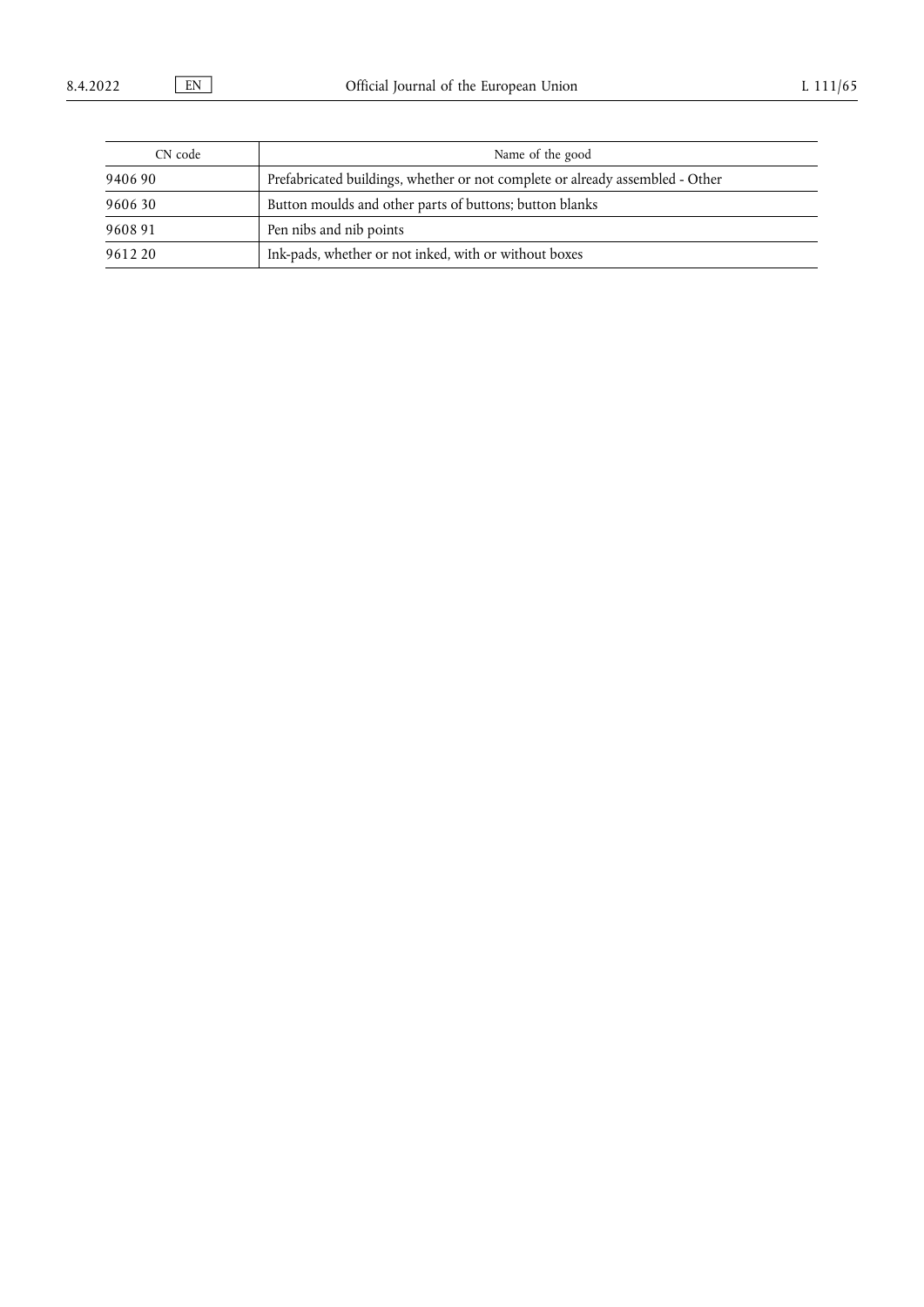| CN code | Name of the good                                                              |
|---------|-------------------------------------------------------------------------------|
| 9406 90 | Prefabricated buildings, whether or not complete or already assembled - Other |
| 960630  | Button moulds and other parts of buttons; button blanks                       |
| 9608 91 | Pen nibs and nib points                                                       |
| 9612 20 | Ink-pads, whether or not inked, with or without boxes                         |